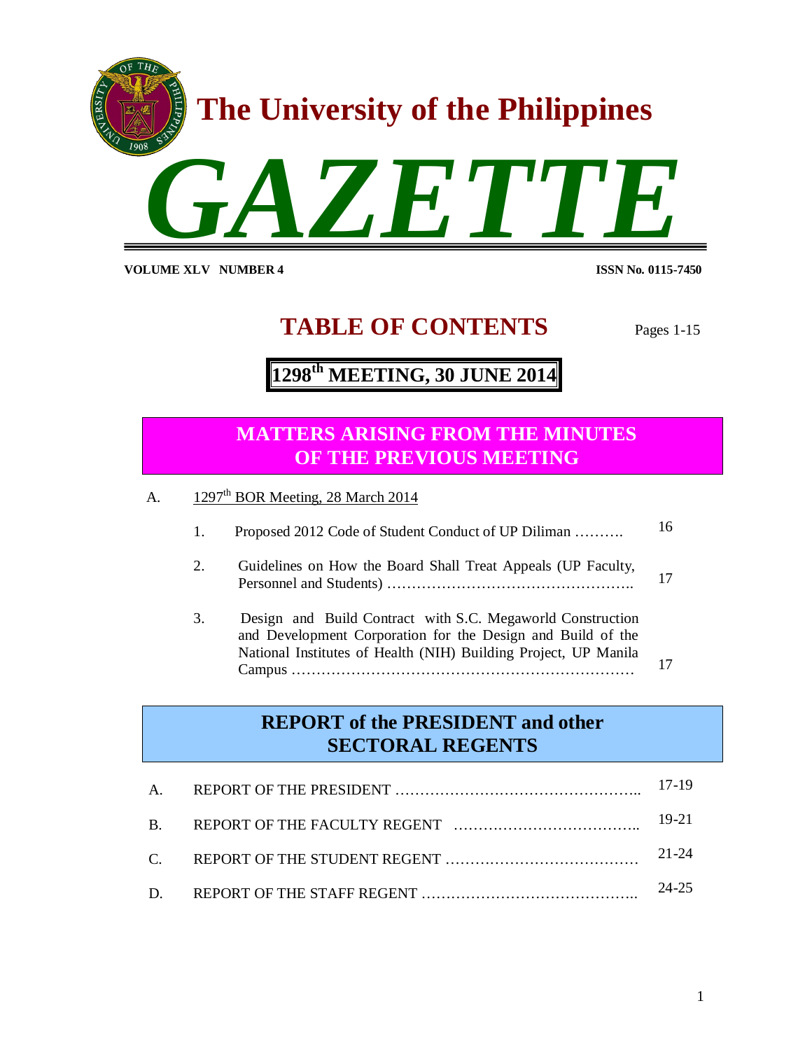

**VOLUME XLV NUMBER 4** 

**ISSN No. 0115-7450** 

# **TABLE OF CONTENTS** Pages 1-15

# **1298 th MEETING, 30 JUNE 2014**

# **1. Proposed 2012 Code of THE PREVIOUS MEETING MATTERS ARISING FROM THE MINUTES**

A.  $1297<sup>th</sup> BOR Meeting, 28 March 2014$ 

Campus ……………………………………………………………

|    | Proposed 2012 Code of Student Conduct of UP Diliman                                                                                                                                                   | 16 |
|----|-------------------------------------------------------------------------------------------------------------------------------------------------------------------------------------------------------|----|
| 2. | Guidelines on How the Board Shall Treat Appeals (UP Faculty,                                                                                                                                          |    |
| 3. | Design and Build Contract with S.C. Megaworld Construction<br>and Development Corporation for the Design and Build of the<br>National Institutes of Health (NIH) Building Project, UP Manila<br>Comma |    |

### **REPORT of the PRESIDENT and other SECTORAL REGENTS**

|  | 17-19 |
|--|-------|
|  | 19-21 |
|  | 21-24 |
|  | 24-25 |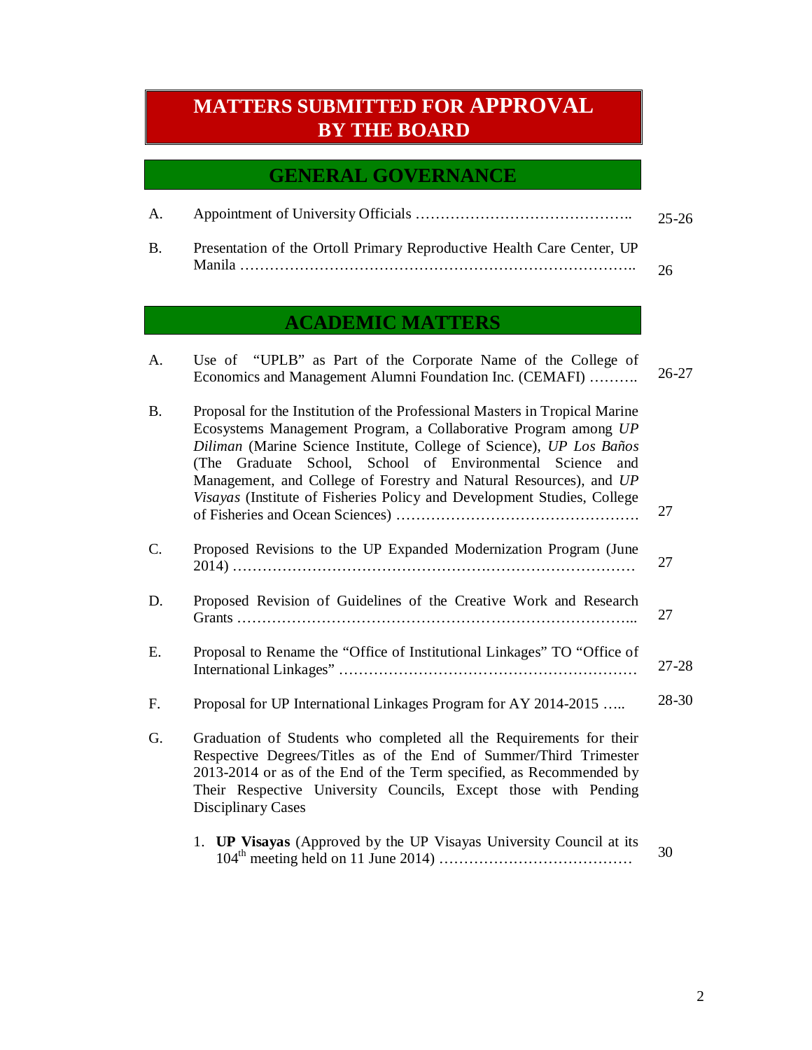# **MATTERS SUBMITTED FOR APPROVAL BY THE BOARD**

### **GENERAL GOVERNANCE**

|                                                                           | 25-26 |
|---------------------------------------------------------------------------|-------|
| B. Presentation of the Ortoll Primary Reproductive Health Care Center, UP |       |
|                                                                           |       |

# **ACADEMIC MATTERS**

| A.        | Use of "UPLB" as Part of the Corporate Name of the College of<br>Economics and Management Alumni Foundation Inc. (CEMAFI)                                                                                                                                                                                                                                                                                                               | $26 - 27$ |
|-----------|-----------------------------------------------------------------------------------------------------------------------------------------------------------------------------------------------------------------------------------------------------------------------------------------------------------------------------------------------------------------------------------------------------------------------------------------|-----------|
| <b>B.</b> | Proposal for the Institution of the Professional Masters in Tropical Marine<br>Ecosystems Management Program, a Collaborative Program among UP<br>Diliman (Marine Science Institute, College of Science), UP Los Baños<br>(The Graduate School, School of Environmental Science<br>and<br>Management, and College of Forestry and Natural Resources), and UP<br>Visayas (Institute of Fisheries Policy and Development Studies, College | 27        |
| C.        | Proposed Revisions to the UP Expanded Modernization Program (June                                                                                                                                                                                                                                                                                                                                                                       | 27        |
| D.        | Proposed Revision of Guidelines of the Creative Work and Research                                                                                                                                                                                                                                                                                                                                                                       | 27        |
| Ε.        | Proposal to Rename the "Office of Institutional Linkages" TO "Office of                                                                                                                                                                                                                                                                                                                                                                 | $27 - 28$ |
| F.        | Proposal for UP International Linkages Program for AY 2014-2015                                                                                                                                                                                                                                                                                                                                                                         | 28-30     |
| G.        | Graduation of Students who completed all the Requirements for their<br>Respective Degrees/Titles as of the End of Summer/Third Trimester<br>2013-2014 or as of the End of the Term specified, as Recommended by<br>Their Respective University Councils, Except those with Pending<br><b>Disciplinary Cases</b>                                                                                                                         |           |
|           | 1. <b>UP Visayas</b> (Approved by the UP Visayas University Council at its                                                                                                                                                                                                                                                                                                                                                              | 30        |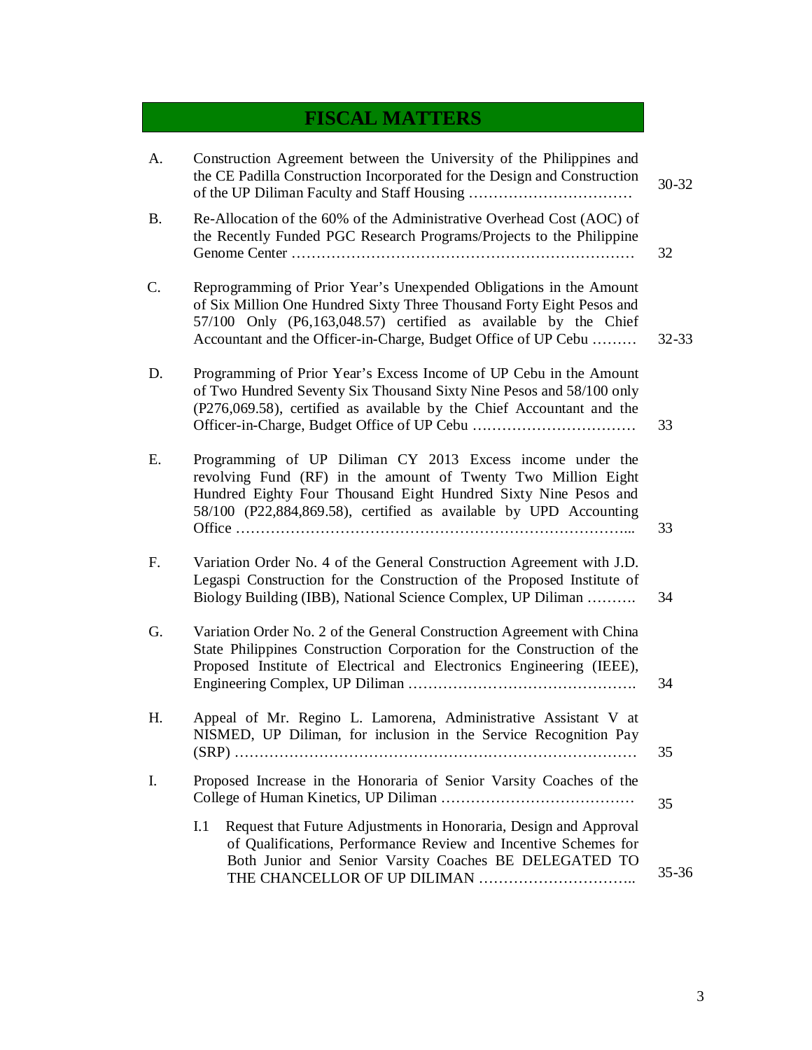# **FISCAL MATTERS**

| A.        | Construction Agreement between the University of the Philippines and<br>the CE Padilla Construction Incorporated for the Design and Construction                                                                                                                                 | $30 - 32$ |
|-----------|----------------------------------------------------------------------------------------------------------------------------------------------------------------------------------------------------------------------------------------------------------------------------------|-----------|
| <b>B.</b> | Re-Allocation of the 60% of the Administrative Overhead Cost (AOC) of<br>the Recently Funded PGC Research Programs/Projects to the Philippine                                                                                                                                    | 32        |
| C.        | Reprogramming of Prior Year's Unexpended Obligations in the Amount<br>of Six Million One Hundred Sixty Three Thousand Forty Eight Pesos and<br>57/100 Only (P6,163,048.57) certified as available by the Chief<br>Accountant and the Officer-in-Charge, Budget Office of UP Cebu | $32 - 33$ |
| D.        | Programming of Prior Year's Excess Income of UP Cebu in the Amount<br>of Two Hundred Seventy Six Thousand Sixty Nine Pesos and 58/100 only<br>(P276,069.58), certified as available by the Chief Accountant and the                                                              | 33        |
| Е.        | Programming of UP Diliman CY 2013 Excess income under the<br>revolving Fund (RF) in the amount of Twenty Two Million Eight<br>Hundred Eighty Four Thousand Eight Hundred Sixty Nine Pesos and<br>58/100 (P22,884,869.58), certified as available by UPD Accounting               | 33        |
| F.        | Variation Order No. 4 of the General Construction Agreement with J.D.<br>Legaspi Construction for the Construction of the Proposed Institute of<br>Biology Building (IBB), National Science Complex, UP Diliman                                                                  | 34        |
| G.        | Variation Order No. 2 of the General Construction Agreement with China<br>State Philippines Construction Corporation for the Construction of the<br>Proposed Institute of Electrical and Electronics Engineering (IEEE),                                                         | 34        |
| Η.        | Appeal of Mr. Regino L. Lamorena, Administrative Assistant V at<br>NISMED, UP Diliman, for inclusion in the Service Recognition Pay                                                                                                                                              | 35        |
| I.        | Proposed Increase in the Honoraria of Senior Varsity Coaches of the                                                                                                                                                                                                              | 35        |
|           | Request that Future Adjustments in Honoraria, Design and Approval<br>I.1<br>of Qualifications, Performance Review and Incentive Schemes for<br>Both Junior and Senior Varsity Coaches BE DELEGATED TO                                                                            | $35 - 36$ |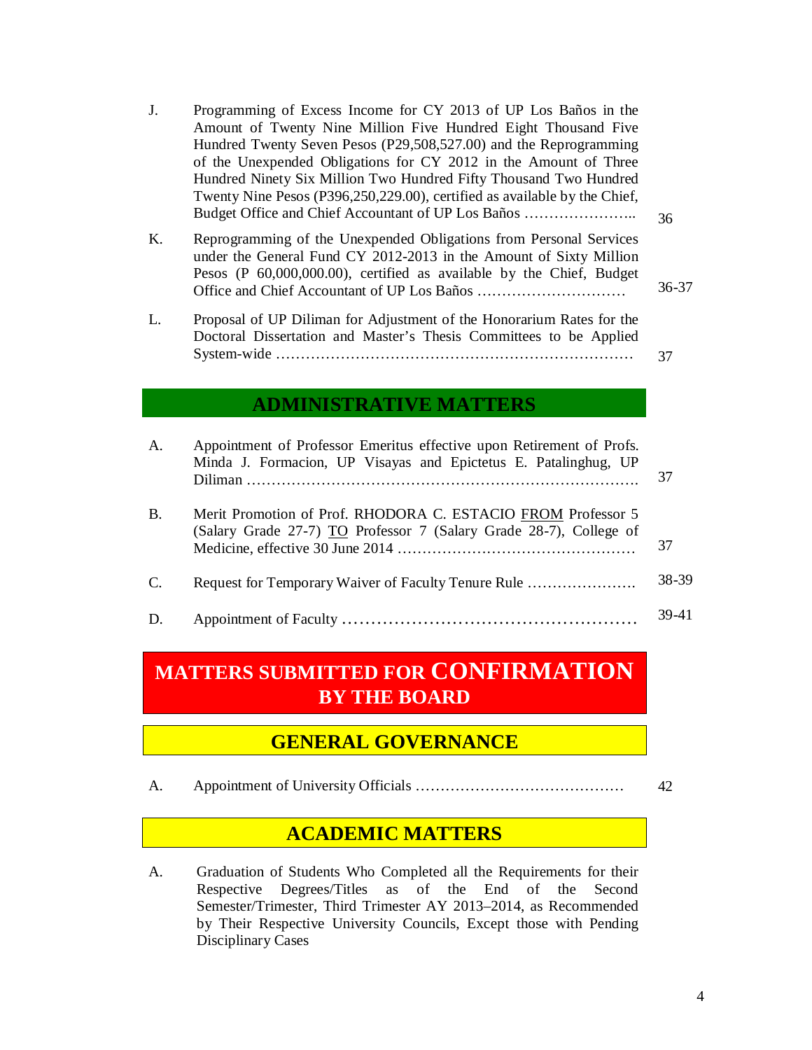| J.        | Programming of Excess Income for CY 2013 of UP Los Baños in the<br>Amount of Twenty Nine Million Five Hundred Eight Thousand Five<br>Hundred Twenty Seven Pesos (P29,508,527.00) and the Reprogramming<br>of the Unexpended Obligations for CY 2012 in the Amount of Three<br>Hundred Ninety Six Million Two Hundred Fifty Thousand Two Hundred<br>Twenty Nine Pesos (P396,250,229.00), certified as available by the Chief,<br>Budget Office and Chief Accountant of UP Los Baños | 36        |
|-----------|------------------------------------------------------------------------------------------------------------------------------------------------------------------------------------------------------------------------------------------------------------------------------------------------------------------------------------------------------------------------------------------------------------------------------------------------------------------------------------|-----------|
| K.        | Reprogramming of the Unexpended Obligations from Personal Services<br>under the General Fund CY 2012-2013 in the Amount of Sixty Million<br>Pesos (P 60,000,000.00), certified as available by the Chief, Budget                                                                                                                                                                                                                                                                   | $36 - 37$ |
| L.        | Proposal of UP Diliman for Adjustment of the Honorarium Rates for the<br>Doctoral Dissertation and Master's Thesis Committees to be Applied                                                                                                                                                                                                                                                                                                                                        | 37        |
|           | <b>ADMINISTRATIVE MATTERS</b>                                                                                                                                                                                                                                                                                                                                                                                                                                                      |           |
| A.        | Appointment of Professor Emeritus effective upon Retirement of Profs.<br>Minda J. Formacion, UP Visayas and Epictetus E. Patalinghug, UP                                                                                                                                                                                                                                                                                                                                           | 37        |
| <b>B.</b> | Merit Promotion of Prof. RHODORA C. ESTACIO FROM Professor 5<br>(Salary Grade 27-7) TO Professor 7 (Salary Grade 28-7), College of                                                                                                                                                                                                                                                                                                                                                 | 37        |
|           |                                                                                                                                                                                                                                                                                                                                                                                                                                                                                    |           |

- C. Request for Temporary Waiver of Faculty Tenure Rule …………………. 38-39
- D. Appointment of Faculty …………………………………………… 39-41

# **MATTERS SUBMITTED FOR CONFIRMATION BY THE BOARD**

### **GENERAL GOVERNANCE**

A. Appointment of University Officials …………………………………… 42

## **ACADEMIC MATTERS**

A. Graduation of Students Who Completed all the Requirements for their Respective Degrees/Titles as of the End of the Second Semester/Trimester, Third Trimester AY 2013–2014, as Recommended by Their Respective University Councils, Except those with Pending Disciplinary Cases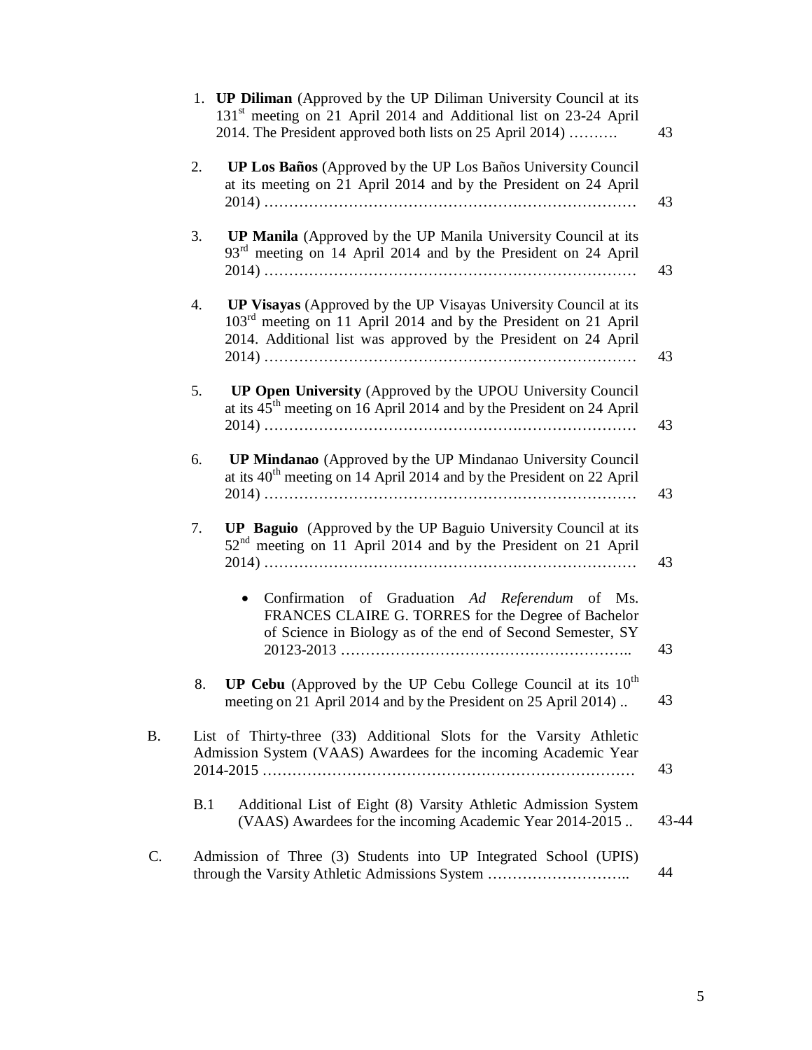|    |     | 1. <b>UP Diliman</b> (Approved by the UP Diliman University Council at its<br>131 <sup>st</sup> meeting on 21 April 2014 and Additional list on 23-24 April<br>2014. The President approved both lists on 25 April 2014) | 43    |
|----|-----|--------------------------------------------------------------------------------------------------------------------------------------------------------------------------------------------------------------------------|-------|
|    | 2.  | UP Los Baños (Approved by the UP Los Baños University Council<br>at its meeting on 21 April 2014 and by the President on 24 April                                                                                        | 43    |
|    | 3.  | <b>UP Manila</b> (Approved by the UP Manila University Council at its<br>93 <sup>rd</sup> meeting on 14 April 2014 and by the President on 24 April                                                                      | 43    |
|    | 4.  | UP Visayas (Approved by the UP Visayas University Council at its<br>$103rd$ meeting on 11 April 2014 and by the President on 21 April<br>2014. Additional list was approved by the President on 24 April                 | 43    |
|    | 5.  | UP Open University (Approved by the UPOU University Council<br>at its $45th$ meeting on 16 April 2014 and by the President on 24 April                                                                                   | 43    |
|    | 6.  | UP Mindanao (Approved by the UP Mindanao University Council<br>at its $40^{th}$ meeting on 14 April 2014 and by the President on 22 April                                                                                | 43    |
|    | 7.  | <b>UP Baguio</b> (Approved by the UP Baguio University Council at its<br>52 <sup>nd</sup> meeting on 11 April 2014 and by the President on 21 April                                                                      | 43    |
|    |     | Confirmation of Graduation Ad Referendum of Ms.<br>$\bullet$<br>FRANCES CLAIRE G. TORRES for the Degree of Bachelor<br>of Science in Biology as of the end of Second Semester, SY                                        | 43    |
|    | 8.  | <b>UP Cebu</b> (Approved by the UP Cebu College Council at its $10^{th}$<br>meeting on 21 April 2014 and by the President on 25 April 2014).                                                                             | 43    |
| B. |     | List of Thirty-three (33) Additional Slots for the Varsity Athletic<br>Admission System (VAAS) Awardees for the incoming Academic Year                                                                                   | 43    |
|    | B.1 | Additional List of Eight (8) Varsity Athletic Admission System<br>(VAAS) Awardees for the incoming Academic Year 2014-2015                                                                                               | 43-44 |
| C. |     | Admission of Three (3) Students into UP Integrated School (UPIS)<br>through the Varsity Athletic Admissions System                                                                                                       | 44    |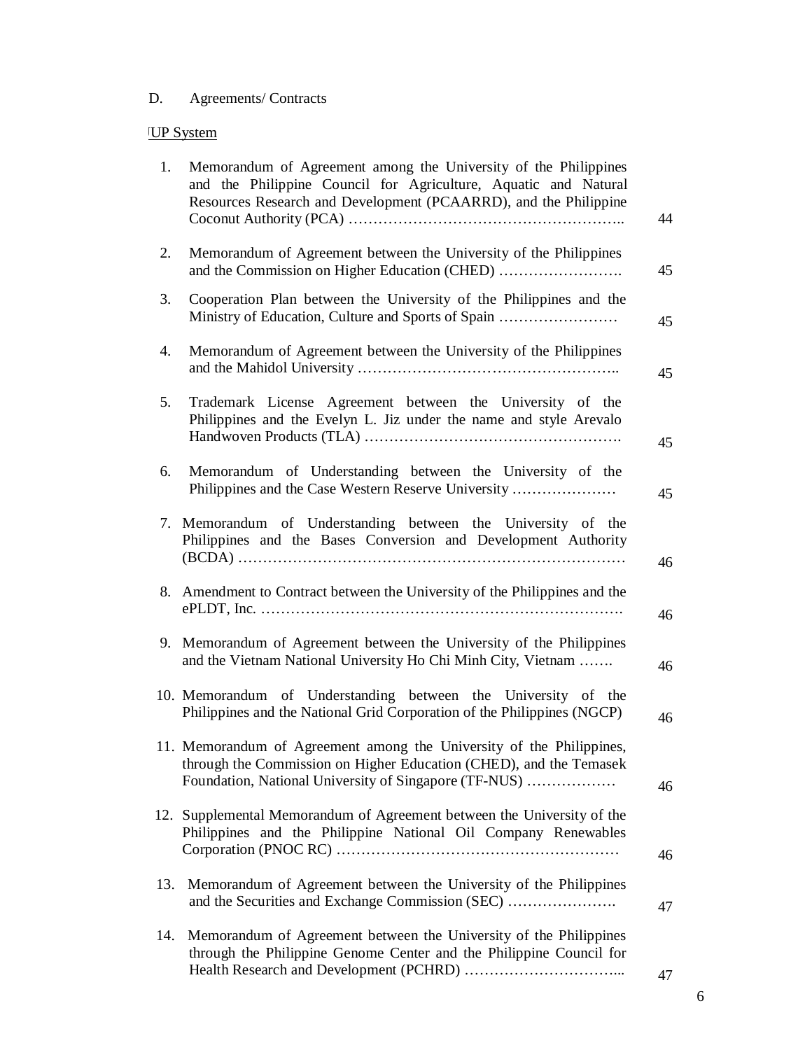### D. Agreements/ Contracts

# **UP System**

| 1.  | Memorandum of Agreement among the University of the Philippines<br>and the Philippine Council for Agriculture, Aquatic and Natural<br>Resources Research and Development (PCAARRD), and the Philippine | 44 |
|-----|--------------------------------------------------------------------------------------------------------------------------------------------------------------------------------------------------------|----|
| 2.  | Memorandum of Agreement between the University of the Philippines<br>and the Commission on Higher Education (CHED)                                                                                     | 45 |
| 3.  | Cooperation Plan between the University of the Philippines and the<br>Ministry of Education, Culture and Sports of Spain                                                                               | 45 |
| 4.  | Memorandum of Agreement between the University of the Philippines                                                                                                                                      | 45 |
| 5.  | Trademark License Agreement between the University of the<br>Philippines and the Evelyn L. Jiz under the name and style Arevalo                                                                        | 45 |
| 6.  | Memorandum of Understanding between the University of the<br>Philippines and the Case Western Reserve University                                                                                       | 45 |
| 7.  | Memorandum of Understanding between the University of the<br>Philippines and the Bases Conversion and Development Authority                                                                            | 46 |
| 8.  | Amendment to Contract between the University of the Philippines and the                                                                                                                                | 46 |
| 9.  | Memorandum of Agreement between the University of the Philippines<br>and the Vietnam National University Ho Chi Minh City, Vietnam                                                                     | 46 |
|     | 10. Memorandum of Understanding between the University of the<br>Philippines and the National Grid Corporation of the Philippines (NGCP)                                                               | 46 |
|     | 11. Memorandum of Agreement among the University of the Philippines,<br>through the Commission on Higher Education (CHED), and the Temasek<br>Foundation, National University of Singapore (TF-NUS)    | 46 |
|     | 12. Supplemental Memorandum of Agreement between the University of the<br>Philippines and the Philippine National Oil Company Renewables                                                               | 46 |
| 13. | Memorandum of Agreement between the University of the Philippines<br>and the Securities and Exchange Commission (SEC)                                                                                  | 47 |
| 14. | Memorandum of Agreement between the University of the Philippines<br>through the Philippine Genome Center and the Philippine Council for                                                               | 47 |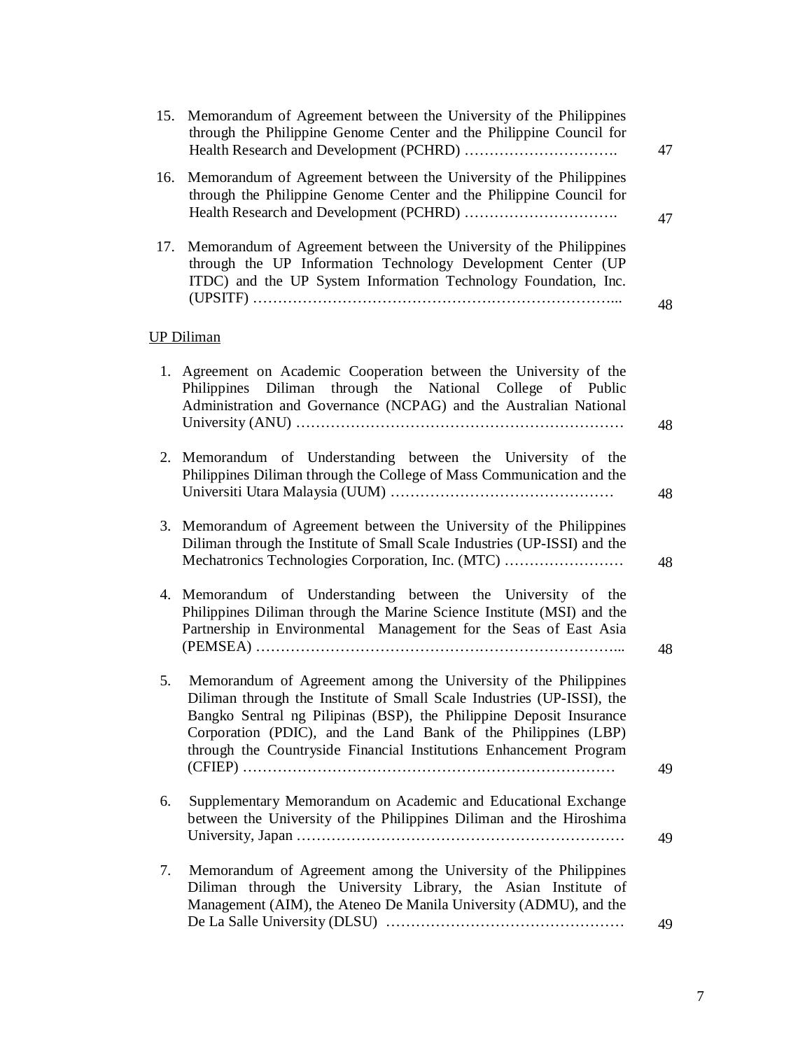| 15. | Memorandum of Agreement between the University of the Philippines<br>through the Philippine Genome Center and the Philippine Council for                                                                                                                                                                                                                 | 47 |
|-----|----------------------------------------------------------------------------------------------------------------------------------------------------------------------------------------------------------------------------------------------------------------------------------------------------------------------------------------------------------|----|
| 16. | Memorandum of Agreement between the University of the Philippines<br>through the Philippine Genome Center and the Philippine Council for                                                                                                                                                                                                                 | 47 |
| 17. | Memorandum of Agreement between the University of the Philippines<br>through the UP Information Technology Development Center (UP<br>ITDC) and the UP System Information Technology Foundation, Inc.                                                                                                                                                     | 48 |
|     | UP Diliman                                                                                                                                                                                                                                                                                                                                               |    |
| 1.  | Agreement on Academic Cooperation between the University of the<br>Philippines Diliman through the National College of Public<br>Administration and Governance (NCPAG) and the Australian National                                                                                                                                                       | 48 |
|     | 2. Memorandum of Understanding between the University of the<br>Philippines Diliman through the College of Mass Communication and the                                                                                                                                                                                                                    | 48 |
| 3.  | Memorandum of Agreement between the University of the Philippines<br>Diliman through the Institute of Small Scale Industries (UP-ISSI) and the<br>Mechatronics Technologies Corporation, Inc. (MTC)                                                                                                                                                      | 48 |
| 4.  | Memorandum of Understanding between the University of the<br>Philippines Diliman through the Marine Science Institute (MSI) and the<br>Partnership in Environmental Management for the Seas of East Asia                                                                                                                                                 | 48 |
| 5.  | Memorandum of Agreement among the University of the Philippines<br>Diliman through the Institute of Small Scale Industries (UP-ISSI), the<br>Bangko Sentral ng Pilipinas (BSP), the Philippine Deposit Insurance<br>Corporation (PDIC), and the Land Bank of the Philippines (LBP)<br>through the Countryside Financial Institutions Enhancement Program | 49 |
| 6.  | Supplementary Memorandum on Academic and Educational Exchange<br>between the University of the Philippines Diliman and the Hiroshima                                                                                                                                                                                                                     | 49 |
| 7.  | Memorandum of Agreement among the University of the Philippines<br>Diliman through the University Library, the Asian Institute of<br>Management (AIM), the Ateneo De Manila University (ADMU), and the                                                                                                                                                   | 49 |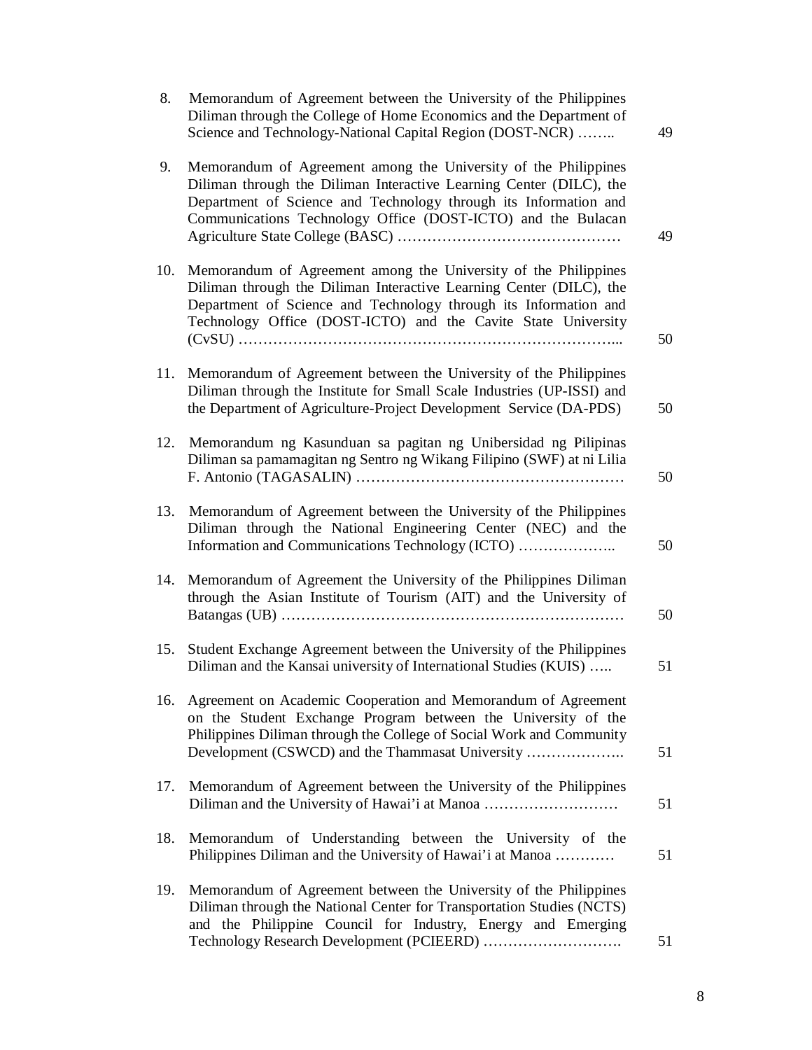| 8.  | Memorandum of Agreement between the University of the Philippines<br>Diliman through the College of Home Economics and the Department of<br>Science and Technology-National Capital Region (DOST-NCR)                                                                       | 49 |
|-----|-----------------------------------------------------------------------------------------------------------------------------------------------------------------------------------------------------------------------------------------------------------------------------|----|
| 9.  | Memorandum of Agreement among the University of the Philippines<br>Diliman through the Diliman Interactive Learning Center (DILC), the<br>Department of Science and Technology through its Information and<br>Communications Technology Office (DOST-ICTO) and the Bulacan  | 49 |
| 10. | Memorandum of Agreement among the University of the Philippines<br>Diliman through the Diliman Interactive Learning Center (DILC), the<br>Department of Science and Technology through its Information and<br>Technology Office (DOST-ICTO) and the Cavite State University | 50 |
| 11. | Memorandum of Agreement between the University of the Philippines<br>Diliman through the Institute for Small Scale Industries (UP-ISSI) and<br>the Department of Agriculture-Project Development Service (DA-PDS)                                                           | 50 |
| 12. | Memorandum ng Kasunduan sa pagitan ng Unibersidad ng Pilipinas<br>Diliman sa pamamagitan ng Sentro ng Wikang Filipino (SWF) at ni Lilia                                                                                                                                     | 50 |
| 13. | Memorandum of Agreement between the University of the Philippines<br>Diliman through the National Engineering Center (NEC) and the<br>Information and Communications Technology (ICTO)                                                                                      | 50 |
| 14. | Memorandum of Agreement the University of the Philippines Diliman<br>through the Asian Institute of Tourism (AIT) and the University of                                                                                                                                     | 50 |
| 15. | Student Exchange Agreement between the University of the Philippines<br>Diliman and the Kansai university of International Studies (KUIS)                                                                                                                                   | 51 |
| 16. | Agreement on Academic Cooperation and Memorandum of Agreement<br>on the Student Exchange Program between the University of the<br>Philippines Diliman through the College of Social Work and Community<br>Development (CSWCD) and the Thammasat University                  | 51 |
| 17. | Memorandum of Agreement between the University of the Philippines<br>Diliman and the University of Hawai'i at Manoa                                                                                                                                                         | 51 |
| 18. | Memorandum of Understanding between the University of the<br>Philippines Diliman and the University of Hawai'i at Manoa                                                                                                                                                     | 51 |
| 19. | Memorandum of Agreement between the University of the Philippines<br>Diliman through the National Center for Transportation Studies (NCTS)<br>and the Philippine Council for Industry, Energy and Emerging                                                                  | 51 |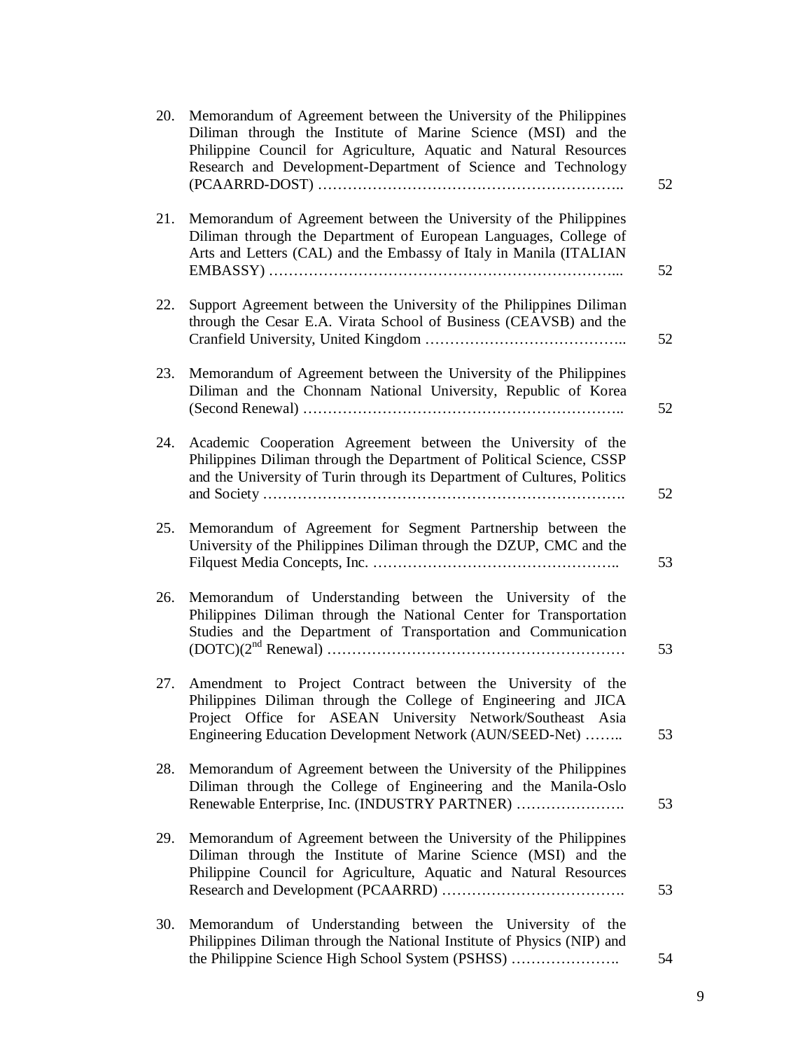| 20. | Memorandum of Agreement between the University of the Philippines<br>Diliman through the Institute of Marine Science (MSI) and the<br>Philippine Council for Agriculture, Aquatic and Natural Resources<br>Research and Development-Department of Science and Technology | 52 |
|-----|--------------------------------------------------------------------------------------------------------------------------------------------------------------------------------------------------------------------------------------------------------------------------|----|
| 21. | Memorandum of Agreement between the University of the Philippines<br>Diliman through the Department of European Languages, College of<br>Arts and Letters (CAL) and the Embassy of Italy in Manila (ITALIAN                                                              | 52 |
| 22. | Support Agreement between the University of the Philippines Diliman<br>through the Cesar E.A. Virata School of Business (CEAVSB) and the                                                                                                                                 | 52 |
| 23. | Memorandum of Agreement between the University of the Philippines<br>Diliman and the Chonnam National University, Republic of Korea                                                                                                                                      | 52 |
| 24. | Academic Cooperation Agreement between the University of the<br>Philippines Diliman through the Department of Political Science, CSSP<br>and the University of Turin through its Department of Cultures, Politics                                                        | 52 |
| 25. | Memorandum of Agreement for Segment Partnership between the<br>University of the Philippines Diliman through the DZUP, CMC and the                                                                                                                                       | 53 |
| 26. | Memorandum of Understanding between the University of the<br>Philippines Diliman through the National Center for Transportation<br>Studies and the Department of Transportation and Communication                                                                        | 53 |
| 27. | Amendment to Project Contract between the University of the<br>Philippines Diliman through the College of Engineering and JICA<br>Project Office for ASEAN University Network/Southeast Asia<br>Engineering Education Development Network (AUN/SEED-Net)                 | 53 |
| 28. | Memorandum of Agreement between the University of the Philippines<br>Diliman through the College of Engineering and the Manila-Oslo<br>Renewable Enterprise, Inc. (INDUSTRY PARTNER)                                                                                     | 53 |
| 29. | Memorandum of Agreement between the University of the Philippines<br>Diliman through the Institute of Marine Science (MSI) and the<br>Philippine Council for Agriculture, Aquatic and Natural Resources                                                                  | 53 |
| 30. | Memorandum of Understanding between the University of the<br>Philippines Diliman through the National Institute of Physics (NIP) and<br>the Philippine Science High School System (PSHSS)                                                                                | 54 |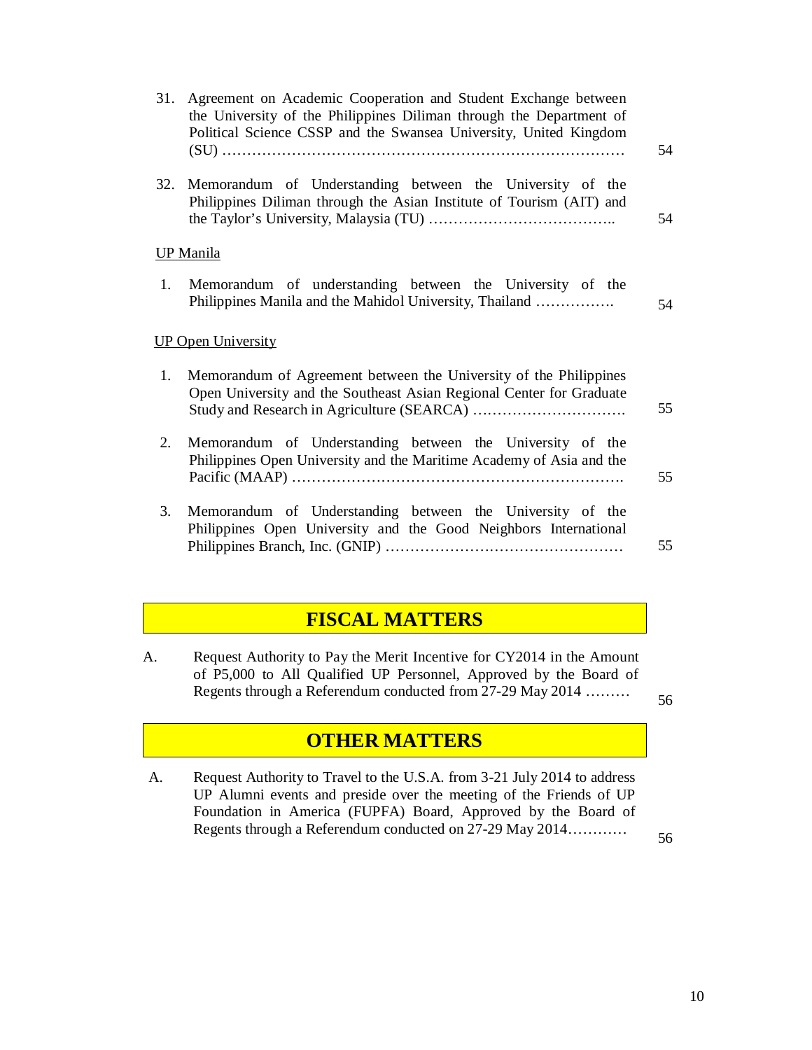| 31. | Agreement on Academic Cooperation and Student Exchange between<br>the University of the Philippines Diliman through the Department of<br>Political Science CSSP and the Swansea University, United Kingdom | 54 |
|-----|------------------------------------------------------------------------------------------------------------------------------------------------------------------------------------------------------------|----|
| 32. | Memorandum of Understanding between the University of the<br>Philippines Diliman through the Asian Institute of Tourism (AIT) and                                                                          | 54 |
|     | <b>UP</b> Manila                                                                                                                                                                                           |    |
| 1.  | Memorandum of understanding between the University of the<br>Philippines Manila and the Mahidol University, Thailand                                                                                       | 54 |
|     | <b>UP Open University</b>                                                                                                                                                                                  |    |
| 1.  | Memorandum of Agreement between the University of the Philippines<br>Open University and the Southeast Asian Regional Center for Graduate                                                                  | 55 |
| 2.  | Memorandum of Understanding between the University of the<br>Philippines Open University and the Maritime Academy of Asia and the                                                                          | 55 |
| 3.  | Memorandum of Understanding between the University of the<br>Philippines Open University and the Good Neighbors International                                                                              | 55 |

### **FISCAL MATTERS**

A. Request Authority to Pay the Merit Incentive for CY2014 in the Amount of P5,000 to All Qualified UP Personnel, Approved by the Board of Regents through a Referendum conducted from 27-29 May 2014 ………

56

### **OTHER MATTERS**

A. Request Authority to Travel to the U.S.A. from 3-21 July 2014 to address UP Alumni events and preside over the meeting of the Friends of UP Foundation in America (FUPFA) Board, Approved by the Board of Regents through a Referendum conducted on 27-29 May 2014…………

56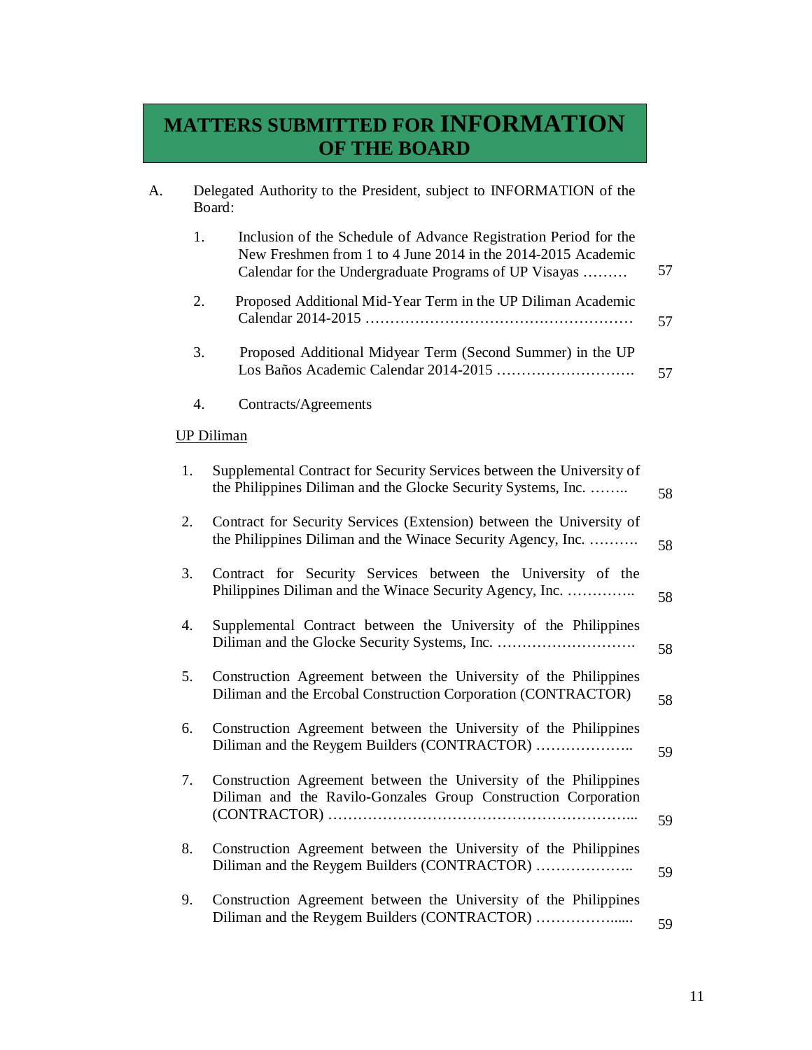# **MATTERS SUBMITTED FOR INFORMATION OF THE BOARD**

| A. |    | Delegated Authority to the President, subject to INFORMATION of the<br>Board:                                                                                                             |    |
|----|----|-------------------------------------------------------------------------------------------------------------------------------------------------------------------------------------------|----|
|    | 1. | Inclusion of the Schedule of Advance Registration Period for the<br>New Freshmen from 1 to 4 June 2014 in the 2014-2015 Academic<br>Calendar for the Undergraduate Programs of UP Visayas | 57 |
|    | 2. | Proposed Additional Mid-Year Term in the UP Diliman Academic                                                                                                                              | 57 |
|    | 3. | Proposed Additional Midyear Term (Second Summer) in the UP                                                                                                                                | 57 |
|    | 4. | Contracts/Agreements                                                                                                                                                                      |    |
|    |    | <b>UP Diliman</b>                                                                                                                                                                         |    |
|    | 1. | Supplemental Contract for Security Services between the University of<br>the Philippines Diliman and the Glocke Security Systems, Inc.                                                    | 58 |
|    | 2. | Contract for Security Services (Extension) between the University of<br>the Philippines Diliman and the Winace Security Agency, Inc.                                                      | 58 |
|    | 3. | Contract for Security Services between the University of the<br>Philippines Diliman and the Winace Security Agency, Inc.                                                                  | 58 |
|    | 4. | Supplemental Contract between the University of the Philippines                                                                                                                           | 58 |
|    | 5. | Construction Agreement between the University of the Philippines<br>Diliman and the Ercobal Construction Corporation (CONTRACTOR)                                                         | 58 |
|    | 6. | Construction Agreement between the University of the Philippines<br>Diliman and the Reygem Builders (CONTRACTOR)                                                                          | 59 |
|    | 7. | Construction Agreement between the University of the Philippines<br>Diliman and the Ravilo-Gonzales Group Construction Corporation                                                        | 59 |
|    | 8. | Construction Agreement between the University of the Philippines                                                                                                                          | 59 |
|    | 9. | Construction Agreement between the University of the Philippines<br>Diliman and the Reygem Builders (CONTRACTOR)                                                                          | 59 |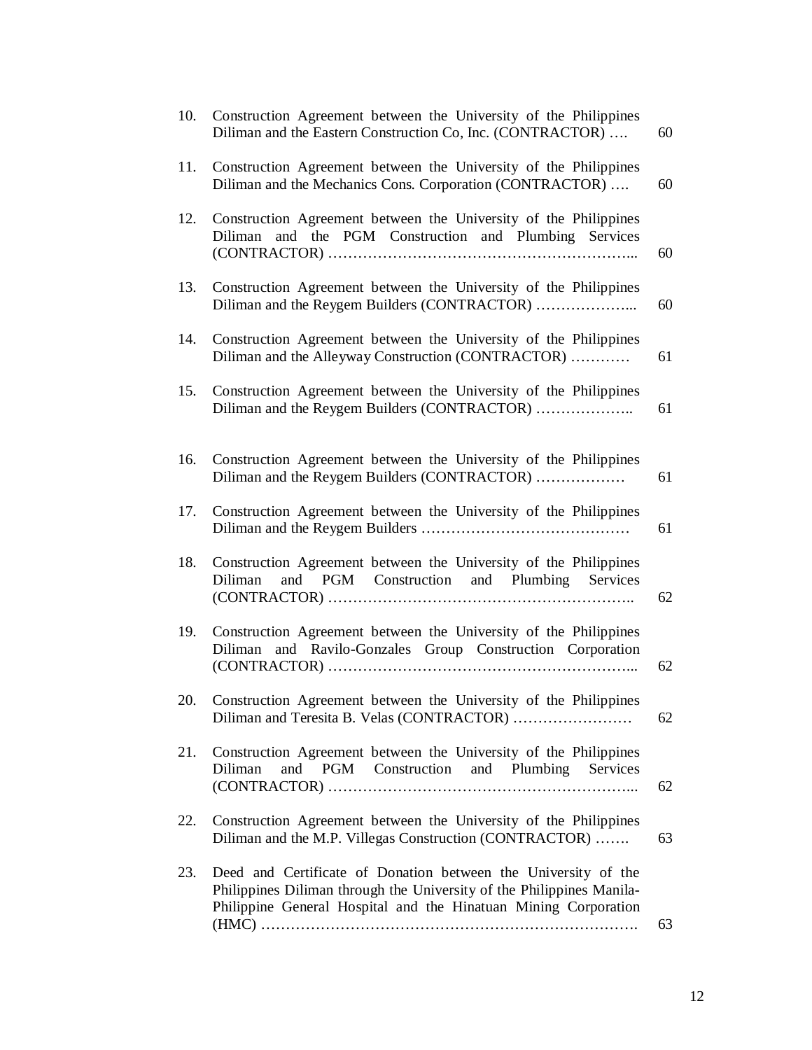| 10. | Construction Agreement between the University of the Philippines<br>Diliman and the Eastern Construction Co, Inc. (CONTRACTOR)                                                                             | 60 |
|-----|------------------------------------------------------------------------------------------------------------------------------------------------------------------------------------------------------------|----|
| 11. | Construction Agreement between the University of the Philippines<br>Diliman and the Mechanics Cons. Corporation (CONTRACTOR)                                                                               | 60 |
| 12. | Construction Agreement between the University of the Philippines<br>and the PGM Construction and Plumbing Services<br>Diliman                                                                              | 60 |
| 13. | Construction Agreement between the University of the Philippines<br>Diliman and the Reygem Builders (CONTRACTOR)                                                                                           | 60 |
| 14. | Construction Agreement between the University of the Philippines<br>Diliman and the Alleyway Construction (CONTRACTOR)                                                                                     | 61 |
| 15. | Construction Agreement between the University of the Philippines<br>Diliman and the Reygem Builders (CONTRACTOR)                                                                                           | 61 |
| 16. | Construction Agreement between the University of the Philippines<br>Diliman and the Reygem Builders (CONTRACTOR)                                                                                           | 61 |
| 17. | Construction Agreement between the University of the Philippines                                                                                                                                           | 61 |
| 18. | Construction Agreement between the University of the Philippines<br>and PGM Construction and Plumbing Services<br>Diliman                                                                                  | 62 |
| 19. | Construction Agreement between the University of the Philippines<br>and Ravilo-Gonzales Group Construction Corporation<br>Diliman                                                                          | 62 |
| 20. | Construction Agreement between the University of the Philippines                                                                                                                                           | 62 |
| 21. | Construction Agreement between the University of the Philippines<br>PGM Construction<br>and Plumbing<br>Diliman<br>Services<br>and                                                                         | 62 |
| 22. | Construction Agreement between the University of the Philippines<br>Diliman and the M.P. Villegas Construction (CONTRACTOR)                                                                                | 63 |
| 23. | Deed and Certificate of Donation between the University of the<br>Philippines Diliman through the University of the Philippines Manila-<br>Philippine General Hospital and the Hinatuan Mining Corporation | 63 |
|     |                                                                                                                                                                                                            |    |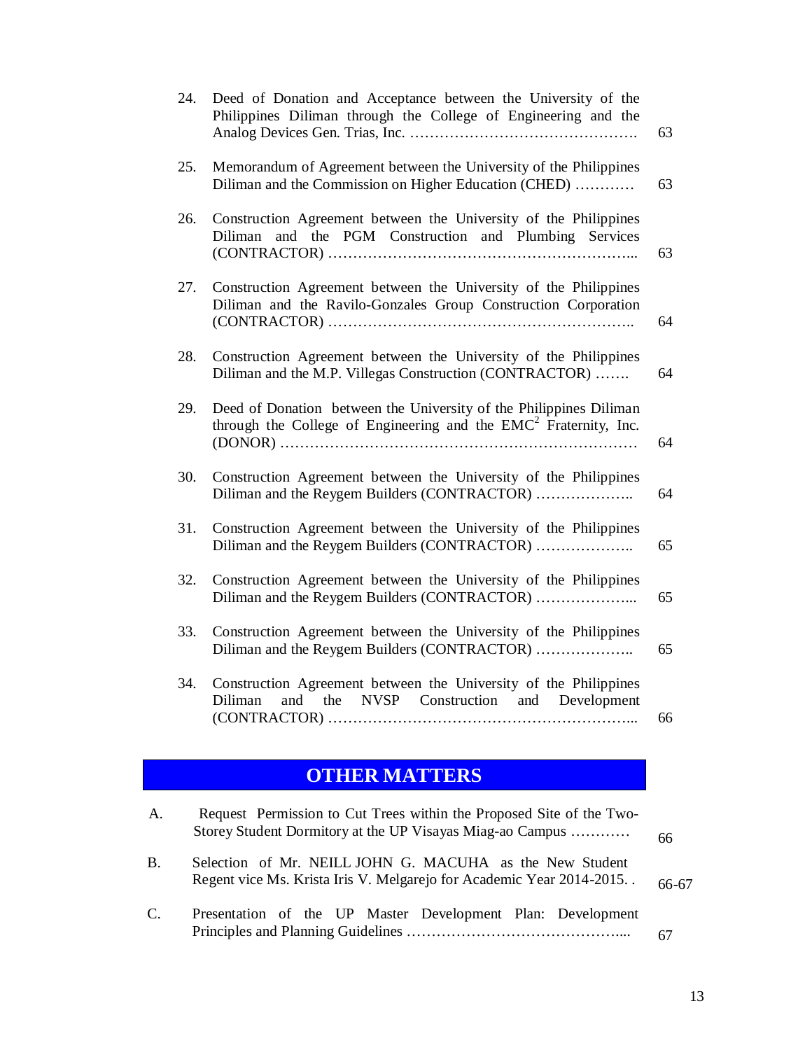| 24. | Deed of Donation and Acceptance between the University of the<br>Philippines Diliman through the College of Engineering and the          | 63 |
|-----|------------------------------------------------------------------------------------------------------------------------------------------|----|
| 25. | Memorandum of Agreement between the University of the Philippines<br>Diliman and the Commission on Higher Education (CHED)               | 63 |
| 26. | Construction Agreement between the University of the Philippines<br>and the PGM Construction and Plumbing Services<br>Diliman            | 63 |
| 27. | Construction Agreement between the University of the Philippines<br>Diliman and the Ravilo-Gonzales Group Construction Corporation       | 64 |
| 28. | Construction Agreement between the University of the Philippines<br>Diliman and the M.P. Villegas Construction (CONTRACTOR)              | 64 |
| 29. | Deed of Donation between the University of the Philippines Diliman<br>through the College of Engineering and the $EMC2$ Fraternity, Inc. | 64 |
| 30. | Construction Agreement between the University of the Philippines<br>Diliman and the Reygem Builders (CONTRACTOR)                         | 64 |
| 31. | Construction Agreement between the University of the Philippines<br>Diliman and the Reygem Builders (CONTRACTOR)                         | 65 |
| 32. | Construction Agreement between the University of the Philippines<br>Diliman and the Reygem Builders (CONTRACTOR)                         | 65 |
| 33. | Construction Agreement between the University of the Philippines<br>Diliman and the Reygem Builders (CONTRACTOR)                         | 65 |
| 34. | Construction Agreement between the University of the Philippines<br>and the NVSP Construction and Development<br>Diliman                 | 66 |

# **OTHER MATTERS**

| A.        | Request Permission to Cut Trees within the Proposed Site of the Two-<br>Storey Student Dormitory at the UP Visayas Miag-ao Campus | 66    |
|-----------|-----------------------------------------------------------------------------------------------------------------------------------|-------|
| <b>B.</b> | Selection of Mr. NEILL JOHN G. MACUHA as the New Student<br>Regent vice Ms. Krista Iris V. Melgarejo for Academic Year 2014-2015  | 66-67 |
| C.        | Presentation of the UP Master Development Plan: Development                                                                       | 67    |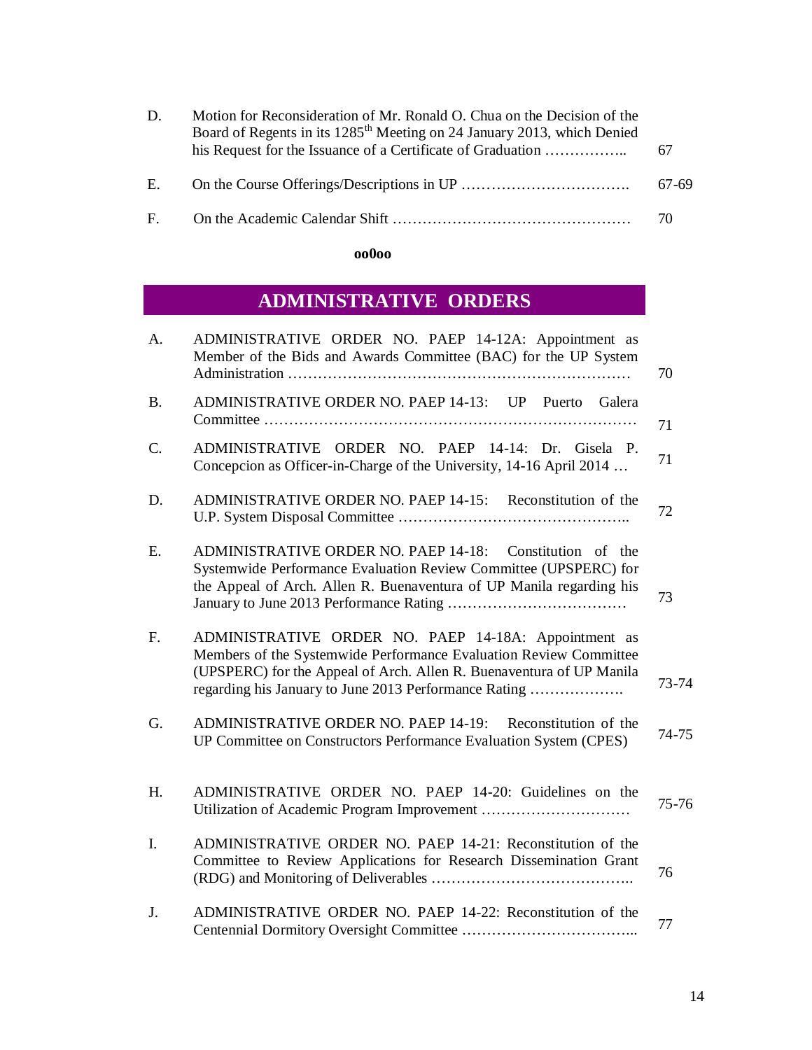| D. | Motion for Reconsideration of Mr. Ronald O. Chua on the Decision of the<br>Board of Regents in its 1285 <sup>th</sup> Meeting on 24 January 2013, which Denied<br>his Request for the Issuance of a Certificate of Graduation | 67    |
|----|-------------------------------------------------------------------------------------------------------------------------------------------------------------------------------------------------------------------------------|-------|
| E. |                                                                                                                                                                                                                               | 67-69 |
|    |                                                                                                                                                                                                                               | -70   |

#### **oo0oo**

# **ADMINISTRATIVE ORDERS**

| A.        | ADMINISTRATIVE ORDER NO. PAEP 14-12A: Appointment as<br>Member of the Bids and Awards Committee (BAC) for the UP System                                                                                                                                    | 70    |
|-----------|------------------------------------------------------------------------------------------------------------------------------------------------------------------------------------------------------------------------------------------------------------|-------|
| <b>B.</b> | ADMINISTRATIVE ORDER NO. PAEP 14-13: UP Puerto Galera                                                                                                                                                                                                      | 71    |
| C.        | ADMINISTRATIVE ORDER NO. PAEP 14-14: Dr. Gisela P.<br>Concepcion as Officer-in-Charge of the University, 14-16 April 2014                                                                                                                                  | 71    |
| D.        | ADMINISTRATIVE ORDER NO. PAEP 14-15: Reconstitution of the                                                                                                                                                                                                 | 72    |
| Ε.        | ADMINISTRATIVE ORDER NO. PAEP 14-18: Constitution of the<br>Systemwide Performance Evaluation Review Committee (UPSPERC) for<br>the Appeal of Arch. Allen R. Buenaventura of UP Manila regarding his                                                       | 73    |
| F.        | ADMINISTRATIVE ORDER NO. PAEP 14-18A: Appointment as<br>Members of the Systemwide Performance Evaluation Review Committee<br>(UPSPERC) for the Appeal of Arch. Allen R. Buenaventura of UP Manila<br>regarding his January to June 2013 Performance Rating | 73-74 |
| G.        | ADMINISTRATIVE ORDER NO. PAEP 14-19: Reconstitution of the<br>UP Committee on Constructors Performance Evaluation System (CPES)                                                                                                                            | 74-75 |
| H.        | ADMINISTRATIVE ORDER NO. PAEP 14-20: Guidelines on the                                                                                                                                                                                                     | 75-76 |
| Ι.        | ADMINISTRATIVE ORDER NO. PAEP 14-21: Reconstitution of the<br>Committee to Review Applications for Research Dissemination Grant                                                                                                                            | 76    |
| J.        | ADMINISTRATIVE ORDER NO. PAEP 14-22: Reconstitution of the                                                                                                                                                                                                 | 77    |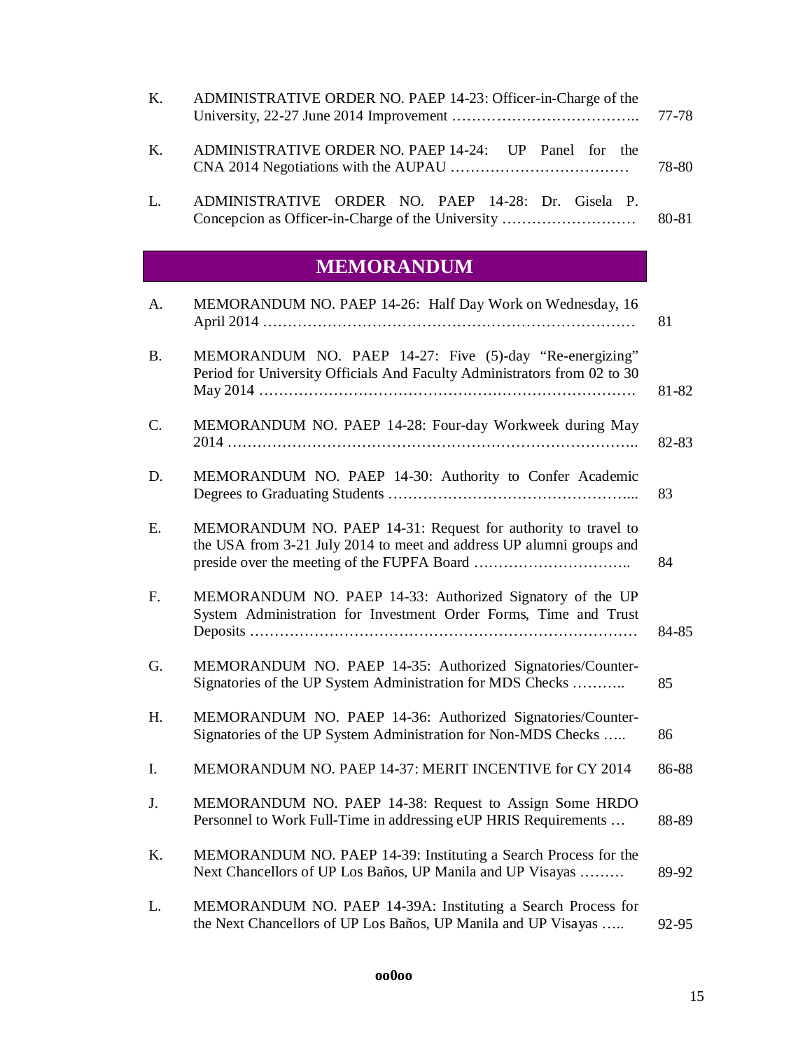| L. | ADMINISTRATIVE ORDER NO. PAEP 14-28: Dr. Gisela P.            | 80-81 |
|----|---------------------------------------------------------------|-------|
| K. | ADMINISTRATIVE ORDER NO. PAEP 14-24: UP Panel for the         | 78-80 |
| K. | ADMINISTRATIVE ORDER NO. PAEP 14-23: Officer-in-Charge of the |       |

### **MEMORANDUM**

| A.          | MEMORANDUM NO. PAEP 14-26: Half Day Work on Wednesday, 16                                                                             | 81    |
|-------------|---------------------------------------------------------------------------------------------------------------------------------------|-------|
| <b>B.</b>   | MEMORANDUM NO. PAEP 14-27: Five (5)-day "Re-energizing"<br>Period for University Officials And Faculty Administrators from 02 to 30   | 81-82 |
| C.          | MEMORANDUM NO. PAEP 14-28: Four-day Workweek during May                                                                               | 82-83 |
| D.          | MEMORANDUM NO. PAEP 14-30: Authority to Confer Academic                                                                               | 83    |
| E.          | MEMORANDUM NO. PAEP 14-31: Request for authority to travel to<br>the USA from 3-21 July 2014 to meet and address UP alumni groups and | 84    |
| $F_{\cdot}$ | MEMORANDUM NO. PAEP 14-33: Authorized Signatory of the UP<br>System Administration for Investment Order Forms, Time and Trust         | 84-85 |
| G.          | MEMORANDUM NO. PAEP 14-35: Authorized Signatories/Counter-<br>Signatories of the UP System Administration for MDS Checks              | 85    |
| H.          | MEMORANDUM NO. PAEP 14-36: Authorized Signatories/Counter-<br>Signatories of the UP System Administration for Non-MDS Checks          | 86    |
| I.          | MEMORANDUM NO. PAEP 14-37: MERIT INCENTIVE for CY 2014                                                                                | 86-88 |
| J.          | MEMORANDUM NO. PAEP 14-38: Request to Assign Some HRDO<br>Personnel to Work Full-Time in addressing eUP HRIS Requirements             | 88-89 |
| K.          | MEMORANDUM NO. PAEP 14-39: Instituting a Search Process for the<br>Next Chancellors of UP Los Baños, UP Manila and UP Visayas         | 89-92 |
| L.          | MEMORANDUM NO. PAEP 14-39A: Instituting a Search Process for<br>the Next Chancellors of UP Los Baños, UP Manila and UP Visayas        | 92-95 |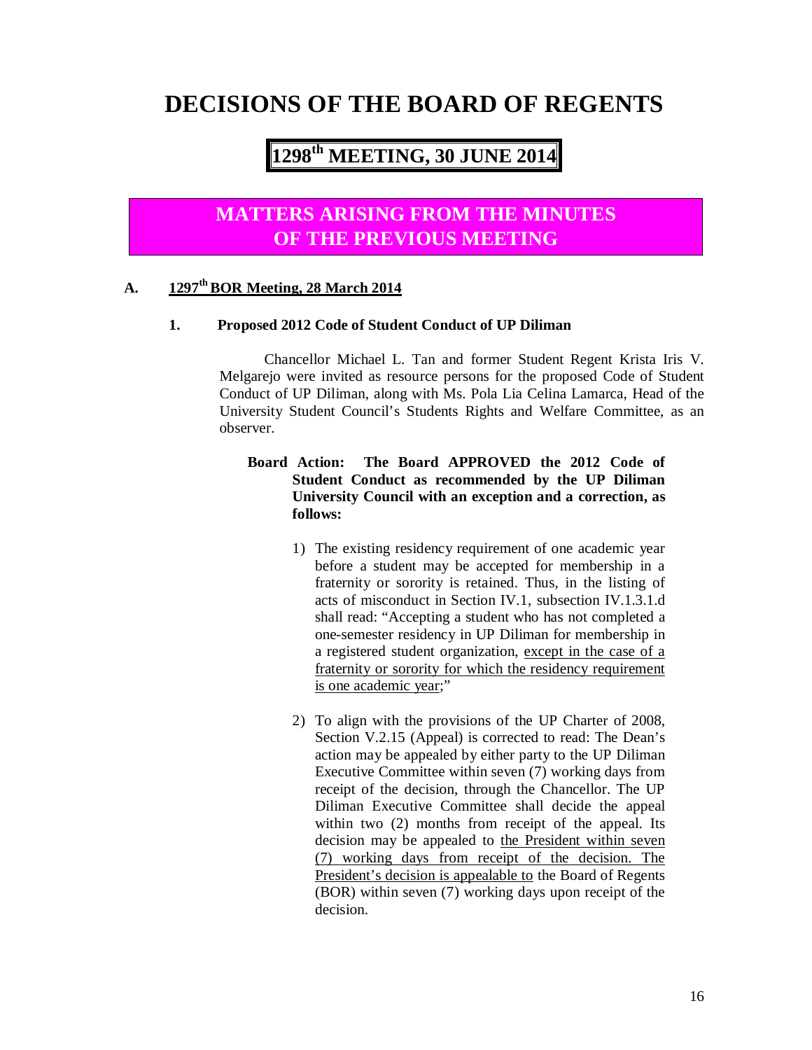# **DECISIONS OF THE BOARD OF REGENTS**

# **1298 th MEETING, 30 JUNE 2014**

## **MATTERS ARISING FROM THE MINUTES OF THE PREVIOUS MEETING**

#### **A. 1297th BOR Meeting, 28 March 2014**

#### **1. Proposed 2012 Code of Student Conduct of UP Diliman**

Chancellor Michael L. Tan and former Student Regent Krista Iris V. Melgarejo were invited as resource persons for the proposed Code of Student Conduct of UP Diliman, along with Ms. Pola Lia Celina Lamarca, Head of the University Student Council's Students Rights and Welfare Committee, as an observer.

#### **Board Action: The Board APPROVED the 2012 Code of Student Conduct as recommended by the UP Diliman University Council with an exception and a correction, as follows:**

- 1) The existing residency requirement of one academic year before a student may be accepted for membership in a fraternity or sorority is retained. Thus, in the listing of acts of misconduct in Section IV.1, subsection IV.1.3.1.d shall read: "Accepting a student who has not completed a one-semester residency in UP Diliman for membership in a registered student organization, except in the case of a fraternity or sorority for which the residency requirement is one academic year;"
- 2) To align with the provisions of the UP Charter of 2008, Section V.2.15 (Appeal) is corrected to read: The Dean's action may be appealed by either party to the UP Diliman Executive Committee within seven (7) working days from receipt of the decision, through the Chancellor. The UP Diliman Executive Committee shall decide the appeal within two (2) months from receipt of the appeal. Its decision may be appealed to the President within seven (7) working days from receipt of the decision. The President's decision is appealable to the Board of Regents (BOR) within seven (7) working days upon receipt of the decision.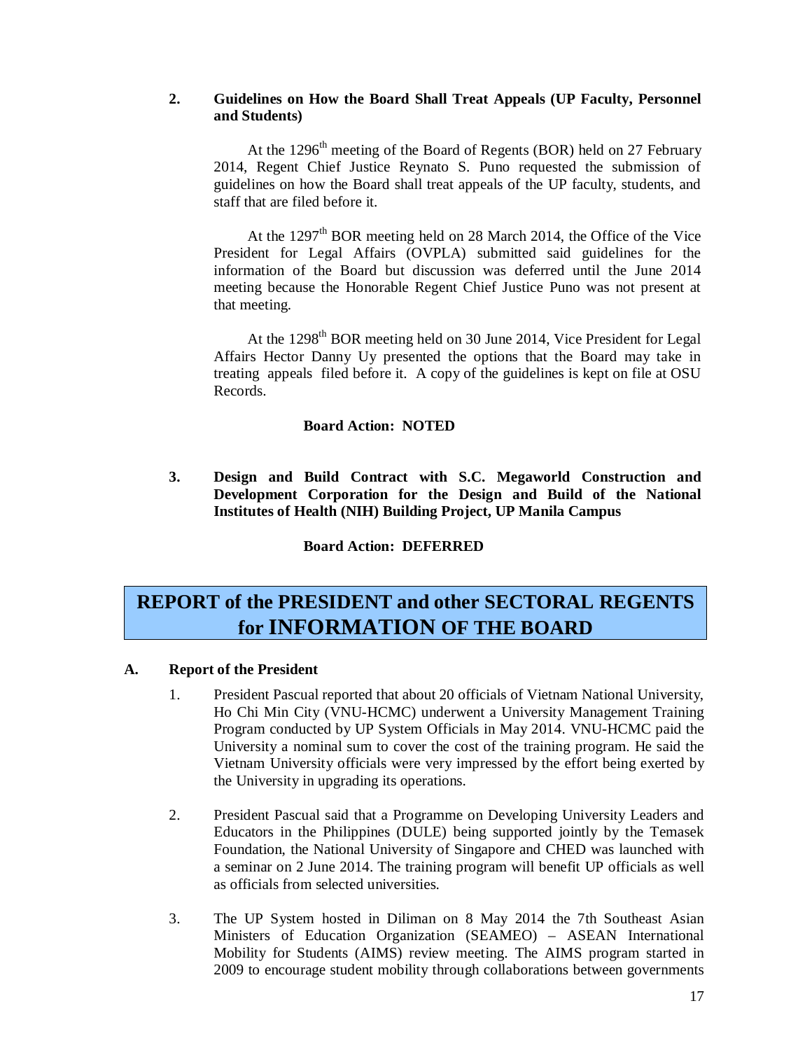#### **2. Guidelines on How the Board Shall Treat Appeals (UP Faculty, Personnel and Students)**

At the 1296<sup>th</sup> meeting of the Board of Regents (BOR) held on 27 February 2014, Regent Chief Justice Reynato S. Puno requested the submission of guidelines on how the Board shall treat appeals of the UP faculty, students, and staff that are filed before it.

At the 1297<sup>th</sup> BOR meeting held on 28 March 2014, the Office of the Vice President for Legal Affairs (OVPLA) submitted said guidelines for the information of the Board but discussion was deferred until the June 2014 meeting because the Honorable Regent Chief Justice Puno was not present at that meeting.

At the 1298<sup>th</sup> BOR meeting held on 30 June 2014, Vice President for Legal Affairs Hector Danny Uy presented the options that the Board may take in treating appeals filed before it. A copy of the guidelines is kept on file at OSU Records.

#### **Board Action: NOTED**

**3. Design and Build Contract with S.C. Megaworld Construction and Development Corporation for the Design and Build of the National Institutes of Health (NIH) Building Project, UP Manila Campus**

**Board Action: DEFERRED**

## **REPORT of the PRESIDENT and other SECTORAL REGENTS for INFORMATION OF THE BOARD**

#### **A. Report of the President**

- 1. President Pascual reported that about 20 officials of Vietnam National University, Ho Chi Min City (VNU-HCMC) underwent a University Management Training Program conducted by UP System Officials in May 2014. VNU-HCMC paid the University a nominal sum to cover the cost of the training program. He said the Vietnam University officials were very impressed by the effort being exerted by the University in upgrading its operations.
- 2. President Pascual said that a Programme on Developing University Leaders and Educators in the Philippines (DULE) being supported jointly by the Temasek Foundation, the National University of Singapore and CHED was launched with a seminar on 2 June 2014. The training program will benefit UP officials as well as officials from selected universities.
- 3. The UP System hosted in Diliman on 8 May 2014 the 7th Southeast Asian Ministers of Education Organization (SEAMEO) – ASEAN International Mobility for Students (AIMS) review meeting. The AIMS program started in 2009 to encourage student mobility through collaborations between governments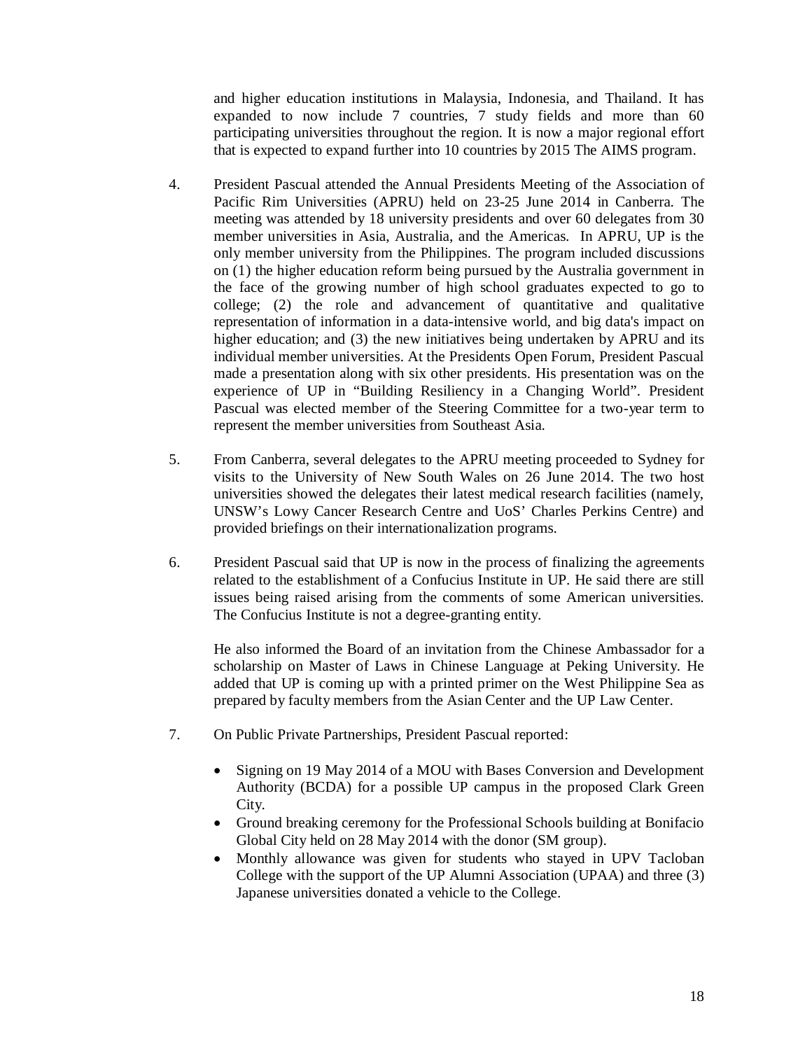and higher education institutions in Malaysia, Indonesia, and Thailand. It has expanded to now include 7 countries, 7 study fields and more than 60 participating universities throughout the region. It is now a major regional effort that is expected to expand further into 10 countries by 2015 The AIMS program.

- 4. President Pascual attended the Annual Presidents Meeting of the Association of Pacific Rim Universities (APRU) held on 23-25 June 2014 in Canberra. The meeting was attended by 18 university presidents and over 60 delegates from 30 member universities in Asia, Australia, and the Americas. In APRU, UP is the only member university from the Philippines. The program included discussions on (1) the higher education reform being pursued by the Australia government in the face of the growing number of high school graduates expected to go to college; (2) the role and advancement of quantitative and qualitative representation of information in a data-intensive world, and big data's impact on higher education; and (3) the new initiatives being undertaken by APRU and its individual member universities. At the Presidents Open Forum, President Pascual made a presentation along with six other presidents. His presentation was on the experience of UP in "Building Resiliency in a Changing World". President Pascual was elected member of the Steering Committee for a two-year term to represent the member universities from Southeast Asia.
- 5. From Canberra, several delegates to the APRU meeting proceeded to Sydney for visits to the University of New South Wales on 26 June 2014. The two host universities showed the delegates their latest medical research facilities (namely, UNSW's Lowy Cancer Research Centre and UoS' Charles Perkins Centre) and provided briefings on their internationalization programs.
- 6. President Pascual said that UP is now in the process of finalizing the agreements related to the establishment of a Confucius Institute in UP. He said there are still issues being raised arising from the comments of some American universities. The Confucius Institute is not a degree-granting entity.

He also informed the Board of an invitation from the Chinese Ambassador for a scholarship on Master of Laws in Chinese Language at Peking University. He added that UP is coming up with a printed primer on the West Philippine Sea as prepared by faculty members from the Asian Center and the UP Law Center.

- 7. On Public Private Partnerships, President Pascual reported:
	- Signing on 19 May 2014 of a MOU with Bases Conversion and Development Authority (BCDA) for a possible UP campus in the proposed Clark Green City.
	- Ground breaking ceremony for the Professional Schools building at Bonifacio Global City held on 28 May 2014 with the donor (SM group).
	- Monthly allowance was given for students who stayed in UPV Tacloban College with the support of the UP Alumni Association (UPAA) and three (3) Japanese universities donated a vehicle to the College.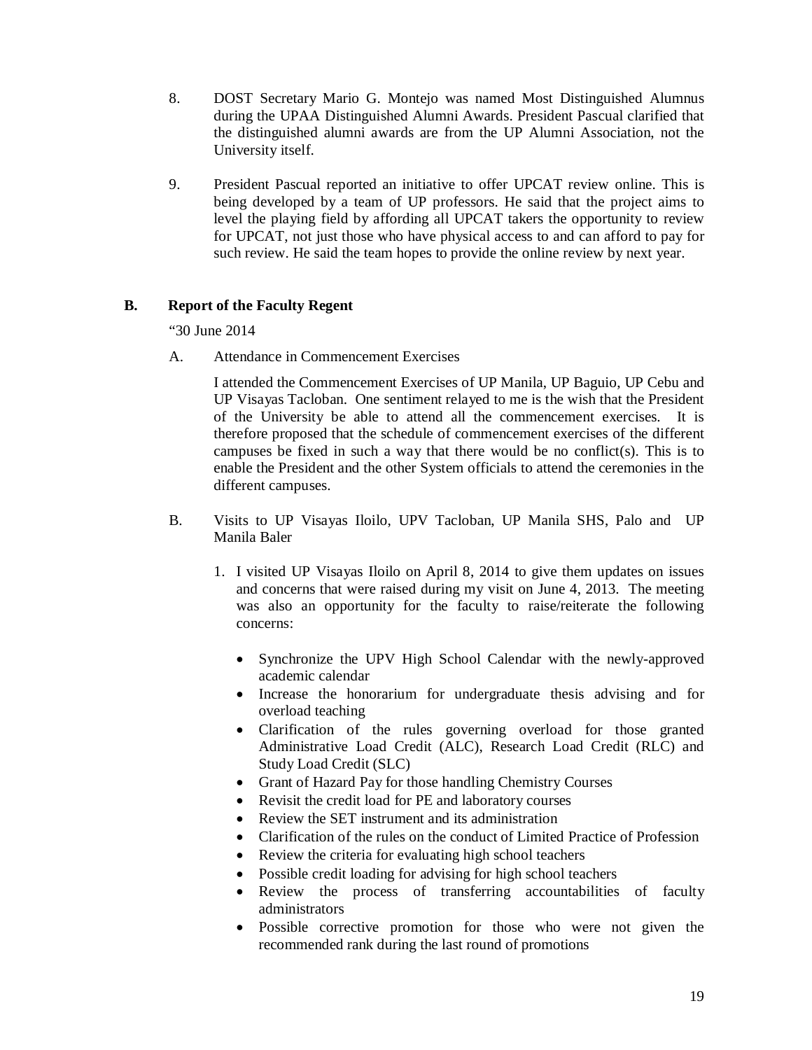- 8. DOST Secretary Mario G. Montejo was named Most Distinguished Alumnus during the UPAA Distinguished Alumni Awards. President Pascual clarified that the distinguished alumni awards are from the UP Alumni Association, not the University itself.
- 9. President Pascual reported an initiative to offer UPCAT review online. This is being developed by a team of UP professors. He said that the project aims to level the playing field by affording all UPCAT takers the opportunity to review for UPCAT, not just those who have physical access to and can afford to pay for such review. He said the team hopes to provide the online review by next year.

#### **B. Report of the Faculty Regent**

"30 June 2014

A. Attendance in Commencement Exercises

I attended the Commencement Exercises of UP Manila, UP Baguio, UP Cebu and UP Visayas Tacloban. One sentiment relayed to me is the wish that the President of the University be able to attend all the commencement exercises. It is therefore proposed that the schedule of commencement exercises of the different campuses be fixed in such a way that there would be no conflict(s). This is to enable the President and the other System officials to attend the ceremonies in the different campuses.

- B. Visits to UP Visayas Iloilo, UPV Tacloban, UP Manila SHS, Palo and UP Manila Baler
	- 1. I visited UP Visayas Iloilo on April 8, 2014 to give them updates on issues and concerns that were raised during my visit on June 4, 2013. The meeting was also an opportunity for the faculty to raise/reiterate the following concerns:
		- Synchronize the UPV High School Calendar with the newly-approved academic calendar
		- Increase the honorarium for undergraduate thesis advising and for overload teaching
		- Clarification of the rules governing overload for those granted Administrative Load Credit (ALC), Research Load Credit (RLC) and Study Load Credit (SLC)
		- Grant of Hazard Pay for those handling Chemistry Courses
		- Revisit the credit load for PE and laboratory courses
		- Review the SET instrument and its administration
		- Clarification of the rules on the conduct of Limited Practice of Profession
		- Review the criteria for evaluating high school teachers
		- Possible credit loading for advising for high school teachers
		- Review the process of transferring accountabilities of faculty administrators
		- Possible corrective promotion for those who were not given the recommended rank during the last round of promotions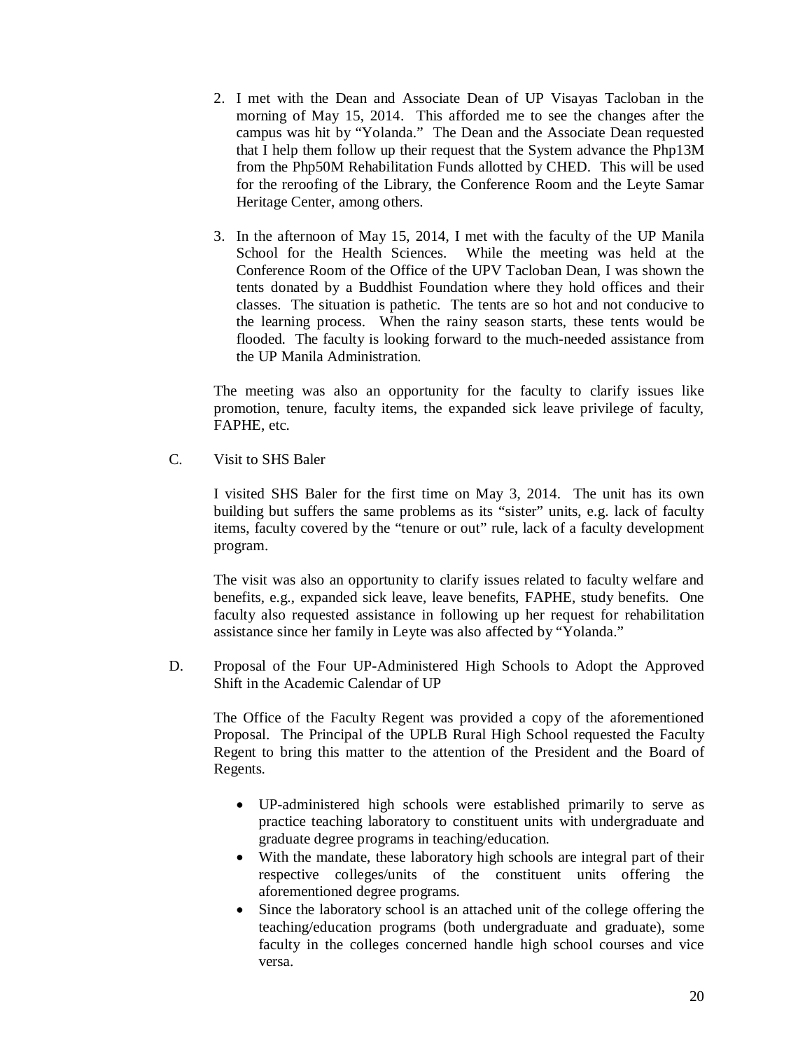- 2. I met with the Dean and Associate Dean of UP Visayas Tacloban in the morning of May 15, 2014. This afforded me to see the changes after the campus was hit by "Yolanda." The Dean and the Associate Dean requested that I help them follow up their request that the System advance the Php13M from the Php50M Rehabilitation Funds allotted by CHED. This will be used for the reroofing of the Library, the Conference Room and the Leyte Samar Heritage Center, among others.
- 3. In the afternoon of May 15, 2014, I met with the faculty of the UP Manila School for the Health Sciences. While the meeting was held at the Conference Room of the Office of the UPV Tacloban Dean, I was shown the tents donated by a Buddhist Foundation where they hold offices and their classes. The situation is pathetic. The tents are so hot and not conducive to the learning process. When the rainy season starts, these tents would be flooded. The faculty is looking forward to the much-needed assistance from the UP Manila Administration.

The meeting was also an opportunity for the faculty to clarify issues like promotion, tenure, faculty items, the expanded sick leave privilege of faculty, FAPHE, etc.

C. Visit to SHS Baler

I visited SHS Baler for the first time on May 3, 2014. The unit has its own building but suffers the same problems as its "sister" units, e.g. lack of faculty items, faculty covered by the "tenure or out" rule, lack of a faculty development program.

The visit was also an opportunity to clarify issues related to faculty welfare and benefits, e.g., expanded sick leave, leave benefits, FAPHE, study benefits. One faculty also requested assistance in following up her request for rehabilitation assistance since her family in Leyte was also affected by "Yolanda."

D. Proposal of the Four UP-Administered High Schools to Adopt the Approved Shift in the Academic Calendar of UP

The Office of the Faculty Regent was provided a copy of the aforementioned Proposal. The Principal of the UPLB Rural High School requested the Faculty Regent to bring this matter to the attention of the President and the Board of Regents.

- UP-administered high schools were established primarily to serve as practice teaching laboratory to constituent units with undergraduate and graduate degree programs in teaching/education.
- With the mandate, these laboratory high schools are integral part of their respective colleges/units of the constituent units offering the aforementioned degree programs.
- Since the laboratory school is an attached unit of the college offering the teaching/education programs (both undergraduate and graduate), some faculty in the colleges concerned handle high school courses and vice versa.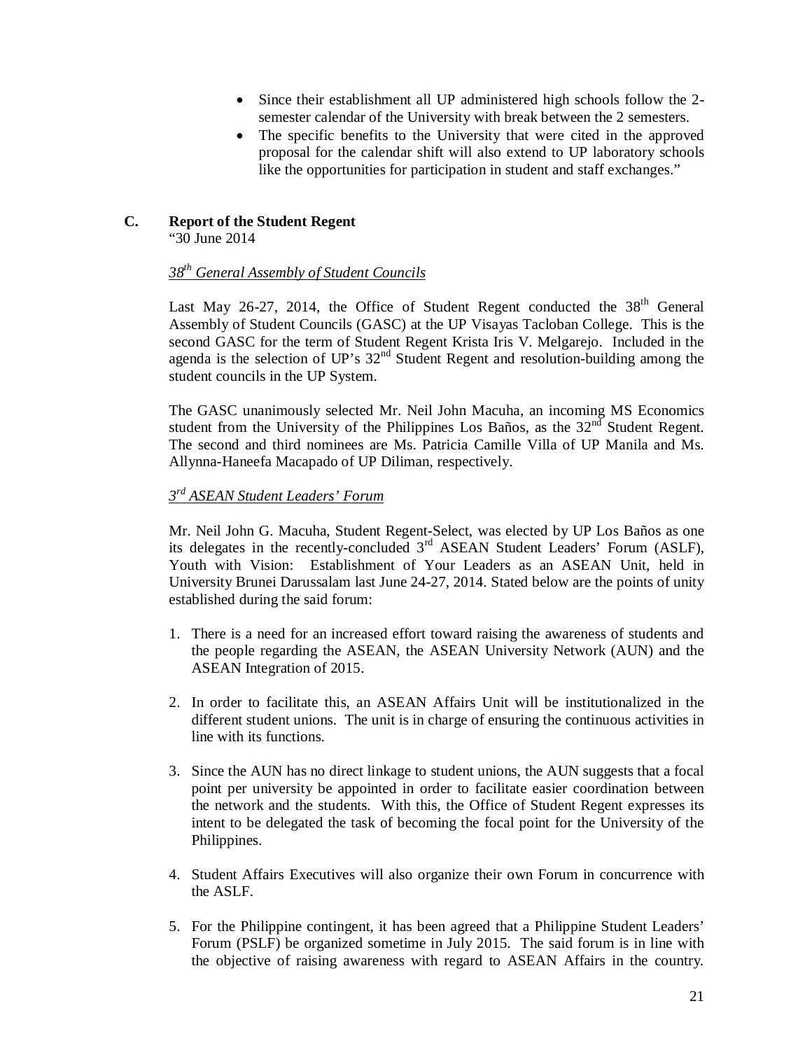- Since their establishment all UP administered high schools follow the 2 semester calendar of the University with break between the 2 semesters.
- The specific benefits to the University that were cited in the approved proposal for the calendar shift will also extend to UP laboratory schools like the opportunities for participation in student and staff exchanges."

#### **C. Report of the Student Regent**

"30 June 2014

#### *38th General Assembly of Student Councils*

Last May 26-27, 2014, the Office of Student Regent conducted the 38<sup>th</sup> General Assembly of Student Councils (GASC) at the UP Visayas Tacloban College. This is the second GASC for the term of Student Regent Krista Iris V. Melgarejo. Included in the agenda is the selection of UP's  $32<sup>nd</sup>$  Student Regent and resolution-building among the student councils in the UP System.

The GASC unanimously selected Mr. Neil John Macuha, an incoming MS Economics student from the University of the Philippines Los Baños, as the  $32<sup>nd</sup>$  Student Regent. The second and third nominees are Ms. Patricia Camille Villa of UP Manila and Ms. Allynna-Haneefa Macapado of UP Diliman, respectively.

#### *3 rd ASEAN Student Leaders' Forum*

Mr. Neil John G. Macuha, Student Regent-Select, was elected by UP Los Baños as one its delegates in the recently-concluded  $3<sup>rd</sup>$  ASEAN Student Leaders' Forum (ASLF), Youth with Vision: Establishment of Your Leaders as an ASEAN Unit, held in University Brunei Darussalam last June 24-27, 2014. Stated below are the points of unity established during the said forum:

- 1. There is a need for an increased effort toward raising the awareness of students and the people regarding the ASEAN, the ASEAN University Network (AUN) and the ASEAN Integration of 2015.
- 2. In order to facilitate this, an ASEAN Affairs Unit will be institutionalized in the different student unions. The unit is in charge of ensuring the continuous activities in line with its functions.
- 3. Since the AUN has no direct linkage to student unions, the AUN suggests that a focal point per university be appointed in order to facilitate easier coordination between the network and the students. With this, the Office of Student Regent expresses its intent to be delegated the task of becoming the focal point for the University of the Philippines.
- 4. Student Affairs Executives will also organize their own Forum in concurrence with the ASLF.
- 5. For the Philippine contingent, it has been agreed that a Philippine Student Leaders' Forum (PSLF) be organized sometime in July 2015. The said forum is in line with the objective of raising awareness with regard to ASEAN Affairs in the country.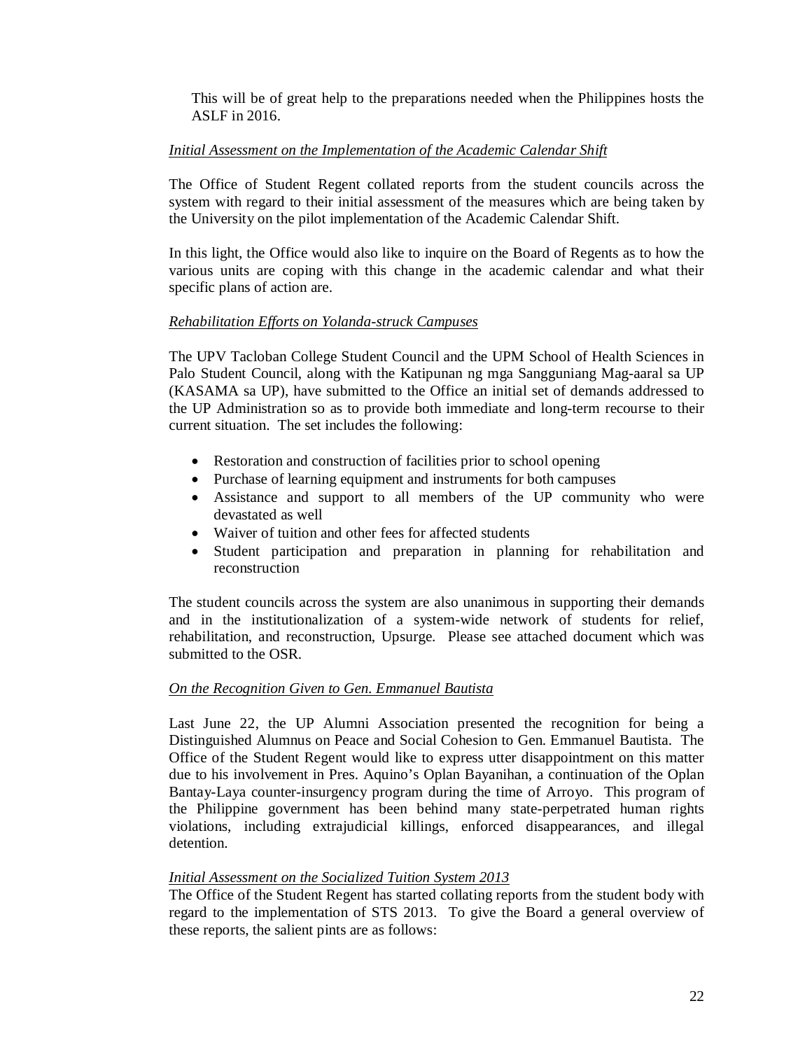This will be of great help to the preparations needed when the Philippines hosts the ASLF in 2016.

#### *Initial Assessment on the Implementation of the Academic Calendar Shift*

The Office of Student Regent collated reports from the student councils across the system with regard to their initial assessment of the measures which are being taken by the University on the pilot implementation of the Academic Calendar Shift.

In this light, the Office would also like to inquire on the Board of Regents as to how the various units are coping with this change in the academic calendar and what their specific plans of action are.

#### *Rehabilitation Efforts on Yolanda-struck Campuses*

The UPV Tacloban College Student Council and the UPM School of Health Sciences in Palo Student Council, along with the Katipunan ng mga Sangguniang Mag-aaral sa UP (KASAMA sa UP), have submitted to the Office an initial set of demands addressed to the UP Administration so as to provide both immediate and long-term recourse to their current situation. The set includes the following:

- Restoration and construction of facilities prior to school opening
- Purchase of learning equipment and instruments for both campuses
- Assistance and support to all members of the UP community who were devastated as well
- Waiver of tuition and other fees for affected students
- Student participation and preparation in planning for rehabilitation and reconstruction

The student councils across the system are also unanimous in supporting their demands and in the institutionalization of a system-wide network of students for relief, rehabilitation, and reconstruction, Upsurge. Please see attached document which was submitted to the OSR.

#### *On the Recognition Given to Gen. Emmanuel Bautista*

Last June 22, the UP Alumni Association presented the recognition for being a Distinguished Alumnus on Peace and Social Cohesion to Gen. Emmanuel Bautista. The Office of the Student Regent would like to express utter disappointment on this matter due to his involvement in Pres. Aquino's Oplan Bayanihan, a continuation of the Oplan Bantay-Laya counter-insurgency program during the time of Arroyo. This program of the Philippine government has been behind many state-perpetrated human rights violations, including extrajudicial killings, enforced disappearances, and illegal detention.

#### *Initial Assessment on the Socialized Tuition System 2013*

The Office of the Student Regent has started collating reports from the student body with regard to the implementation of STS 2013. To give the Board a general overview of these reports, the salient pints are as follows: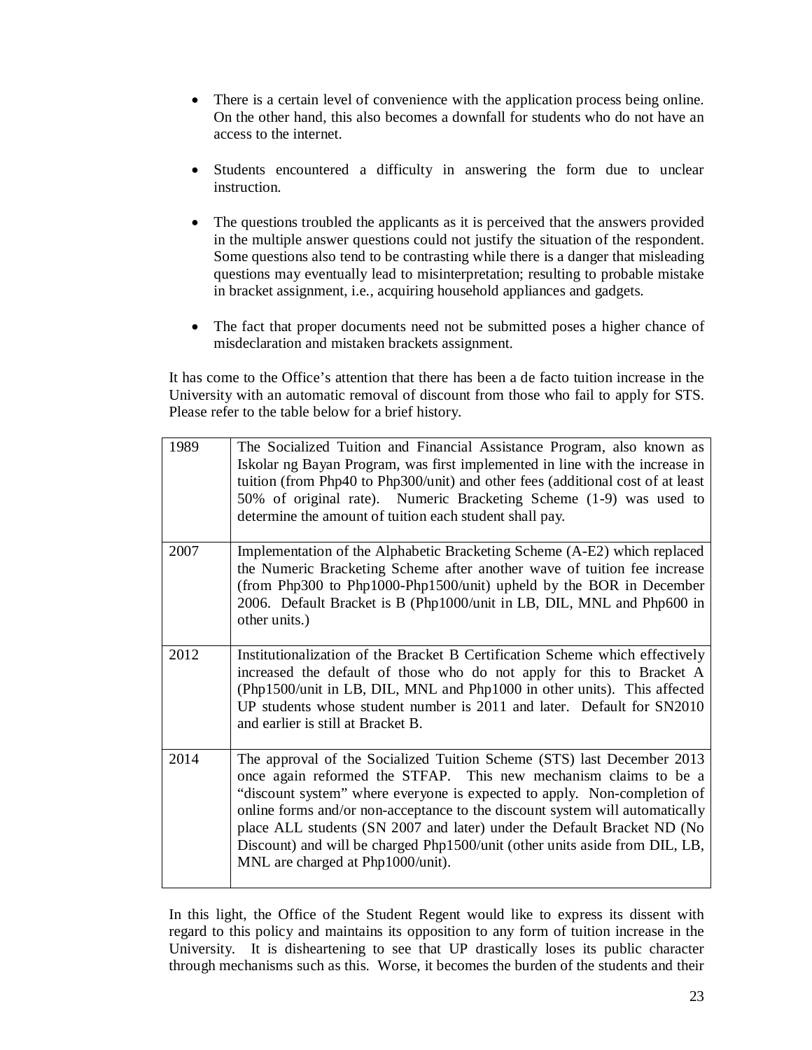- There is a certain level of convenience with the application process being online. On the other hand, this also becomes a downfall for students who do not have an access to the internet.
- Students encountered a difficulty in answering the form due to unclear instruction.
- The questions troubled the applicants as it is perceived that the answers provided in the multiple answer questions could not justify the situation of the respondent. Some questions also tend to be contrasting while there is a danger that misleading questions may eventually lead to misinterpretation; resulting to probable mistake in bracket assignment, i.e., acquiring household appliances and gadgets.
- The fact that proper documents need not be submitted poses a higher chance of misdeclaration and mistaken brackets assignment.

It has come to the Office's attention that there has been a de facto tuition increase in the University with an automatic removal of discount from those who fail to apply for STS. Please refer to the table below for a brief history.

| 1989 | The Socialized Tuition and Financial Assistance Program, also known as<br>Iskolar ng Bayan Program, was first implemented in line with the increase in<br>tuition (from Php40 to Php300/unit) and other fees (additional cost of at least<br>50% of original rate). Numeric Bracketing Scheme (1-9) was used to<br>determine the amount of tuition each student shall pay.                                                                                                                            |
|------|-------------------------------------------------------------------------------------------------------------------------------------------------------------------------------------------------------------------------------------------------------------------------------------------------------------------------------------------------------------------------------------------------------------------------------------------------------------------------------------------------------|
| 2007 | Implementation of the Alphabetic Bracketing Scheme (A-E2) which replaced<br>the Numeric Bracketing Scheme after another wave of tuition fee increase<br>(from Php300 to Php1000-Php1500/unit) upheld by the BOR in December<br>2006. Default Bracket is B (Php1000/unit in LB, DIL, MNL and Php600 in<br>other units.)                                                                                                                                                                                |
| 2012 | Institutionalization of the Bracket B Certification Scheme which effectively<br>increased the default of those who do not apply for this to Bracket A<br>(Php1500/unit in LB, DIL, MNL and Php1000 in other units). This affected<br>UP students whose student number is 2011 and later. Default for SN2010<br>and earlier is still at Bracket B.                                                                                                                                                     |
| 2014 | The approval of the Socialized Tuition Scheme (STS) last December 2013<br>once again reformed the STFAP. This new mechanism claims to be a<br>"discount system" where everyone is expected to apply. Non-completion of<br>online forms and/or non-acceptance to the discount system will automatically<br>place ALL students (SN 2007 and later) under the Default Bracket ND (No<br>Discount) and will be charged Php1500/unit (other units aside from DIL, LB,<br>MNL are charged at Php1000/unit). |

In this light, the Office of the Student Regent would like to express its dissent with regard to this policy and maintains its opposition to any form of tuition increase in the University. It is disheartening to see that UP drastically loses its public character through mechanisms such as this. Worse, it becomes the burden of the students and their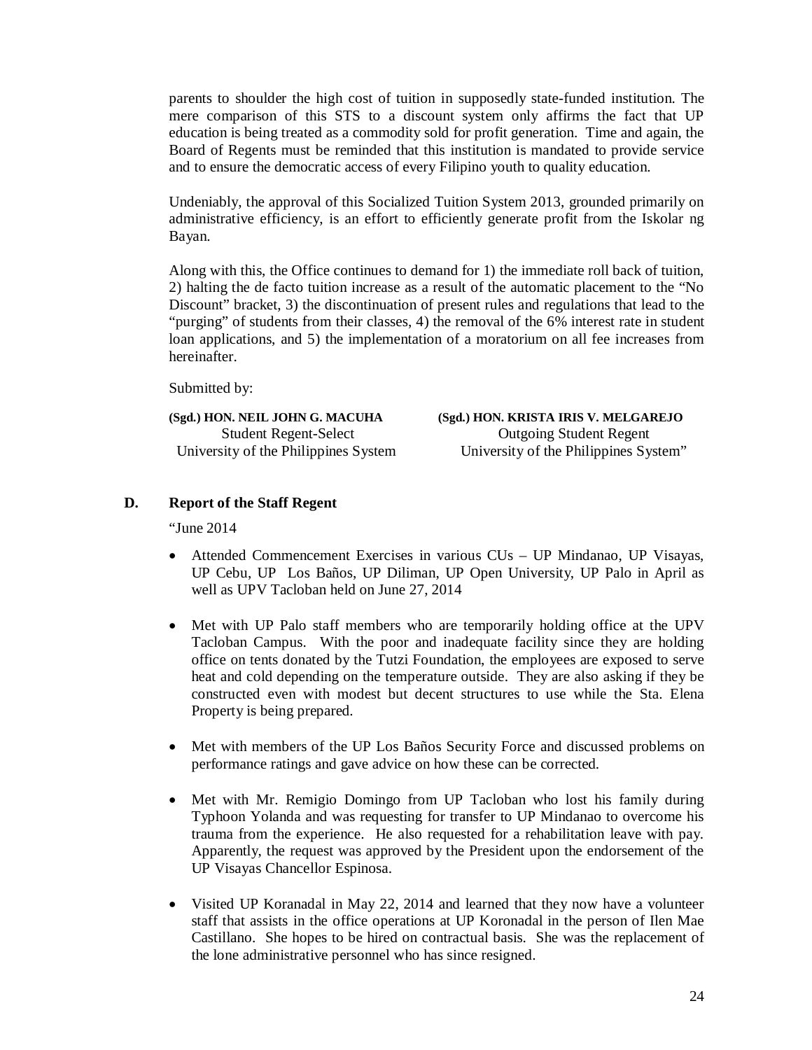parents to shoulder the high cost of tuition in supposedly state-funded institution. The mere comparison of this STS to a discount system only affirms the fact that UP education is being treated as a commodity sold for profit generation. Time and again, the Board of Regents must be reminded that this institution is mandated to provide service and to ensure the democratic access of every Filipino youth to quality education.

Undeniably, the approval of this Socialized Tuition System 2013, grounded primarily on administrative efficiency, is an effort to efficiently generate profit from the Iskolar ng Bayan.

Along with this, the Office continues to demand for 1) the immediate roll back of tuition, 2) halting the de facto tuition increase as a result of the automatic placement to the "No Discount" bracket, 3) the discontinuation of present rules and regulations that lead to the "purging" of students from their classes, 4) the removal of the 6% interest rate in student loan applications, and 5) the implementation of a moratorium on all fee increases from hereinafter.

Submitted by:

**(Sgd.) HON. NEIL JOHN G. MACUHA (Sgd.) HON. KRISTA IRIS V. MELGAREJO** Student Regent-Select Outgoing Student Regent University of the Philippines System University of the Philippines System"

#### **D. Report of the Staff Regent**

"June 2014

- Attended Commencement Exercises in various CUs UP Mindanao, UP Visayas, UP Cebu, UP Los Baños, UP Diliman, UP Open University, UP Palo in April as well as UPV Tacloban held on June 27, 2014
- Met with UP Palo staff members who are temporarily holding office at the UPV Tacloban Campus. With the poor and inadequate facility since they are holding office on tents donated by the Tutzi Foundation, the employees are exposed to serve heat and cold depending on the temperature outside. They are also asking if they be constructed even with modest but decent structures to use while the Sta. Elena Property is being prepared.
- Met with members of the UP Los Baños Security Force and discussed problems on performance ratings and gave advice on how these can be corrected.
- Met with Mr. Remigio Domingo from UP Tacloban who lost his family during Typhoon Yolanda and was requesting for transfer to UP Mindanao to overcome his trauma from the experience. He also requested for a rehabilitation leave with pay. Apparently, the request was approved by the President upon the endorsement of the UP Visayas Chancellor Espinosa.
- Visited UP Koranadal in May 22, 2014 and learned that they now have a volunteer staff that assists in the office operations at UP Koronadal in the person of Ilen Mae Castillano. She hopes to be hired on contractual basis. She was the replacement of the lone administrative personnel who has since resigned.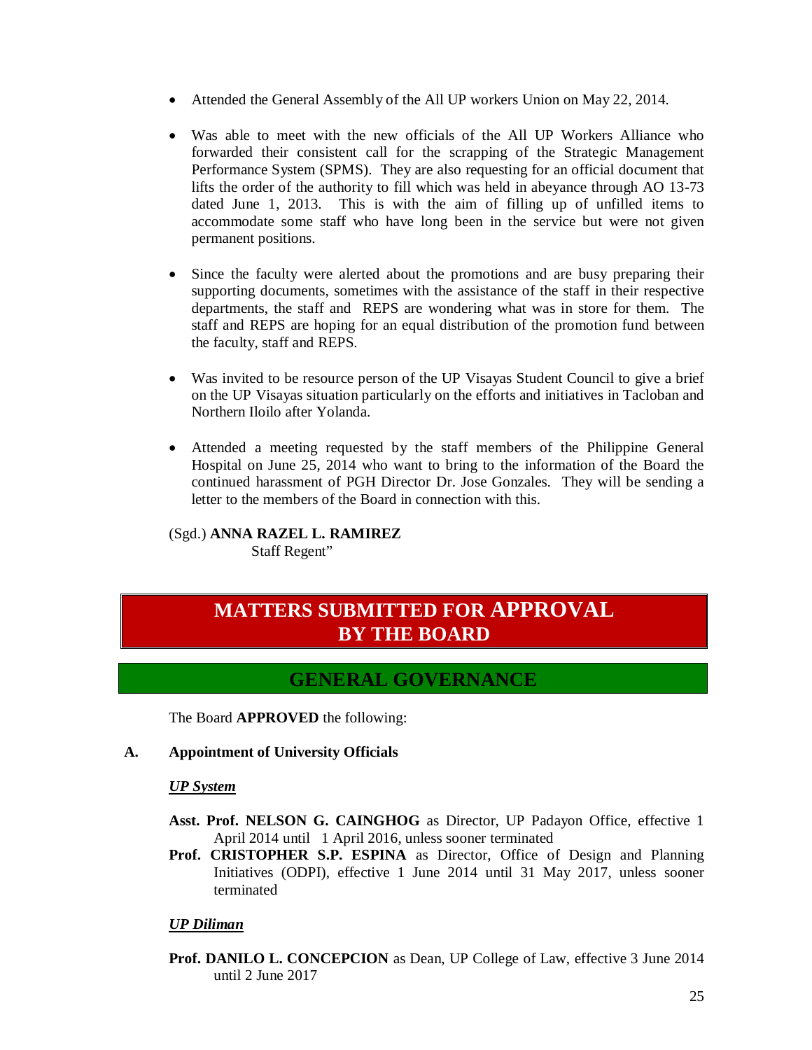- Attended the General Assembly of the All UP workers Union on May 22, 2014.
- Was able to meet with the new officials of the All UP Workers Alliance who forwarded their consistent call for the scrapping of the Strategic Management Performance System (SPMS). They are also requesting for an official document that lifts the order of the authority to fill which was held in abeyance through AO 13-73 dated June 1, 2013. This is with the aim of filling up of unfilled items to accommodate some staff who have long been in the service but were not given permanent positions.
- Since the faculty were alerted about the promotions and are busy preparing their supporting documents, sometimes with the assistance of the staff in their respective departments, the staff and REPS are wondering what was in store for them. The staff and REPS are hoping for an equal distribution of the promotion fund between the faculty, staff and REPS.
- Was invited to be resource person of the UP Visayas Student Council to give a brief on the UP Visayas situation particularly on the efforts and initiatives in Tacloban and Northern Iloilo after Yolanda.
- Attended a meeting requested by the staff members of the Philippine General Hospital on June 25, 2014 who want to bring to the information of the Board the continued harassment of PGH Director Dr. Jose Gonzales. They will be sending a letter to the members of the Board in connection with this.

### (Sgd.) **ANNA RAZEL L. RAMIREZ**

Staff Regent"

## **MATTERS SUBMITTED FOR APPROVAL BY THE BOARD**

### **GENERAL GOVERNANCE**

The Board **APPROVED** the following:

#### **A. Appointment of University Officials**

#### *UP System*

- **Asst. Prof. NELSON G. CAINGHOG** as Director, UP Padayon Office, effective 1 April 2014 until 1 April 2016, unless sooner terminated
- **Prof. CRISTOPHER S.P. ESPINA** as Director, Office of Design and Planning Initiatives (ODPI), effective 1 June 2014 until 31 May 2017, unless sooner terminated

#### *UP Diliman*

**Prof. DANILO L. CONCEPCION** as Dean, UP College of Law, effective 3 June 2014 until 2 June 2017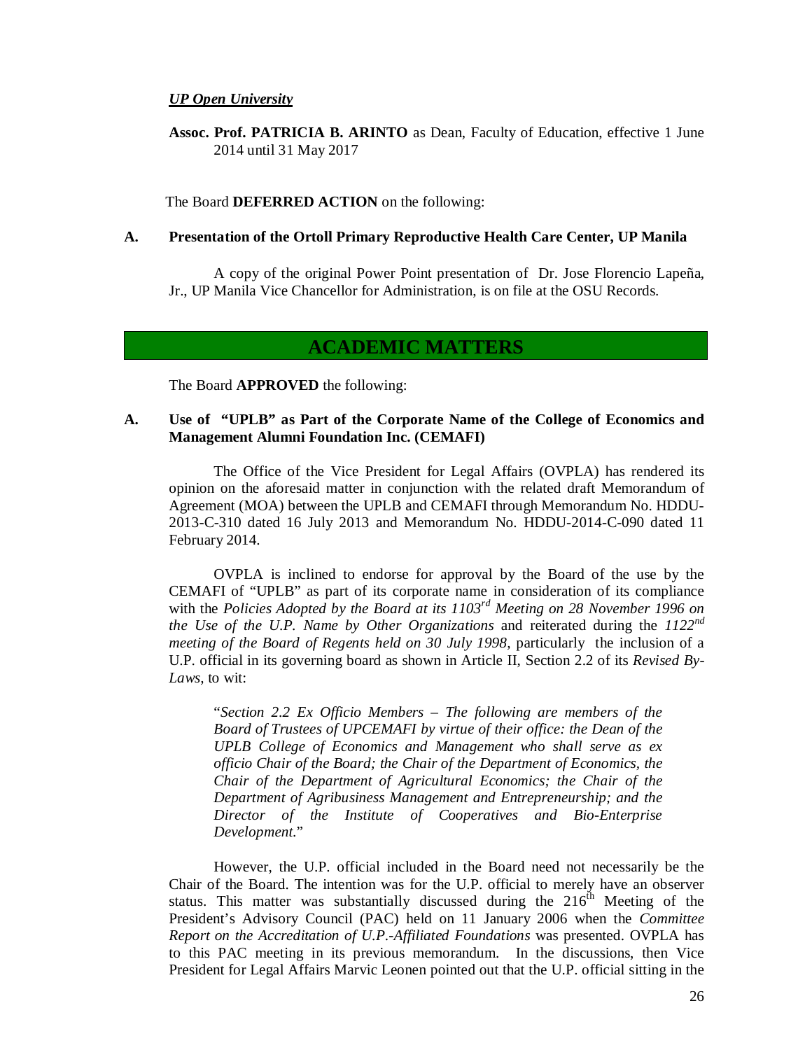#### *UP Open University*

**Assoc. Prof. PATRICIA B. ARINTO** as Dean, Faculty of Education, effective 1 June 2014 until 31 May 2017

The Board **DEFERRED ACTION** on the following:

#### **A. Presentation of the Ortoll Primary Reproductive Health Care Center, UP Manila**

A copy of the original Power Point presentation of Dr. Jose Florencio Lapeña, Jr., UP Manila Vice Chancellor for Administration, is on file at the OSU Records.

### **ACADEMIC MATTERS**

The Board **APPROVED** the following:

#### **A. Use of "UPLB" as Part of the Corporate Name of the College of Economics and Management Alumni Foundation Inc. (CEMAFI)**

The Office of the Vice President for Legal Affairs (OVPLA) has rendered its opinion on the aforesaid matter in conjunction with the related draft Memorandum of Agreement (MOA) between the UPLB and CEMAFI through Memorandum No. HDDU-2013-C-310 dated 16 July 2013 and Memorandum No. HDDU-2014-C-090 dated 11 February 2014.

OVPLA is inclined to endorse for approval by the Board of the use by the CEMAFI of "UPLB" as part of its corporate name in consideration of its compliance with the *Policies Adopted by the Board at its 1103rd Meeting on 28 November 1996 on the Use of the U.P. Name by Other Organizations* and reiterated during the *1122nd meeting of the Board of Regents held on 30 July 1998, particularly the inclusion of a* U.P. official in its governing board as shown in Article II, Section 2.2 of its *Revised By-Laws,* to wit:

"*Section 2.2 Ex Officio Members – The following are members of the Board of Trustees of UPCEMAFI by virtue of their office: the Dean of the UPLB College of Economics and Management who shall serve as ex officio Chair of the Board; the Chair of the Department of Economics, the Chair of the Department of Agricultural Economics; the Chair of the Department of Agribusiness Management and Entrepreneurship; and the Director of the Institute of Cooperatives and Bio-Enterprise Development*."

However, the U.P. official included in the Board need not necessarily be the Chair of the Board. The intention was for the U.P. official to merely have an observer status. This matter was substantially discussed during the  $216<sup>th</sup>$  Meeting of the President's Advisory Council (PAC) held on 11 January 2006 when the *Committee Report on the Accreditation of U.P.-Affiliated Foundations* was presented. OVPLA has to this PAC meeting in its previous memorandum. In the discussions, then Vice President for Legal Affairs Marvic Leonen pointed out that the U.P. official sitting in the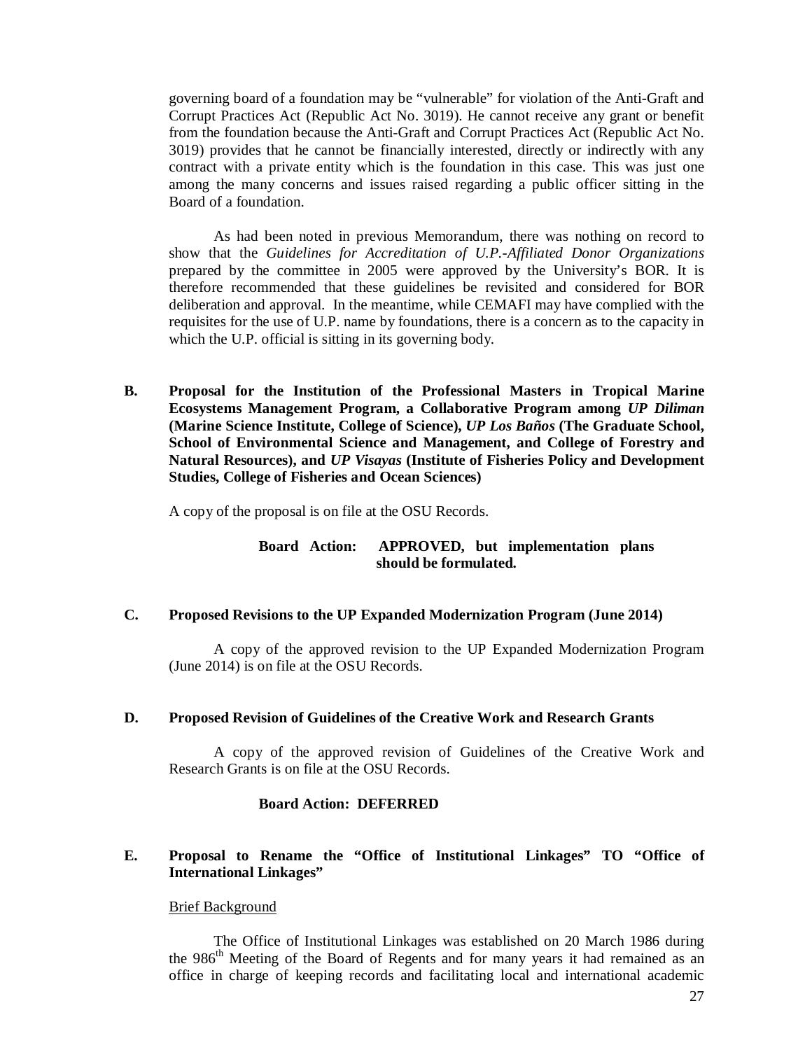governing board of a foundation may be "vulnerable" for violation of the Anti-Graft and Corrupt Practices Act (Republic Act No. 3019). He cannot receive any grant or benefit from the foundation because the Anti-Graft and Corrupt Practices Act (Republic Act No. 3019) provides that he cannot be financially interested, directly or indirectly with any contract with a private entity which is the foundation in this case. This was just one among the many concerns and issues raised regarding a public officer sitting in the Board of a foundation.

As had been noted in previous Memorandum, there was nothing on record to show that the *Guidelines for Accreditation of U.P.-Affiliated Donor Organizations*  prepared by the committee in 2005 were approved by the University's BOR. It is therefore recommended that these guidelines be revisited and considered for BOR deliberation and approval. In the meantime, while CEMAFI may have complied with the requisites for the use of U.P. name by foundations, there is a concern as to the capacity in which the U.P. official is sitting in its governing body.

**B. Proposal for the Institution of the Professional Masters in Tropical Marine Ecosystems Management Program, a Collaborative Program among** *UP Diliman* **(Marine Science Institute, College of Science),** *UP Los Baños* **(The Graduate School, School of Environmental Science and Management, and College of Forestry and Natural Resources), and** *UP Visayas* **(Institute of Fisheries Policy and Development Studies, College of Fisheries and Ocean Sciences)** 

A copy of the proposal is on file at the OSU Records.

#### **Board Action: APPROVED, but implementation plans should be formulated.**

#### **C. Proposed Revisions to the UP Expanded Modernization Program (June 2014)**

A copy of the approved revision to the UP Expanded Modernization Program (June 2014) is on file at the OSU Records.

#### **D. Proposed Revision of Guidelines of the Creative Work and Research Grants**

A copy of the approved revision of Guidelines of the Creative Work and Research Grants is on file at the OSU Records.

#### **Board Action: DEFERRED**

#### **E. Proposal to Rename the "Office of Institutional Linkages" TO "Office of International Linkages"**

#### Brief Background

The Office of Institutional Linkages was established on 20 March 1986 during the 986<sup>th</sup> Meeting of the Board of Regents and for many years it had remained as an office in charge of keeping records and facilitating local and international academic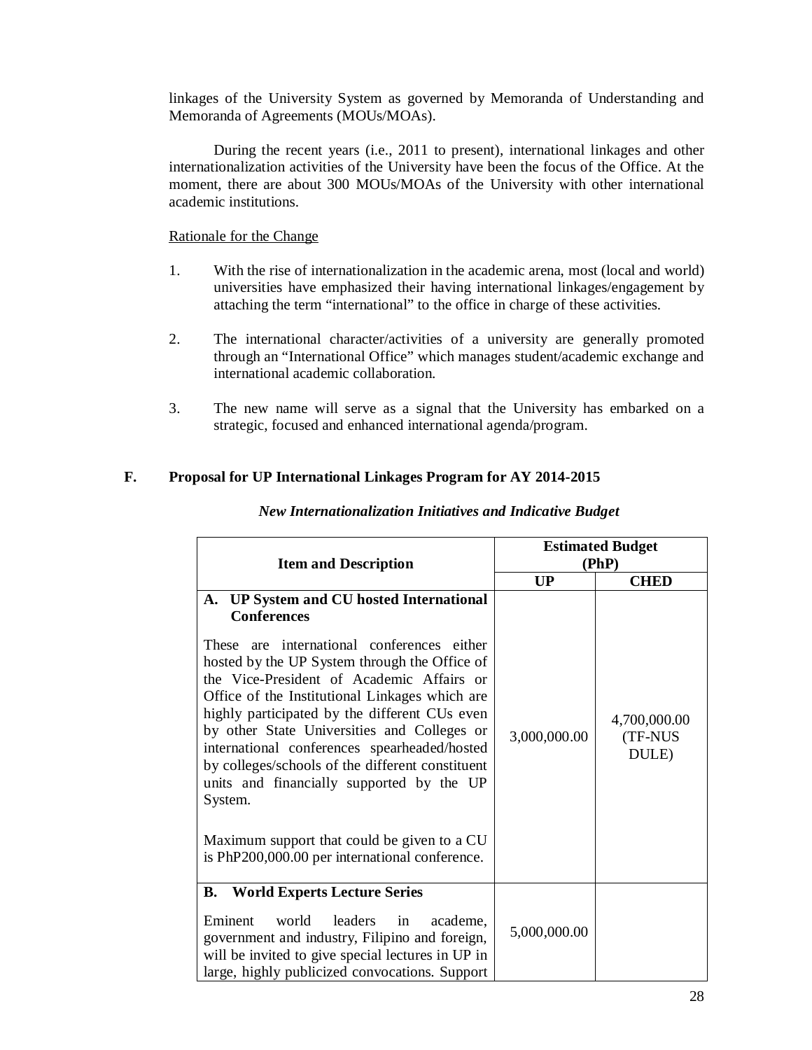linkages of the University System as governed by Memoranda of Understanding and Memoranda of Agreements (MOUs/MOAs).

During the recent years (i.e., 2011 to present), international linkages and other internationalization activities of the University have been the focus of the Office. At the moment, there are about 300 MOUs/MOAs of the University with other international academic institutions.

Rationale for the Change

- 1. With the rise of internationalization in the academic arena, most (local and world) universities have emphasized their having international linkages/engagement by attaching the term "international" to the office in charge of these activities.
- 2. The international character/activities of a university are generally promoted through an "International Office" which manages student/academic exchange and international academic collaboration.
- 3. The new name will serve as a signal that the University has embarked on a strategic, focused and enhanced international agenda/program.

### **F. Proposal for UP International Linkages Program for AY 2014-2015**

| <b>Item and Description</b>                                                                                                                                                                                                                                                                                                                                                                                                                                                                                                                                                                                               | <b>Estimated Budget</b><br>(PhP) |                                  |
|---------------------------------------------------------------------------------------------------------------------------------------------------------------------------------------------------------------------------------------------------------------------------------------------------------------------------------------------------------------------------------------------------------------------------------------------------------------------------------------------------------------------------------------------------------------------------------------------------------------------------|----------------------------------|----------------------------------|
|                                                                                                                                                                                                                                                                                                                                                                                                                                                                                                                                                                                                                           | <b>UP</b>                        | <b>CHED</b>                      |
| A. UP System and CU hosted International<br><b>Conferences</b><br>These are international conferences either<br>hosted by the UP System through the Office of<br>the Vice-President of Academic Affairs or<br>Office of the Institutional Linkages which are<br>highly participated by the different CUs even<br>by other State Universities and Colleges or<br>international conferences spearheaded/hosted<br>by colleges/schools of the different constituent<br>units and financially supported by the UP<br>System.<br>Maximum support that could be given to a CU<br>is PhP200,000.00 per international conference. | 3,000,000.00                     | 4,700,000.00<br>(TF-NUS<br>DULE) |
| <b>World Experts Lecture Series</b><br>В.<br>Eminent<br>leaders<br>world<br>academe,<br>in<br>government and industry, Filipino and foreign,<br>will be invited to give special lectures in UP in<br>large, highly publicized convocations. Support                                                                                                                                                                                                                                                                                                                                                                       | 5,000,000.00                     |                                  |

#### *New Internationalization Initiatives and Indicative Budget*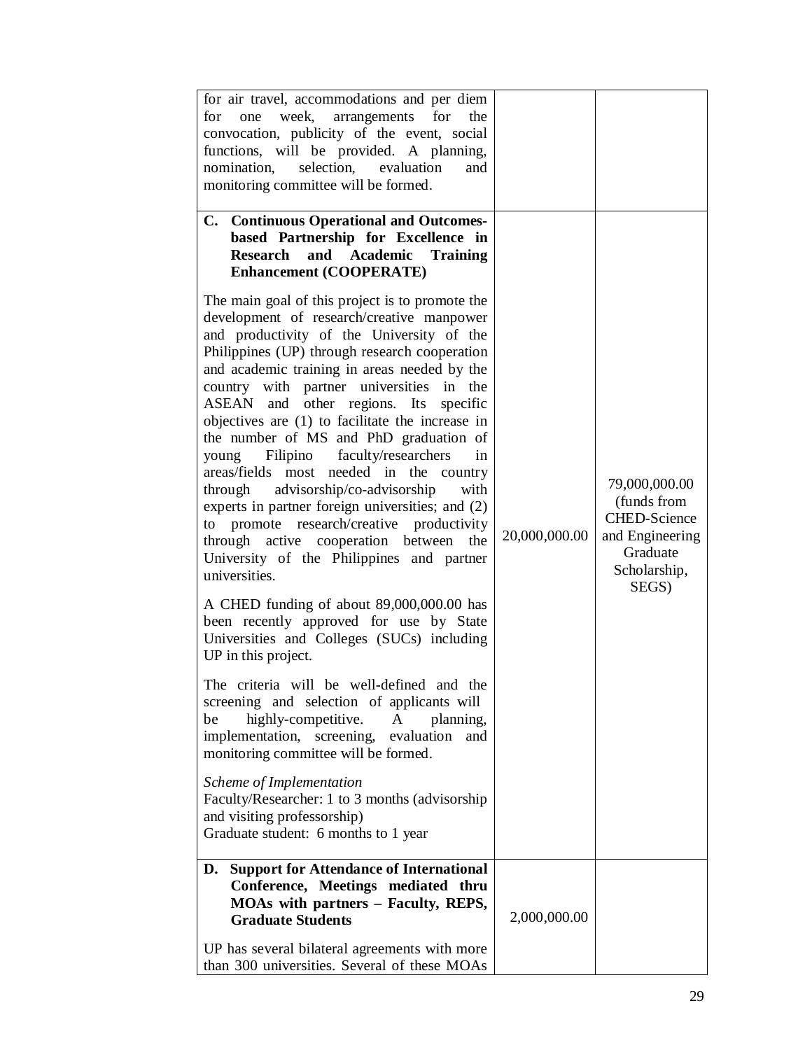| for air travel, accommodations and per diem<br>week, arrangements for<br>for<br>one<br>the<br>convocation, publicity of the event, social<br>functions, will be provided. A planning,<br>nomination,<br>selection,<br>evaluation<br>and<br>monitoring committee will be formed.                                                                                                                                                                                                                                                                                                                                                                                                                                                                                                                                                   |               |                                                                                                             |
|-----------------------------------------------------------------------------------------------------------------------------------------------------------------------------------------------------------------------------------------------------------------------------------------------------------------------------------------------------------------------------------------------------------------------------------------------------------------------------------------------------------------------------------------------------------------------------------------------------------------------------------------------------------------------------------------------------------------------------------------------------------------------------------------------------------------------------------|---------------|-------------------------------------------------------------------------------------------------------------|
| C. Continuous Operational and Outcomes-<br>based Partnership for Excellence in<br>Research and Academic Training<br><b>Enhancement (COOPERATE)</b>                                                                                                                                                                                                                                                                                                                                                                                                                                                                                                                                                                                                                                                                                |               |                                                                                                             |
| The main goal of this project is to promote the<br>development of research/creative manpower<br>and productivity of the University of the<br>Philippines (UP) through research cooperation<br>and academic training in areas needed by the<br>country with partner universities in the<br>ASEAN and other regions. Its<br>specific<br>objectives are (1) to facilitate the increase in<br>the number of MS and PhD graduation of<br>Filipino faculty/researchers<br>young<br>in<br>areas/fields most needed in the country<br>through advisorship/co-advisorship<br>with<br>experts in partner foreign universities; and (2)<br>to promote research/creative productivity<br>through active cooperation between<br>the<br>University of the Philippines and partner<br>universities.<br>A CHED funding of about 89,000,000.00 has | 20,000,000.00 | 79,000,000.00<br>(funds from<br><b>CHED-Science</b><br>and Engineering<br>Graduate<br>Scholarship,<br>SEGS) |
| been recently approved for use by State<br>Universities and Colleges (SUCs) including<br>UP in this project.                                                                                                                                                                                                                                                                                                                                                                                                                                                                                                                                                                                                                                                                                                                      |               |                                                                                                             |
| The criteria will be well-defined and the<br>screening and selection of applicants will<br>highly-competitive.<br>A<br>planning,<br>be<br>implementation, screening, evaluation<br>and<br>monitoring committee will be formed.                                                                                                                                                                                                                                                                                                                                                                                                                                                                                                                                                                                                    |               |                                                                                                             |
| Scheme of Implementation<br>Faculty/Researcher: 1 to 3 months (advisorship)<br>and visiting professorship)<br>Graduate student: 6 months to 1 year                                                                                                                                                                                                                                                                                                                                                                                                                                                                                                                                                                                                                                                                                |               |                                                                                                             |
| <b>Support for Attendance of International</b><br>D.<br>Conference, Meetings mediated thru<br>MOAs with partners - Faculty, REPS,<br><b>Graduate Students</b>                                                                                                                                                                                                                                                                                                                                                                                                                                                                                                                                                                                                                                                                     | 2,000,000.00  |                                                                                                             |
| UP has several bilateral agreements with more<br>than 300 universities. Several of these MOAs                                                                                                                                                                                                                                                                                                                                                                                                                                                                                                                                                                                                                                                                                                                                     |               |                                                                                                             |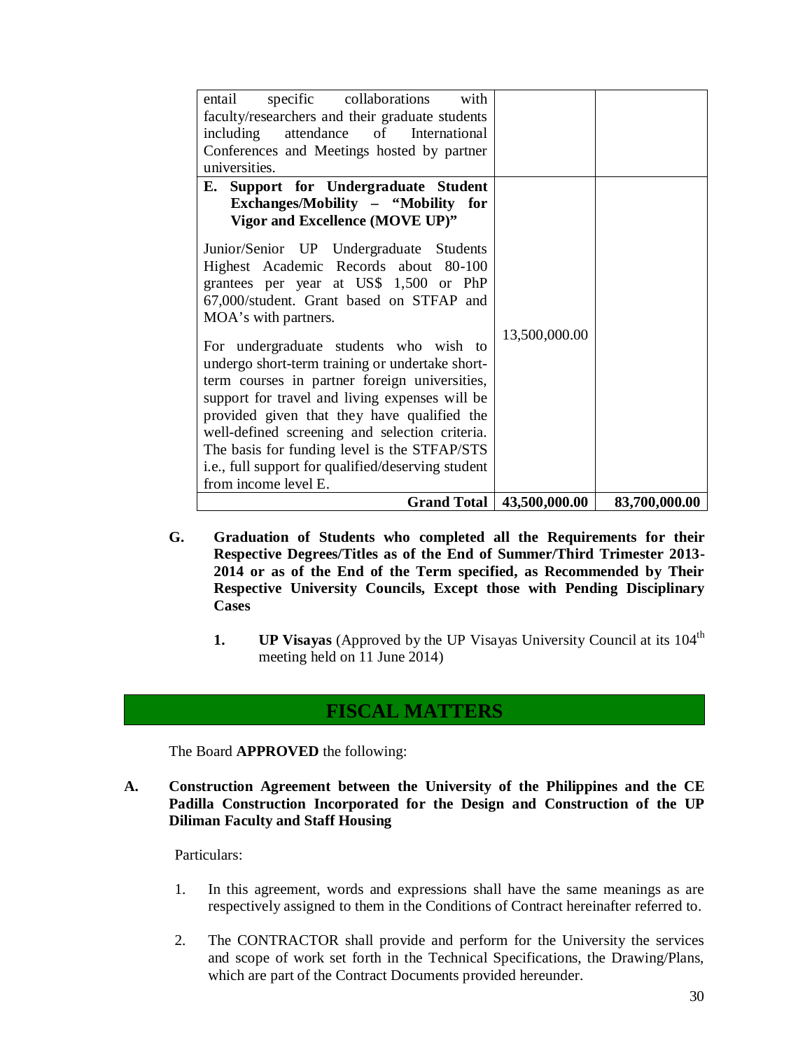| specific collaborations<br>with<br>entail<br>faculty/researchers and their graduate students<br>attendance of International<br>including<br>Conferences and Meetings hosted by partner<br>universities.                                                                                                                                                                                                                                                                                                                                                                                                                                                                                                                                        |               |               |
|------------------------------------------------------------------------------------------------------------------------------------------------------------------------------------------------------------------------------------------------------------------------------------------------------------------------------------------------------------------------------------------------------------------------------------------------------------------------------------------------------------------------------------------------------------------------------------------------------------------------------------------------------------------------------------------------------------------------------------------------|---------------|---------------|
| E. Support for Undergraduate Student<br>Exchanges/Mobility - "Mobility for<br>Vigor and Excellence (MOVE UP)"<br>Junior/Senior UP Undergraduate Students<br>Highest Academic Records about 80-100<br>grantees per year at US\$ 1,500 or PhP<br>67,000/student. Grant based on STFAP and<br>MOA's with partners.<br>For undergraduate students who wish to<br>undergo short-term training or undertake short-<br>term courses in partner foreign universities,<br>support for travel and living expenses will be<br>provided given that they have qualified the<br>well-defined screening and selection criteria.<br>The basis for funding level is the STFAP/STS<br>i.e., full support for qualified/deserving student<br>from income level E. | 13,500,000.00 |               |
| <b>Grand Total</b>                                                                                                                                                                                                                                                                                                                                                                                                                                                                                                                                                                                                                                                                                                                             | 43,500,000.00 | 83,700,000.00 |

- **G. Graduation of Students who completed all the Requirements for their Respective Degrees/Titles as of the End of Summer/Third Trimester 2013- 2014 or as of the End of the Term specified, as Recommended by Their Respective University Councils, Except those with Pending Disciplinary Cases**
	- **1. UP Visayas** (Approved by the UP Visayas University Council at its 104<sup>th</sup> meeting held on 11 June 2014)

### **FISCAL MATTERS**

The Board **APPROVED** the following:

**A. Construction Agreement between the University of the Philippines and the CE Padilla Construction Incorporated for the Design and Construction of the UP Diliman Faculty and Staff Housing**

Particulars:

- 1. In this agreement, words and expressions shall have the same meanings as are respectively assigned to them in the Conditions of Contract hereinafter referred to.
- 2. The CONTRACTOR shall provide and perform for the University the services and scope of work set forth in the Technical Specifications, the Drawing/Plans, which are part of the Contract Documents provided hereunder.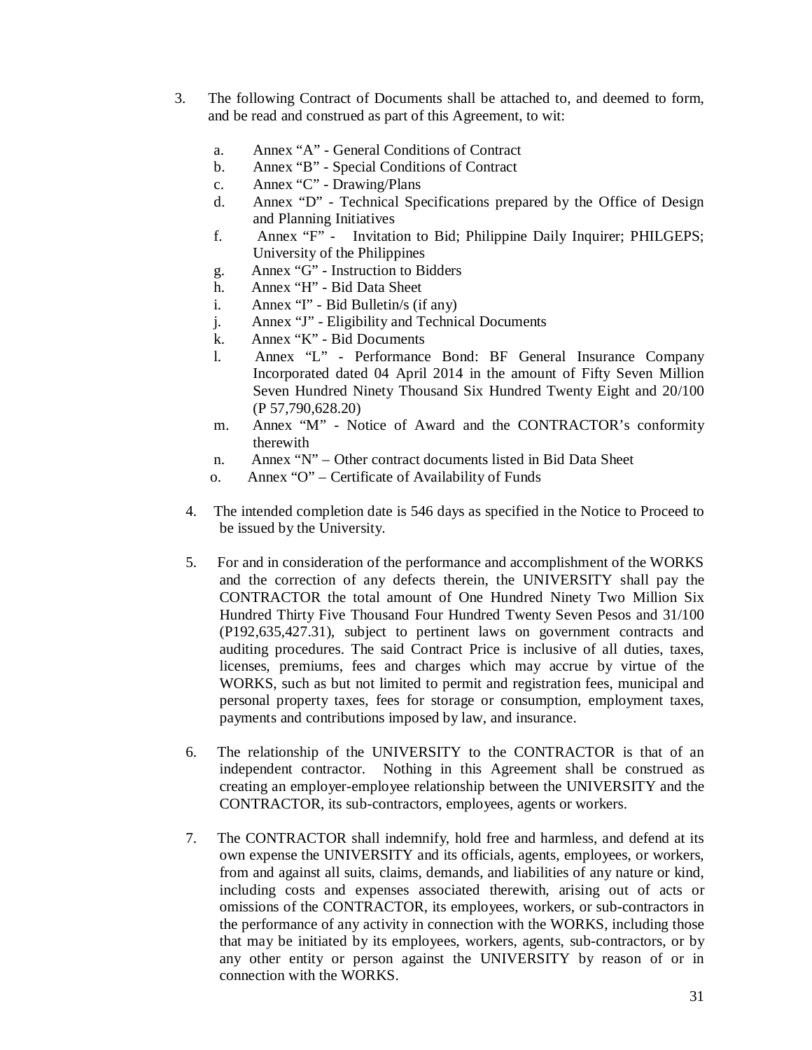- 3. The following Contract of Documents shall be attached to, and deemed to form, and be read and construed as part of this Agreement, to wit:
	- a. Annex "A" General Conditions of Contract
	- b. Annex "B" Special Conditions of Contract
	- c. Annex "C" Drawing/Plans
	- d. Annex "D" Technical Specifications prepared by the Office of Design and Planning Initiatives
	- f. Annex "F" Invitation to Bid; Philippine Daily Inquirer; PHILGEPS; University of the Philippines
	- g. Annex "G" Instruction to Bidders
	- h. Annex "H" Bid Data Sheet
	- i. Annex "I" Bid Bulletin/s (if any)
	- j. Annex "J" Eligibility and Technical Documents
	- k. Annex "K" Bid Documents
	- l. Annex "L" Performance Bond: BF General Insurance Company Incorporated dated 04 April 2014 in the amount of Fifty Seven Million Seven Hundred Ninety Thousand Six Hundred Twenty Eight and 20/100 (P 57,790,628.20)
	- m. Annex "M" Notice of Award and the CONTRACTOR's conformity therewith
	- n. Annex "N" Other contract documents listed in Bid Data Sheet
	- o. Annex "O" Certificate of Availability of Funds
	- 4. The intended completion date is 546 days as specified in the Notice to Proceed to be issued by the University.
	- 5. For and in consideration of the performance and accomplishment of the WORKS and the correction of any defects therein, the UNIVERSITY shall pay the CONTRACTOR the total amount of One Hundred Ninety Two Million Six Hundred Thirty Five Thousand Four Hundred Twenty Seven Pesos and 31/100 (P192,635,427.31), subject to pertinent laws on government contracts and auditing procedures. The said Contract Price is inclusive of all duties, taxes, licenses, premiums, fees and charges which may accrue by virtue of the WORKS, such as but not limited to permit and registration fees, municipal and personal property taxes, fees for storage or consumption, employment taxes, payments and contributions imposed by law, and insurance.
	- 6. The relationship of the UNIVERSITY to the CONTRACTOR is that of an independent contractor. Nothing in this Agreement shall be construed as creating an employer-employee relationship between the UNIVERSITY and the CONTRACTOR, its sub-contractors, employees, agents or workers.
	- 7. The CONTRACTOR shall indemnify, hold free and harmless, and defend at its own expense the UNIVERSITY and its officials, agents, employees, or workers, from and against all suits, claims, demands, and liabilities of any nature or kind, including costs and expenses associated therewith, arising out of acts or omissions of the CONTRACTOR, its employees, workers, or sub-contractors in the performance of any activity in connection with the WORKS, including those that may be initiated by its employees, workers, agents, sub-contractors, or by any other entity or person against the UNIVERSITY by reason of or in connection with the WORKS.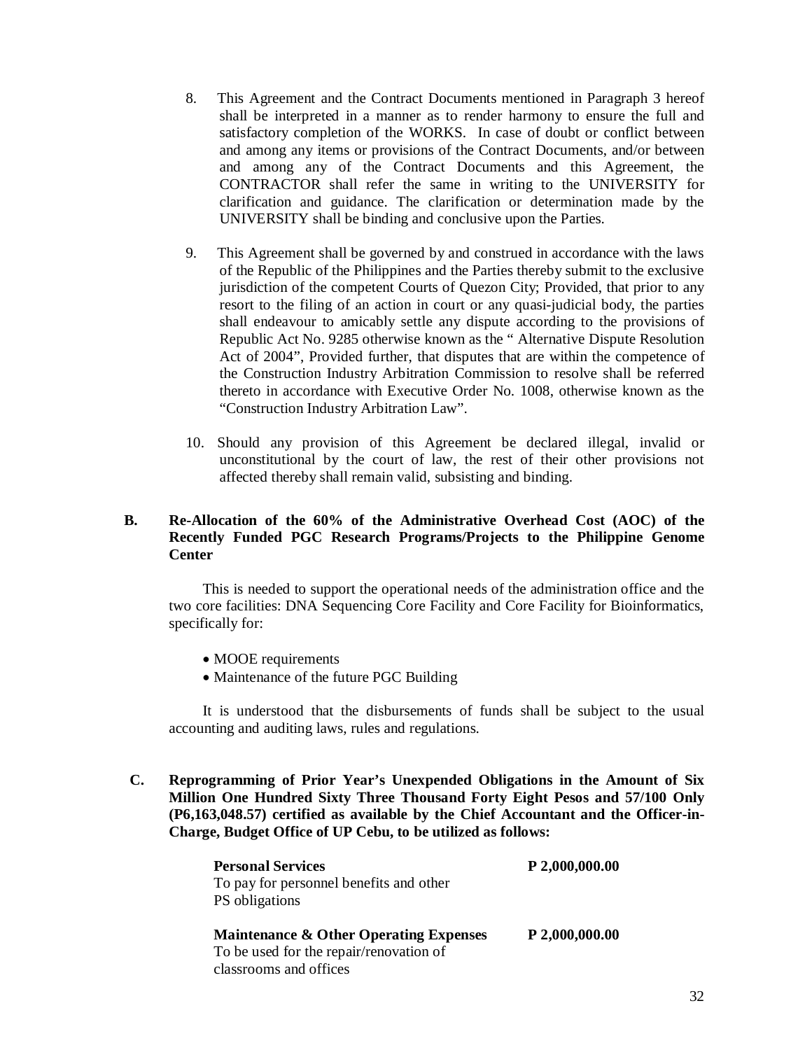- 8. This Agreement and the Contract Documents mentioned in Paragraph 3 hereof shall be interpreted in a manner as to render harmony to ensure the full and satisfactory completion of the WORKS. In case of doubt or conflict between and among any items or provisions of the Contract Documents, and/or between and among any of the Contract Documents and this Agreement, the CONTRACTOR shall refer the same in writing to the UNIVERSITY for clarification and guidance. The clarification or determination made by the UNIVERSITY shall be binding and conclusive upon the Parties.
- 9. This Agreement shall be governed by and construed in accordance with the laws of the Republic of the Philippines and the Parties thereby submit to the exclusive jurisdiction of the competent Courts of Quezon City; Provided, that prior to any resort to the filing of an action in court or any quasi-judicial body, the parties shall endeavour to amicably settle any dispute according to the provisions of Republic Act No. 9285 otherwise known as the " Alternative Dispute Resolution Act of 2004", Provided further, that disputes that are within the competence of the Construction Industry Arbitration Commission to resolve shall be referred thereto in accordance with Executive Order No. 1008, otherwise known as the "Construction Industry Arbitration Law".
- 10. Should any provision of this Agreement be declared illegal, invalid or unconstitutional by the court of law, the rest of their other provisions not affected thereby shall remain valid, subsisting and binding.

#### **B. Re-Allocation of the 60% of the Administrative Overhead Cost (AOC) of the Recently Funded PGC Research Programs/Projects to the Philippine Genome Center**

This is needed to support the operational needs of the administration office and the two core facilities: DNA Sequencing Core Facility and Core Facility for Bioinformatics, specifically for:

- MOOE requirements
- Maintenance of the future PGC Building

It is understood that the disbursements of funds shall be subject to the usual accounting and auditing laws, rules and regulations.

**C. Reprogramming of Prior Year's Unexpended Obligations in the Amount of Six Million One Hundred Sixty Three Thousand Forty Eight Pesos and 57/100 Only (P6,163,048.57) certified as available by the Chief Accountant and the Officer-in-Charge, Budget Office of UP Cebu, to be utilized as follows:**

| <b>Personal Services</b>                          | P 2,000,000.00 |
|---------------------------------------------------|----------------|
| To pay for personnel benefits and other           |                |
| PS obligations                                    |                |
| <b>Maintenance &amp; Other Operating Expenses</b> | P 2,000,000.00 |
| To be used for the repair/renovation of           |                |
| classrooms and offices                            |                |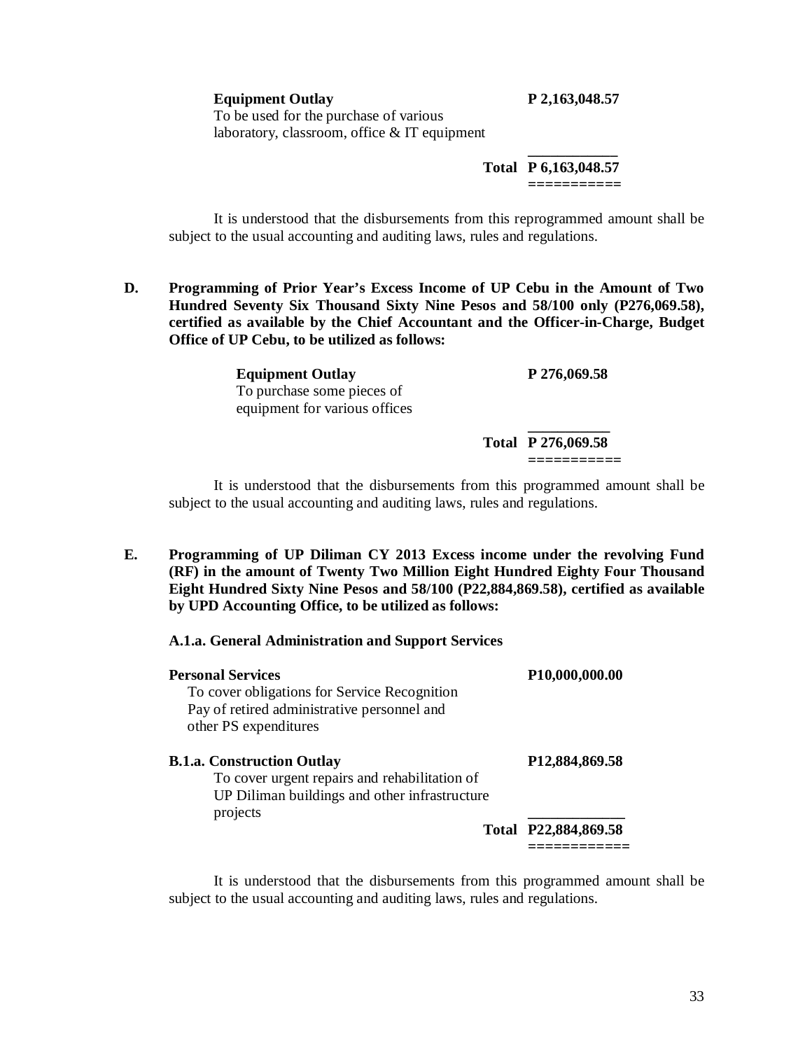**Equipment Outlay P 2,163,048.57**

To be used for the purchase of various laboratory, classroom, office & IT equipment

> **\_\_\_\_\_\_\_\_\_\_\_\_ Total P 6,163,048.57 ===========**

It is understood that the disbursements from this reprogrammed amount shall be subject to the usual accounting and auditing laws, rules and regulations.

**D. Programming of Prior Year's Excess Income of UP Cebu in the Amount of Two Hundred Seventy Six Thousand Sixty Nine Pesos and 58/100 only (P276,069.58), certified as available by the Chief Accountant and the Officer-in-Charge, Budget Office of UP Cebu, to be utilized as follows:**

> **Equipment Outlay P 276,069.58** To purchase some pieces of equipment for various offices **\_\_\_\_\_\_\_\_\_\_\_**

**Total P 276,069.58**

**===========**

It is understood that the disbursements from this programmed amount shall be subject to the usual accounting and auditing laws, rules and regulations.

**E. Programming of UP Diliman CY 2013 Excess income under the revolving Fund (RF) in the amount of Twenty Two Million Eight Hundred Eighty Four Thousand Eight Hundred Sixty Nine Pesos and 58/100 (P22,884,869.58), certified as available by UPD Accounting Office, to be utilized as follows:**

#### **A.1.a. General Administration and Support Services**

| <b>Personal Services</b><br>To cover obligations for Service Recognition<br>Pay of retired administrative personnel and<br>other PS expenditures | P <sub>10</sub> ,000,000.00 |
|--------------------------------------------------------------------------------------------------------------------------------------------------|-----------------------------|
| <b>B.1.a. Construction Outlay</b><br>To cover urgent repairs and rehabilitation of<br>UP Diliman buildings and other infrastructure<br>projects  | P12,884,869.58              |
|                                                                                                                                                  | Total P22,884,869.58        |

It is understood that the disbursements from this programmed amount shall be subject to the usual accounting and auditing laws, rules and regulations.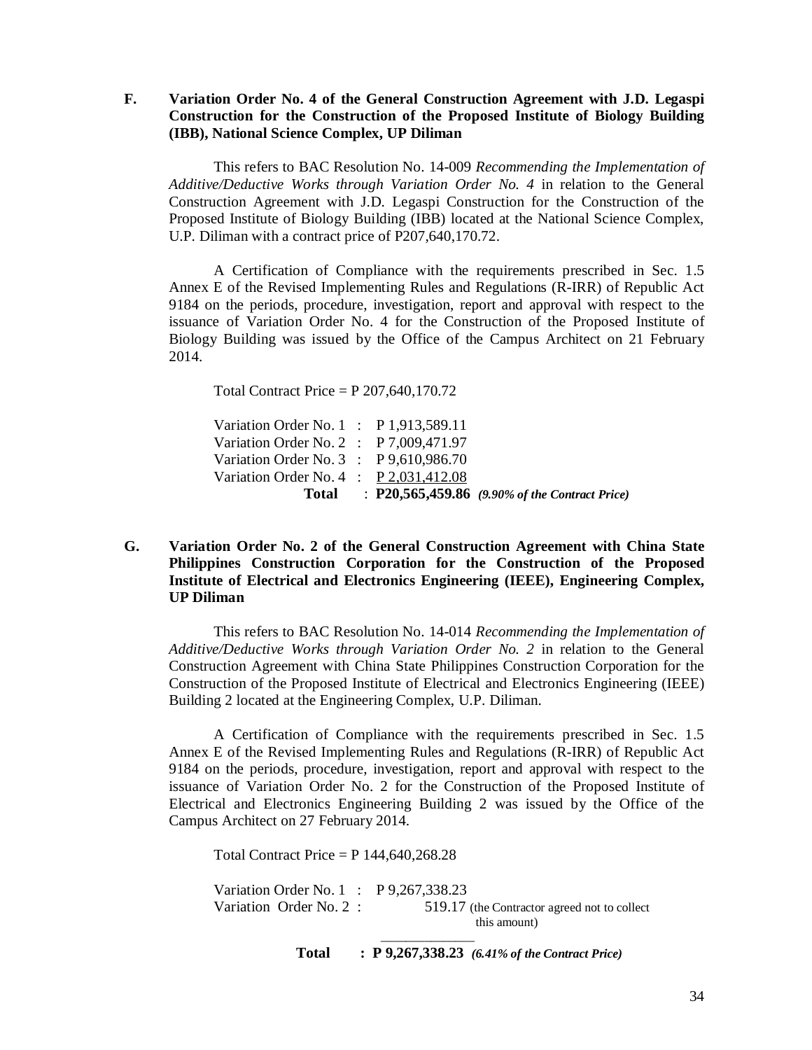**F. Variation Order No. 4 of the General Construction Agreement with J.D. Legaspi Construction for the Construction of the Proposed Institute of Biology Building (IBB), National Science Complex, UP Diliman**

This refers to BAC Resolution No. 14-009 *Recommending the Implementation of Additive/Deductive Works through Variation Order No. 4* in relation to the General Construction Agreement with J.D. Legaspi Construction for the Construction of the Proposed Institute of Biology Building (IBB) located at the National Science Complex, U.P. Diliman with a contract price of P207,640,170.72.

A Certification of Compliance with the requirements prescribed in Sec. 1.5 Annex E of the Revised Implementing Rules and Regulations (R-IRR) of Republic Act 9184 on the periods, procedure, investigation, report and approval with respect to the issuance of Variation Order No. 4 for the Construction of the Proposed Institute of Biology Building was issued by the Office of the Campus Architect on 21 February 2014.

Total Contract Price = P 207,640,170.72

Variation Order No. 1 : P 1,913,589.11 Variation Order No. 2 : P 7,009,471.97 Variation Order No. 3 : P 9,610,986.70 Variation Order No. 4 : P 2,031,412.08  **Total** : **P20,565,459.86** *(9.90% of the Contract Price)*

#### **G. Variation Order No. 2 of the General Construction Agreement with China State Philippines Construction Corporation for the Construction of the Proposed Institute of Electrical and Electronics Engineering (IEEE), Engineering Complex, UP Diliman**

This refers to BAC Resolution No. 14-014 *Recommending the Implementation of Additive/Deductive Works through Variation Order No. 2* in relation to the General Construction Agreement with China State Philippines Construction Corporation for the Construction of the Proposed Institute of Electrical and Electronics Engineering (IEEE) Building 2 located at the Engineering Complex, U.P. Diliman.

A Certification of Compliance with the requirements prescribed in Sec. 1.5 Annex E of the Revised Implementing Rules and Regulations (R-IRR) of Republic Act 9184 on the periods, procedure, investigation, report and approval with respect to the issuance of Variation Order No. 2 for the Construction of the Proposed Institute of Electrical and Electronics Engineering Building 2 was issued by the Office of the Campus Architect on 27 February 2014.

Total Contract Price =  $P$  144,640,268.28

\_\_\_\_\_\_\_\_\_\_\_\_\_\_\_

Variation Order No. 1 : P 9,267,338.23 Variation Order No. 2 : 519.17 (the Contractor agreed not to collect this amount)

**Total : P 9,267,338.23** *(6.41% of the Contract Price)*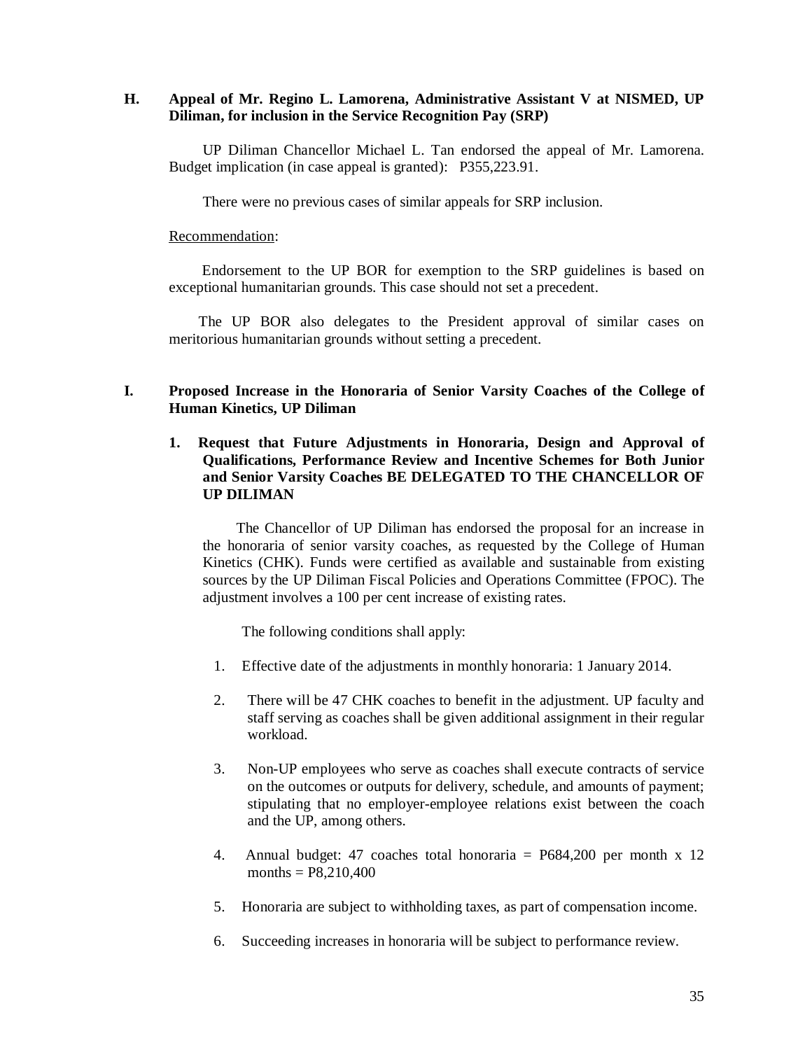#### **H. Appeal of Mr. Regino L. Lamorena, Administrative Assistant V at NISMED, UP Diliman, for inclusion in the Service Recognition Pay (SRP)**

UP Diliman Chancellor Michael L. Tan endorsed the appeal of Mr. Lamorena. Budget implication (in case appeal is granted): P355,223.91.

There were no previous cases of similar appeals for SRP inclusion.

#### Recommendation:

 Endorsement to the UP BOR for exemption to the SRP guidelines is based on exceptional humanitarian grounds. This case should not set a precedent.

 The UP BOR also delegates to the President approval of similar cases on meritorious humanitarian grounds without setting a precedent.

#### **I. Proposed Increase in the Honoraria of Senior Varsity Coaches of the College of Human Kinetics, UP Diliman**

#### **1. Request that Future Adjustments in Honoraria, Design and Approval of Qualifications, Performance Review and Incentive Schemes for Both Junior and Senior Varsity Coaches BE DELEGATED TO THE CHANCELLOR OF UP DILIMAN**

The Chancellor of UP Diliman has endorsed the proposal for an increase in the honoraria of senior varsity coaches, as requested by the College of Human Kinetics (CHK). Funds were certified as available and sustainable from existing sources by the UP Diliman Fiscal Policies and Operations Committee (FPOC). The adjustment involves a 100 per cent increase of existing rates.

The following conditions shall apply:

- 1. Effective date of the adjustments in monthly honoraria: 1 January 2014.
- 2. There will be 47 CHK coaches to benefit in the adjustment. UP faculty and staff serving as coaches shall be given additional assignment in their regular workload.
- 3. Non-UP employees who serve as coaches shall execute contracts of service on the outcomes or outputs for delivery, schedule, and amounts of payment; stipulating that no employer-employee relations exist between the coach and the UP, among others.
- 4. Annual budget: 47 coaches total honoraria = P684,200 per month x 12 months =  $P8,210,400$
- 5. Honoraria are subject to withholding taxes, as part of compensation income.
- 6. Succeeding increases in honoraria will be subject to performance review.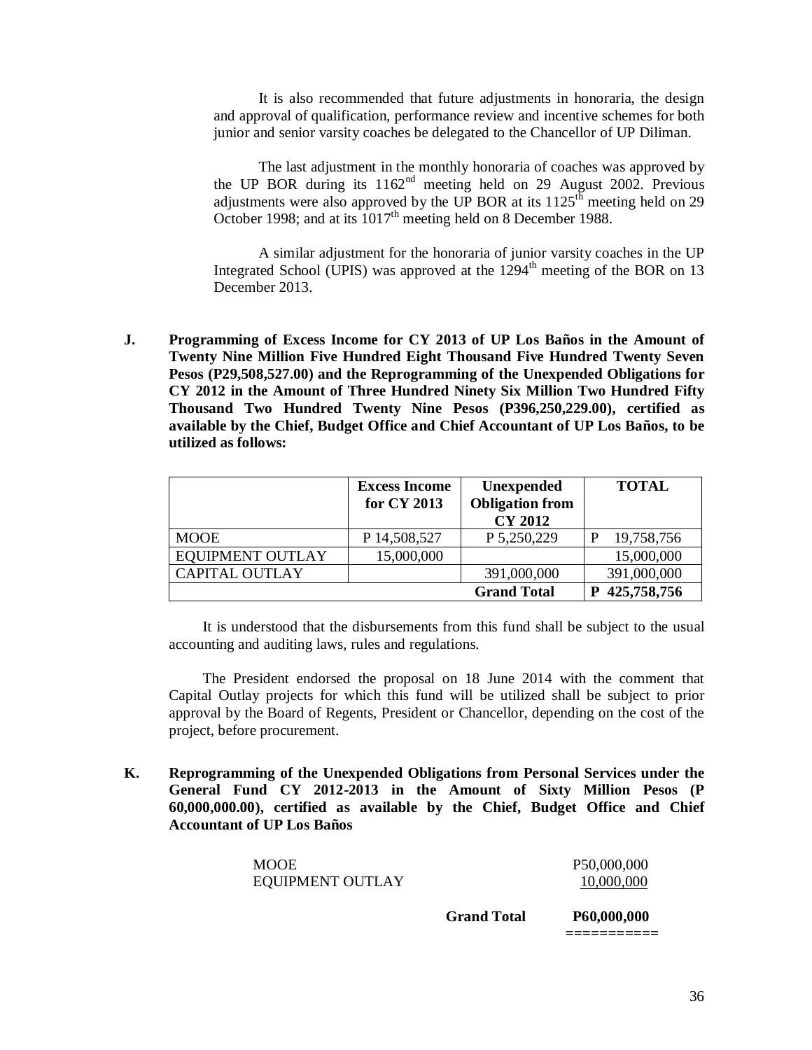It is also recommended that future adjustments in honoraria, the design and approval of qualification, performance review and incentive schemes for both junior and senior varsity coaches be delegated to the Chancellor of UP Diliman.

The last adjustment in the monthly honoraria of coaches was approved by the UP BOR during its  $1162<sup>nd</sup>$  meeting held on 29 August 2002. Previous adjustments were also approved by the UP BOR at its  $1125<sup>th</sup>$  meeting held on 29 October 1998; and at its  $1017<sup>th</sup>$  meeting held on 8 December 1988.

A similar adjustment for the honoraria of junior varsity coaches in the UP Integrated School (UPIS) was approved at the  $1294<sup>th</sup>$  meeting of the BOR on 13 December 2013.

**J. Programming of Excess Income for CY 2013 of UP Los Baños in the Amount of Twenty Nine Million Five Hundred Eight Thousand Five Hundred Twenty Seven Pesos (P29,508,527.00) and the Reprogramming of the Unexpended Obligations for CY 2012 in the Amount of Three Hundred Ninety Six Million Two Hundred Fifty Thousand Two Hundred Twenty Nine Pesos (P396,250,229.00), certified as available by the Chief, Budget Office and Chief Accountant of UP Los Baños, to be utilized as follows:**

|                       | <b>Excess Income</b><br>for CY 2013 | Unexpended<br><b>Obligation from</b><br><b>CY 2012</b> | <b>TOTAL</b> |
|-----------------------|-------------------------------------|--------------------------------------------------------|--------------|
| <b>MOOE</b>           | P 14,508,527                        | P 5,250,229                                            | 19,758,756   |
| EQUIPMENT OUTLAY      | 15,000,000                          |                                                        | 15,000,000   |
| <b>CAPITAL OUTLAY</b> |                                     | 391,000,000                                            | 391,000,000  |
|                       |                                     | <b>Grand Total</b>                                     | 425,758,756  |

It is understood that the disbursements from this fund shall be subject to the usual accounting and auditing laws, rules and regulations.

The President endorsed the proposal on 18 June 2014 with the comment that Capital Outlay projects for which this fund will be utilized shall be subject to prior approval by the Board of Regents, President or Chancellor, depending on the cost of the project, before procurement.

**K. Reprogramming of the Unexpended Obligations from Personal Services under the General Fund CY 2012-2013 in the Amount of Sixty Million Pesos (P 60,000,000.00), certified as available by the Chief, Budget Office and Chief Accountant of UP Los Baños**

| <b>MOOE</b>      | P50,000,000 |
|------------------|-------------|
| EQUIPMENT OUTLAY | 10,000,000  |
|                  |             |

 **Grand Total P60,000,000**

**===========** 

36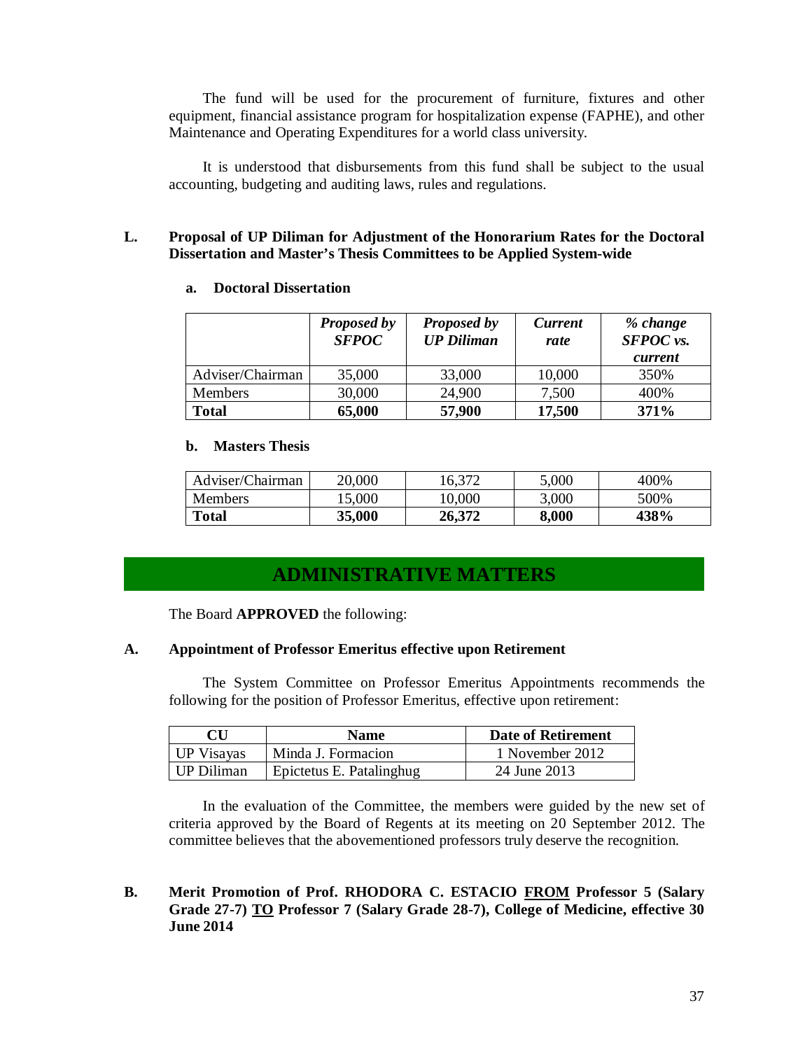The fund will be used for the procurement of furniture, fixtures and other equipment, financial assistance program for hospitalization expense (FAPHE), and other Maintenance and Operating Expenditures for a world class university.

It is understood that disbursements from this fund shall be subject to the usual accounting, budgeting and auditing laws, rules and regulations.

### **L. Proposal of UP Diliman for Adjustment of the Honorarium Rates for the Doctoral Dissertation and Master's Thesis Committees to be Applied System-wide**

### **a. Doctoral Dissertation**

|                  | Proposed by<br><b>SFPOC</b> | <b>Proposed by</b><br><b>UP Diliman</b> | <b>Current</b><br>rate | % change<br><b>SFPOC</b> vs.<br>current |
|------------------|-----------------------------|-----------------------------------------|------------------------|-----------------------------------------|
| Adviser/Chairman | 35,000                      | 33,000                                  | 10,000                 | 350%                                    |
| Members          | 30,000                      | 24,900                                  | 7,500                  | 400%                                    |
| <b>Total</b>     | 65,000                      | 57,900                                  | 17,500                 | 371%                                    |

### **b. Masters Thesis**

| Adviser/Chairman | 20,000 | 16.372 | 5,000 | 400% |
|------------------|--------|--------|-------|------|
| <b>Members</b>   | 15,000 | 10,000 | 3,000 | 500% |
| <b>Total</b>     | 35,000 | 26,372 | 8,000 | 438% |

# **ADMINISTRATIVE MATTERS**

The Board **APPROVED** the following:

### **A. Appointment of Professor Emeritus effective upon Retirement**

The System Committee on Professor Emeritus Appointments recommends the following for the position of Professor Emeritus, effective upon retirement:

|            | <b>Name</b>              | <b>Date of Retirement</b> |
|------------|--------------------------|---------------------------|
| UP Visayas | Minda J. Formacion       | 1 November 2012           |
| UP Diliman | Epictetus E. Patalinghug | 24 June 2013              |

In the evaluation of the Committee, the members were guided by the new set of criteria approved by the Board of Regents at its meeting on 20 September 2012. The committee believes that the abovementioned professors truly deserve the recognition.

# **B. Merit Promotion of Prof. RHODORA C. ESTACIO FROM Professor 5 (Salary Grade 27-7) TO Professor 7 (Salary Grade 28-7), College of Medicine, effective 30 June 2014**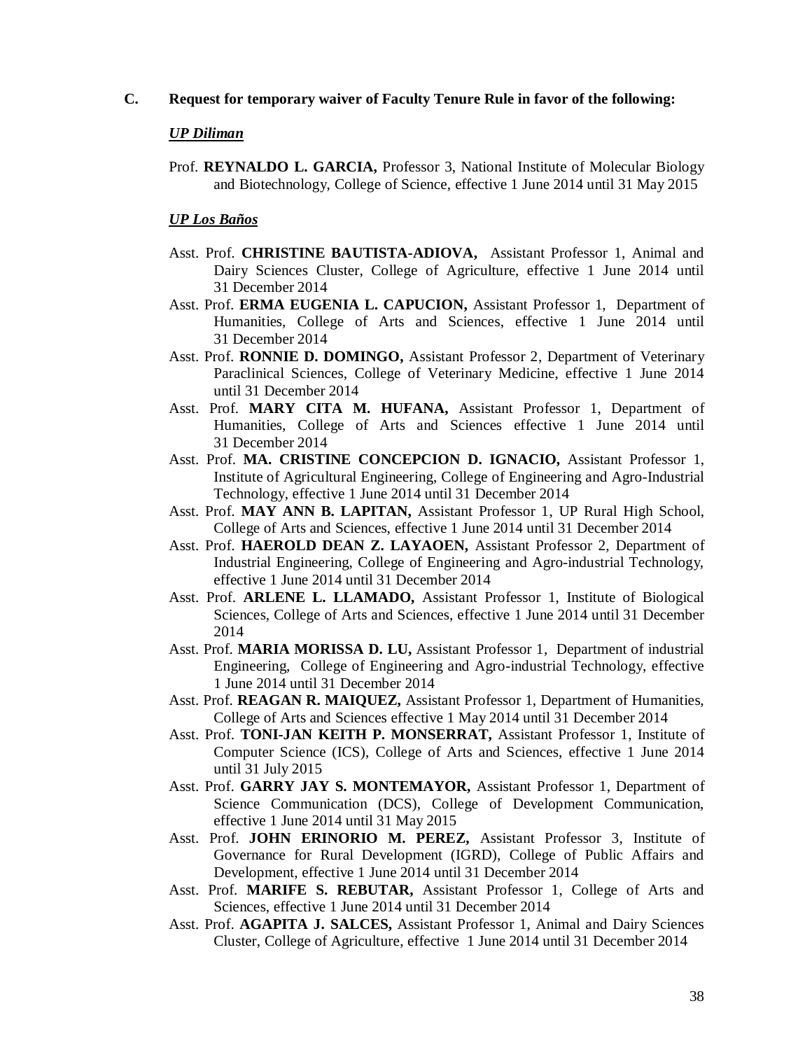### **C. Request for temporary waiver of Faculty Tenure Rule in favor of the following:**

#### *UP Diliman*

Prof. **REYNALDO L. GARCIA,** Professor 3, National Institute of Molecular Biology and Biotechnology, College of Science, effective 1 June 2014 until 31 May 2015

### *UP Los Baños*

- Asst. Prof. **CHRISTINE BAUTISTA-ADIOVA,** Assistant Professor 1, Animal and Dairy Sciences Cluster, College of Agriculture, effective 1 June 2014 until 31 December 2014
- Asst. Prof. **ERMA EUGENIA L. CAPUCION,** Assistant Professor 1, Department of Humanities, College of Arts and Sciences, effective 1 June 2014 until 31 December 2014
- Asst. Prof. **RONNIE D. DOMINGO,** Assistant Professor 2, Department of Veterinary Paraclinical Sciences, College of Veterinary Medicine, effective 1 June 2014 until 31 December 2014
- Asst. Prof. **MARY CITA M. HUFANA,** Assistant Professor 1, Department of Humanities, College of Arts and Sciences effective 1 June 2014 until 31 December 2014
- Asst. Prof. **MA. CRISTINE CONCEPCION D. IGNACIO,** Assistant Professor 1, Institute of Agricultural Engineering, College of Engineering and Agro-Industrial Technology, effective 1 June 2014 until 31 December 2014
- Asst. Prof. **MAY ANN B. LAPITAN,** Assistant Professor 1, UP Rural High School, College of Arts and Sciences, effective 1 June 2014 until 31 December 2014
- Asst. Prof. **HAEROLD DEAN Z. LAYAOEN,** Assistant Professor 2, Department of Industrial Engineering, College of Engineering and Agro-industrial Technology, effective 1 June 2014 until 31 December 2014
- Asst. Prof. **ARLENE L. LLAMADO,** Assistant Professor 1, Institute of Biological Sciences, College of Arts and Sciences, effective 1 June 2014 until 31 December 2014
- Asst. Prof. **MARIA MORISSA D. LU,** Assistant Professor 1, Department of industrial Engineering, College of Engineering and Agro-industrial Technology, effective 1 June 2014 until 31 December 2014
- Asst. Prof. **REAGAN R. MAIQUEZ,** Assistant Professor 1, Department of Humanities, College of Arts and Sciences effective 1 May 2014 until 31 December 2014
- Asst. Prof. **TONI-JAN KEITH P. MONSERRAT,** Assistant Professor 1, Institute of Computer Science (ICS), College of Arts and Sciences, effective 1 June 2014 until 31 July 2015
- Asst. Prof. **GARRY JAY S. MONTEMAYOR,** Assistant Professor 1, Department of Science Communication (DCS), College of Development Communication, effective 1 June 2014 until 31 May 2015
- Asst. Prof. **JOHN ERINORIO M. PEREZ,** Assistant Professor 3, Institute of Governance for Rural Development (IGRD), College of Public Affairs and Development, effective 1 June 2014 until 31 December 2014
- Asst. Prof. **MARIFE S. REBUTAR,** Assistant Professor 1, College of Arts and Sciences, effective 1 June 2014 until 31 December 2014
- Asst. Prof. **AGAPITA J. SALCES,** Assistant Professor 1, Animal and Dairy Sciences Cluster, College of Agriculture, effective 1 June 2014 until 31 December 2014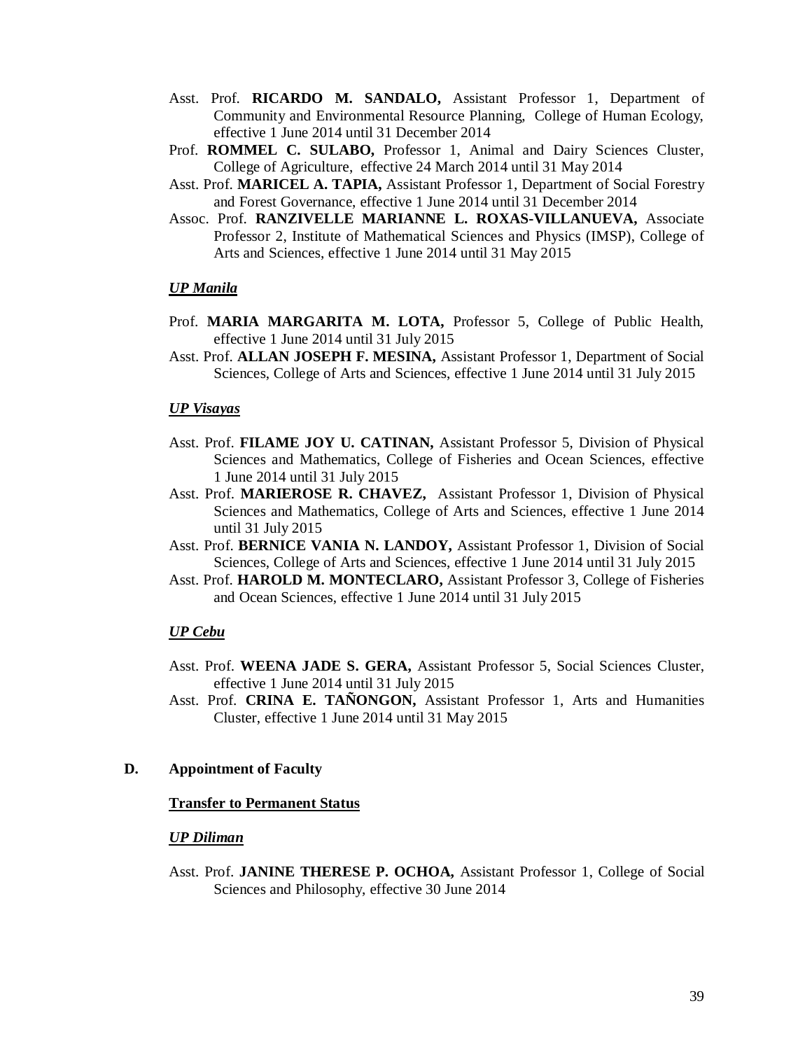- Asst. Prof. **RICARDO M. SANDALO,** Assistant Professor 1, Department of Community and Environmental Resource Planning, College of Human Ecology, effective 1 June 2014 until 31 December 2014
- Prof. **ROMMEL C. SULABO,** Professor 1, Animal and Dairy Sciences Cluster, College of Agriculture, effective 24 March 2014 until 31 May 2014
- Asst. Prof. **MARICEL A. TAPIA,** Assistant Professor 1, Department of Social Forestry and Forest Governance, effective 1 June 2014 until 31 December 2014
- Assoc. Prof. **RANZIVELLE MARIANNE L. ROXAS-VILLANUEVA,** Associate Professor 2, Institute of Mathematical Sciences and Physics (IMSP), College of Arts and Sciences, effective 1 June 2014 until 31 May 2015

### *UP Manila*

- Prof. **MARIA MARGARITA M. LOTA,** Professor 5, College of Public Health, effective 1 June 2014 until 31 July 2015
- Asst. Prof. **ALLAN JOSEPH F. MESINA,** Assistant Professor 1, Department of Social Sciences, College of Arts and Sciences, effective 1 June 2014 until 31 July 2015

#### *UP Visayas*

- Asst. Prof. **FILAME JOY U. CATINAN,** Assistant Professor 5, Division of Physical Sciences and Mathematics, College of Fisheries and Ocean Sciences, effective 1 June 2014 until 31 July 2015
- Asst. Prof. **MARIEROSE R. CHAVEZ,** Assistant Professor 1, Division of Physical Sciences and Mathematics, College of Arts and Sciences, effective 1 June 2014 until 31 July 2015
- Asst. Prof. **BERNICE VANIA N. LANDOY,** Assistant Professor 1, Division of Social Sciences, College of Arts and Sciences, effective 1 June 2014 until 31 July 2015
- Asst. Prof. **HAROLD M. MONTECLARO,** Assistant Professor 3, College of Fisheries and Ocean Sciences, effective 1 June 2014 until 31 July 2015

#### *UP Cebu*

- Asst. Prof. **WEENA JADE S. GERA,** Assistant Professor 5, Social Sciences Cluster, effective 1 June 2014 until 31 July 2015
- Asst. Prof. **CRINA E. TAÑONGON,** Assistant Professor 1, Arts and Humanities Cluster, effective 1 June 2014 until 31 May 2015

#### **D. Appointment of Faculty**

#### **Transfer to Permanent Status**

#### *UP Diliman*

Asst. Prof. **JANINE THERESE P. OCHOA,** Assistant Professor 1, College of Social Sciences and Philosophy, effective 30 June 2014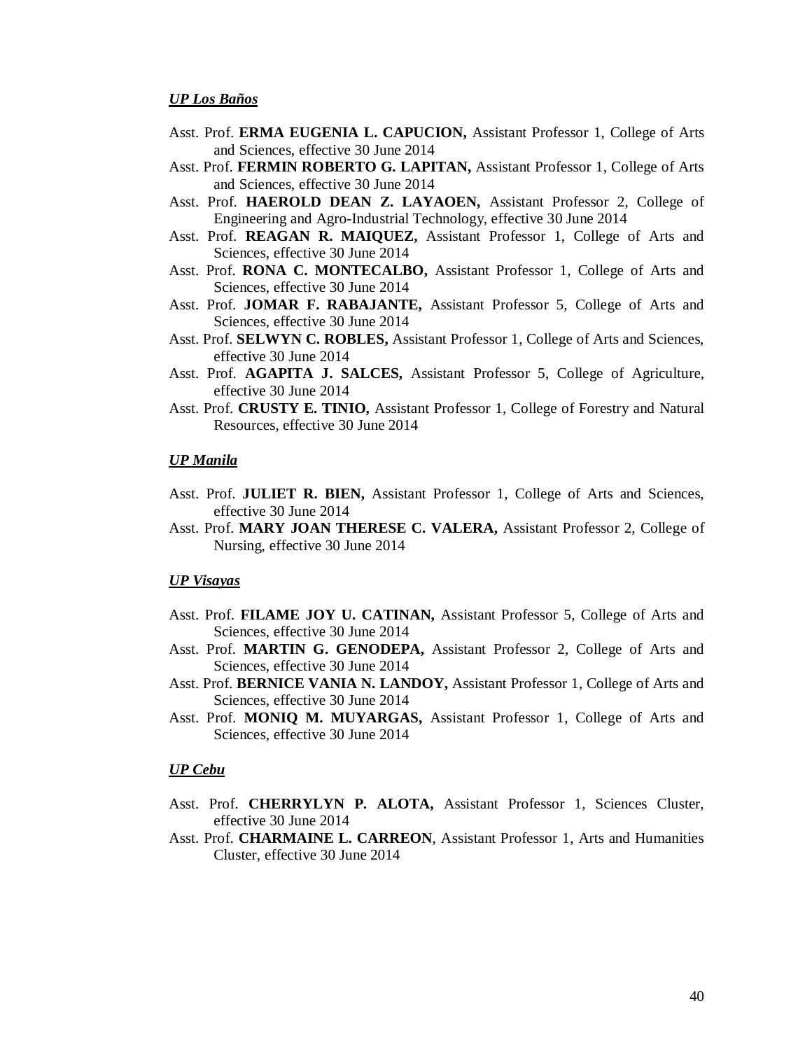- Asst. Prof. **ERMA EUGENIA L. CAPUCION,** Assistant Professor 1, College of Arts and Sciences, effective 30 June 2014
- Asst. Prof. **FERMIN ROBERTO G. LAPITAN,** Assistant Professor 1, College of Arts and Sciences, effective 30 June 2014
- Asst. Prof. **HAEROLD DEAN Z. LAYAOEN,** Assistant Professor 2, College of Engineering and Agro-Industrial Technology, effective 30 June 2014
- Asst. Prof. **REAGAN R. MAIQUEZ,** Assistant Professor 1, College of Arts and Sciences, effective 30 June 2014
- Asst. Prof. **RONA C. MONTECALBO,** Assistant Professor 1, College of Arts and Sciences, effective 30 June 2014
- Asst. Prof. **JOMAR F. RABAJANTE,** Assistant Professor 5, College of Arts and Sciences, effective 30 June 2014
- Asst. Prof. **SELWYN C. ROBLES,** Assistant Professor 1, College of Arts and Sciences, effective 30 June 2014
- Asst. Prof. **AGAPITA J. SALCES,** Assistant Professor 5, College of Agriculture, effective 30 June 2014
- Asst. Prof. **CRUSTY E. TINIO,** Assistant Professor 1, College of Forestry and Natural Resources, effective 30 June 2014

#### *UP Manila*

- Asst. Prof. **JULIET R. BIEN,** Assistant Professor 1, College of Arts and Sciences, effective 30 June 2014
- Asst. Prof. **MARY JOAN THERESE C. VALERA,** Assistant Professor 2, College of Nursing, effective 30 June 2014

#### *UP Visayas*

- Asst. Prof. **FILAME JOY U. CATINAN,** Assistant Professor 5, College of Arts and Sciences, effective 30 June 2014
- Asst. Prof. **MARTIN G. GENODEPA,** Assistant Professor 2, College of Arts and Sciences, effective 30 June 2014
- Asst. Prof. **BERNICE VANIA N. LANDOY,** Assistant Professor 1, College of Arts and Sciences, effective 30 June 2014
- Asst. Prof. **MONIQ M. MUYARGAS,** Assistant Professor 1, College of Arts and Sciences, effective 30 June 2014

#### *UP Cebu*

- Asst. Prof. **CHERRYLYN P. ALOTA,** Assistant Professor 1, Sciences Cluster, effective 30 June 2014
- Asst. Prof. **CHARMAINE L. CARREON**, Assistant Professor 1, Arts and Humanities Cluster, effective 30 June 2014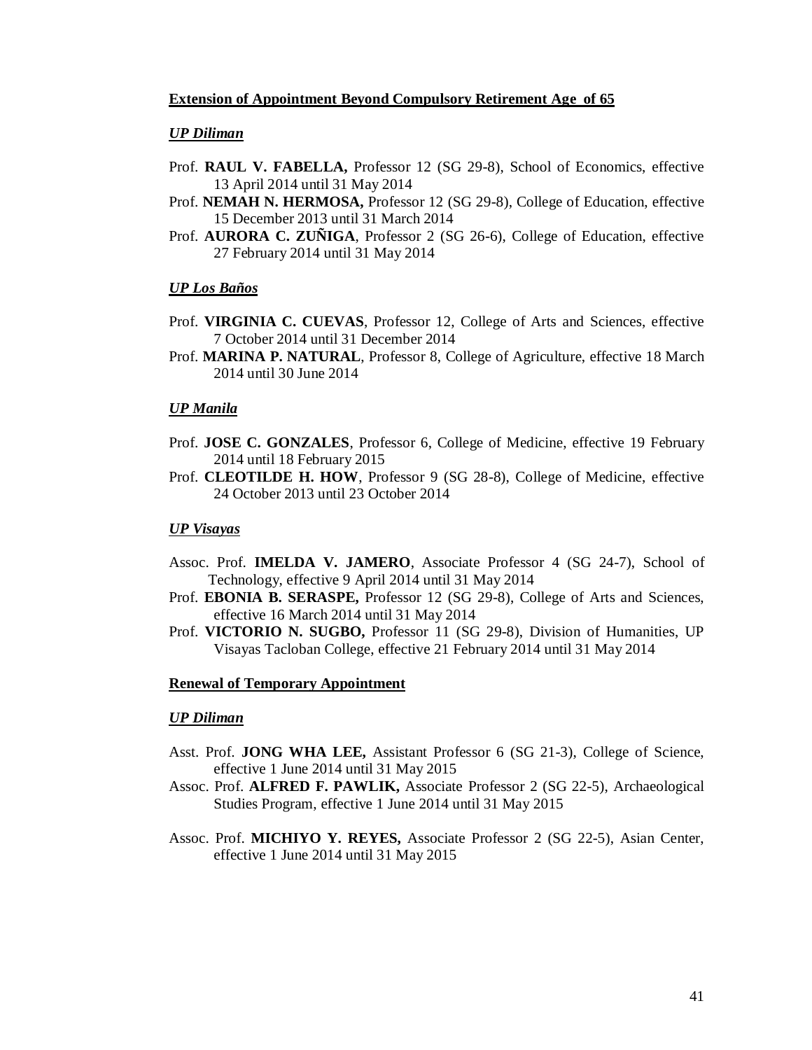### **Extension of Appointment Beyond Compulsory Retirement Age of 65**

### *UP Diliman*

- Prof. **RAUL V. FABELLA,** Professor 12 (SG 29-8), School of Economics, effective 13 April 2014 until 31 May 2014
- Prof. **NEMAH N. HERMOSA,** Professor 12 (SG 29-8), College of Education, effective 15 December 2013 until 31 March 2014
- Prof. **AURORA C. ZUÑIGA**, Professor 2 (SG 26-6), College of Education, effective 27 February 2014 until 31 May 2014

### *UP Los Baños*

- Prof. **VIRGINIA C. CUEVAS**, Professor 12, College of Arts and Sciences, effective 7 October 2014 until 31 December 2014
- Prof. **MARINA P. NATURAL**, Professor 8, College of Agriculture, effective 18 March 2014 until 30 June 2014

### *UP Manila*

- Prof. **JOSE C. GONZALES**, Professor 6, College of Medicine, effective 19 February 2014 until 18 February 2015
- Prof. **CLEOTILDE H. HOW**, Professor 9 (SG 28-8), College of Medicine, effective 24 October 2013 until 23 October 2014

### *UP Visayas*

- Assoc. Prof. **IMELDA V. JAMERO**, Associate Professor 4 (SG 24-7), School of Technology, effective 9 April 2014 until 31 May 2014
- Prof. **EBONIA B. SERASPE,** Professor 12 (SG 29-8), College of Arts and Sciences, effective 16 March 2014 until 31 May 2014
- Prof. **VICTORIO N. SUGBO,** Professor 11 (SG 29-8), Division of Humanities, UP Visayas Tacloban College, effective 21 February 2014 until 31 May 2014

### **Renewal of Temporary Appointment**

### *UP Diliman*

- Asst. Prof. **JONG WHA LEE,** Assistant Professor 6 (SG 21-3), College of Science, effective 1 June 2014 until 31 May 2015
- Assoc. Prof. **ALFRED F. PAWLIK,** Associate Professor 2 (SG 22-5), Archaeological Studies Program, effective 1 June 2014 until 31 May 2015
- Assoc. Prof. **MICHIYO Y. REYES,** Associate Professor 2 (SG 22-5), Asian Center, effective 1 June 2014 until 31 May 2015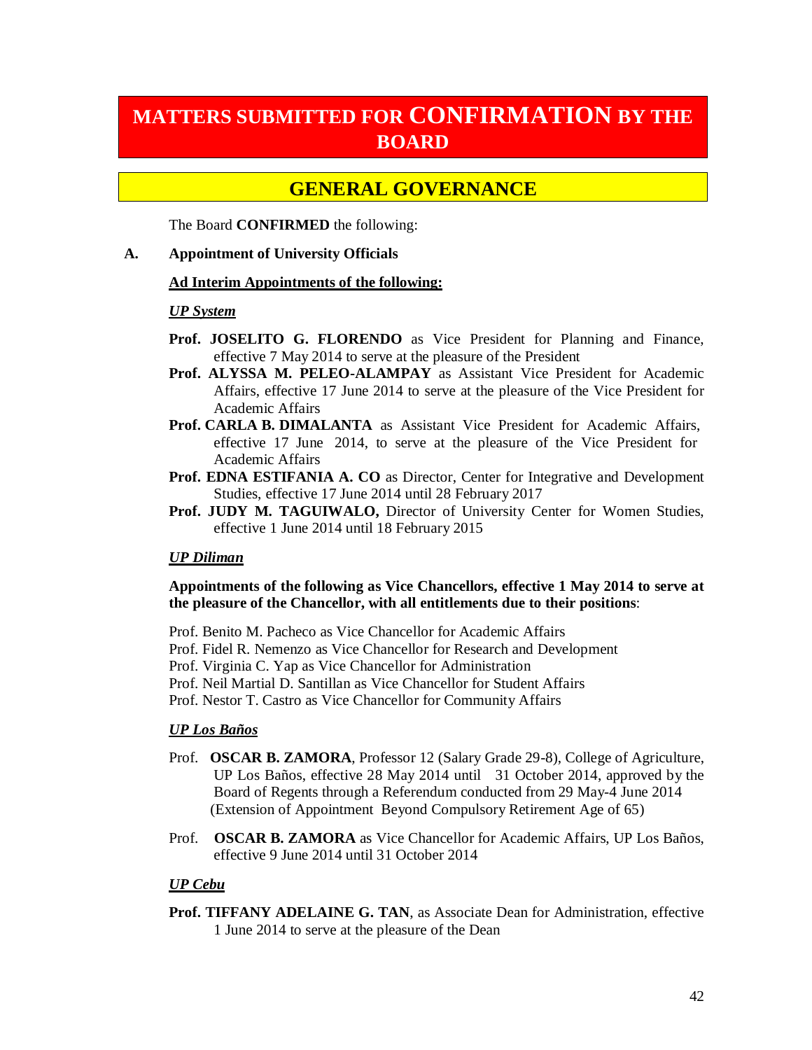# **MATTERS SUBMITTED FOR CONFIRMATION BY THE BOARD**

# **GENERAL GOVERNANCE**

The Board **CONFIRMED** the following:

## **A. Appointment of University Officials**

### **Ad Interim Appointments of the following:**

## *UP System*

- **Prof. JOSELITO G. FLORENDO** as Vice President for Planning and Finance, effective 7 May 2014 to serve at the pleasure of the President
- **Prof. ALYSSA M. PELEO-ALAMPAY** as Assistant Vice President for Academic Affairs, effective 17 June 2014 to serve at the pleasure of the Vice President for Academic Affairs
- **Prof. CARLA B. DIMALANTA** as Assistant Vice President for Academic Affairs, effective 17 June 2014, to serve at the pleasure of the Vice President for Academic Affairs
- **Prof. EDNA ESTIFANIA A. CO** as Director, Center for Integrative and Development Studies, effective 17 June 2014 until 28 February 2017
- **Prof. JUDY M. TAGUIWALO,** Director of University Center for Women Studies, effective 1 June 2014 until 18 February 2015

# *UP Diliman*

# **Appointments of the following as Vice Chancellors, effective 1 May 2014 to serve at the pleasure of the Chancellor, with all entitlements due to their positions**:

Prof. Benito M. Pacheco as Vice Chancellor for Academic Affairs

Prof. Fidel R. Nemenzo as Vice Chancellor for Research and Development

Prof. Virginia C. Yap as Vice Chancellor for Administration

Prof. Neil Martial D. Santillan as Vice Chancellor for Student Affairs

Prof. Nestor T. Castro as Vice Chancellor for Community Affairs

### *UP Los Baños*

- Prof. **OSCAR B. ZAMORA**, Professor 12 (Salary Grade 29-8), College of Agriculture, UP Los Baños, effective 28 May 2014 until 31 October 2014, approved by the Board of Regents through a Referendum conducted from 29 May-4 June 2014 (Extension of Appointment Beyond Compulsory Retirement Age of 65)
- Prof. **OSCAR B. ZAMORA** as Vice Chancellor for Academic Affairs, UP Los Baños, effective 9 June 2014 until 31 October 2014

# *UP Cebu*

**Prof. TIFFANY ADELAINE G. TAN, as Associate Dean for Administration, effective** 1 June 2014 to serve at the pleasure of the Dean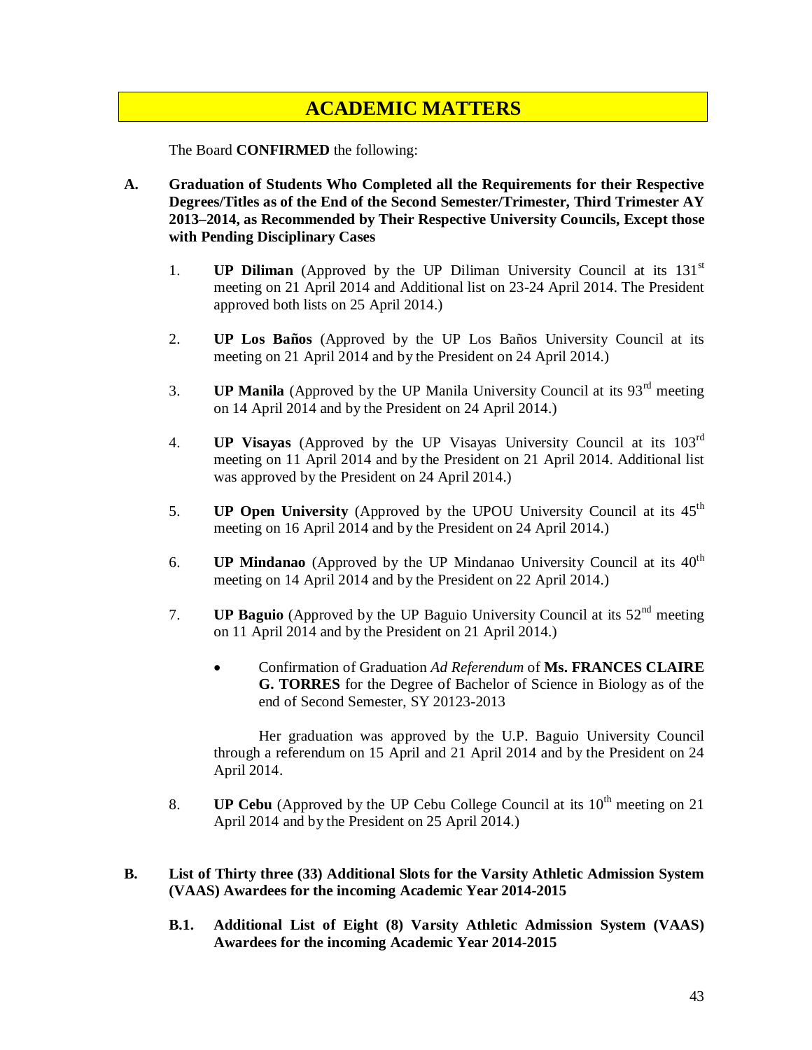# **ACADEMIC MATTERS**

The Board **CONFIRMED** the following:

- **A. Graduation of Students Who Completed all the Requirements for their Respective Degrees/Titles as of the End of the Second Semester/Trimester, Third Trimester AY 2013–2014, as Recommended by Their Respective University Councils, Except those with Pending Disciplinary Cases**
	- 1. **UP Diliman** (Approved by the UP Diliman University Council at its  $131<sup>st</sup>$ meeting on 21 April 2014 and Additional list on 23-24 April 2014. The President approved both lists on 25 April 2014.)
	- 2. **UP Los Baños** (Approved by the UP Los Baños University Council at its meeting on 21 April 2014 and by the President on 24 April 2014.)
	- 3. **UP Manila** (Approved by the UP Manila University Council at its 93<sup>rd</sup> meeting on 14 April 2014 and by the President on 24 April 2014.)
	- 4. **UP Visayas** (Approved by the UP Visayas University Council at its 103rd meeting on 11 April 2014 and by the President on 21 April 2014. Additional list was approved by the President on 24 April 2014.)
	- 5. **UP Open University** (Approved by the UPOU University Council at its 45th meeting on 16 April 2014 and by the President on 24 April 2014.)
	- 6. **UP Mindanao** (Approved by the UP Mindanao University Council at its  $40^{\text{th}}$ meeting on 14 April 2014 and by the President on 22 April 2014.)
	- 7. **UP Baguio** (Approved by the UP Baguio University Council at its  $52<sup>nd</sup>$  meeting on 11 April 2014 and by the President on 21 April 2014.)
		- Confirmation of Graduation *Ad Referendum* of **Ms. FRANCES CLAIRE G. TORRES** for the Degree of Bachelor of Science in Biology as of the end of Second Semester, SY 20123-2013

 Her graduation was approved by the U.P. Baguio University Council through a referendum on 15 April and 21 April 2014 and by the President on 24 April 2014.

- 8. **UP Cebu** (Approved by the UP Cebu College Council at its 10<sup>th</sup> meeting on 21 April 2014 and by the President on 25 April 2014.)
- **B. List of Thirty three (33) Additional Slots for the Varsity Athletic Admission System (VAAS) Awardees for the incoming Academic Year 2014-2015** 
	- **B.1. Additional List of Eight (8) Varsity Athletic Admission System (VAAS) Awardees for the incoming Academic Year 2014-2015**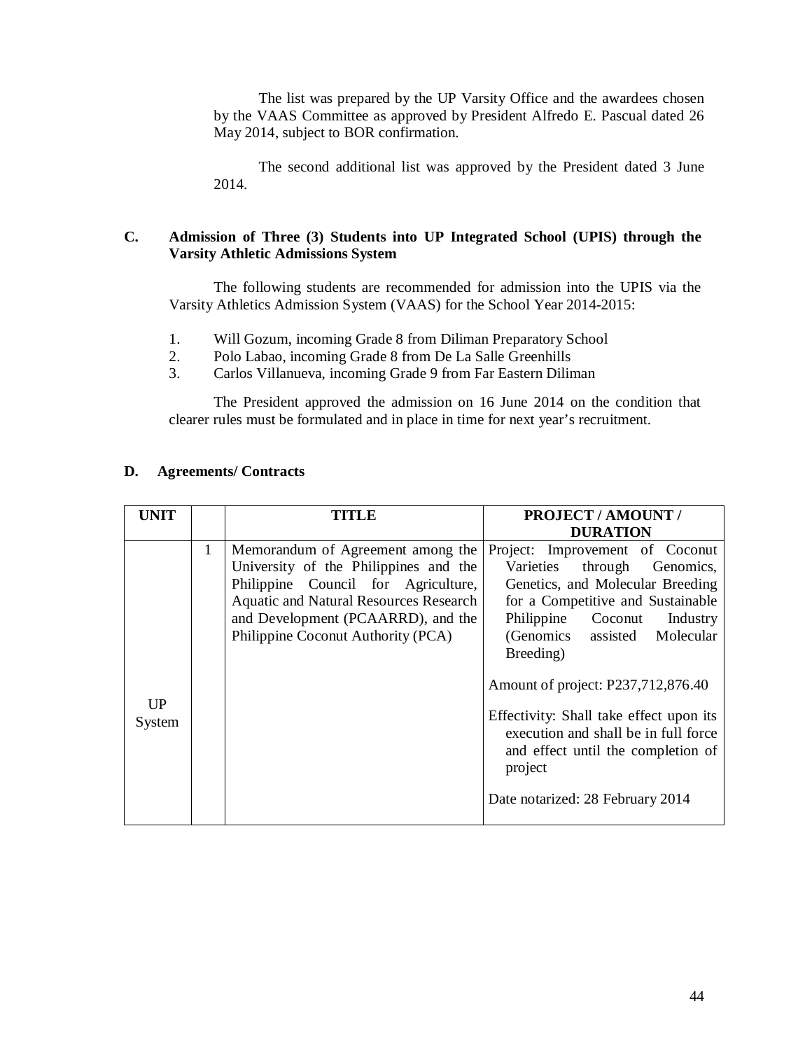The list was prepared by the UP Varsity Office and the awardees chosen by the VAAS Committee as approved by President Alfredo E. Pascual dated 26 May 2014, subject to BOR confirmation.

The second additional list was approved by the President dated 3 June 2014.

## **C. Admission of Three (3) Students into UP Integrated School (UPIS) through the Varsity Athletic Admissions System**

The following students are recommended for admission into the UPIS via the Varsity Athletics Admission System (VAAS) for the School Year 2014-2015:

- 1. Will Gozum, incoming Grade 8 from Diliman Preparatory School
- 2. Polo Labao, incoming Grade 8 from De La Salle Greenhills
- 3. Carlos Villanueva, incoming Grade 9 from Far Eastern Diliman

The President approved the admission on 16 June 2014 on the condition that clearer rules must be formulated and in place in time for next year's recruitment.

## **D. Agreements/ Contracts**

| <b>UNIT</b>  |              | TITLE                                                                                                                                                                                                                                          | <b>PROJECT / AMOUNT /</b><br><b>DURATION</b>                                                                                                                                                                                                                                                                                                                                                                                         |
|--------------|--------------|------------------------------------------------------------------------------------------------------------------------------------------------------------------------------------------------------------------------------------------------|--------------------------------------------------------------------------------------------------------------------------------------------------------------------------------------------------------------------------------------------------------------------------------------------------------------------------------------------------------------------------------------------------------------------------------------|
| UP<br>System | $\mathbf{1}$ | Memorandum of Agreement among the<br>University of the Philippines and the<br>Philippine Council for Agriculture,<br><b>Aquatic and Natural Resources Research</b><br>and Development (PCAARRD), and the<br>Philippine Coconut Authority (PCA) | Project: Improvement of Coconut<br>Varieties through<br>Genomics,<br>Genetics, and Molecular Breeding<br>for a Competitive and Sustainable<br>Philippine Coconut Industry<br>(Genomics assisted Molecular<br>Breeding)<br>Amount of project: P237,712,876.40<br>Effectivity: Shall take effect upon its<br>execution and shall be in full force<br>and effect until the completion of<br>project<br>Date notarized: 28 February 2014 |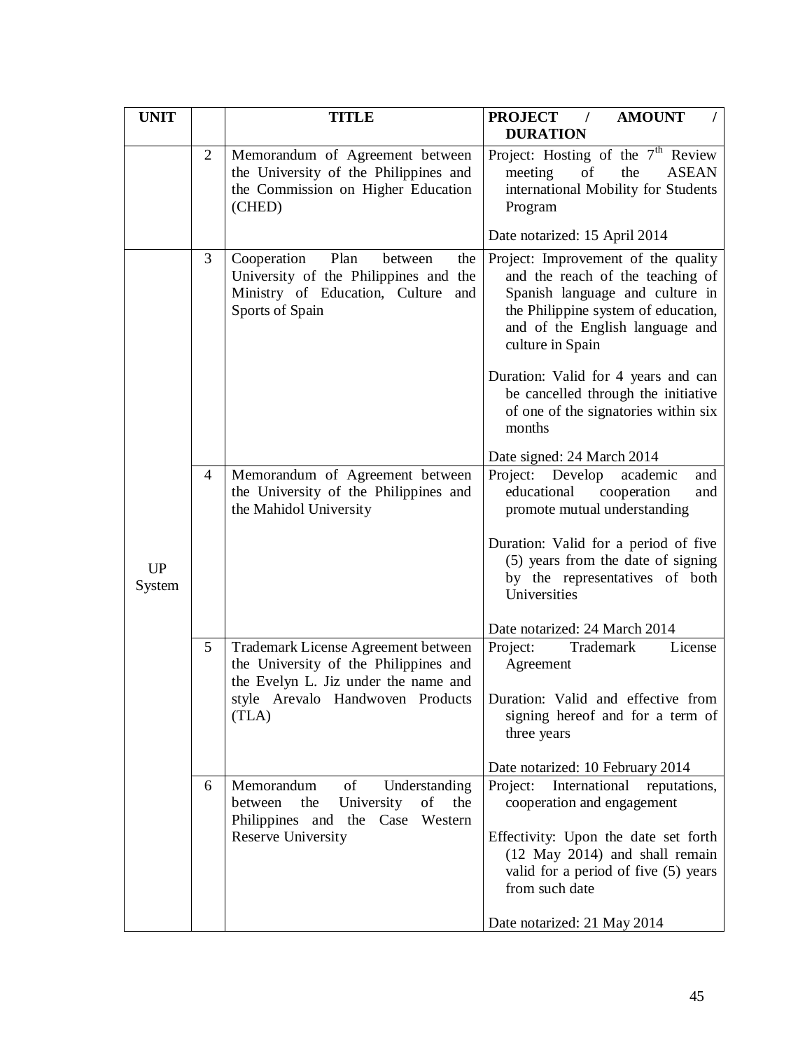| <b>UNIT</b>         |                | <b>TITLE</b>                                                                                                                               | <b>PROJECT</b> /<br><b>AMOUNT</b><br><b>DURATION</b>                                                                                                                                                     |
|---------------------|----------------|--------------------------------------------------------------------------------------------------------------------------------------------|----------------------------------------------------------------------------------------------------------------------------------------------------------------------------------------------------------|
|                     | 2              | Memorandum of Agreement between<br>the University of the Philippines and<br>the Commission on Higher Education<br>(CHED)                   | Project: Hosting of the $7th$ Review<br>meeting<br>of<br>the<br><b>ASEAN</b><br>international Mobility for Students<br>Program                                                                           |
|                     |                |                                                                                                                                            | Date notarized: 15 April 2014                                                                                                                                                                            |
|                     | 3              | Cooperation<br>Plan<br>between<br>the<br>University of the Philippines and the<br>Ministry of Education, Culture<br>and<br>Sports of Spain | Project: Improvement of the quality<br>and the reach of the teaching of<br>Spanish language and culture in<br>the Philippine system of education,<br>and of the English language and<br>culture in Spain |
|                     |                |                                                                                                                                            | Duration: Valid for 4 years and can<br>be cancelled through the initiative<br>of one of the signatories within six<br>months                                                                             |
|                     | $\overline{4}$ | Memorandum of Agreement between<br>the University of the Philippines and<br>the Mahidol University                                         | Date signed: 24 March 2014<br>Project: Develop<br>academic<br>and<br>educational cooperation<br>and<br>promote mutual understanding                                                                      |
| <b>UP</b><br>System |                |                                                                                                                                            | Duration: Valid for a period of five<br>(5) years from the date of signing<br>by the representatives of both<br>Universities                                                                             |
|                     |                |                                                                                                                                            | Date notarized: 24 March 2014                                                                                                                                                                            |
|                     | 5              | Trademark License Agreement between<br>the University of the Philippines and<br>the Evelyn L. Jiz under the name and                       | Project:<br>Trademark<br>License<br>Agreement                                                                                                                                                            |
|                     |                | style Arevalo Handwoven Products<br>(TLA)                                                                                                  | Duration: Valid and effective from<br>signing hereof and for a term of<br>three years                                                                                                                    |
|                     |                |                                                                                                                                            | Date notarized: 10 February 2014                                                                                                                                                                         |
|                     | 6              | of<br>Memorandum<br>Understanding<br>the<br>University<br>of<br>the<br>between<br>Philippines and<br>the Case Western                      | International<br>Project:<br>reputations,<br>cooperation and engagement                                                                                                                                  |
|                     |                | Reserve University                                                                                                                         | Effectivity: Upon the date set forth<br>(12 May 2014) and shall remain<br>valid for a period of five (5) years<br>from such date                                                                         |
|                     |                |                                                                                                                                            | Date notarized: 21 May 2014                                                                                                                                                                              |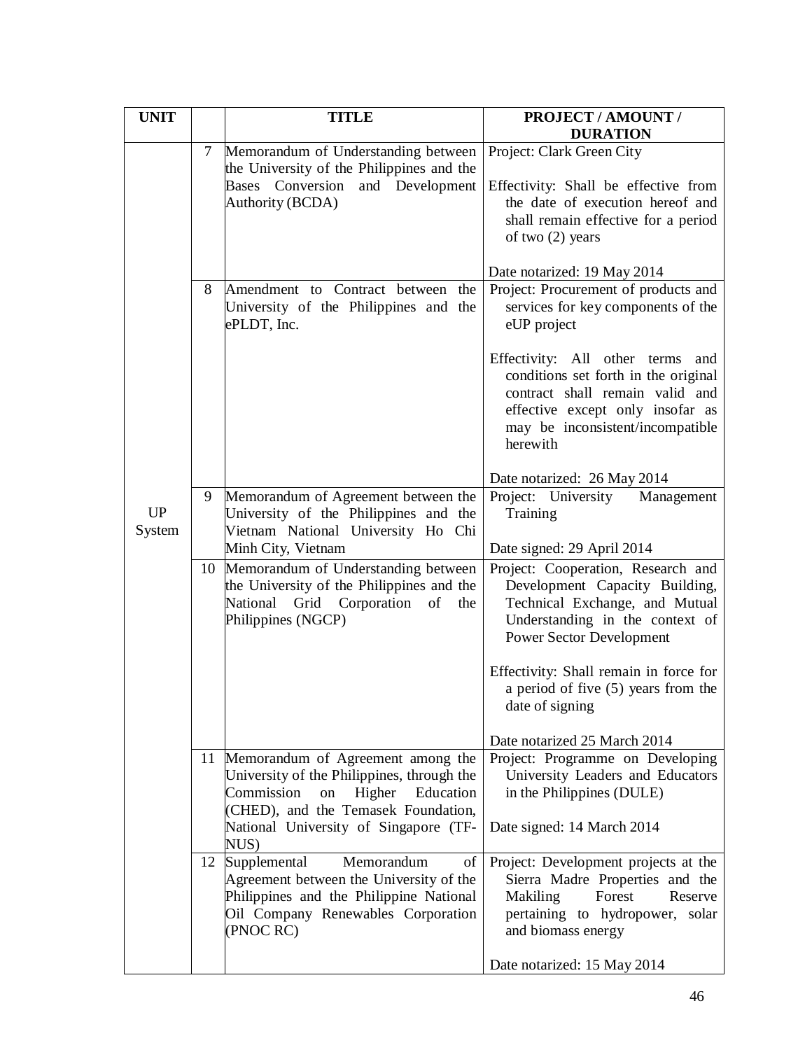| <b>UNIT</b>         |        | <b>TITLE</b>                                                                                                                                                                                                       | PROJECT / AMOUNT /<br><b>DURATION</b>                                                                                                                                                                                                                                                                                          |
|---------------------|--------|--------------------------------------------------------------------------------------------------------------------------------------------------------------------------------------------------------------------|--------------------------------------------------------------------------------------------------------------------------------------------------------------------------------------------------------------------------------------------------------------------------------------------------------------------------------|
|                     | $\tau$ | Memorandum of Understanding between<br>the University of the Philippines and the<br>Conversion<br>and Development<br><b>Bases</b><br>Authority (BCDA)                                                              | Project: Clark Green City<br>Effectivity: Shall be effective from<br>the date of execution hereof and<br>shall remain effective for a period<br>of two $(2)$ years                                                                                                                                                             |
|                     | 8      | Amendment to Contract between the<br>University of the Philippines and the<br>ePLDT, Inc.                                                                                                                          | Date notarized: 19 May 2014<br>Project: Procurement of products and<br>services for key components of the<br>eUP project<br>Effectivity: All other terms<br>and<br>conditions set forth in the original<br>contract shall remain valid and<br>effective except only insofar as<br>may be inconsistent/incompatible<br>herewith |
| <b>UP</b><br>System | 9      | Memorandum of Agreement between the<br>University of the Philippines and the<br>Vietnam National University Ho Chi<br>Minh City, Vietnam                                                                           | Date notarized: 26 May 2014<br>Project: University<br>Management<br>Training<br>Date signed: 29 April 2014                                                                                                                                                                                                                     |
|                     | 10     | Memorandum of Understanding between<br>the University of the Philippines and the<br>National Grid Corporation of<br>the<br>Philippines (NGCP)                                                                      | Project: Cooperation, Research and<br>Development Capacity Building,<br>Technical Exchange, and Mutual<br>Understanding in the context of<br><b>Power Sector Development</b><br>Effectivity: Shall remain in force for<br>a period of five (5) years from the<br>date of signing                                               |
|                     | 11     | Memorandum of Agreement among the<br>University of the Philippines, through the<br>Commission<br>Higher<br>Education<br>on<br>(CHED), and the Temasek Foundation,<br>National University of Singapore (TF-<br>NUS) | Date notarized 25 March 2014<br>Project: Programme on Developing<br>University Leaders and Educators<br>in the Philippines (DULE)<br>Date signed: 14 March 2014                                                                                                                                                                |
|                     | 12     | Supplemental<br>Memorandum<br>of<br>Agreement between the University of the<br>Philippines and the Philippine National<br>Oil Company Renewables Corporation<br>(PNOC RC)                                          | Project: Development projects at the<br>Sierra Madre Properties and the<br>Makiling<br>Forest<br>Reserve<br>pertaining to hydropower, solar<br>and biomass energy<br>Date notarized: 15 May 2014                                                                                                                               |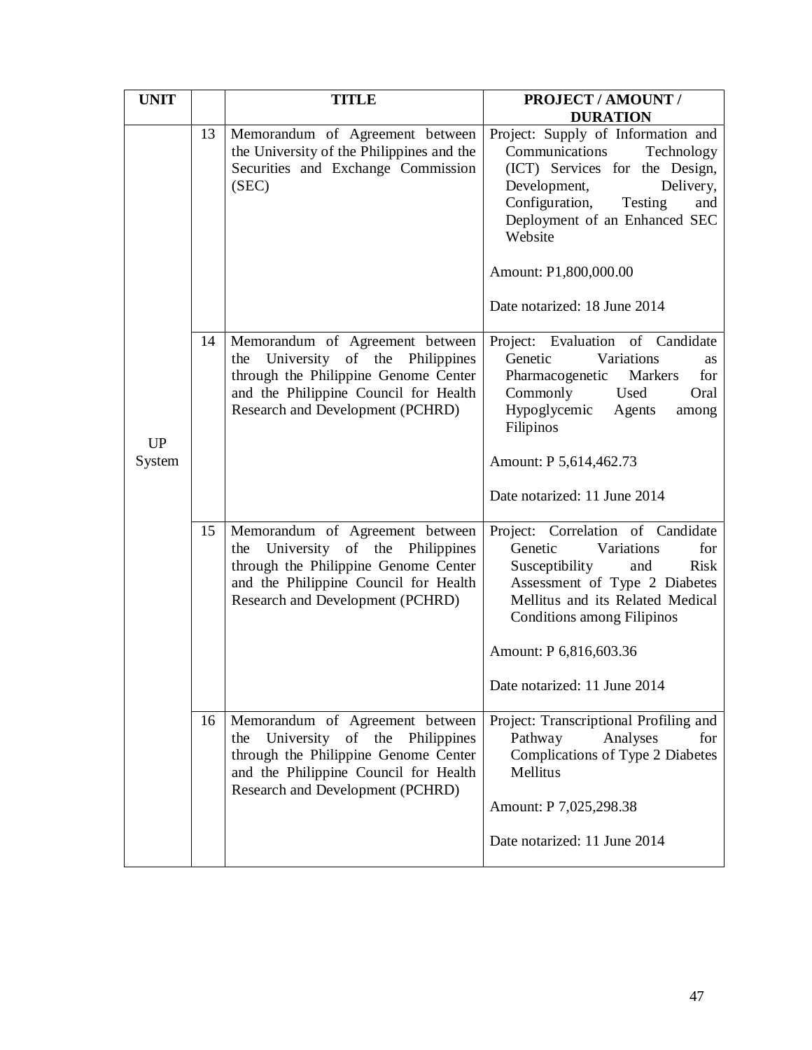| <b>UNIT</b>         |    | <b>TITLE</b>                                                                                                                                                                                    | PROJECT / AMOUNT /<br><b>DURATION</b>                                                                                                                                                                                                                                         |
|---------------------|----|-------------------------------------------------------------------------------------------------------------------------------------------------------------------------------------------------|-------------------------------------------------------------------------------------------------------------------------------------------------------------------------------------------------------------------------------------------------------------------------------|
|                     | 13 | Memorandum of Agreement between<br>the University of the Philippines and the<br>Securities and Exchange Commission<br>(SEC)                                                                     | Project: Supply of Information and<br>Communications<br>Technology<br>(ICT) Services for the Design,<br>Development,<br>Delivery,<br>Configuration,<br>Testing<br>and<br>Deployment of an Enhanced SEC<br>Website<br>Amount: P1,800,000.00<br>Date notarized: 18 June 2014    |
| <b>UP</b><br>System | 14 | Memorandum of Agreement between<br>University of the<br>Philippines<br>the<br>through the Philippine Genome Center<br>and the Philippine Council for Health<br>Research and Development (PCHRD) | Project: Evaluation of Candidate<br>Genetic<br>Variations<br><b>as</b><br>for<br>Pharmacogenetic<br>Markers<br>Commonly<br>Used<br>Oral<br>Hypoglycemic<br>Agents<br>among<br>Filipinos<br>Amount: P 5,614,462.73<br>Date notarized: 11 June 2014                             |
|                     | 15 | Memorandum of Agreement between<br>University of the<br>Philippines<br>the<br>through the Philippine Genome Center<br>and the Philippine Council for Health<br>Research and Development (PCHRD) | Project: Correlation of Candidate<br>Genetic<br>Variations<br>for<br>Susceptibility<br><b>Risk</b><br>and<br>Assessment of Type 2 Diabetes<br>Mellitus and its Related Medical<br><b>Conditions among Filipinos</b><br>Amount: P 6,816,603.36<br>Date notarized: 11 June 2014 |
|                     | 16 | Memorandum of Agreement between<br>University of the Philippines<br>the<br>through the Philippine Genome Center<br>and the Philippine Council for Health<br>Research and Development (PCHRD)    | Project: Transcriptional Profiling and<br>Pathway<br>Analyses<br>for<br>Complications of Type 2 Diabetes<br>Mellitus<br>Amount: P 7,025,298.38<br>Date notarized: 11 June 2014                                                                                                |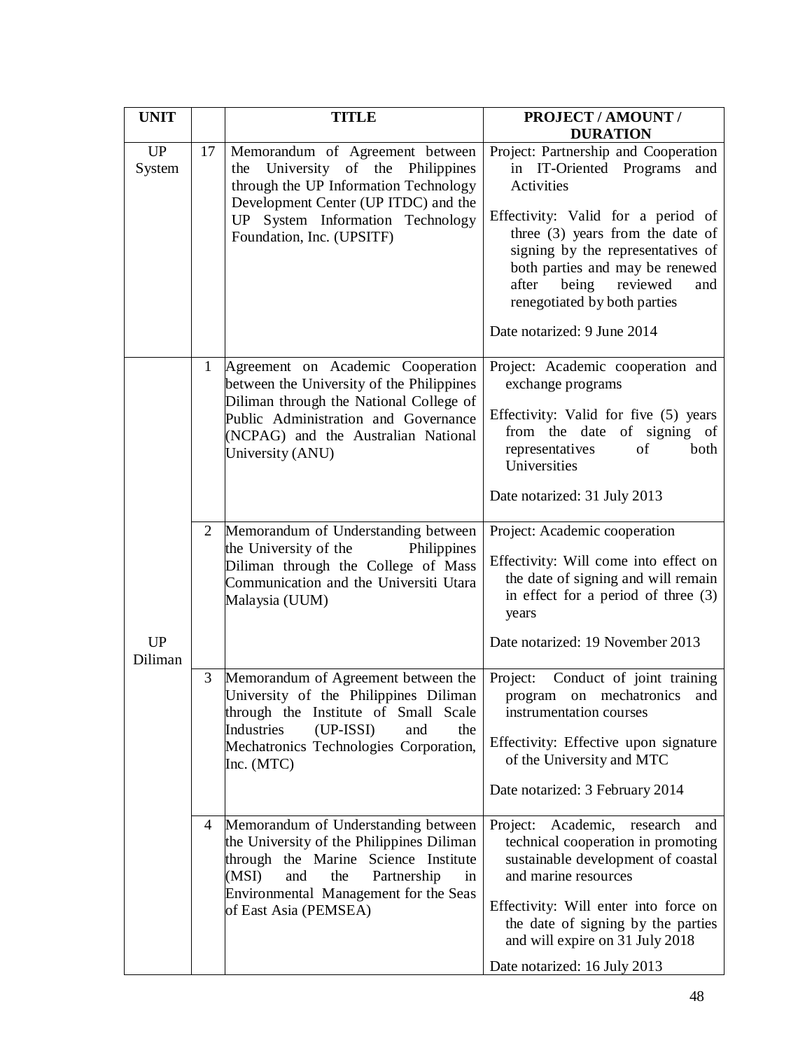| <b>UNIT</b>          |                | <b>TITLE</b>                                                                                                                                                                                                                           | PROJECT / AMOUNT /<br><b>DURATION</b>                                                                                                                                                                                                                                                                                                |
|----------------------|----------------|----------------------------------------------------------------------------------------------------------------------------------------------------------------------------------------------------------------------------------------|--------------------------------------------------------------------------------------------------------------------------------------------------------------------------------------------------------------------------------------------------------------------------------------------------------------------------------------|
| <b>UP</b><br>System  | 17             | Memorandum of Agreement between<br>University of the<br>Philippines<br>the<br>through the UP Information Technology<br>Development Center (UP ITDC) and the<br>UP System Information Technology<br>Foundation, Inc. (UPSITF)           | Project: Partnership and Cooperation<br>in IT-Oriented Programs<br>and<br>Activities<br>Effectivity: Valid for a period of<br>three (3) years from the date of<br>signing by the representatives of<br>both parties and may be renewed<br>after being reviewed<br>and<br>renegotiated by both parties<br>Date notarized: 9 June 2014 |
| <b>UP</b><br>Diliman | $\mathbf{1}$   | Agreement on Academic Cooperation<br>between the University of the Philippines<br>Diliman through the National College of<br>Public Administration and Governance<br>(NCPAG) and the Australian National<br>University (ANU)           | Project: Academic cooperation and<br>exchange programs<br>Effectivity: Valid for five (5) years<br>from the date of signing of<br>of<br>representatives<br>both<br>Universities<br>Date notarized: 31 July 2013                                                                                                                      |
|                      | $\overline{2}$ | Memorandum of Understanding between<br>the University of the<br>Philippines<br>Diliman through the College of Mass<br>Communication and the Universiti Utara<br>Malaysia (UUM)                                                         | Project: Academic cooperation<br>Effectivity: Will come into effect on<br>the date of signing and will remain<br>in effect for a period of three (3)<br>years<br>Date notarized: 19 November 2013                                                                                                                                    |
|                      | 3              | Memorandum of Agreement between the<br>University of the Philippines Diliman<br>through the Institute of Small Scale<br>Industries<br>$(UP-ISSI)$<br>and<br>the<br>Mechatronics Technologies Corporation,<br>Inc. (MTC)                | Project:<br>Conduct of joint training<br>program on mechatronics and<br>instrumentation courses<br>Effectivity: Effective upon signature<br>of the University and MTC<br>Date notarized: 3 February 2014                                                                                                                             |
|                      | 4              | Memorandum of Understanding between<br>the University of the Philippines Diliman<br>through the Marine Science Institute<br>Partnership<br>(MSI)<br>and<br>the<br>in<br>Environmental Management for the Seas<br>of East Asia (PEMSEA) | Project: Academic, research and<br>technical cooperation in promoting<br>sustainable development of coastal<br>and marine resources<br>Effectivity: Will enter into force on<br>the date of signing by the parties<br>and will expire on 31 July 2018<br>Date notarized: 16 July 2013                                                |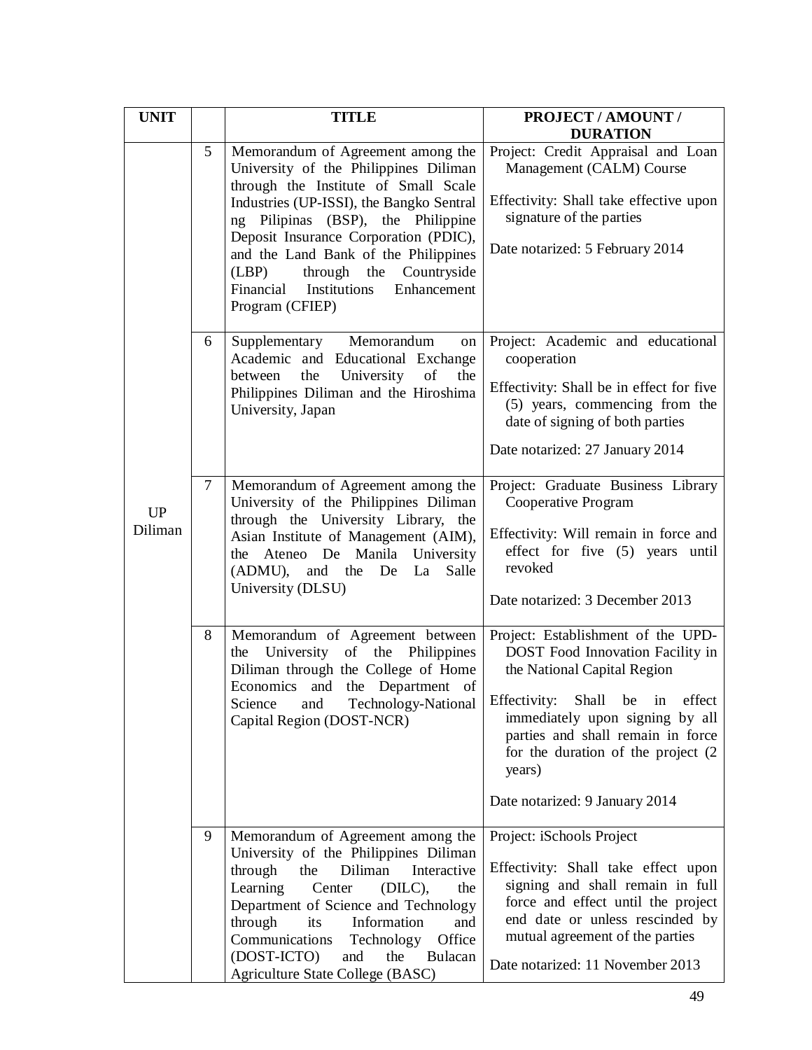| <b>UNIT</b>          |        | <b>TITLE</b>                                                                                                                                                                                                                                                                                                                                                                                | PROJECT / AMOUNT /<br><b>DURATION</b>                                                                                                                                                                                                                                                               |
|----------------------|--------|---------------------------------------------------------------------------------------------------------------------------------------------------------------------------------------------------------------------------------------------------------------------------------------------------------------------------------------------------------------------------------------------|-----------------------------------------------------------------------------------------------------------------------------------------------------------------------------------------------------------------------------------------------------------------------------------------------------|
|                      | 5      | Memorandum of Agreement among the<br>University of the Philippines Diliman<br>through the Institute of Small Scale<br>Industries (UP-ISSI), the Bangko Sentral<br>ng Pilipinas (BSP), the Philippine<br>Deposit Insurance Corporation (PDIC),<br>and the Land Bank of the Philippines<br>(LBP)<br>through the<br>Countryside<br>Institutions<br>Enhancement<br>Financial<br>Program (CFIEP) | Project: Credit Appraisal and Loan<br>Management (CALM) Course<br>Effectivity: Shall take effective upon<br>signature of the parties<br>Date notarized: 5 February 2014                                                                                                                             |
|                      | 6      | Memorandum<br>Supplementary<br>on<br>Academic and Educational Exchange<br>the<br>University<br>of<br>the<br>between<br>Philippines Diliman and the Hiroshima<br>University, Japan                                                                                                                                                                                                           | Project: Academic and educational<br>cooperation<br>Effectivity: Shall be in effect for five<br>(5) years, commencing from the<br>date of signing of both parties<br>Date notarized: 27 January 2014                                                                                                |
| <b>UP</b><br>Diliman | $\tau$ | Memorandum of Agreement among the<br>University of the Philippines Diliman<br>through the University Library, the<br>Asian Institute of Management (AIM),<br>the Ateneo De Manila<br>University<br>(ADMU), and the De<br>Salle<br>La<br>University (DLSU)                                                                                                                                   | Project: Graduate Business Library<br>Cooperative Program<br>Effectivity: Will remain in force and<br>effect for five (5) years until<br>revoked<br>Date notarized: 3 December 2013                                                                                                                 |
|                      | $8\,$  | Memorandum of Agreement between<br>the University of the Philippines<br>Diliman through the College of Home<br>Economics and the Department of<br>Science<br>and<br>Technology-National<br>Capital Region (DOST-NCR)                                                                                                                                                                        | Project: Establishment of the UPD-<br>DOST Food Innovation Facility in<br>the National Capital Region<br>Effectivity: Shall be in effect<br>immediately upon signing by all<br>parties and shall remain in force<br>for the duration of the project (2)<br>years)<br>Date notarized: 9 January 2014 |
|                      | 9      | Memorandum of Agreement among the<br>University of the Philippines Diliman<br>through<br>Diliman<br>Interactive<br>the<br>Learning<br>Center<br>$(DILC)$ ,<br>the<br>Department of Science and Technology<br>through<br>its<br>Information<br>and<br>Communications<br>Office<br>Technology<br>(DOST-ICTO)<br>and<br>Bulacan<br>the<br>Agriculture State College (BASC)                     | Project: iSchools Project<br>Effectivity: Shall take effect upon<br>signing and shall remain in full<br>force and effect until the project<br>end date or unless rescinded by<br>mutual agreement of the parties<br>Date notarized: 11 November 2013                                                |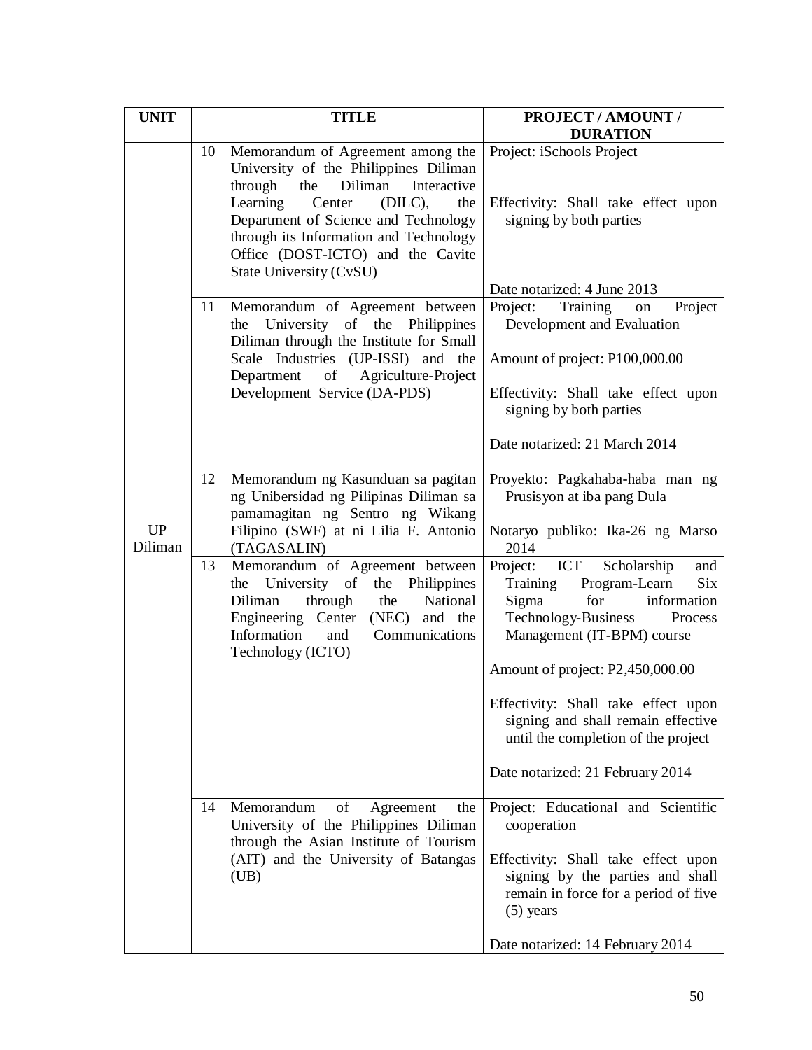| <b>UNIT</b>          |    | <b>TITLE</b>                                                                                                                                                                                                                                                                                                        | PROJECT / AMOUNT /<br><b>DURATION</b>                                                                                                                                                                                                                                                                                                |
|----------------------|----|---------------------------------------------------------------------------------------------------------------------------------------------------------------------------------------------------------------------------------------------------------------------------------------------------------------------|--------------------------------------------------------------------------------------------------------------------------------------------------------------------------------------------------------------------------------------------------------------------------------------------------------------------------------------|
|                      | 10 | Memorandum of Agreement among the<br>University of the Philippines Diliman<br>Diliman<br>Interactive<br>through<br>the<br>Learning<br>Center<br>$(DILC)$ ,<br>the<br>Department of Science and Technology<br>through its Information and Technology<br>Office (DOST-ICTO) and the Cavite<br>State University (CvSU) | Project: iSchools Project<br>Effectivity: Shall take effect upon<br>signing by both parties<br>Date notarized: 4 June 2013                                                                                                                                                                                                           |
|                      | 11 | Memorandum of Agreement between<br>University of the Philippines<br>the<br>Diliman through the Institute for Small<br>Scale Industries (UP-ISSI) and the<br>Department<br>of<br>Agriculture-Project<br>Development Service (DA-PDS)                                                                                 | Project:<br>Training<br>Project<br>on<br>Development and Evaluation<br>Amount of project: P100,000.00<br>Effectivity: Shall take effect upon<br>signing by both parties<br>Date notarized: 21 March 2014                                                                                                                             |
| <b>UP</b><br>Diliman | 12 | Memorandum ng Kasunduan sa pagitan<br>ng Unibersidad ng Pilipinas Diliman sa<br>pamamagitan ng Sentro ng Wikang<br>Filipino (SWF) at ni Lilia F. Antonio<br>(TAGASALIN)                                                                                                                                             | Proyekto: Pagkahaba-haba man ng<br>Prusisyon at iba pang Dula<br>Notaryo publiko: Ika-26 ng Marso<br>2014                                                                                                                                                                                                                            |
|                      | 13 | Memorandum of Agreement between<br>University of<br>the Philippines<br>the<br>through<br>National<br>Diliman<br>the<br>Engineering Center (NEC) and the<br>Information<br>and<br>Communications<br>Technology (ICTO)                                                                                                | Scholarship<br>Project: ICT<br>and<br>Program-Learn<br>Training<br><b>Six</b><br>Sigma<br>for<br>information<br>Technology-Business<br>Process<br>Management (IT-BPM) course<br>Amount of project: P2,450,000.00<br>Effectivity: Shall take effect upon<br>signing and shall remain effective<br>until the completion of the project |
|                      |    |                                                                                                                                                                                                                                                                                                                     | Date notarized: 21 February 2014                                                                                                                                                                                                                                                                                                     |
|                      | 14 | of<br>Memorandum<br>Agreement<br>the<br>University of the Philippines Diliman<br>through the Asian Institute of Tourism<br>(AIT) and the University of Batangas<br>(UB)                                                                                                                                             | Project: Educational and Scientific<br>cooperation<br>Effectivity: Shall take effect upon<br>signing by the parties and shall<br>remain in force for a period of five<br>$(5)$ years<br>Date notarized: 14 February 2014                                                                                                             |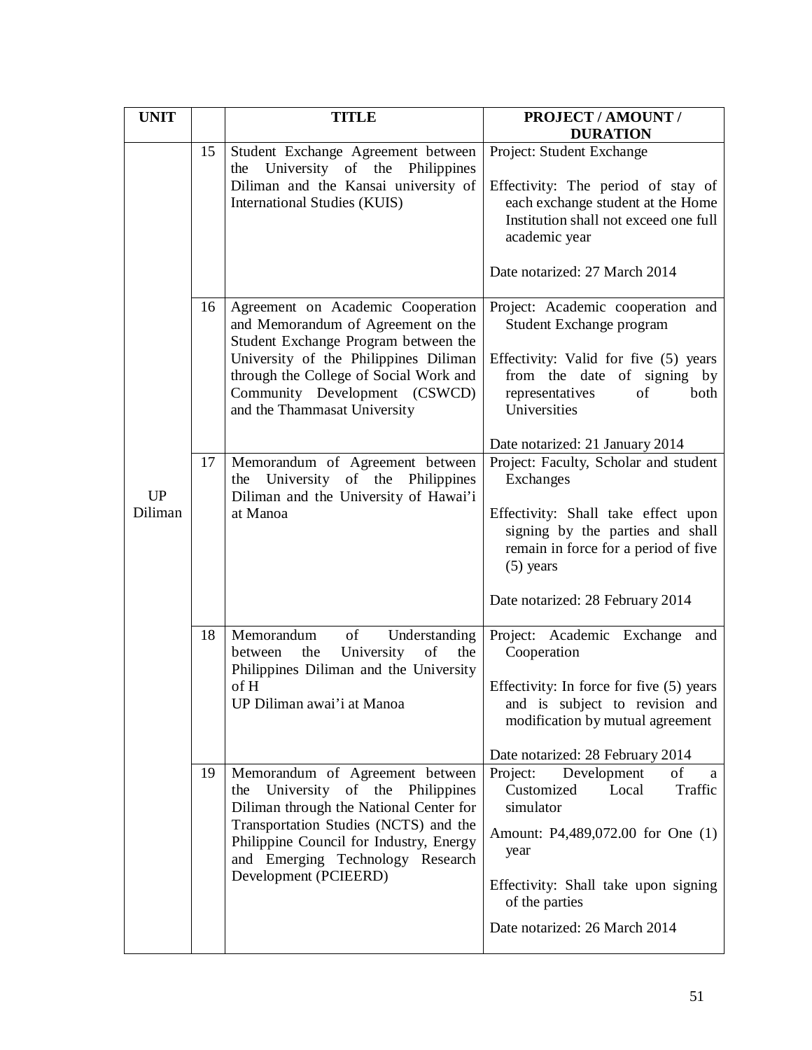| <b>UNIT</b>   |    | <b>TITLE</b>                                                                                                                                                                                                                                                        | PROJECT / AMOUNT /<br><b>DURATION</b>                                                                                                                                                                                     |
|---------------|----|---------------------------------------------------------------------------------------------------------------------------------------------------------------------------------------------------------------------------------------------------------------------|---------------------------------------------------------------------------------------------------------------------------------------------------------------------------------------------------------------------------|
|               | 15 | Student Exchange Agreement between<br>University of the<br>Philippines<br>the<br>Diliman and the Kansai university of<br><b>International Studies (KUIS)</b>                                                                                                        | Project: Student Exchange<br>Effectivity: The period of stay of<br>each exchange student at the Home<br>Institution shall not exceed one full<br>academic year<br>Date notarized: 27 March 2014                           |
|               | 16 | Agreement on Academic Cooperation<br>and Memorandum of Agreement on the<br>Student Exchange Program between the<br>University of the Philippines Diliman<br>through the College of Social Work and<br>Community Development (CSWCD)<br>and the Thammasat University | Project: Academic cooperation and<br>Student Exchange program<br>Effectivity: Valid for five (5) years<br>from the date of signing by<br>representatives<br>of<br>both<br>Universities<br>Date notarized: 21 January 2014 |
| UP<br>Diliman | 17 | Memorandum of Agreement between<br>University of the Philippines<br>the<br>Diliman and the University of Hawai'i<br>at Manoa                                                                                                                                        | Project: Faculty, Scholar and student<br>Exchanges<br>Effectivity: Shall take effect upon<br>signing by the parties and shall<br>remain in force for a period of five<br>$(5)$ years<br>Date notarized: 28 February 2014  |
|               | 18 | of<br>Memorandum<br>Understanding<br>University<br>of<br>the<br>the<br>between<br>Philippines Diliman and the University<br>of H<br>UP Diliman awai'i at Manoa                                                                                                      | Project: Academic Exchange<br>and<br>Cooperation<br>Effectivity: In force for five (5) years<br>and is subject to revision and<br>modification by mutual agreement<br>Date notarized: 28 February 2014                    |
|               | 19 | Memorandum of Agreement between<br>University of the Philippines<br>the<br>Diliman through the National Center for<br>Transportation Studies (NCTS) and the<br>Philippine Council for Industry, Energy<br>and Emerging Technology Research<br>Development (PCIEERD) | Project:<br>of<br>Development<br>a<br>Traffic<br>Customized<br>Local<br>simulator<br>Amount: P4,489,072.00 for One (1)<br>year<br>Effectivity: Shall take upon signing<br>of the parties<br>Date notarized: 26 March 2014 |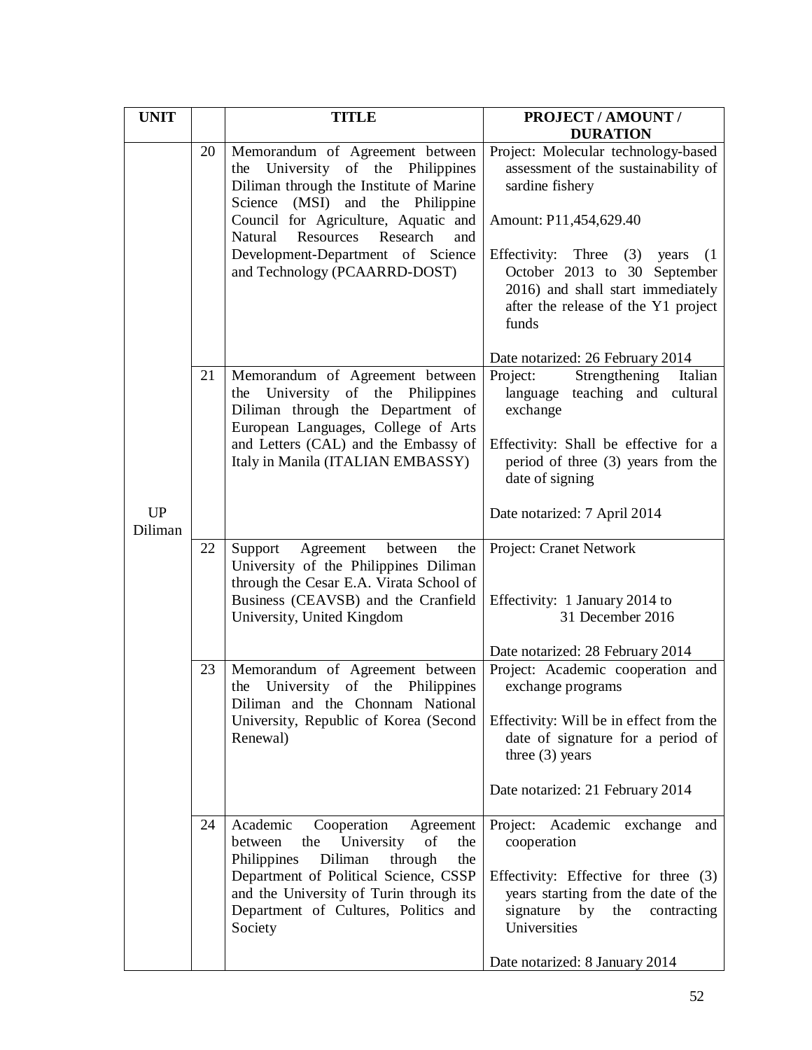| <b>UNIT</b>          |    | <b>TITLE</b>                                                                                                                                                                                                                                                                                                          | PROJECT / AMOUNT /                                                                                                                                                                                                                                                                  |
|----------------------|----|-----------------------------------------------------------------------------------------------------------------------------------------------------------------------------------------------------------------------------------------------------------------------------------------------------------------------|-------------------------------------------------------------------------------------------------------------------------------------------------------------------------------------------------------------------------------------------------------------------------------------|
|                      |    |                                                                                                                                                                                                                                                                                                                       | <b>DURATION</b>                                                                                                                                                                                                                                                                     |
|                      | 20 | Memorandum of Agreement between<br>University of the Philippines<br>the<br>Diliman through the Institute of Marine<br>Science<br>(MSI)<br>and the Philippine<br>Council for Agriculture, Aquatic and<br>Resources<br>Research<br>Natural<br>and<br>Development-Department of Science<br>and Technology (PCAARRD-DOST) | Project: Molecular technology-based<br>assessment of the sustainability of<br>sardine fishery<br>Amount: P11,454,629.40<br>Effectivity: Three (3) years<br>(1)<br>October 2013 to 30 September<br>2016) and shall start immediately<br>after the release of the Y1 project<br>funds |
|                      |    |                                                                                                                                                                                                                                                                                                                       | Date notarized: 26 February 2014                                                                                                                                                                                                                                                    |
|                      | 21 | Memorandum of Agreement between<br>University of the<br>Philippines<br>the<br>Diliman through the Department of<br>European Languages, College of Arts                                                                                                                                                                | Strengthening<br>Project:<br>Italian<br>teaching and<br>language<br>cultural<br>exchange                                                                                                                                                                                            |
|                      |    | and Letters (CAL) and the Embassy of<br>Italy in Manila (ITALIAN EMBASSY)                                                                                                                                                                                                                                             | Effectivity: Shall be effective for a<br>period of three (3) years from the<br>date of signing                                                                                                                                                                                      |
| <b>UP</b><br>Diliman |    |                                                                                                                                                                                                                                                                                                                       | Date notarized: 7 April 2014                                                                                                                                                                                                                                                        |
|                      | 22 | Support<br>Agreement<br>the<br>between<br>University of the Philippines Diliman<br>through the Cesar E.A. Virata School of<br>Business (CEAVSB) and the Cranfield<br>University, United Kingdom                                                                                                                       | Project: Cranet Network<br>Effectivity: 1 January 2014 to<br>31 December 2016<br>Date notarized: 28 February 2014                                                                                                                                                                   |
|                      | 23 | Memorandum of Agreement between<br>University of the Philippines<br>the                                                                                                                                                                                                                                               | Project: Academic cooperation and<br>exchange programs                                                                                                                                                                                                                              |
|                      |    | Diliman and the Chonnam National<br>University, Republic of Korea (Second<br>Renewal)                                                                                                                                                                                                                                 | Effectivity: Will be in effect from the<br>date of signature for a period of<br>three $(3)$ years                                                                                                                                                                                   |
|                      |    |                                                                                                                                                                                                                                                                                                                       | Date notarized: 21 February 2014                                                                                                                                                                                                                                                    |
|                      | 24 | Academic<br>Cooperation<br>Agreement<br>University<br>of<br>the<br>the<br>between<br>Philippines<br>Diliman<br>through<br>the                                                                                                                                                                                         | Project: Academic<br>exchange<br>and<br>cooperation                                                                                                                                                                                                                                 |
|                      |    | Department of Political Science, CSSP<br>and the University of Turin through its<br>Department of Cultures, Politics and<br>Society                                                                                                                                                                                   | Effectivity: Effective for three (3)<br>years starting from the date of the<br>signature<br>by<br>the<br>contracting<br>Universities                                                                                                                                                |
|                      |    |                                                                                                                                                                                                                                                                                                                       | Date notarized: 8 January 2014                                                                                                                                                                                                                                                      |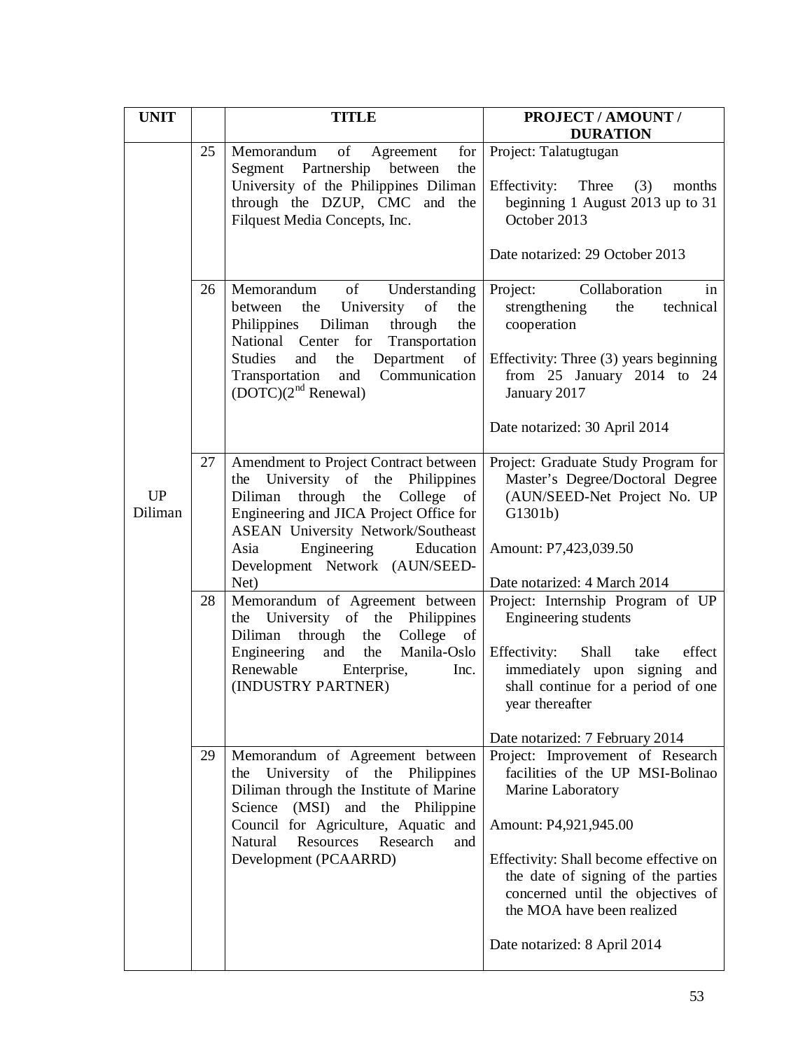| <b>UNIT</b>          |          | <b>TITLE</b>                                                                                                                                                                                                                                                                                                                                                                                                                                                                                                                 | <b>PROJECT / AMOUNT /</b><br><b>DURATION</b>                                                                                                                                                                                                                                                                                                                |
|----------------------|----------|------------------------------------------------------------------------------------------------------------------------------------------------------------------------------------------------------------------------------------------------------------------------------------------------------------------------------------------------------------------------------------------------------------------------------------------------------------------------------------------------------------------------------|-------------------------------------------------------------------------------------------------------------------------------------------------------------------------------------------------------------------------------------------------------------------------------------------------------------------------------------------------------------|
|                      | 25       | of<br>for<br>Memorandum<br>Agreement<br>Segment Partnership<br>between<br>the<br>University of the Philippines Diliman<br>through the DZUP, CMC and<br>the<br>Filquest Media Concepts, Inc.                                                                                                                                                                                                                                                                                                                                  | Project: Talatugtugan<br>Effectivity:<br>Three<br>(3)<br>months<br>beginning 1 August 2013 up to 31<br>October 2013<br>Date notarized: 29 October 2013                                                                                                                                                                                                      |
|                      | 26       | of<br>Memorandum<br>Understanding<br>University<br>of<br>the<br>the<br>between<br>Philippines Diliman<br>through<br>the<br>National Center for<br>Transportation<br><b>Studies</b><br>the<br>Department of<br>and<br>Communication<br>Transportation<br>and<br>$(DOTC)(2nd$ Renewal)                                                                                                                                                                                                                                         | Project:<br>Collaboration<br>in<br>strengthening<br>the<br>technical<br>cooperation<br>Effectivity: Three (3) years beginning<br>from $25$ January $2014$ to $24$<br>January 2017<br>Date notarized: 30 April 2014                                                                                                                                          |
| <b>UP</b><br>Diliman | 27<br>28 | Amendment to Project Contract between<br>the University of the Philippines<br>through the College<br>Diliman<br>of<br>Engineering and JICA Project Office for<br><b>ASEAN University Network/Southeast</b><br>Engineering<br>Education<br>Asia<br>Development Network (AUN/SEED-<br>Net)<br>Memorandum of Agreement between<br>the University of the Philippines<br>College<br>through the<br>Diliman<br><sub>of</sub><br>Manila-Oslo<br>the<br>Engineering<br>and<br>Renewable<br>Enterprise,<br>Inc.<br>(INDUSTRY PARTNER) | Project: Graduate Study Program for<br>Master's Degree/Doctoral Degree<br>(AUN/SEED-Net Project No. UP<br>G1301b)<br>Amount: P7,423,039.50<br>Date notarized: 4 March 2014<br>Project: Internship Program of UP<br>Engineering students<br>effect<br>Effectivity:<br>Shall take<br>immediately upon<br>signing<br>and<br>shall continue for a period of one |
|                      | 29       | Memorandum of Agreement between<br>University<br>of the Philippines<br>the<br>Diliman through the Institute of Marine<br>Science<br>(MSI) and the Philippine<br>Council for Agriculture, Aquatic and<br>Resources Research<br>Natural<br>and<br>Development (PCAARRD)                                                                                                                                                                                                                                                        | year thereafter<br>Date notarized: 7 February 2014<br>Project: Improvement of Research<br>facilities of the UP MSI-Bolinao<br>Marine Laboratory<br>Amount: P4,921,945.00<br>Effectivity: Shall become effective on<br>the date of signing of the parties<br>concerned until the objectives of<br>the MOA have been realized<br>Date notarized: 8 April 2014 |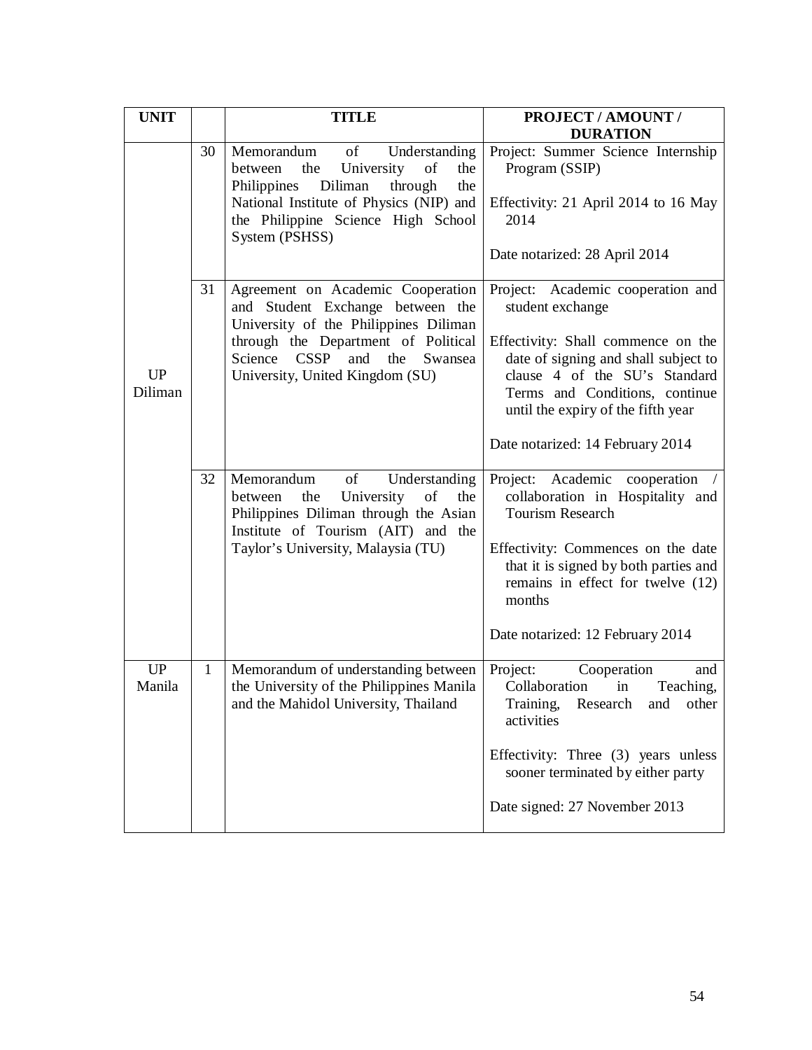| <b>UNIT</b>          |              | <b>TITLE</b>                                                                                                                                                                                                                                | PROJECT / AMOUNT /<br><b>DURATION</b>                                                                                                                                                                                                                                            |
|----------------------|--------------|---------------------------------------------------------------------------------------------------------------------------------------------------------------------------------------------------------------------------------------------|----------------------------------------------------------------------------------------------------------------------------------------------------------------------------------------------------------------------------------------------------------------------------------|
| <b>UP</b><br>Diliman | 30           | of<br>Memorandum<br>Understanding<br>University<br>the<br>of<br>between<br>the<br>Philippines<br>Diliman<br>through<br>the<br>National Institute of Physics (NIP) and<br>the Philippine Science High School<br>System (PSHSS)               | Project: Summer Science Internship<br>Program (SSIP)<br>Effectivity: 21 April 2014 to 16 May<br>2014<br>Date notarized: 28 April 2014                                                                                                                                            |
|                      | 31           | Agreement on Academic Cooperation<br>and Student Exchange between the<br>University of the Philippines Diliman<br>through the Department of Political<br><b>CSSP</b><br>and<br>the<br>Science<br>Swansea<br>University, United Kingdom (SU) | Project: Academic cooperation and<br>student exchange<br>Effectivity: Shall commence on the<br>date of signing and shall subject to<br>clause 4 of the SU's Standard<br>Terms and Conditions, continue<br>until the expiry of the fifth year<br>Date notarized: 14 February 2014 |
|                      | 32           | of<br>Memorandum<br>Understanding<br>University<br>of<br>the<br>the<br>between<br>Philippines Diliman through the Asian<br>Institute of Tourism (AIT) and the<br>Taylor's University, Malaysia (TU)                                         | Academic<br>Project:<br>cooperation<br>collaboration in Hospitality and<br><b>Tourism Research</b><br>Effectivity: Commences on the date<br>that it is signed by both parties and<br>remains in effect for twelve (12)<br>months<br>Date notarized: 12 February 2014             |
| UP<br>Manila         | $\mathbf{1}$ | Memorandum of understanding between<br>the University of the Philippines Manila<br>and the Mahidol University, Thailand                                                                                                                     | Project:<br>Cooperation<br>and<br>Collaboration<br>Teaching,<br>in<br>Training,<br>Research<br>and<br>other<br>activities<br>Effectivity: Three (3) years unless<br>sooner terminated by either party<br>Date signed: 27 November 2013                                           |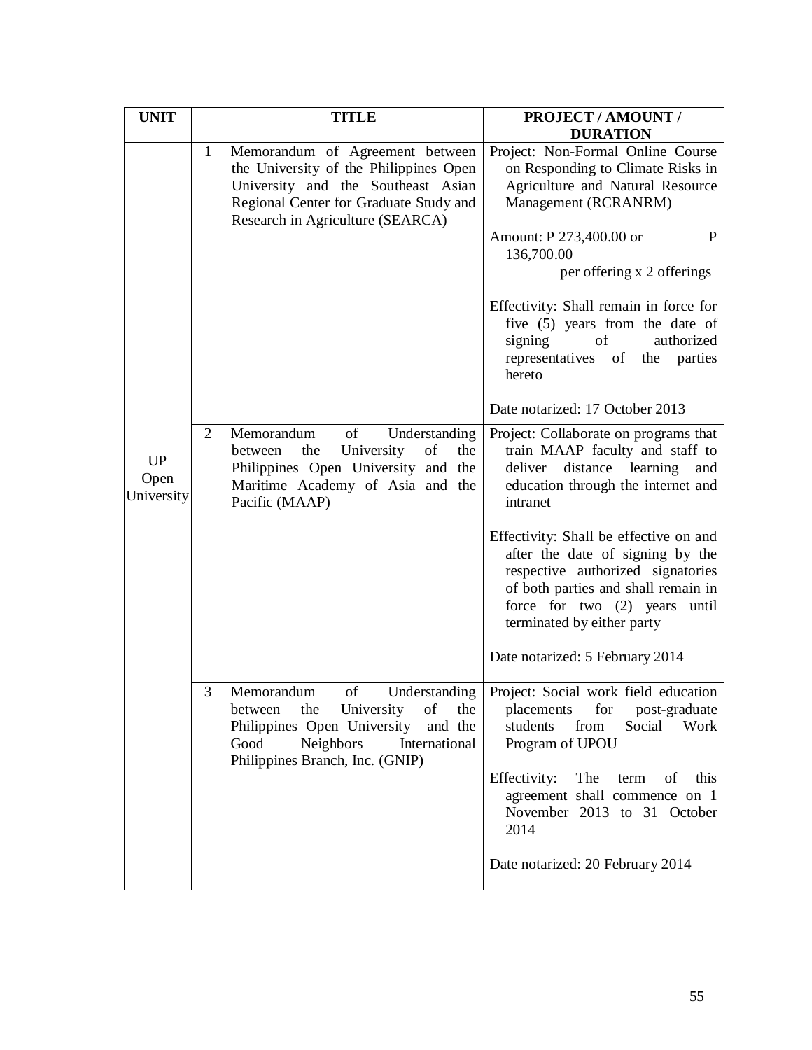| <b>UNIT</b>                     |              | <b>TITLE</b>                                                                                                                                                                                      | PROJECT / AMOUNT /<br><b>DURATION</b>                                                                                                                                                                                      |
|---------------------------------|--------------|---------------------------------------------------------------------------------------------------------------------------------------------------------------------------------------------------|----------------------------------------------------------------------------------------------------------------------------------------------------------------------------------------------------------------------------|
|                                 | $\mathbf{1}$ | Memorandum of Agreement between<br>the University of the Philippines Open<br>University and the Southeast Asian<br>Regional Center for Graduate Study and<br>Research in Agriculture (SEARCA)     | Project: Non-Formal Online Course<br>on Responding to Climate Risks in<br>Agriculture and Natural Resource<br>Management (RCRANRM)<br>Amount: P 273,400.00 or<br>P<br>136,700.00<br>per offering x 2 offerings             |
|                                 |              |                                                                                                                                                                                                   | Effectivity: Shall remain in force for<br>five (5) years from the date of<br>signing<br>of<br>authorized<br>representatives of<br>the<br>parties<br>hereto                                                                 |
|                                 |              |                                                                                                                                                                                                   | Date notarized: 17 October 2013                                                                                                                                                                                            |
| <b>UP</b><br>Open<br>University | 2            | Memorandum<br>of<br>Understanding<br>University<br>of<br>the<br>the<br>between<br>Philippines Open University and the<br>Maritime Academy of Asia and the<br>Pacific (MAAP)                       | Project: Collaborate on programs that<br>train MAAP faculty and staff to<br>distance learning<br>deliver<br>and<br>education through the internet and<br>intranet                                                          |
|                                 |              |                                                                                                                                                                                                   | Effectivity: Shall be effective on and<br>after the date of signing by the<br>respective authorized signatories<br>of both parties and shall remain in<br>force for two $(2)$ years<br>until<br>terminated by either party |
|                                 |              |                                                                                                                                                                                                   | Date notarized: 5 February 2014                                                                                                                                                                                            |
|                                 | 3            | of<br>Understanding<br>Memorandum<br>University<br>the<br>of<br>the<br>between<br>Philippines Open University<br>and the<br>Good<br>Neighbors<br>International<br>Philippines Branch, Inc. (GNIP) | Project: Social work field education<br>for<br>placements<br>post-graduate<br>students<br>from<br>Social Work<br>Program of UPOU                                                                                           |
|                                 |              |                                                                                                                                                                                                   | Effectivity:<br>The<br>term<br>of this<br>agreement shall commence on 1<br>November 2013 to 31 October<br>2014                                                                                                             |
|                                 |              |                                                                                                                                                                                                   | Date notarized: 20 February 2014                                                                                                                                                                                           |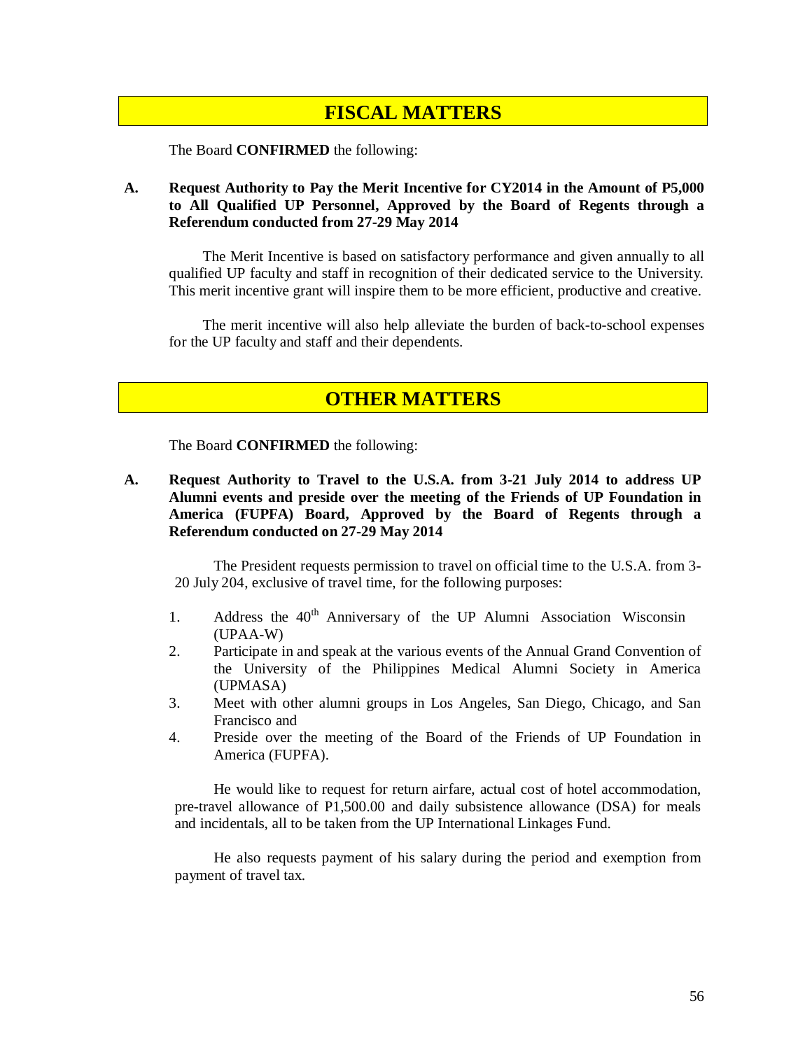# **FISCAL MATTERS**

The Board **CONFIRMED** the following:

### **A. Request Authority to Pay the Merit Incentive for CY2014 in the Amount of P5,000 to All Qualified UP Personnel, Approved by the Board of Regents through a Referendum conducted from 27-29 May 2014**

The Merit Incentive is based on satisfactory performance and given annually to all qualified UP faculty and staff in recognition of their dedicated service to the University. This merit incentive grant will inspire them to be more efficient, productive and creative.

The merit incentive will also help alleviate the burden of back-to-school expenses for the UP faculty and staff and their dependents.

# **OTHER MATTERS**

The Board **CONFIRMED** the following:

**A. Request Authority to Travel to the U.S.A. from 3-21 July 2014 to address UP Alumni events and preside over the meeting of the Friends of UP Foundation in America (FUPFA) Board, Approved by the Board of Regents through a Referendum conducted on 27-29 May 2014**

The President requests permission to travel on official time to the U.S.A. from 3- 20 July 204, exclusive of travel time, for the following purposes:

- 1. Address the 40<sup>th</sup> Anniversary of the UP Alumni Association Wisconsin (UPAA-W)
- 2. Participate in and speak at the various events of the Annual Grand Convention of the University of the Philippines Medical Alumni Society in America (UPMASA)
- 3. Meet with other alumni groups in Los Angeles, San Diego, Chicago, and San Francisco and
- 4. Preside over the meeting of the Board of the Friends of UP Foundation in America (FUPFA).

He would like to request for return airfare, actual cost of hotel accommodation, pre-travel allowance of P1,500.00 and daily subsistence allowance (DSA) for meals and incidentals, all to be taken from the UP International Linkages Fund.

He also requests payment of his salary during the period and exemption from payment of travel tax.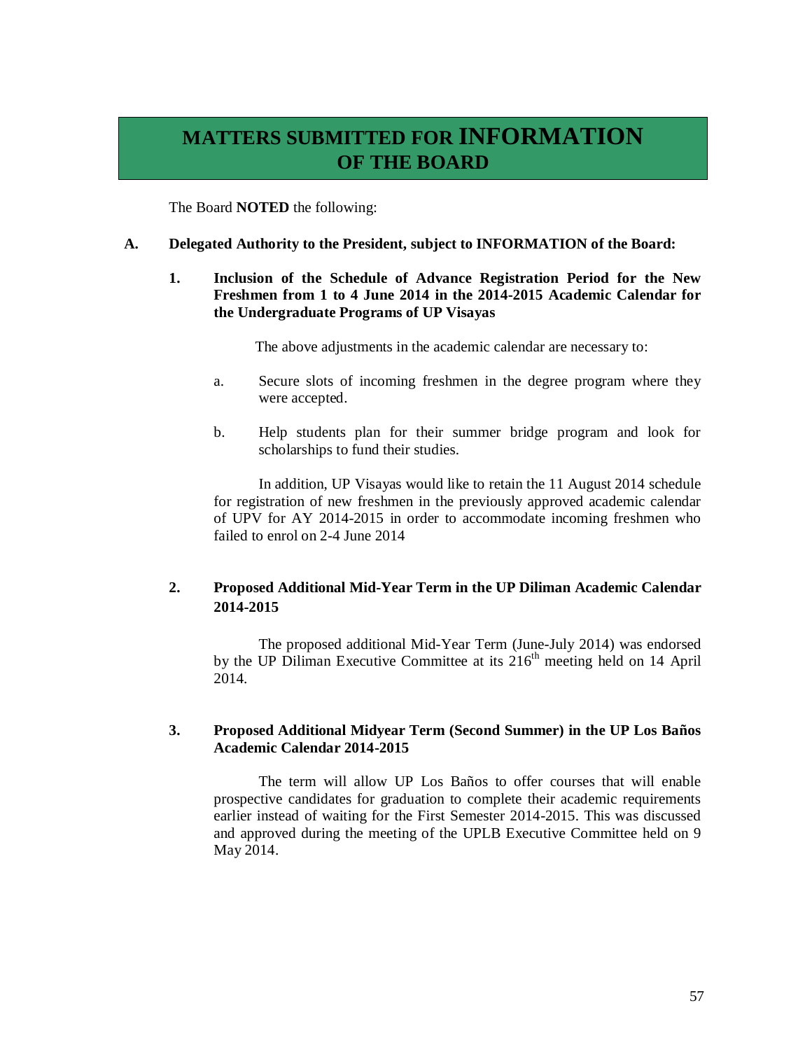# **MATTERS SUBMITTED FOR INFORMATION OF THE BOARD**

The Board **NOTED** the following:

### **A. Delegated Authority to the President, subject to INFORMATION of the Board:**

## **1. Inclusion of the Schedule of Advance Registration Period for the New Freshmen from 1 to 4 June 2014 in the 2014-2015 Academic Calendar for the Undergraduate Programs of UP Visayas**

The above adjustments in the academic calendar are necessary to:

- a. Secure slots of incoming freshmen in the degree program where they were accepted.
- b. Help students plan for their summer bridge program and look for scholarships to fund their studies.

In addition, UP Visayas would like to retain the 11 August 2014 schedule for registration of new freshmen in the previously approved academic calendar of UPV for AY 2014-2015 in order to accommodate incoming freshmen who failed to enrol on 2-4 June 2014

# **2. Proposed Additional Mid-Year Term in the UP Diliman Academic Calendar 2014-2015**

The proposed additional Mid-Year Term (June-July 2014) was endorsed by the UP Diliman Executive Committee at its  $216<sup>th</sup>$  meeting held on 14 April 2014.

### **3. Proposed Additional Midyear Term (Second Summer) in the UP Los Baños Academic Calendar 2014-2015**

The term will allow UP Los Baños to offer courses that will enable prospective candidates for graduation to complete their academic requirements earlier instead of waiting for the First Semester 2014-2015. This was discussed and approved during the meeting of the UPLB Executive Committee held on 9 May 2014.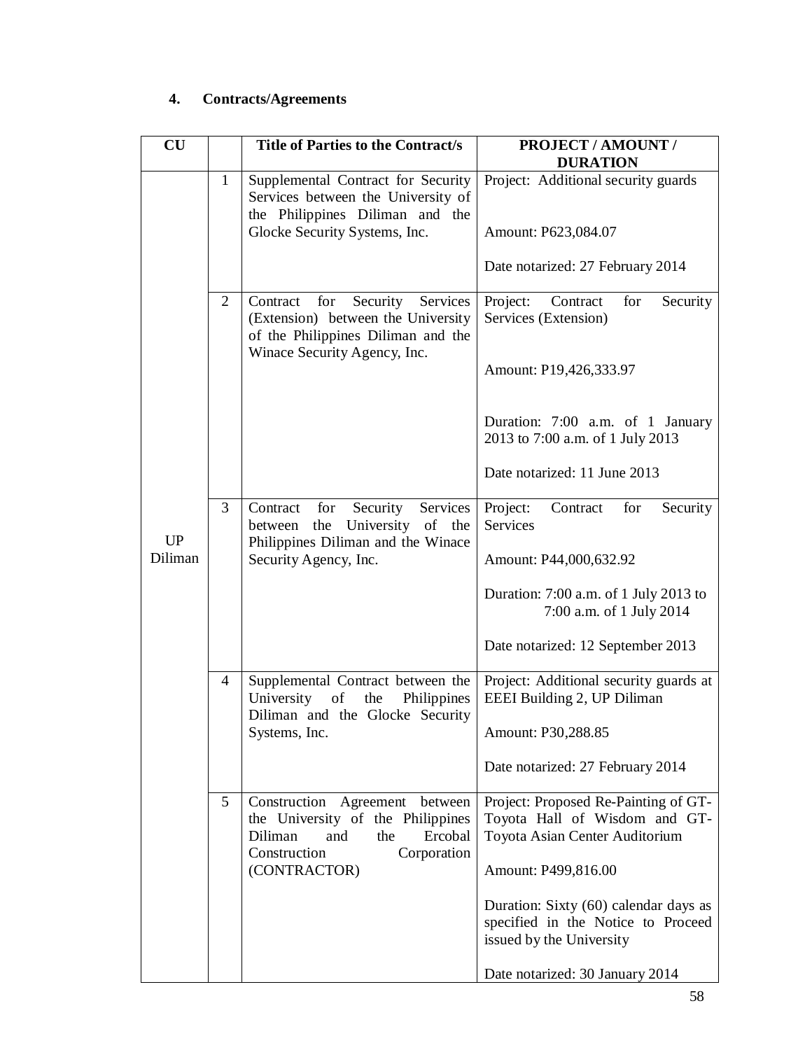# **4. Contracts/Agreements**

| CU      |                | <b>Title of Parties to the Contract/s</b>                                                                                                    | PROJECT / AMOUNT /<br><b>DURATION</b>                                                                   |
|---------|----------------|----------------------------------------------------------------------------------------------------------------------------------------------|---------------------------------------------------------------------------------------------------------|
|         | $\mathbf{1}$   | Supplemental Contract for Security<br>Services between the University of<br>the Philippines Diliman and the<br>Glocke Security Systems, Inc. | Project: Additional security guards<br>Amount: P623,084.07                                              |
|         |                |                                                                                                                                              | Date notarized: 27 February 2014                                                                        |
|         | 2              | for<br>Security Services<br>Contract<br>(Extension) between the University<br>of the Philippines Diliman and the                             | Project:<br>for<br>Contract<br>Security<br>Services (Extension)                                         |
|         |                | Winace Security Agency, Inc.                                                                                                                 | Amount: P19,426,333.97                                                                                  |
|         |                |                                                                                                                                              | Duration: 7:00 a.m. of 1 January<br>2013 to 7:00 a.m. of 1 July 2013                                    |
|         |                |                                                                                                                                              | Date notarized: 11 June 2013                                                                            |
| UP      | 3              | Services<br>for<br>Security<br>Contract<br>University of the<br>the<br>between<br>Philippines Diliman and the Winace                         | Contract<br>Project:<br>for<br>Security<br>Services                                                     |
| Diliman |                | Security Agency, Inc.                                                                                                                        | Amount: P44,000,632.92                                                                                  |
|         |                |                                                                                                                                              | Duration: 7:00 a.m. of 1 July 2013 to<br>7:00 a.m. of 1 July 2014                                       |
|         |                |                                                                                                                                              | Date notarized: 12 September 2013                                                                       |
|         | $\overline{4}$ | Supplemental Contract between the<br>University<br>of<br>the<br>Philippines<br>Diliman and the Glocke Security                               | Project: Additional security guards at<br>EEEI Building 2, UP Diliman                                   |
|         |                | Systems, Inc.                                                                                                                                | Amount: P30,288.85                                                                                      |
|         |                |                                                                                                                                              | Date notarized: 27 February 2014                                                                        |
|         | 5              | Construction Agreement<br>between<br>the University of the Philippines<br>Diliman<br>Ercobal<br>and<br>the<br>Construction<br>Corporation    | Project: Proposed Re-Painting of GT-<br>Toyota Hall of Wisdom and GT-<br>Toyota Asian Center Auditorium |
|         |                | (CONTRACTOR)                                                                                                                                 | Amount: P499,816.00                                                                                     |
|         |                |                                                                                                                                              | Duration: Sixty (60) calendar days as<br>specified in the Notice to Proceed<br>issued by the University |
|         |                |                                                                                                                                              | Date notarized: 30 January 2014                                                                         |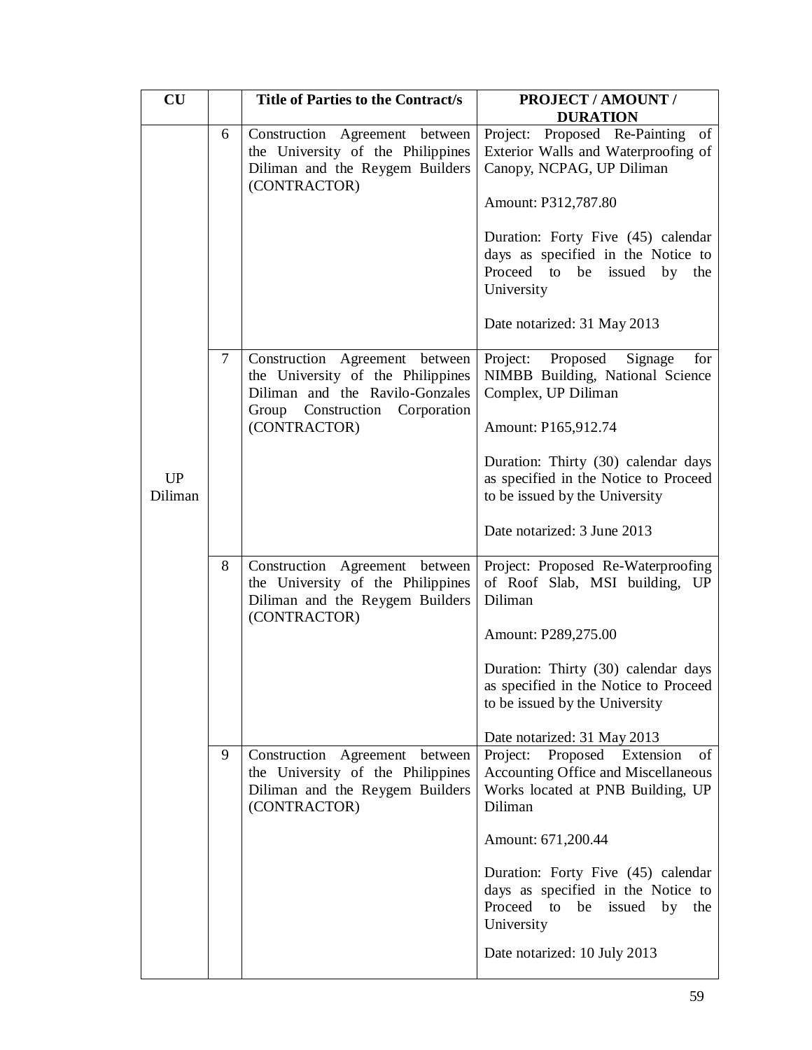| CU            |        | <b>Title of Parties to the Contract/s</b>                                                                                                                   | <b>PROJECT / AMOUNT /</b>                                                                                                                            |
|---------------|--------|-------------------------------------------------------------------------------------------------------------------------------------------------------------|------------------------------------------------------------------------------------------------------------------------------------------------------|
|               |        |                                                                                                                                                             | <b>DURATION</b>                                                                                                                                      |
|               | 6      | Construction Agreement between<br>the University of the Philippines<br>Diliman and the Reygem Builders<br>(CONTRACTOR)                                      | Project: Proposed Re-Painting of<br>Exterior Walls and Waterproofing of<br>Canopy, NCPAG, UP Diliman<br>Amount: P312,787.80                          |
|               |        |                                                                                                                                                             | Duration: Forty Five (45) calendar<br>days as specified in the Notice to<br>Proceed to be issued by the<br>University<br>Date notarized: 31 May 2013 |
|               | $\tau$ | Construction Agreement between<br>the University of the Philippines<br>Diliman and the Ravilo-Gonzales<br>Group<br>Construction Corporation<br>(CONTRACTOR) | Project:<br>Proposed<br>Signage<br>for<br>NIMBB Building, National Science<br>Complex, UP Diliman<br>Amount: P165,912.74                             |
| UP<br>Diliman |        |                                                                                                                                                             | Duration: Thirty (30) calendar days<br>as specified in the Notice to Proceed<br>to be issued by the University                                       |
|               |        |                                                                                                                                                             | Date notarized: 3 June 2013                                                                                                                          |
|               | 8      | Construction Agreement between<br>the University of the Philippines<br>Diliman and the Reygem Builders<br>(CONTRACTOR)                                      | Project: Proposed Re-Waterproofing<br>of Roof Slab, MSI building, UP<br>Diliman                                                                      |
|               |        |                                                                                                                                                             | Amount: P289,275.00                                                                                                                                  |
|               |        |                                                                                                                                                             | Duration: Thirty (30) calendar days<br>as specified in the Notice to Proceed<br>to be issued by the University                                       |
|               |        |                                                                                                                                                             | Date notarized: 31 May 2013                                                                                                                          |
|               | 9      | Construction Agreement between<br>the University of the Philippines<br>Diliman and the Reygem Builders<br>(CONTRACTOR)                                      | Proposed Extension<br>of<br>Project:<br>Accounting Office and Miscellaneous<br>Works located at PNB Building, UP<br>Diliman                          |
|               |        |                                                                                                                                                             | Amount: 671,200.44                                                                                                                                   |
|               |        |                                                                                                                                                             | Duration: Forty Five (45) calendar<br>days as specified in the Notice to<br>Proceed<br>be issued by the<br>to<br>University                          |
|               |        |                                                                                                                                                             | Date notarized: 10 July 2013                                                                                                                         |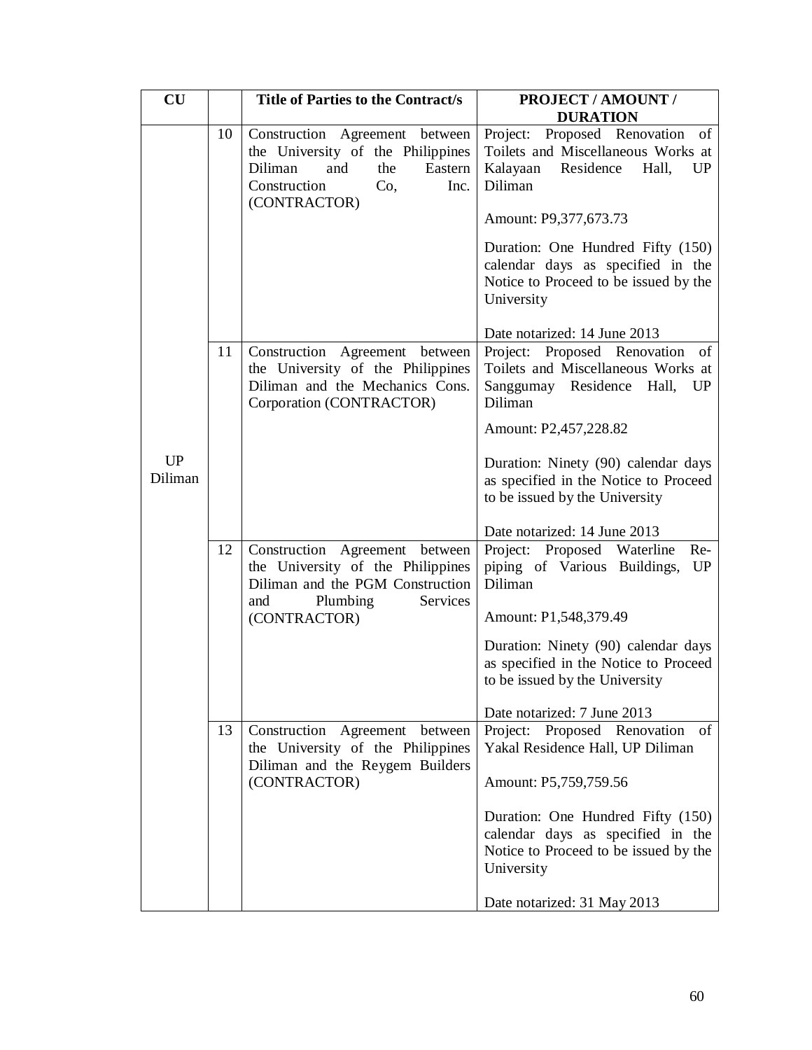| CU                   |    | Title of Parties to the Contract/s                                                                                                                     | PROJECT / AMOUNT /                                                                                                                                                                                                                                                                             |
|----------------------|----|--------------------------------------------------------------------------------------------------------------------------------------------------------|------------------------------------------------------------------------------------------------------------------------------------------------------------------------------------------------------------------------------------------------------------------------------------------------|
|                      | 10 | Construction Agreement between<br>the University of the Philippines<br>Diliman<br>the<br>Eastern<br>and<br>Construction<br>Co,<br>Inc.<br>(CONTRACTOR) | <b>DURATION</b><br>Project: Proposed Renovation of<br>Toilets and Miscellaneous Works at<br>Kalayaan<br>Residence<br>Hall,<br>UP<br>Diliman<br>Amount: P9,377,673.73<br>Duration: One Hundred Fifty (150)                                                                                      |
|                      |    |                                                                                                                                                        | calendar days as specified in the<br>Notice to Proceed to be issued by the<br>University<br>Date notarized: 14 June 2013                                                                                                                                                                       |
|                      | 11 | Construction Agreement between<br>the University of the Philippines<br>Diliman and the Mechanics Cons.<br>Corporation (CONTRACTOR)                     | Project: Proposed Renovation of<br>Toilets and Miscellaneous Works at<br>Sanggumay Residence Hall, UP<br>Diliman                                                                                                                                                                               |
| <b>UP</b><br>Diliman |    |                                                                                                                                                        | Amount: P2,457,228.82<br>Duration: Ninety (90) calendar days<br>as specified in the Notice to Proceed<br>to be issued by the University                                                                                                                                                        |
|                      | 12 | Construction Agreement between<br>the University of the Philippines<br>Diliman and the PGM Construction<br>Plumbing<br>Services<br>and<br>(CONTRACTOR) | Date notarized: 14 June 2013<br>Project: Proposed Waterline<br>Re-<br>piping of Various Buildings,<br>UP<br>Diliman<br>Amount: P1,548,379.49<br>Duration: Ninety (90) calendar days<br>as specified in the Notice to Proceed<br>to be issued by the University                                 |
|                      | 13 | Construction Agreement<br>between<br>the University of the Philippines<br>Diliman and the Reygem Builders<br>(CONTRACTOR)                              | Date notarized: 7 June 2013<br>Project: Proposed Renovation<br>of<br>Yakal Residence Hall, UP Diliman<br>Amount: P5,759,759.56<br>Duration: One Hundred Fifty (150)<br>calendar days as specified in the<br>Notice to Proceed to be issued by the<br>University<br>Date notarized: 31 May 2013 |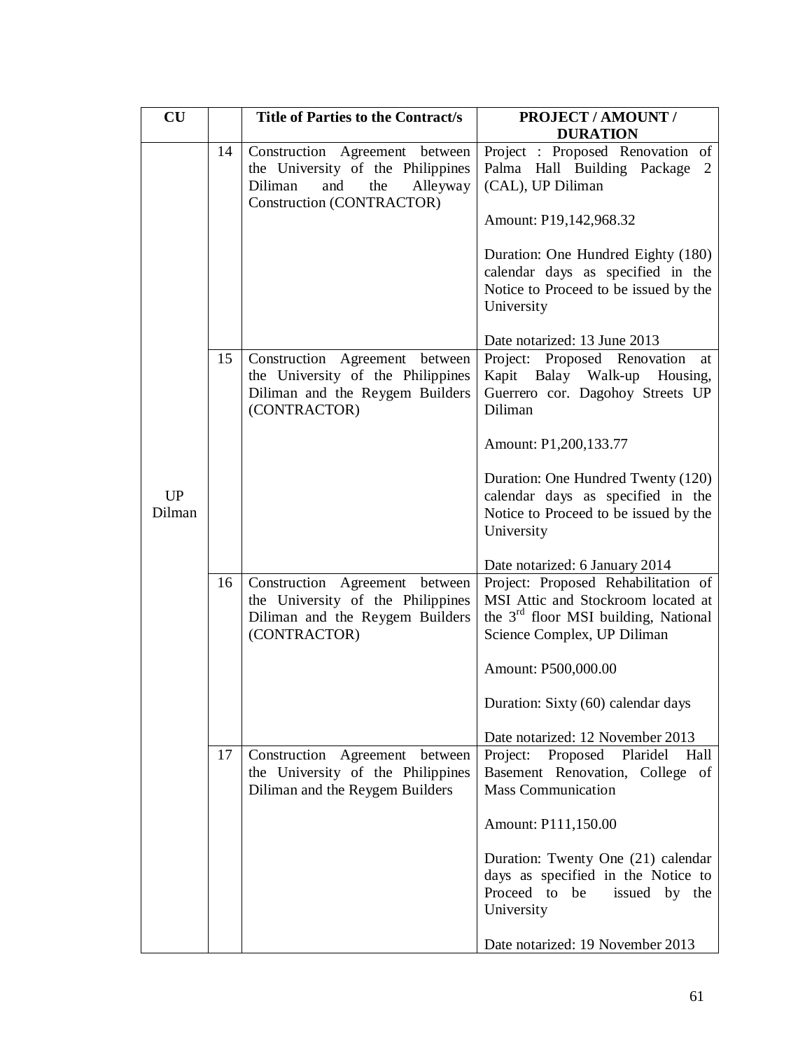| CU                  |    | <b>Title of Parties to the Contract/s</b>                                                                                             | PROJECT / AMOUNT /<br><b>DURATION</b>                                                                                                                        |
|---------------------|----|---------------------------------------------------------------------------------------------------------------------------------------|--------------------------------------------------------------------------------------------------------------------------------------------------------------|
|                     | 14 | Construction Agreement between<br>the University of the Philippines<br>Diliman<br>and<br>the<br>Alleyway<br>Construction (CONTRACTOR) | Project : Proposed Renovation of<br>Palma Hall Building Package 2<br>(CAL), UP Diliman                                                                       |
|                     |    |                                                                                                                                       | Amount: P19,142,968.32                                                                                                                                       |
|                     |    |                                                                                                                                       | Duration: One Hundred Eighty (180)<br>calendar days as specified in the<br>Notice to Proceed to be issued by the<br>University                               |
|                     |    |                                                                                                                                       | Date notarized: 13 June 2013                                                                                                                                 |
|                     | 15 | Construction Agreement between<br>the University of the Philippines<br>Diliman and the Reygem Builders<br>(CONTRACTOR)                | Project: Proposed Renovation<br>at<br>Kapit Balay Walk-up<br>Housing,<br>Guerrero cor. Dagohoy Streets UP<br>Diliman                                         |
|                     |    |                                                                                                                                       | Amount: P1,200,133.77                                                                                                                                        |
| <b>UP</b><br>Dilman |    |                                                                                                                                       | Duration: One Hundred Twenty (120)<br>calendar days as specified in the<br>Notice to Proceed to be issued by the<br>University                               |
|                     |    |                                                                                                                                       | Date notarized: 6 January 2014                                                                                                                               |
|                     | 16 | Construction Agreement between<br>the University of the Philippines<br>Diliman and the Reygem Builders<br>(CONTRACTOR)                | Project: Proposed Rehabilitation of<br>MSI Attic and Stockroom located at<br>the 3 <sup>rd</sup> floor MSI building, National<br>Science Complex, UP Diliman |
|                     |    |                                                                                                                                       | Amount: P500,000.00                                                                                                                                          |
|                     |    |                                                                                                                                       | Duration: Sixty (60) calendar days                                                                                                                           |
|                     |    |                                                                                                                                       | Date notarized: 12 November 2013                                                                                                                             |
|                     | 17 | Construction Agreement between<br>the University of the Philippines<br>Diliman and the Reygem Builders                                | Proposed<br>Plaridel<br>Project:<br>Hall<br>Basement Renovation, College of<br><b>Mass Communication</b>                                                     |
|                     |    |                                                                                                                                       | Amount: P111,150.00                                                                                                                                          |
|                     |    |                                                                                                                                       | Duration: Twenty One (21) calendar<br>days as specified in the Notice to<br>Proceed to<br>be<br>issued by the<br>University                                  |
|                     |    |                                                                                                                                       | Date notarized: 19 November 2013                                                                                                                             |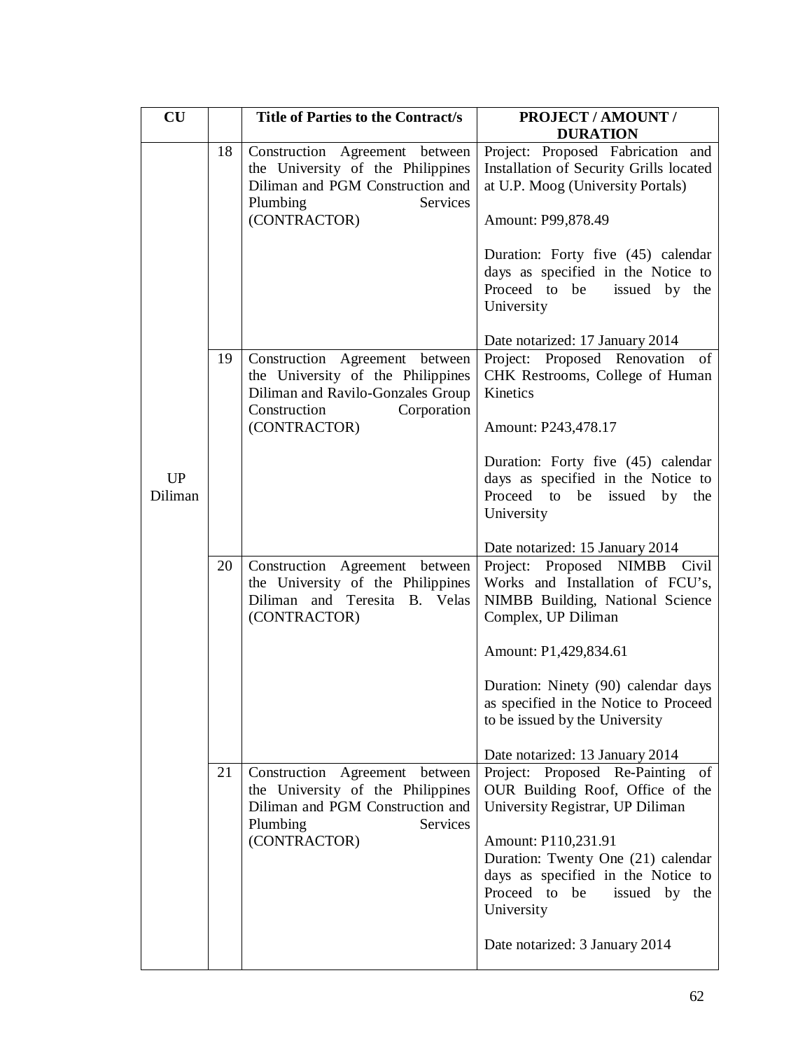| CU        |    | <b>Title of Parties to the Contract/s</b>                                                                                                               | <b>PROJECT / AMOUNT /</b><br><b>DURATION</b>                                                                                                                                                                                                                        |
|-----------|----|---------------------------------------------------------------------------------------------------------------------------------------------------------|---------------------------------------------------------------------------------------------------------------------------------------------------------------------------------------------------------------------------------------------------------------------|
|           | 18 | Construction Agreement between<br>the University of the Philippines<br>Diliman and PGM Construction and<br>Plumbing<br>Services<br>(CONTRACTOR)         | Project: Proposed Fabrication and<br>Installation of Security Grills located<br>at U.P. Moog (University Portals)<br>Amount: P99,878.49<br>Duration: Forty five (45) calendar<br>days as specified in the Notice to<br>Proceed to be<br>issued by the<br>University |
| <b>UP</b> | 19 | Construction Agreement between<br>the University of the Philippines<br>Diliman and Ravilo-Gonzales Group<br>Construction<br>Corporation<br>(CONTRACTOR) | Date notarized: 17 January 2014<br>Project: Proposed Renovation of<br>CHK Restrooms, College of Human<br>Kinetics<br>Amount: P243,478.17<br>Duration: Forty five (45) calendar<br>days as specified in the Notice to                                                |
| Diliman   |    |                                                                                                                                                         | Proceed to be issued by the<br>University<br>Date notarized: 15 January 2014                                                                                                                                                                                        |
|           | 20 | Construction Agreement between<br>the University of the Philippines<br>Diliman and Teresita B. Velas<br>(CONTRACTOR)                                    | Project: Proposed NIMBB<br>Civil<br>Works and Installation of FCU's,<br>NIMBB Building, National Science<br>Complex, UP Diliman<br>Amount: P1,429,834.61                                                                                                            |
|           |    |                                                                                                                                                         | Duration: Ninety (90) calendar days<br>as specified in the Notice to Proceed<br>to be issued by the University<br>Date notarized: 13 January 2014                                                                                                                   |
|           | 21 | Construction Agreement between<br>the University of the Philippines<br>Diliman and PGM Construction and<br>Plumbing<br>Services<br>(CONTRACTOR)         | Project: Proposed Re-Painting of<br>OUR Building Roof, Office of the<br>University Registrar, UP Diliman<br>Amount: P110,231.91<br>Duration: Twenty One (21) calendar<br>days as specified in the Notice to<br>Proceed to<br>be<br>issued by the<br>University      |
|           |    |                                                                                                                                                         | Date notarized: 3 January 2014                                                                                                                                                                                                                                      |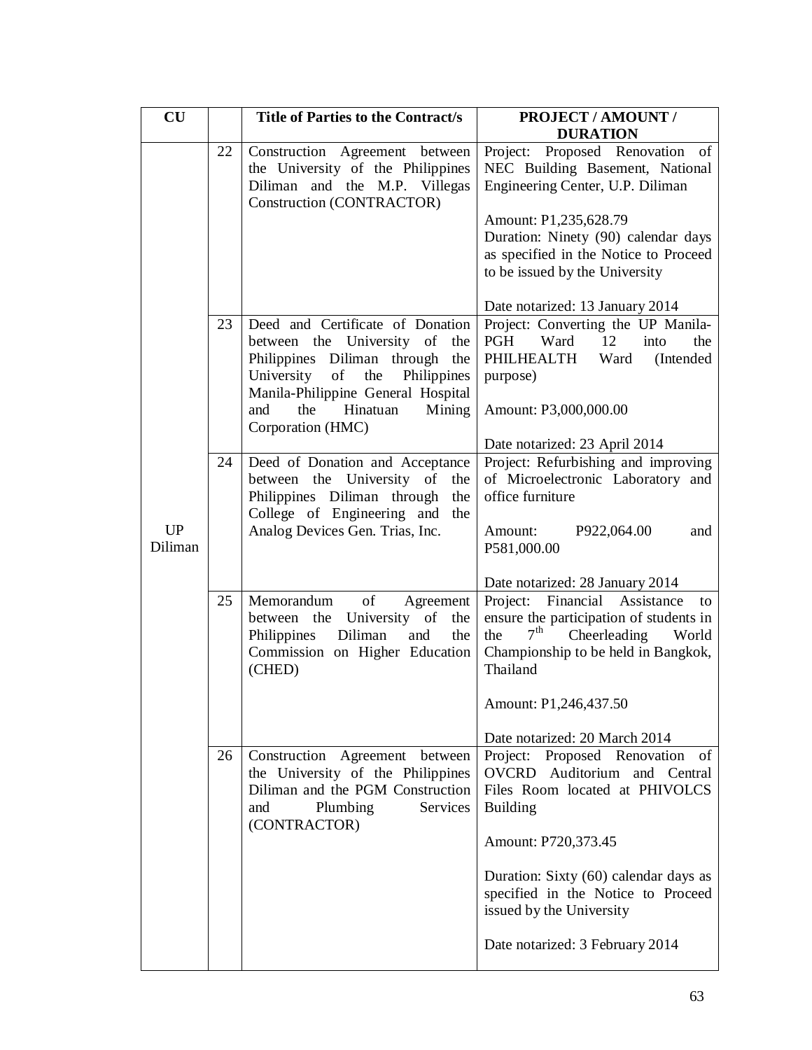| $\mathbf{C}\mathbf{U}$ |    | <b>Title of Parties to the Contract/s</b>                                                                                                                                                                                                       | PROJECT / AMOUNT /<br><b>DURATION</b>                                                                                                                                                                                                             |
|------------------------|----|-------------------------------------------------------------------------------------------------------------------------------------------------------------------------------------------------------------------------------------------------|---------------------------------------------------------------------------------------------------------------------------------------------------------------------------------------------------------------------------------------------------|
|                        | 22 | Construction Agreement between<br>the University of the Philippines<br>Diliman and the M.P. Villegas<br>Construction (CONTRACTOR)                                                                                                               | Project: Proposed Renovation of<br>NEC Building Basement, National<br>Engineering Center, U.P. Diliman<br>Amount: P1,235,628.79<br>Duration: Ninety (90) calendar days<br>as specified in the Notice to Proceed<br>to be issued by the University |
|                        |    |                                                                                                                                                                                                                                                 | Date notarized: 13 January 2014                                                                                                                                                                                                                   |
|                        | 23 | Deed and Certificate of Donation<br>between the University of the<br>Philippines Diliman through the<br>University<br>the<br>- of<br>Philippines<br>Manila-Philippine General Hospital<br>and<br>the<br>Hinatuan<br>Mining<br>Corporation (HMC) | Project: Converting the UP Manila-<br>Ward 12<br>PGH<br>into<br>the<br>PHILHEALTH<br>Ward<br>(Intended)<br>purpose)<br>Amount: P3,000,000.00                                                                                                      |
|                        | 24 | Deed of Donation and Acceptance                                                                                                                                                                                                                 | Date notarized: 23 April 2014<br>Project: Refurbishing and improving                                                                                                                                                                              |
| <b>UP</b><br>Diliman   |    | between the University of<br>the<br>Philippines Diliman through<br>the<br>College of Engineering and<br>the<br>Analog Devices Gen. Trias, Inc.                                                                                                  | of Microelectronic Laboratory and<br>office furniture<br>P922,064.00<br>Amount:<br>and<br>P581,000.00                                                                                                                                             |
|                        |    |                                                                                                                                                                                                                                                 | Date notarized: 28 January 2014                                                                                                                                                                                                                   |
|                        | 25 | Memorandum<br>of<br>Agreement<br>between the University of<br>the<br>Diliman<br>and<br>Philippines<br>the<br>Commission on Higher Education<br>(CHED)                                                                                           | Financial Assistance<br>Project:<br>to<br>ensure the participation of students in<br>7 <sup>th</sup><br>Cheerleading<br>the<br>World<br>Championship to be held in Bangkok,<br>Thailand<br>Amount: P1,246,437.50                                  |
|                        |    |                                                                                                                                                                                                                                                 | Date notarized: 20 March 2014                                                                                                                                                                                                                     |
|                        | 26 | Construction Agreement between<br>the University of the Philippines<br>Diliman and the PGM Construction<br>Plumbing<br>Services<br>and<br>(CONTRACTOR)                                                                                          | Project: Proposed Renovation of<br>OVCRD Auditorium and Central<br>Files Room located at PHIVOLCS<br><b>Building</b>                                                                                                                              |
|                        |    |                                                                                                                                                                                                                                                 | Amount: P720,373.45                                                                                                                                                                                                                               |
|                        |    |                                                                                                                                                                                                                                                 | Duration: Sixty (60) calendar days as<br>specified in the Notice to Proceed<br>issued by the University                                                                                                                                           |
|                        |    |                                                                                                                                                                                                                                                 | Date notarized: 3 February 2014                                                                                                                                                                                                                   |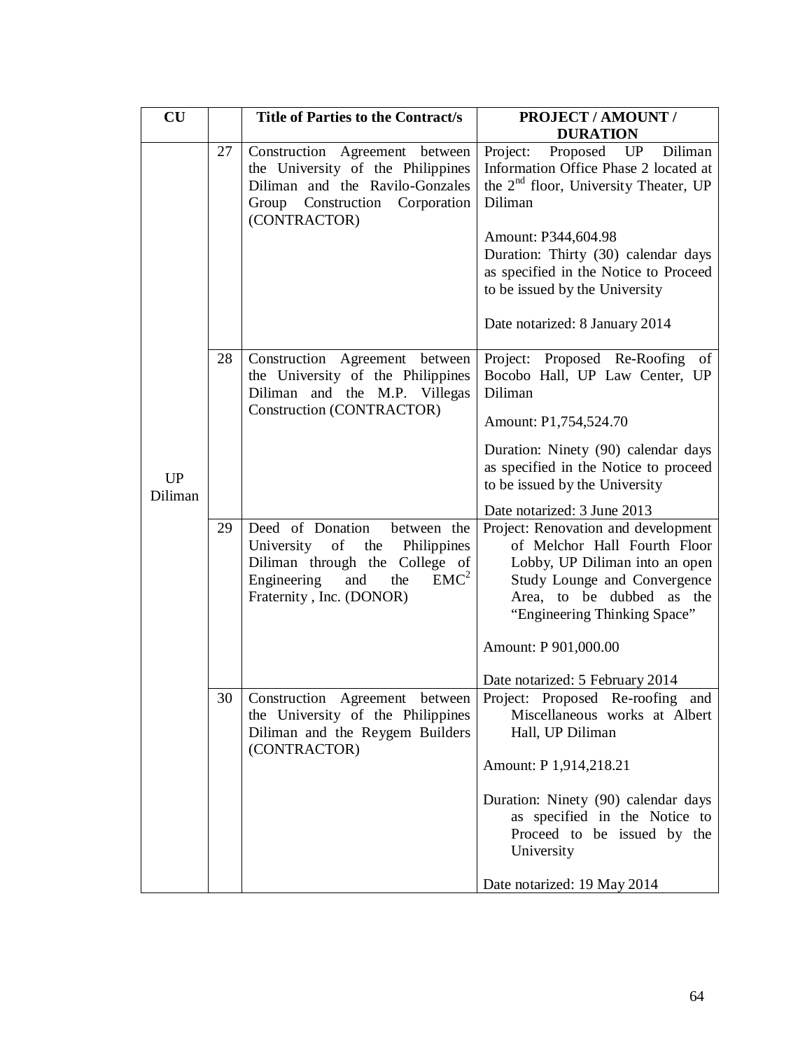| $\mathbf{C}\mathbf{U}$ |    | <b>Title of Parties to the Contract/s</b>                                                                                                                                          | PROJECT / AMOUNT /<br><b>DURATION</b>                                                                                                                                                                                                                                                                               |
|------------------------|----|------------------------------------------------------------------------------------------------------------------------------------------------------------------------------------|---------------------------------------------------------------------------------------------------------------------------------------------------------------------------------------------------------------------------------------------------------------------------------------------------------------------|
|                        | 27 | Construction Agreement between<br>the University of the Philippines<br>Diliman and the Ravilo-Gonzales<br>Group Construction Corporation<br>(CONTRACTOR)                           | Proposed UP Diliman<br>Project:<br>Information Office Phase 2 located at<br>the 2 <sup>nd</sup> floor, University Theater, UP<br>Diliman<br>Amount: P344,604.98<br>Duration: Thirty (30) calendar days<br>as specified in the Notice to Proceed<br>to be issued by the University<br>Date notarized: 8 January 2014 |
| <b>UP</b><br>Diliman   | 28 | Construction Agreement between<br>the University of the Philippines<br>Diliman and the M.P. Villegas<br>Construction (CONTRACTOR)                                                  | Project: Proposed Re-Roofing<br>of<br>Bocobo Hall, UP Law Center, UP<br>Diliman<br>Amount: P1,754,524.70<br>Duration: Ninety (90) calendar days<br>as specified in the Notice to proceed<br>to be issued by the University<br>Date notarized: 3 June 2013                                                           |
|                        | 29 | Deed of Donation<br>between the<br>University of the<br>Philippines<br>Diliman through the College of<br>EMC <sup>2</sup><br>the<br>Engineering<br>and<br>Fraternity, Inc. (DONOR) | Project: Renovation and development<br>of Melchor Hall Fourth Floor<br>Lobby, UP Diliman into an open<br>Study Lounge and Convergence<br>Area, to be dubbed as the<br>"Engineering Thinking Space"<br>Amount: P 901,000.00<br>Date notarized: 5 February 2014                                                       |
|                        | 30 | Construction Agreement between<br>the University of the Philippines<br>Diliman and the Reygem Builders<br>(CONTRACTOR)                                                             | Project: Proposed Re-roofing and<br>Miscellaneous works at Albert<br>Hall, UP Diliman<br>Amount: P 1,914,218.21<br>Duration: Ninety (90) calendar days<br>as specified in the Notice to<br>Proceed to be issued by the<br>University<br>Date notarized: 19 May 2014                                                 |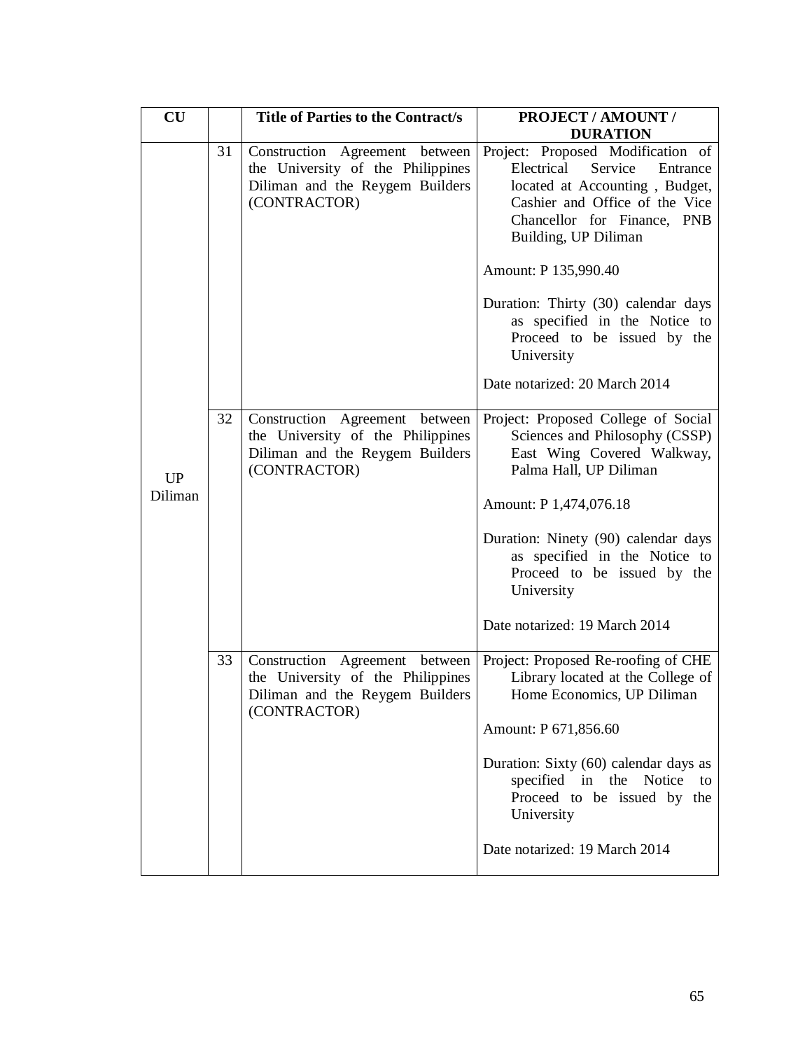| $\mathbf{C}\mathbf{U}$ |    | <b>Title of Parties to the Contract/s</b>                                                                              | <b>PROJECT / AMOUNT /</b><br><b>DURATION</b>                                                                                                                                                      |
|------------------------|----|------------------------------------------------------------------------------------------------------------------------|---------------------------------------------------------------------------------------------------------------------------------------------------------------------------------------------------|
|                        | 31 | Construction Agreement between<br>the University of the Philippines<br>Diliman and the Reygem Builders<br>(CONTRACTOR) | Project: Proposed Modification of<br>Service<br>Electrical<br>Entrance<br>located at Accounting, Budget,<br>Cashier and Office of the Vice<br>Chancellor for Finance, PNB<br>Building, UP Diliman |
|                        |    |                                                                                                                        | Amount: P 135,990.40                                                                                                                                                                              |
|                        |    |                                                                                                                        | Duration: Thirty (30) calendar days<br>as specified in the Notice to<br>Proceed to be issued by the<br>University                                                                                 |
|                        |    |                                                                                                                        | Date notarized: 20 March 2014                                                                                                                                                                     |
| <b>UP</b><br>Diliman   | 32 | Construction Agreement between<br>the University of the Philippines<br>Diliman and the Reygem Builders<br>(CONTRACTOR) | Project: Proposed College of Social<br>Sciences and Philosophy (CSSP)<br>East Wing Covered Walkway,<br>Palma Hall, UP Diliman<br>Amount: P 1,474,076.18                                           |
|                        |    |                                                                                                                        | Duration: Ninety (90) calendar days<br>as specified in the Notice to<br>Proceed to be issued by the<br>University                                                                                 |
|                        |    |                                                                                                                        | Date notarized: 19 March 2014                                                                                                                                                                     |
|                        | 33 | Construction Agreement between<br>the University of the Philippines<br>Diliman and the Reygem Builders<br>(CONTRACTOR) | Project: Proposed Re-roofing of CHE<br>Library located at the College of<br>Home Economics, UP Diliman                                                                                            |
|                        |    |                                                                                                                        | Amount: P 671,856.60                                                                                                                                                                              |
|                        |    |                                                                                                                        | Duration: Sixty (60) calendar days as<br>specified in the Notice<br>to<br>Proceed to be issued by the<br>University                                                                               |
|                        |    |                                                                                                                        | Date notarized: 19 March 2014                                                                                                                                                                     |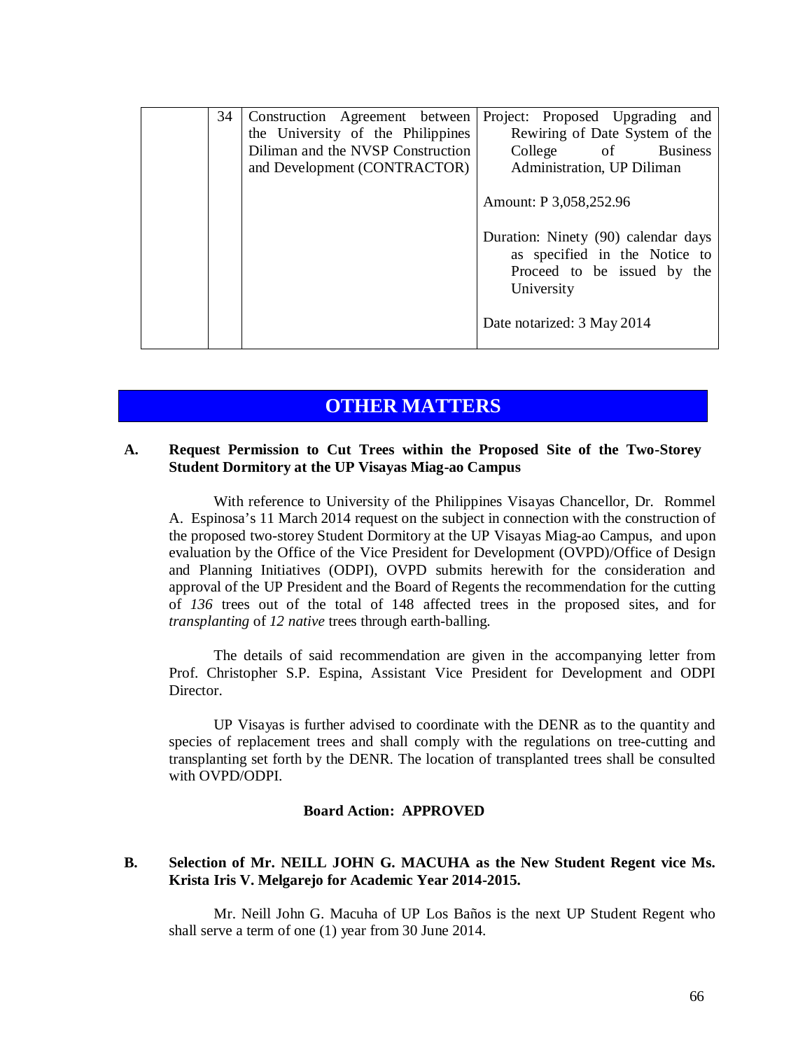| 34 | Construction Agreement between<br>the University of the Philippines<br>Diliman and the NVSP Construction | Project: Proposed Upgrading and<br>Rewiring of Date System of the<br>College of Business                          |
|----|----------------------------------------------------------------------------------------------------------|-------------------------------------------------------------------------------------------------------------------|
|    | and Development (CONTRACTOR)                                                                             | Administration, UP Diliman<br>Amount: P 3,058,252.96                                                              |
|    |                                                                                                          | Duration: Ninety (90) calendar days<br>as specified in the Notice to<br>Proceed to be issued by the<br>University |
|    |                                                                                                          | Date notarized: 3 May 2014                                                                                        |

# **OTHER MATTERS**

### **A. Request Permission to Cut Trees within the Proposed Site of the Two-Storey Student Dormitory at the UP Visayas Miag-ao Campus**

With reference to University of the Philippines Visayas Chancellor, Dr. Rommel A. Espinosa's 11 March 2014 request on the subject in connection with the construction of the proposed two-storey Student Dormitory at the UP Visayas Miag-ao Campus, and upon evaluation by the Office of the Vice President for Development (OVPD)/Office of Design and Planning Initiatives (ODPI), OVPD submits herewith for the consideration and approval of the UP President and the Board of Regents the recommendation for the cutting of *136* trees out of the total of 148 affected trees in the proposed sites, and for *transplanting* of *12 native* trees through earth-balling.

The details of said recommendation are given in the accompanying letter from Prof. Christopher S.P. Espina, Assistant Vice President for Development and ODPI Director.

UP Visayas is further advised to coordinate with the DENR as to the quantity and species of replacement trees and shall comply with the regulations on tree-cutting and transplanting set forth by the DENR. The location of transplanted trees shall be consulted with OVPD/ODPI.

### **Board Action: APPROVED**

## **B. Selection of Mr. NEILL JOHN G. MACUHA as the New Student Regent vice Ms. Krista Iris V. Melgarejo for Academic Year 2014-2015.**

Mr. Neill John G. Macuha of UP Los Baños is the next UP Student Regent who shall serve a term of one (1) year from 30 June 2014.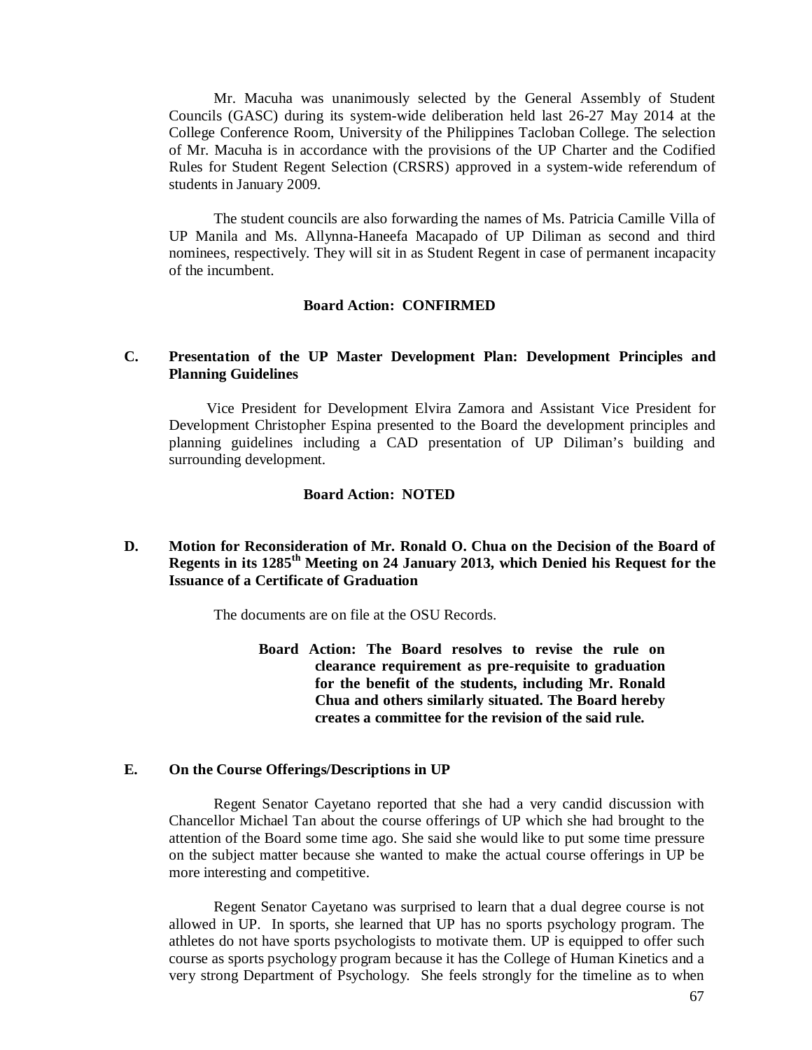Mr. Macuha was unanimously selected by the General Assembly of Student Councils (GASC) during its system-wide deliberation held last 26-27 May 2014 at the College Conference Room, University of the Philippines Tacloban College. The selection of Mr. Macuha is in accordance with the provisions of the UP Charter and the Codified Rules for Student Regent Selection (CRSRS) approved in a system-wide referendum of students in January 2009.

The student councils are also forwarding the names of Ms. Patricia Camille Villa of UP Manila and Ms. Allynna-Haneefa Macapado of UP Diliman as second and third nominees, respectively. They will sit in as Student Regent in case of permanent incapacity of the incumbent.

### **Board Action: CONFIRMED**

### **C. Presentation of the UP Master Development Plan: Development Principles and Planning Guidelines**

Vice President for Development Elvira Zamora and Assistant Vice President for Development Christopher Espina presented to the Board the development principles and planning guidelines including a CAD presentation of UP Diliman's building and surrounding development.

#### **Board Action: NOTED**

### **D. Motion for Reconsideration of Mr. Ronald O. Chua on the Decision of the Board of Regents in its 1285th Meeting on 24 January 2013, which Denied his Request for the Issuance of a Certificate of Graduation**

The documents are on file at the OSU Records.

**Board Action: The Board resolves to revise the rule on clearance requirement as pre-requisite to graduation for the benefit of the students, including Mr. Ronald Chua and others similarly situated. The Board hereby creates a committee for the revision of the said rule.**

### **E. On the Course Offerings/Descriptions in UP**

Regent Senator Cayetano reported that she had a very candid discussion with Chancellor Michael Tan about the course offerings of UP which she had brought to the attention of the Board some time ago. She said she would like to put some time pressure on the subject matter because she wanted to make the actual course offerings in UP be more interesting and competitive.

Regent Senator Cayetano was surprised to learn that a dual degree course is not allowed in UP. In sports, she learned that UP has no sports psychology program. The athletes do not have sports psychologists to motivate them. UP is equipped to offer such course as sports psychology program because it has the College of Human Kinetics and a very strong Department of Psychology. She feels strongly for the timeline as to when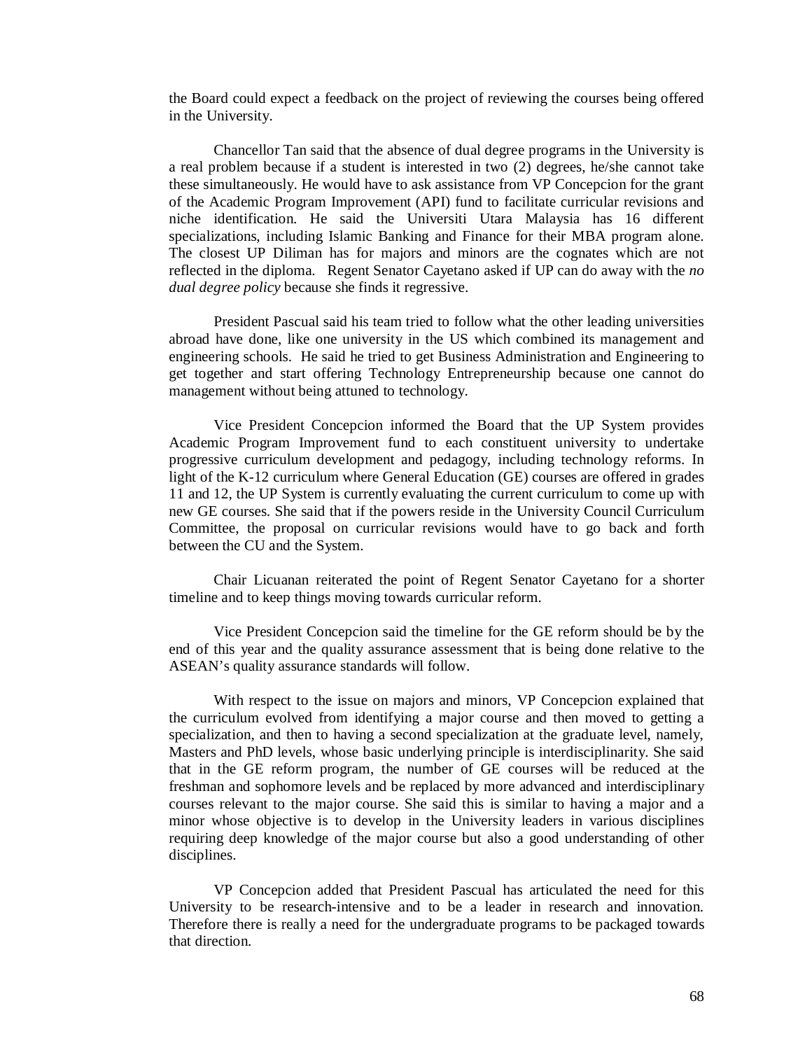the Board could expect a feedback on the project of reviewing the courses being offered in the University.

Chancellor Tan said that the absence of dual degree programs in the University is a real problem because if a student is interested in two (2) degrees, he/she cannot take these simultaneously. He would have to ask assistance from VP Concepcion for the grant of the Academic Program Improvement (API) fund to facilitate curricular revisions and niche identification. He said the Universiti Utara Malaysia has 16 different specializations, including Islamic Banking and Finance for their MBA program alone. The closest UP Diliman has for majors and minors are the cognates which are not reflected in the diploma. Regent Senator Cayetano asked if UP can do away with the *no dual degree policy* because she finds it regressive.

President Pascual said his team tried to follow what the other leading universities abroad have done, like one university in the US which combined its management and engineering schools. He said he tried to get Business Administration and Engineering to get together and start offering Technology Entrepreneurship because one cannot do management without being attuned to technology.

Vice President Concepcion informed the Board that the UP System provides Academic Program Improvement fund to each constituent university to undertake progressive curriculum development and pedagogy, including technology reforms. In light of the K-12 curriculum where General Education (GE) courses are offered in grades 11 and 12, the UP System is currently evaluating the current curriculum to come up with new GE courses. She said that if the powers reside in the University Council Curriculum Committee, the proposal on curricular revisions would have to go back and forth between the CU and the System.

Chair Licuanan reiterated the point of Regent Senator Cayetano for a shorter timeline and to keep things moving towards curricular reform.

Vice President Concepcion said the timeline for the GE reform should be by the end of this year and the quality assurance assessment that is being done relative to the ASEAN's quality assurance standards will follow.

With respect to the issue on majors and minors, VP Concepcion explained that the curriculum evolved from identifying a major course and then moved to getting a specialization, and then to having a second specialization at the graduate level, namely, Masters and PhD levels, whose basic underlying principle is interdisciplinarity. She said that in the GE reform program, the number of GE courses will be reduced at the freshman and sophomore levels and be replaced by more advanced and interdisciplinary courses relevant to the major course. She said this is similar to having a major and a minor whose objective is to develop in the University leaders in various disciplines requiring deep knowledge of the major course but also a good understanding of other disciplines.

VP Concepcion added that President Pascual has articulated the need for this University to be research-intensive and to be a leader in research and innovation. Therefore there is really a need for the undergraduate programs to be packaged towards that direction.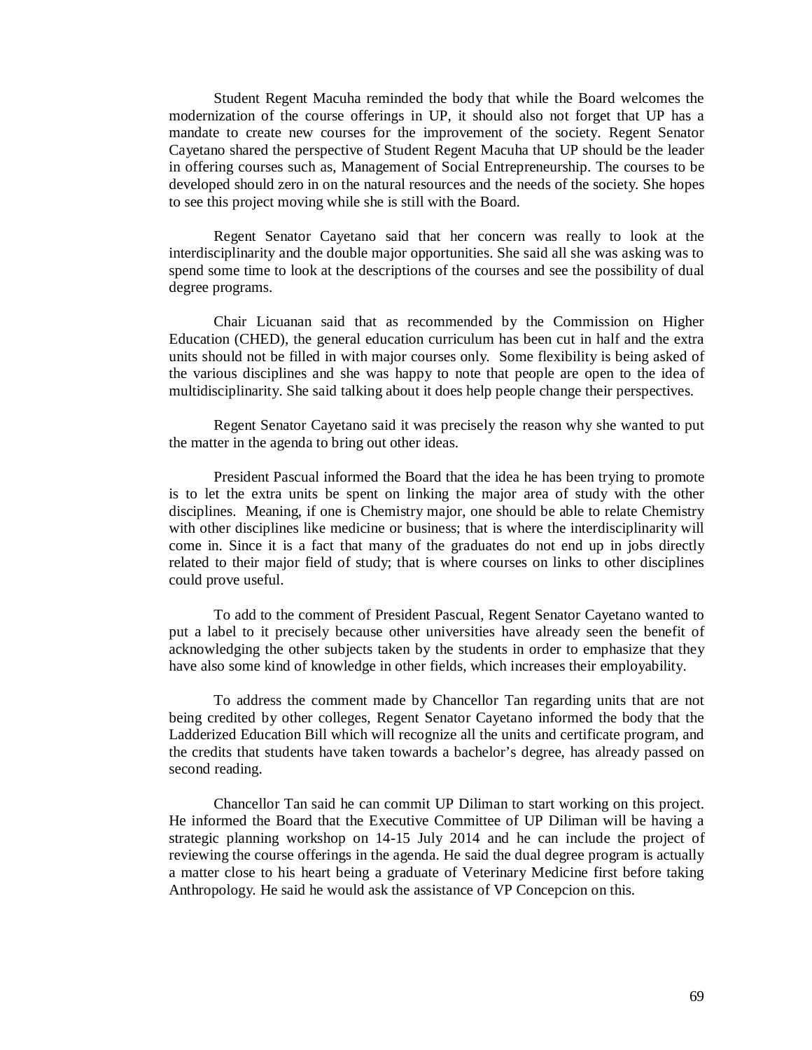Student Regent Macuha reminded the body that while the Board welcomes the modernization of the course offerings in UP, it should also not forget that UP has a mandate to create new courses for the improvement of the society. Regent Senator Cayetano shared the perspective of Student Regent Macuha that UP should be the leader in offering courses such as, Management of Social Entrepreneurship. The courses to be developed should zero in on the natural resources and the needs of the society. She hopes to see this project moving while she is still with the Board.

Regent Senator Cayetano said that her concern was really to look at the interdisciplinarity and the double major opportunities. She said all she was asking was to spend some time to look at the descriptions of the courses and see the possibility of dual degree programs.

Chair Licuanan said that as recommended by the Commission on Higher Education (CHED), the general education curriculum has been cut in half and the extra units should not be filled in with major courses only. Some flexibility is being asked of the various disciplines and she was happy to note that people are open to the idea of multidisciplinarity. She said talking about it does help people change their perspectives.

Regent Senator Cayetano said it was precisely the reason why she wanted to put the matter in the agenda to bring out other ideas.

President Pascual informed the Board that the idea he has been trying to promote is to let the extra units be spent on linking the major area of study with the other disciplines. Meaning, if one is Chemistry major, one should be able to relate Chemistry with other disciplines like medicine or business; that is where the interdisciplinarity will come in. Since it is a fact that many of the graduates do not end up in jobs directly related to their major field of study; that is where courses on links to other disciplines could prove useful.

To add to the comment of President Pascual, Regent Senator Cayetano wanted to put a label to it precisely because other universities have already seen the benefit of acknowledging the other subjects taken by the students in order to emphasize that they have also some kind of knowledge in other fields, which increases their employability.

To address the comment made by Chancellor Tan regarding units that are not being credited by other colleges, Regent Senator Cayetano informed the body that the Ladderized Education Bill which will recognize all the units and certificate program, and the credits that students have taken towards a bachelor's degree, has already passed on second reading.

Chancellor Tan said he can commit UP Diliman to start working on this project. He informed the Board that the Executive Committee of UP Diliman will be having a strategic planning workshop on 14-15 July 2014 and he can include the project of reviewing the course offerings in the agenda. He said the dual degree program is actually a matter close to his heart being a graduate of Veterinary Medicine first before taking Anthropology. He said he would ask the assistance of VP Concepcion on this.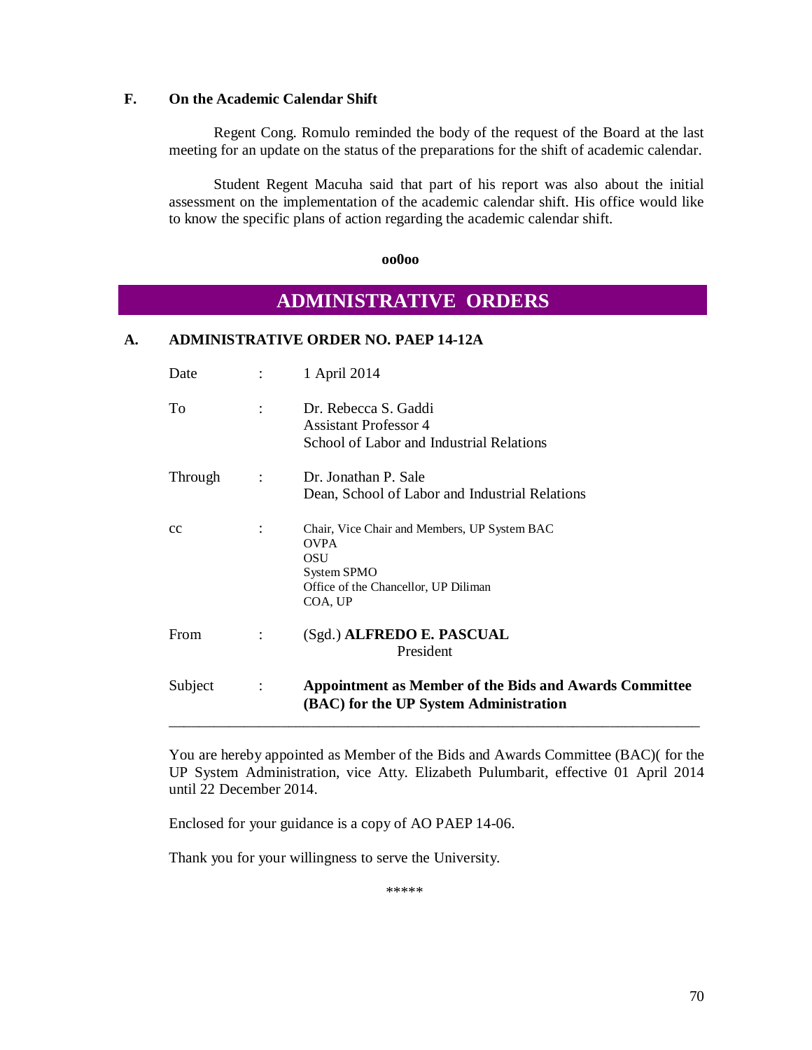### **F. On the Academic Calendar Shift**

Regent Cong. Romulo reminded the body of the request of the Board at the last meeting for an update on the status of the preparations for the shift of academic calendar.

Student Regent Macuha said that part of his report was also about the initial assessment on the implementation of the academic calendar shift. His office would like to know the specific plans of action regarding the academic calendar shift.

 **oo0oo**

# **ADMINISTRATIVE ORDERS**

### **A. ADMINISTRATIVE ORDER NO. PAEP 14-12A**

| Date    |                           | 1 April 2014                                                                                                                         |
|---------|---------------------------|--------------------------------------------------------------------------------------------------------------------------------------|
| To      | ÷                         | Dr. Rebecca S. Gaddi<br><b>Assistant Professor 4</b><br>School of Labor and Industrial Relations                                     |
| Through |                           | Dr. Jonathan P. Sale                                                                                                                 |
|         |                           | Dean, School of Labor and Industrial Relations                                                                                       |
| cc      |                           | Chair, Vice Chair and Members, UP System BAC<br><b>OVPA</b><br>OSU<br>System SPMO<br>Office of the Chancellor, UP Diliman<br>COA, UP |
| From    |                           | (Sgd.) ALFREDO E. PASCUAL<br>President                                                                                               |
| Subject | $\mathbb{Z}^{\mathbb{Z}}$ | Appointment as Member of the Bids and Awards Committee<br>(BAC) for the UP System Administration                                     |

You are hereby appointed as Member of the Bids and Awards Committee (BAC)( for the UP System Administration, vice Atty. Elizabeth Pulumbarit, effective 01 April 2014 until 22 December 2014.

Enclosed for your guidance is a copy of AO PAEP 14-06.

Thank you for your willingness to serve the University.

\*\*\*\*\*\*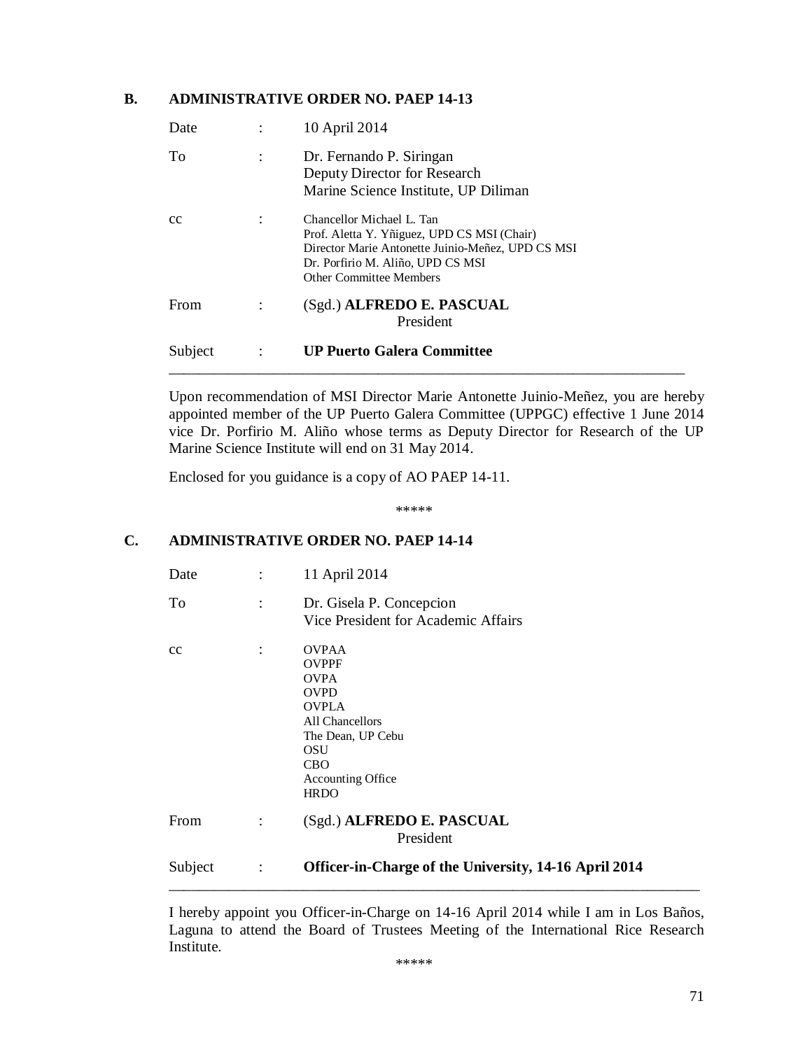### **B. ADMINISTRATIVE ORDER NO. PAEP 14-13**

| Date    |                           | 10 April 2014                                                                                                                                                                                        |
|---------|---------------------------|------------------------------------------------------------------------------------------------------------------------------------------------------------------------------------------------------|
| To      |                           | Dr. Fernando P. Siringan<br>Deputy Director for Research<br>Marine Science Institute, UP Diliman                                                                                                     |
| cc      |                           | Chancellor Michael L. Tan<br>Prof. Aletta Y. Yñiguez, UPD CS MSI (Chair)<br>Director Marie Antonette Juinio-Meñez, UPD CS MSI<br>Dr. Porfirio M. Aliño, UPD CS MSI<br><b>Other Committee Members</b> |
| From    |                           | (Sgd.) ALFREDO E. PASCUAL<br>President                                                                                                                                                               |
| Subject | $\mathbb{Z}^{\mathbb{Z}}$ | <b>UP Puerto Galera Committee</b>                                                                                                                                                                    |

Upon recommendation of MSI Director Marie Antonette Juinio-Meñez, you are hereby appointed member of the UP Puerto Galera Committee (UPPGC) effective 1 June 2014 vice Dr. Porfirio M. Aliño whose terms as Deputy Director for Research of the UP Marine Science Institute will end on 31 May 2014.

Enclosed for you guidance is a copy of AO PAEP 14-11.

\*\*\*\*\*

## **C. ADMINISTRATIVE ORDER NO. PAEP 14-14**

| Date    | $\ddot{\cdot}$ | 11 April 2014                                                                                                                                                                      |
|---------|----------------|------------------------------------------------------------------------------------------------------------------------------------------------------------------------------------|
| To      | $\ddot{\cdot}$ | Dr. Gisela P. Concepcion<br>Vice President for Academic Affairs                                                                                                                    |
| cc      | $\ddot{\cdot}$ | <b>OVPAA</b><br><b>OVPPF</b><br><b>OVPA</b><br><b>OVPD</b><br><b>OVPLA</b><br>All Chancellors<br>The Dean, UP Cebu<br>OSU<br><b>CBO</b><br><b>Accounting Office</b><br><b>HRDO</b> |
| From    | $\ddot{\cdot}$ | (Sgd.) ALFREDO E. PASCUAL<br>President                                                                                                                                             |
| Subject | $\ddot{\cdot}$ | Officer-in-Charge of the University, 14-16 April 2014                                                                                                                              |

I hereby appoint you Officer-in-Charge on 14-16 April 2014 while I am in Los Baños, Laguna to attend the Board of Trustees Meeting of the International Rice Research Institute.

\*\*\*\*\*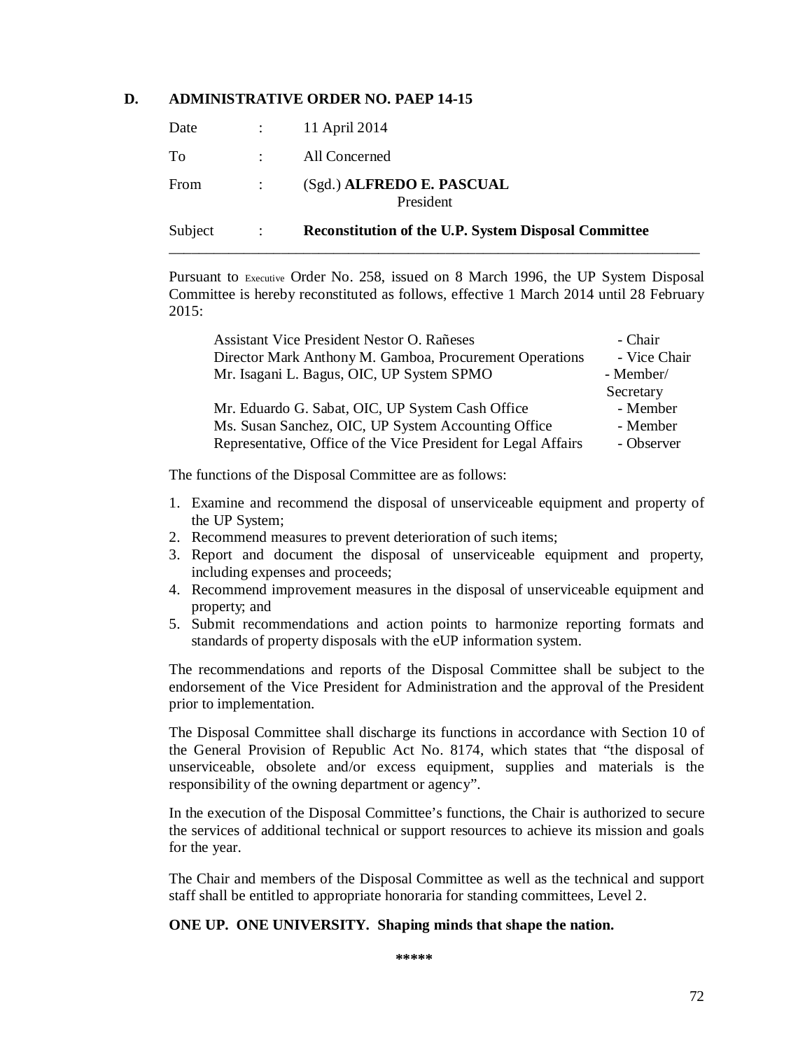### **D. ADMINISTRATIVE ORDER NO. PAEP 14-15**

| Subject | $\sim 1000$     | <b>Reconstitution of the U.P. System Disposal Committee</b> |
|---------|-----------------|-------------------------------------------------------------|
| From    | $\sim$ 1.       | (Sgd.) ALFREDO E. PASCUAL<br>President                      |
| To      |                 | All Concerned                                               |
| Date    | $\sim 10^{-10}$ | 11 April 2014                                               |

Pursuant to Executive Order No. 258, issued on 8 March 1996, the UP System Disposal Committee is hereby reconstituted as follows, effective 1 March 2014 until 28 February 2015:

| Assistant Vice President Nestor O. Rañeses                     | - Chair      |
|----------------------------------------------------------------|--------------|
| Director Mark Anthony M. Gamboa, Procurement Operations        | - Vice Chair |
| Mr. Isagani L. Bagus, OIC, UP System SPMO                      | - Member/    |
|                                                                | Secretary    |
| Mr. Eduardo G. Sabat, OIC, UP System Cash Office               | - Member     |
| Ms. Susan Sanchez, OIC, UP System Accounting Office            | - Member     |
| Representative, Office of the Vice President for Legal Affairs | - Observer   |

The functions of the Disposal Committee are as follows:

- 1. Examine and recommend the disposal of unserviceable equipment and property of the UP System;
- 2. Recommend measures to prevent deterioration of such items;
- 3. Report and document the disposal of unserviceable equipment and property, including expenses and proceeds;
- 4. Recommend improvement measures in the disposal of unserviceable equipment and property; and
- 5. Submit recommendations and action points to harmonize reporting formats and standards of property disposals with the eUP information system.

The recommendations and reports of the Disposal Committee shall be subject to the endorsement of the Vice President for Administration and the approval of the President prior to implementation.

The Disposal Committee shall discharge its functions in accordance with Section 10 of the General Provision of Republic Act No. 8174, which states that "the disposal of unserviceable, obsolete and/or excess equipment, supplies and materials is the responsibility of the owning department or agency".

In the execution of the Disposal Committee's functions, the Chair is authorized to secure the services of additional technical or support resources to achieve its mission and goals for the year.

The Chair and members of the Disposal Committee as well as the technical and support staff shall be entitled to appropriate honoraria for standing committees, Level 2.

### **ONE UP. ONE UNIVERSITY. Shaping minds that shape the nation.**

**\*\*\*\*\***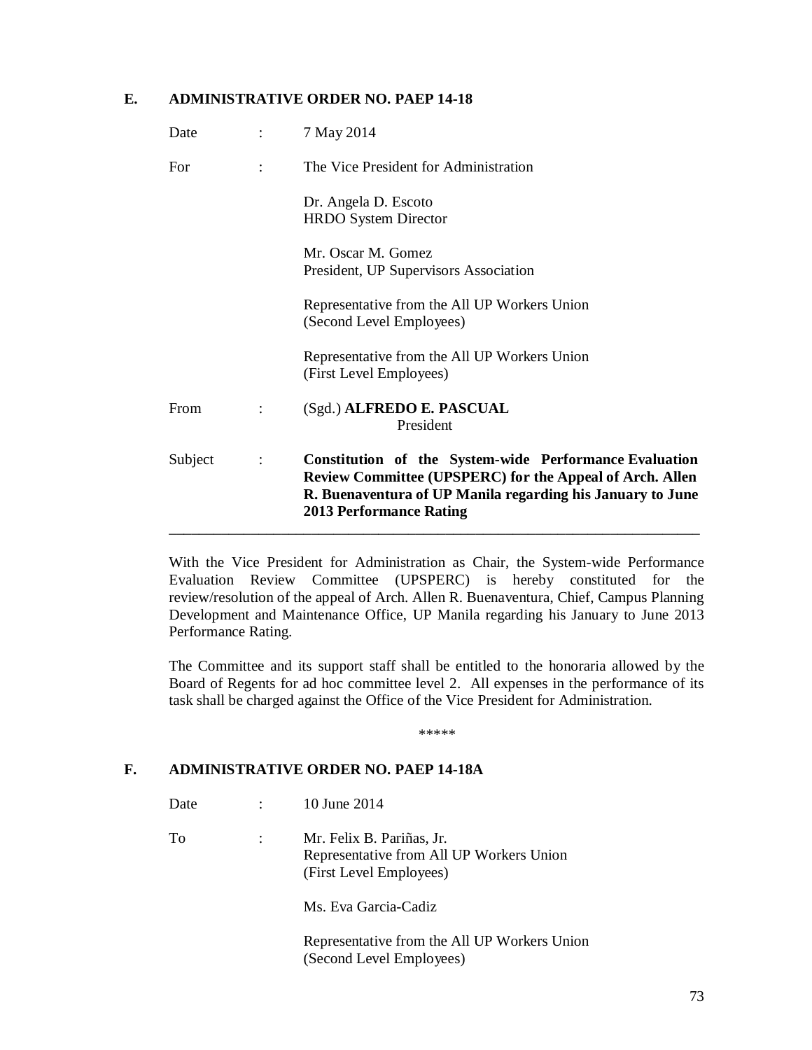## **E. ADMINISTRATIVE ORDER NO. PAEP 14-18**

| Subject | $\ddot{\cdot}$            | Constitution of the System-wide Performance Evaluation<br><b>Review Committee (UPSPERC) for the Appeal of Arch. Allen</b><br>R. Buenaventura of UP Manila regarding his January to June<br><b>2013 Performance Rating</b> |
|---------|---------------------------|---------------------------------------------------------------------------------------------------------------------------------------------------------------------------------------------------------------------------|
| From    |                           | (Sgd.) ALFREDO E. PASCUAL<br>President                                                                                                                                                                                    |
|         |                           | Representative from the All UP Workers Union<br>(First Level Employees)                                                                                                                                                   |
|         |                           | Representative from the All UP Workers Union<br>(Second Level Employees)                                                                                                                                                  |
|         |                           | Mr. Oscar M. Gomez<br>President, UP Supervisors Association                                                                                                                                                               |
|         |                           | Dr. Angela D. Escoto<br><b>HRDO</b> System Director                                                                                                                                                                       |
| For     |                           | The Vice President for Administration                                                                                                                                                                                     |
| Date    | $\mathbb{R}^{\mathbb{Z}}$ | 7 May 2014                                                                                                                                                                                                                |

With the Vice President for Administration as Chair, the System-wide Performance Evaluation Review Committee (UPSPERC) is hereby constituted for the review/resolution of the appeal of Arch. Allen R. Buenaventura, Chief, Campus Planning Development and Maintenance Office, UP Manila regarding his January to June 2013 Performance Rating.

The Committee and its support staff shall be entitled to the honoraria allowed by the Board of Regents for ad hoc committee level 2. All expenses in the performance of its task shall be charged against the Office of the Vice President for Administration.

*\*\*\*\*\**

## **F. ADMINISTRATIVE ORDER NO. PAEP 14-18A**

- Date : 10 June 2014
- To : Mr. Felix B. Pariñas, Jr. Representative from All UP Workers Union (First Level Employees)

Ms. Eva Garcia-Cadiz

Representative from the All UP Workers Union (Second Level Employees)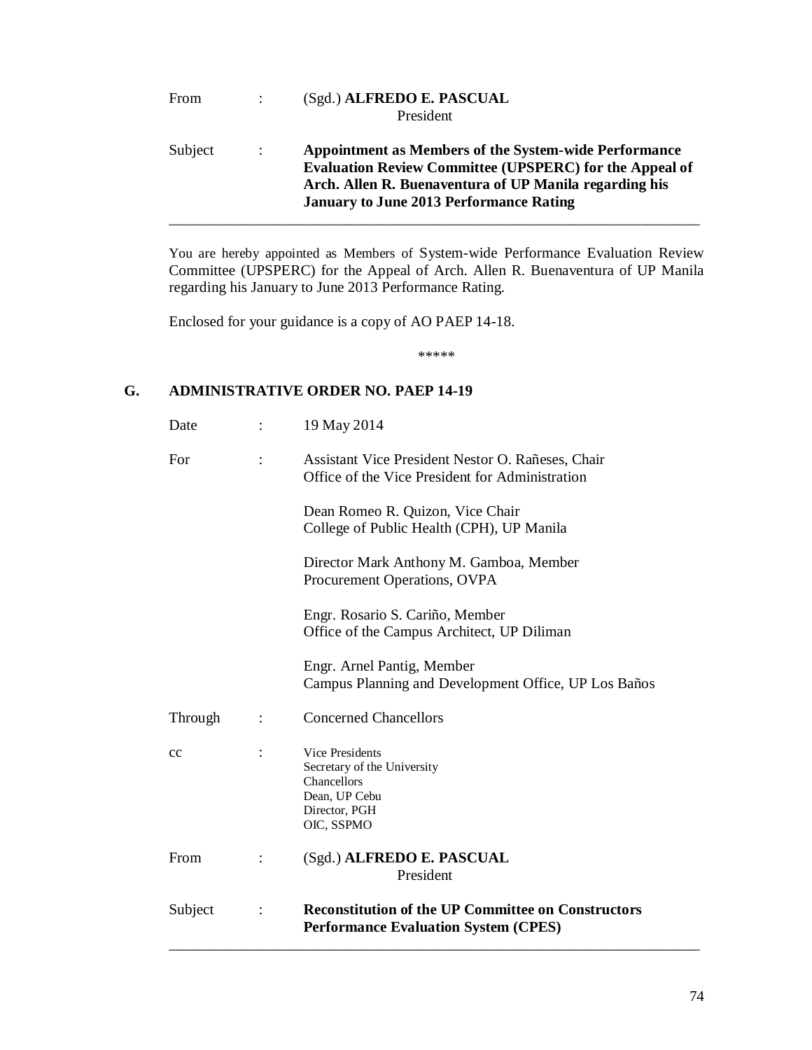| From    |                      | (Sgd.) ALFREDO E. PASCUAL<br>President                                                                                                                                                                                                     |
|---------|----------------------|--------------------------------------------------------------------------------------------------------------------------------------------------------------------------------------------------------------------------------------------|
| Subject | $\ddot{\phantom{a}}$ | <b>Appointment as Members of the System-wide Performance</b><br><b>Evaluation Review Committee (UPSPERC) for the Appeal of</b><br>Arch. Allen R. Buenaventura of UP Manila regarding his<br><b>January to June 2013 Performance Rating</b> |

You are hereby appointed as Members of System-wide Performance Evaluation Review Committee (UPSPERC) for the Appeal of Arch. Allen R. Buenaventura of UP Manila regarding his January to June 2013 Performance Rating.

Enclosed for your guidance is a copy of AO PAEP 14-18.

\*\*\*\*\*

## **G. ADMINISTRATIVE ORDER NO. PAEP 14-19**

| Date    | $\ddot{\cdot}$ | 19 May 2014                                                                                                   |
|---------|----------------|---------------------------------------------------------------------------------------------------------------|
| For     |                | Assistant Vice President Nestor O. Rañeses, Chair<br>Office of the Vice President for Administration          |
|         |                | Dean Romeo R. Quizon, Vice Chair<br>College of Public Health (CPH), UP Manila                                 |
|         |                | Director Mark Anthony M. Gamboa, Member<br>Procurement Operations, OVPA                                       |
|         |                | Engr. Rosario S. Cariño, Member<br>Office of the Campus Architect, UP Diliman                                 |
|         |                | Engr. Arnel Pantig, Member<br>Campus Planning and Development Office, UP Los Baños                            |
| Through | $\ddot{\cdot}$ | <b>Concerned Chancellors</b>                                                                                  |
| cc      |                | Vice Presidents<br>Secretary of the University<br>Chancellors<br>Dean, UP Cebu<br>Director, PGH<br>OIC, SSPMO |
| From    | $\ddot{\cdot}$ | (Sgd.) ALFREDO E. PASCUAL<br>President                                                                        |
| Subject |                | <b>Reconstitution of the UP Committee on Constructors</b><br><b>Performance Evaluation System (CPES)</b>      |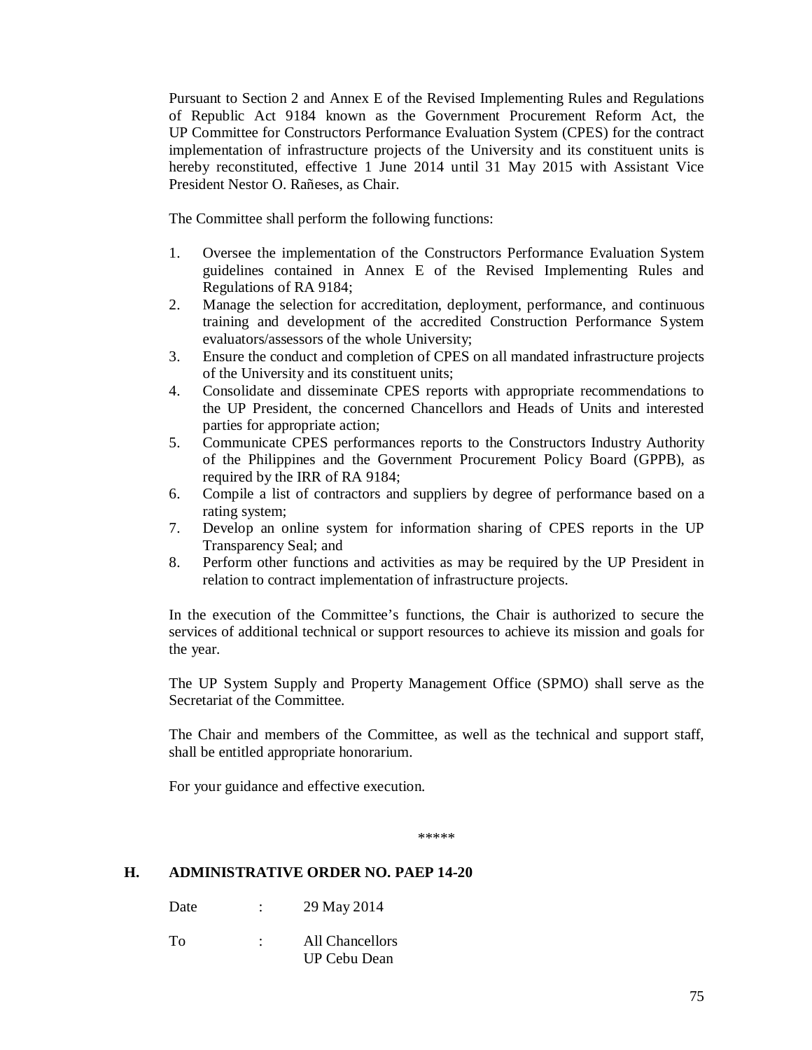Pursuant to Section 2 and Annex E of the Revised Implementing Rules and Regulations of Republic Act 9184 known as the Government Procurement Reform Act, the UP Committee for Constructors Performance Evaluation System (CPES) for the contract implementation of infrastructure projects of the University and its constituent units is hereby reconstituted, effective 1 June 2014 until 31 May 2015 with Assistant Vice President Nestor O. Rañeses, as Chair.

The Committee shall perform the following functions:

- 1. Oversee the implementation of the Constructors Performance Evaluation System guidelines contained in Annex E of the Revised Implementing Rules and Regulations of RA 9184;
- 2. Manage the selection for accreditation, deployment, performance, and continuous training and development of the accredited Construction Performance System evaluators/assessors of the whole University;
- 3. Ensure the conduct and completion of CPES on all mandated infrastructure projects of the University and its constituent units;
- 4. Consolidate and disseminate CPES reports with appropriate recommendations to the UP President, the concerned Chancellors and Heads of Units and interested parties for appropriate action;
- 5. Communicate CPES performances reports to the Constructors Industry Authority of the Philippines and the Government Procurement Policy Board (GPPB), as required by the IRR of RA 9184;
- 6. Compile a list of contractors and suppliers by degree of performance based on a rating system;
- 7. Develop an online system for information sharing of CPES reports in the UP Transparency Seal; and
- 8. Perform other functions and activities as may be required by the UP President in relation to contract implementation of infrastructure projects.

In the execution of the Committee's functions, the Chair is authorized to secure the services of additional technical or support resources to achieve its mission and goals for the year.

The UP System Supply and Property Management Office (SPMO) shall serve as the Secretariat of the Committee.

The Chair and members of the Committee, as well as the technical and support staff, shall be entitled appropriate honorarium.

For your guidance and effective execution.

\*\*\*\*\*

### **H. ADMINISTRATIVE ORDER NO. PAEP 14-20**

- Date : 29 May 2014
- To : All Chancellors UP Cebu Dean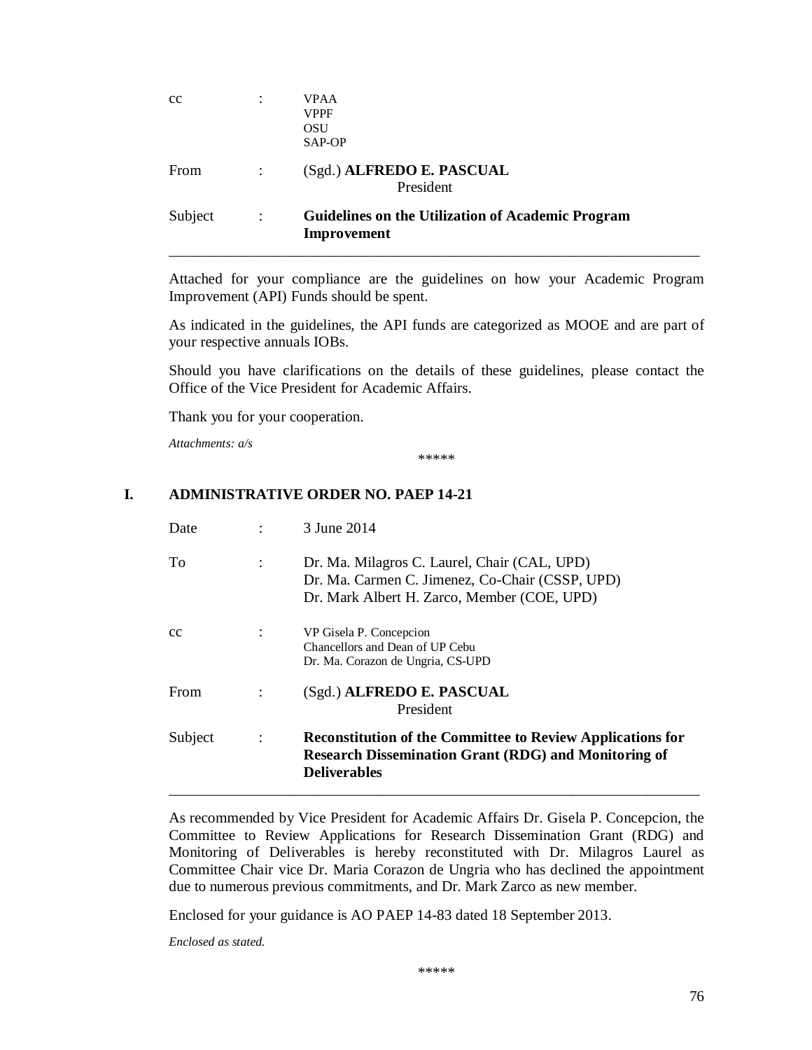| cc      | ٠              | <b>VPAA</b><br><b>VPPF</b><br><b>OSU</b><br>SAP-OP                      |
|---------|----------------|-------------------------------------------------------------------------|
| From    | $\ddot{\cdot}$ | (Sgd.) ALFREDO E. PASCUAL<br>President                                  |
| Subject | $\ddot{\cdot}$ | <b>Guidelines on the Utilization of Academic Program</b><br>Improvement |

Attached for your compliance are the guidelines on how your Academic Program Improvement (API) Funds should be spent.

As indicated in the guidelines, the API funds are categorized as MOOE and are part of your respective annuals IOBs.

Should you have clarifications on the details of these guidelines, please contact the Office of the Vice President for Academic Affairs.

Thank you for your cooperation.

*Attachments: a/s*

\*\*\*\*\*

#### **I. ADMINISTRATIVE ORDER NO. PAEP 14-21**

| Date           |                | 3 June 2014                                                                                                                                             |
|----------------|----------------|---------------------------------------------------------------------------------------------------------------------------------------------------------|
| To             | $\ddot{\cdot}$ | Dr. Ma. Milagros C. Laurel, Chair (CAL, UPD)<br>Dr. Ma. Carmen C. Jimenez, Co-Chair (CSSP, UPD)<br>Dr. Mark Albert H. Zarco, Member (COE, UPD)          |
| <sub>c</sub> c |                | VP Gisela P. Concepcion<br>Chancellors and Dean of UP Cebu<br>Dr. Ma. Corazon de Ungria, CS-UPD                                                         |
| From           |                | (Sgd.) ALFREDO E. PASCUAL<br>President                                                                                                                  |
| Subject        | $\ddot{\cdot}$ | <b>Reconstitution of the Committee to Review Applications for</b><br><b>Research Dissemination Grant (RDG) and Monitoring of</b><br><b>Deliverables</b> |

As recommended by Vice President for Academic Affairs Dr. Gisela P. Concepcion, the Committee to Review Applications for Research Dissemination Grant (RDG) and Monitoring of Deliverables is hereby reconstituted with Dr. Milagros Laurel as Committee Chair vice Dr. Maria Corazon de Ungria who has declined the appointment due to numerous previous commitments, and Dr. Mark Zarco as new member.

Enclosed for your guidance is AO PAEP 14-83 dated 18 September 2013.

*Enclosed as stated.*

\*\*\*\*\*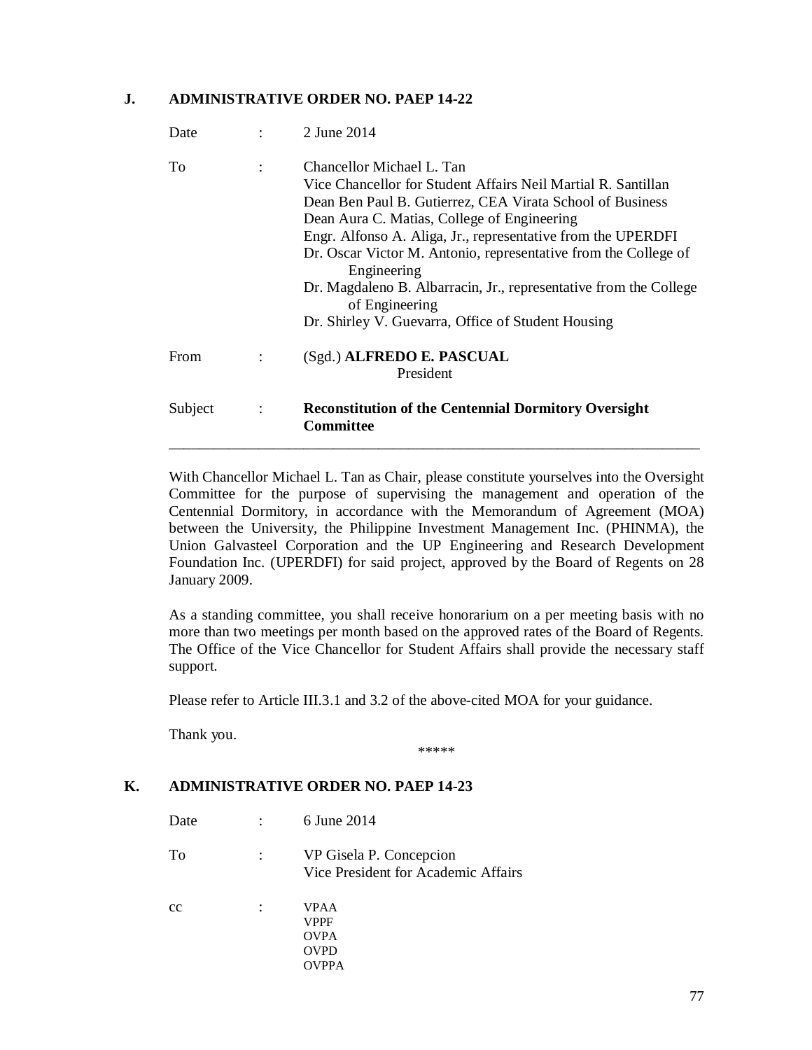### **J. ADMINISTRATIVE ORDER NO. PAEP 14-22**

| Date    |                      | 2 June 2014                                                                                                                                                                                                                                                                                                                                                                                                                                                                                           |
|---------|----------------------|-------------------------------------------------------------------------------------------------------------------------------------------------------------------------------------------------------------------------------------------------------------------------------------------------------------------------------------------------------------------------------------------------------------------------------------------------------------------------------------------------------|
| To      | $\ddot{\phantom{a}}$ | Chancellor Michael L. Tan<br>Vice Chancellor for Student Affairs Neil Martial R. Santillan<br>Dean Ben Paul B. Gutierrez, CEA Virata School of Business<br>Dean Aura C. Matias, College of Engineering<br>Engr. Alfonso A. Aliga, Jr., representative from the UPERDFI<br>Dr. Oscar Victor M. Antonio, representative from the College of<br>Engineering<br>Dr. Magdaleno B. Albarracin, Jr., representative from the College<br>of Engineering<br>Dr. Shirley V. Guevarra, Office of Student Housing |
| From    |                      | (Sgd.) ALFREDO E. PASCUAL<br>President                                                                                                                                                                                                                                                                                                                                                                                                                                                                |
| Subject | $\ddot{\cdot}$       | <b>Reconstitution of the Centennial Dormitory Oversight</b><br><b>Committee</b>                                                                                                                                                                                                                                                                                                                                                                                                                       |

With Chancellor Michael L. Tan as Chair, please constitute yourselves into the Oversight Committee for the purpose of supervising the management and operation of the Centennial Dormitory, in accordance with the Memorandum of Agreement (MOA) between the University, the Philippine Investment Management Inc. (PHINMA), the Union Galvasteel Corporation and the UP Engineering and Research Development Foundation Inc. (UPERDFI) for said project, approved by the Board of Regents on 28 January 2009.

As a standing committee, you shall receive honorarium on a per meeting basis with no more than two meetings per month based on the approved rates of the Board of Regents. The Office of the Vice Chancellor for Student Affairs shall provide the necessary staff support.

Please refer to Article III.3.1 and 3.2 of the above-cited MOA for your guidance.

Thank you.

\*\*\*\*\*

### **K. ADMINISTRATIVE ORDER NO. PAEP 14-23**

| Date | 6 June 2014                                                    |
|------|----------------------------------------------------------------|
| To   | VP Gisela P. Concepcion<br>Vice President for Academic Affairs |
| cc   | VPAA<br>VPPF<br><b>OVPA</b><br><b>OVPD</b><br>VPPA             |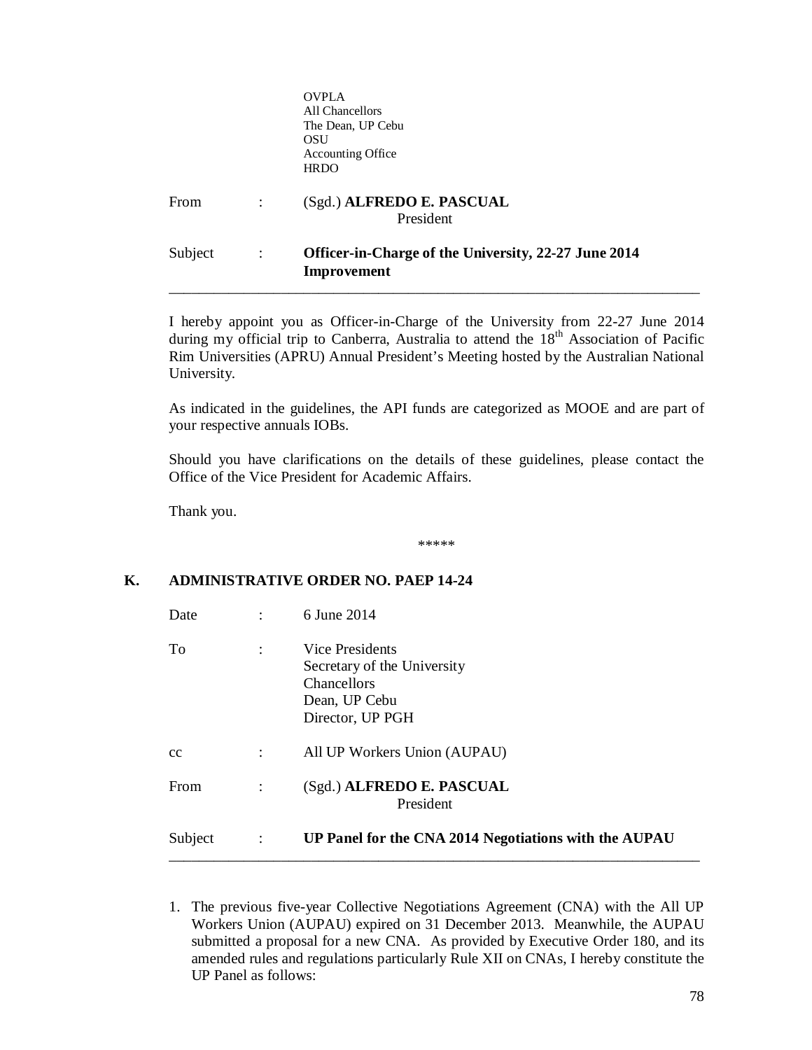|         |                | <b>OVPLA</b><br>All Chancellors<br>The Dean, UP Cebu<br>OSU<br><b>Accounting Office</b><br><b>HRDO</b> |  |
|---------|----------------|--------------------------------------------------------------------------------------------------------|--|
| From    |                | (Sgd.) ALFREDO E. PASCUAL<br>President                                                                 |  |
| Subject | $\ddot{\cdot}$ | Officer-in-Charge of the University, 22-27 June 2014<br>Improvement                                    |  |

I hereby appoint you as Officer-in-Charge of the University from 22-27 June 2014 during my official trip to Canberra, Australia to attend the  $18<sup>th</sup>$  Association of Pacific Rim Universities (APRU) Annual President's Meeting hosted by the Australian National University.

As indicated in the guidelines, the API funds are categorized as MOOE and are part of your respective annuals IOBs.

Should you have clarifications on the details of these guidelines, please contact the Office of the Vice President for Academic Affairs.

Thank you.

\*\*\*\*\*

## **K. ADMINISTRATIVE ORDER NO. PAEP 14-24**

| Date    |                | 6 June 2014                                                                                               |
|---------|----------------|-----------------------------------------------------------------------------------------------------------|
| To      | $\ddot{\cdot}$ | Vice Presidents<br>Secretary of the University<br><b>Chancellors</b><br>Dean, UP Cebu<br>Director, UP PGH |
| cc      | $\ddot{\cdot}$ | All UP Workers Union (AUPAU)                                                                              |
| From    |                | (Sgd.) ALFREDO E. PASCUAL<br>President                                                                    |
| Subject | $\ddot{\cdot}$ | UP Panel for the CNA 2014 Negotiations with the AUPAU                                                     |

1. The previous five-year Collective Negotiations Agreement (CNA) with the All UP Workers Union (AUPAU) expired on 31 December 2013. Meanwhile, the AUPAU submitted a proposal for a new CNA. As provided by Executive Order 180, and its amended rules and regulations particularly Rule XII on CNAs, I hereby constitute the UP Panel as follows: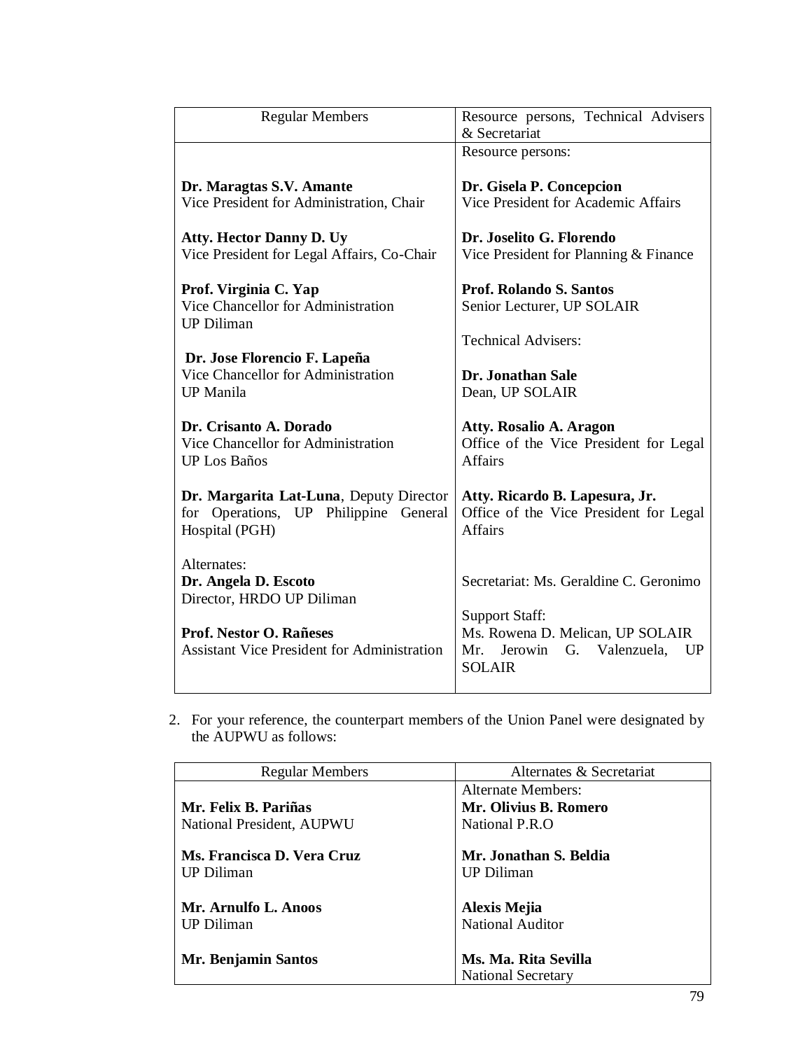| <b>Regular Members</b>                                                                                                                            | Resource persons, Technical Advisers<br>& Secretariat                                                                                                          |
|---------------------------------------------------------------------------------------------------------------------------------------------------|----------------------------------------------------------------------------------------------------------------------------------------------------------------|
|                                                                                                                                                   | Resource persons:                                                                                                                                              |
| Dr. Maragtas S.V. Amante<br>Vice President for Administration, Chair                                                                              | Dr. Gisela P. Concepcion<br>Vice President for Academic Affairs                                                                                                |
| <b>Atty. Hector Danny D. Uy</b><br>Vice President for Legal Affairs, Co-Chair                                                                     | Dr. Joselito G. Florendo<br>Vice President for Planning & Finance                                                                                              |
| Prof. Virginia C. Yap<br>Vice Chancellor for Administration<br><b>UP Diliman</b>                                                                  | <b>Prof. Rolando S. Santos</b><br>Senior Lecturer, UP SOLAIR                                                                                                   |
|                                                                                                                                                   | <b>Technical Advisers:</b>                                                                                                                                     |
| Dr. Jose Florencio F. Lapeña<br>Vice Chancellor for Administration<br><b>UP</b> Manila                                                            | Dr. Jonathan Sale<br>Dean, UP SOLAIR                                                                                                                           |
| Dr. Crisanto A. Dorado<br>Vice Chancellor for Administration<br><b>UP Los Baños</b>                                                               | Atty. Rosalio A. Aragon<br>Office of the Vice President for Legal<br><b>Affairs</b>                                                                            |
| Dr. Margarita Lat-Luna, Deputy Director<br>for Operations, UP Philippine General<br>Hospital (PGH)                                                | Atty. Ricardo B. Lapesura, Jr.<br>Office of the Vice President for Legal<br><b>Affairs</b>                                                                     |
| Alternates:<br>Dr. Angela D. Escoto<br>Director, HRDO UP Diliman<br>Prof. Nestor O. Rañeses<br><b>Assistant Vice President for Administration</b> | Secretariat: Ms. Geraldine C. Geronimo<br><b>Support Staff:</b><br>Ms. Rowena D. Melican, UP SOLAIR<br>Jerowin<br>G. Valenzuela,<br>Mr.<br>UP<br><b>SOLAIR</b> |

2. For your reference, the counterpart members of the Union Panel were designated by the AUPWU as follows:

| <b>Regular Members</b>     | Alternates & Secretariat  |
|----------------------------|---------------------------|
|                            | Alternate Members:        |
| Mr. Felix B. Pariñas       | Mr. Olivius B. Romero     |
| National President, AUPWU  | National P.R.O            |
|                            |                           |
| Ms. Francisca D. Vera Cruz | Mr. Jonathan S. Beldia    |
| <b>UP Diliman</b>          | <b>UP Diliman</b>         |
|                            |                           |
| Mr. Arnulfo L. Anoos       | <b>Alexis Mejia</b>       |
| <b>UP</b> Diliman          | <b>National Auditor</b>   |
|                            |                           |
| Mr. Benjamin Santos        | Ms. Ma. Rita Sevilla      |
|                            | <b>National Secretary</b> |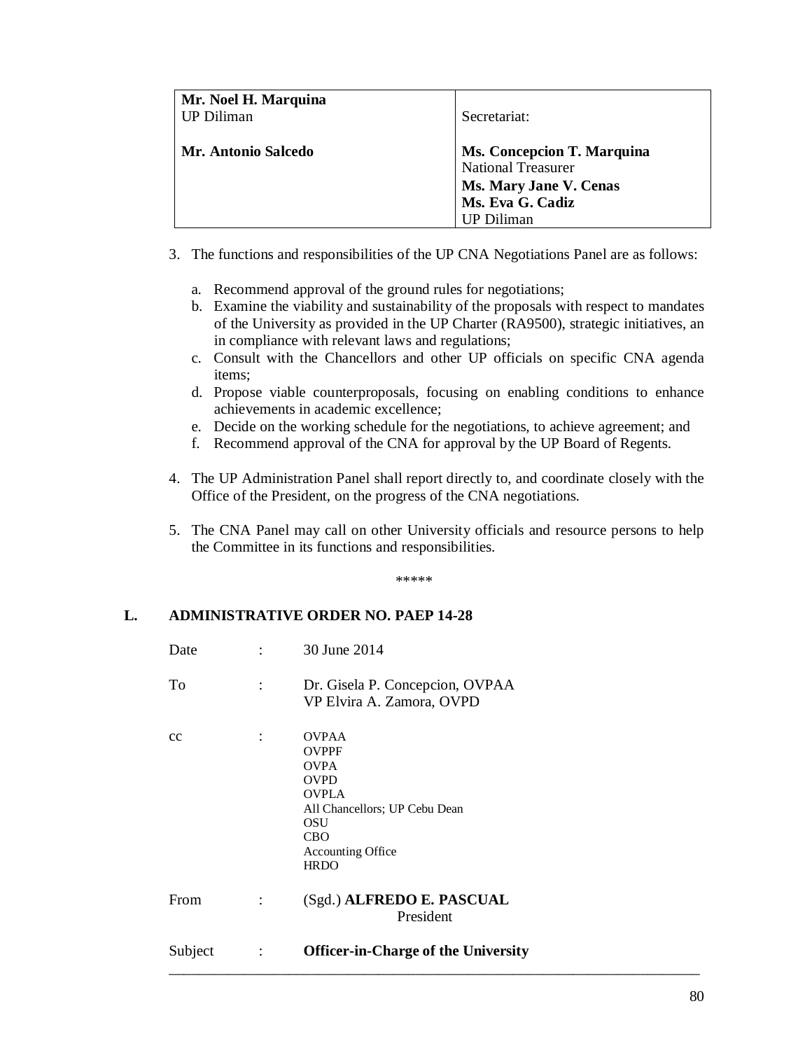| Mr. Noel H. Marquina<br><b>UP Diliman</b> | Secretariat:                                                                                                                      |
|-------------------------------------------|-----------------------------------------------------------------------------------------------------------------------------------|
| <b>Mr. Antonio Salcedo</b>                | <b>Ms. Concepcion T. Marquina</b><br><b>National Treasurer</b><br>Ms. Mary Jane V. Cenas<br>Ms. Eva G. Cadiz<br><b>UP</b> Diliman |

- 3. The functions and responsibilities of the UP CNA Negotiations Panel are as follows:
	- a. Recommend approval of the ground rules for negotiations;
	- b. Examine the viability and sustainability of the proposals with respect to mandates of the University as provided in the UP Charter (RA9500), strategic initiatives, an in compliance with relevant laws and regulations;
	- c. Consult with the Chancellors and other UP officials on specific CNA agenda items;
	- d. Propose viable counterproposals, focusing on enabling conditions to enhance achievements in academic excellence;
	- e. Decide on the working schedule for the negotiations, to achieve agreement; and
	- f. Recommend approval of the CNA for approval by the UP Board of Regents.
- 4. The UP Administration Panel shall report directly to, and coordinate closely with the Office of the President, on the progress of the CNA negotiations.
- 5. The CNA Panel may call on other University officials and resource persons to help the Committee in its functions and responsibilities.

\*\*\*\*\*

## **L. ADMINISTRATIVE ORDER NO. PAEP 14-28**

| Date    | $\ddot{\cdot}$ | 30 June 2014                                                                                                                                                                |
|---------|----------------|-----------------------------------------------------------------------------------------------------------------------------------------------------------------------------|
| To      | $\ddot{\cdot}$ | Dr. Gisela P. Concepcion, OVPAA<br>VP Elvira A. Zamora, OVPD                                                                                                                |
| cc      | $\ddot{\cdot}$ | <b>OVPAA</b><br><b>OVPPF</b><br><b>OVPA</b><br><b>OVPD</b><br><b>OVPLA</b><br>All Chancellors; UP Cebu Dean<br>OSU<br><b>CBO</b><br><b>Accounting Office</b><br><b>HRDO</b> |
| From    | $\ddot{\cdot}$ | (Sgd.) ALFREDO E. PASCUAL<br>President                                                                                                                                      |
| Subject | $\ddot{\cdot}$ | <b>Officer-in-Charge of the University</b>                                                                                                                                  |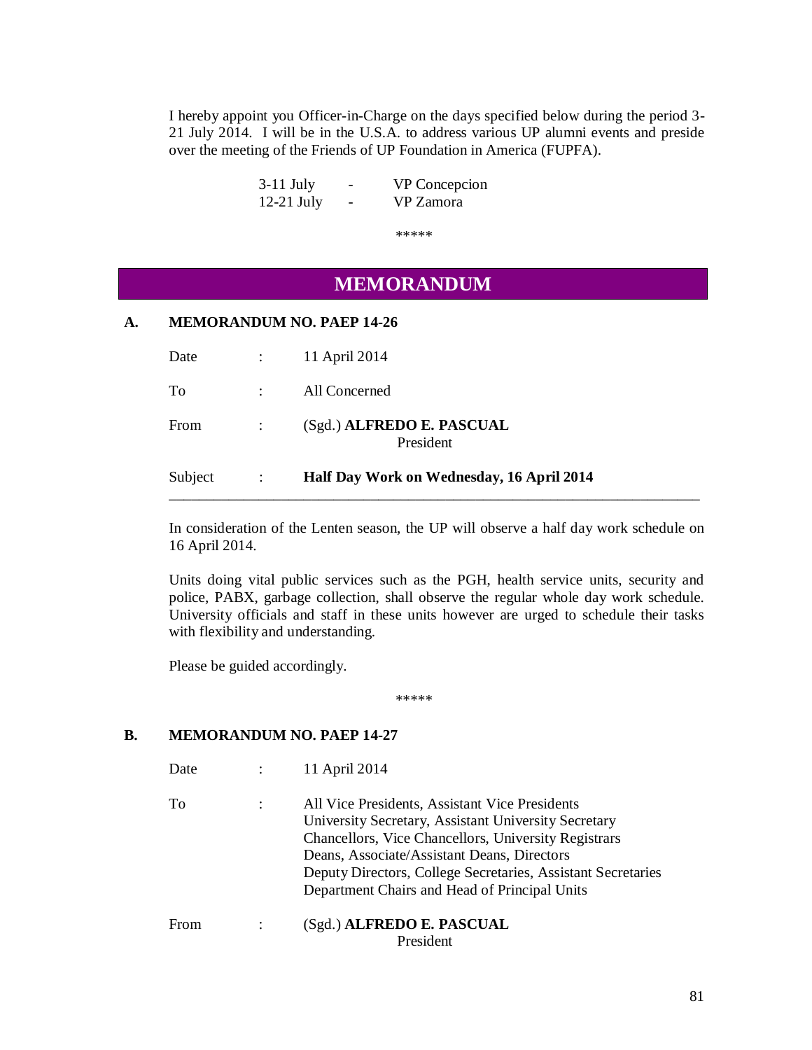I hereby appoint you Officer-in-Charge on the days specified below during the period 3- 21 July 2014. I will be in the U.S.A. to address various UP alumni events and preside over the meeting of the Friends of UP Foundation in America (FUPFA).

| $3-11$ July  | $\overline{\phantom{0}}$ | VP Concepcion |
|--------------|--------------------------|---------------|
| $12-21$ July | -                        | VP Zamora     |

\*\*\*\*\*

# **MEMORANDUM**

## **A. MEMORANDUM NO. PAEP 14-26**

| Subject |                            | Half Day Work on Wednesday, 16 April 2014 |
|---------|----------------------------|-------------------------------------------|
|         |                            | President                                 |
| From    |                            | (Sgd.) ALFREDO E. PASCUAL                 |
| To      | $\mathcal{L}^{\text{max}}$ | All Concerned                             |
| Date    |                            | 11 April 2014                             |

In consideration of the Lenten season, the UP will observe a half day work schedule on 16 April 2014.

\_\_\_\_\_\_\_\_\_\_\_\_\_\_\_\_\_\_\_\_\_\_\_\_\_\_\_\_\_\_\_\_\_\_\_\_\_\_\_\_\_\_\_\_\_\_\_\_\_\_\_\_\_\_\_\_\_\_\_\_\_\_\_\_\_\_\_\_\_\_\_

Units doing vital public services such as the PGH, health service units, security and police, PABX, garbage collection, shall observe the regular whole day work schedule. University officials and staff in these units however are urged to schedule their tasks with flexibility and understanding.

Please be guided accordingly.

\*\*\*\*\*

## **B. MEMORANDUM NO. PAEP 14-27**

- Date : 11 April 2014
- To : All Vice Presidents, Assistant Vice Presidents University Secretary, Assistant University Secretary Chancellors, Vice Chancellors, University Registrars Deans, Associate/Assistant Deans, Directors Deputy Directors, College Secretaries, Assistant Secretaries Department Chairs and Head of Principal Units
- From : (Sgd.) **ALFREDO E. PASCUAL** President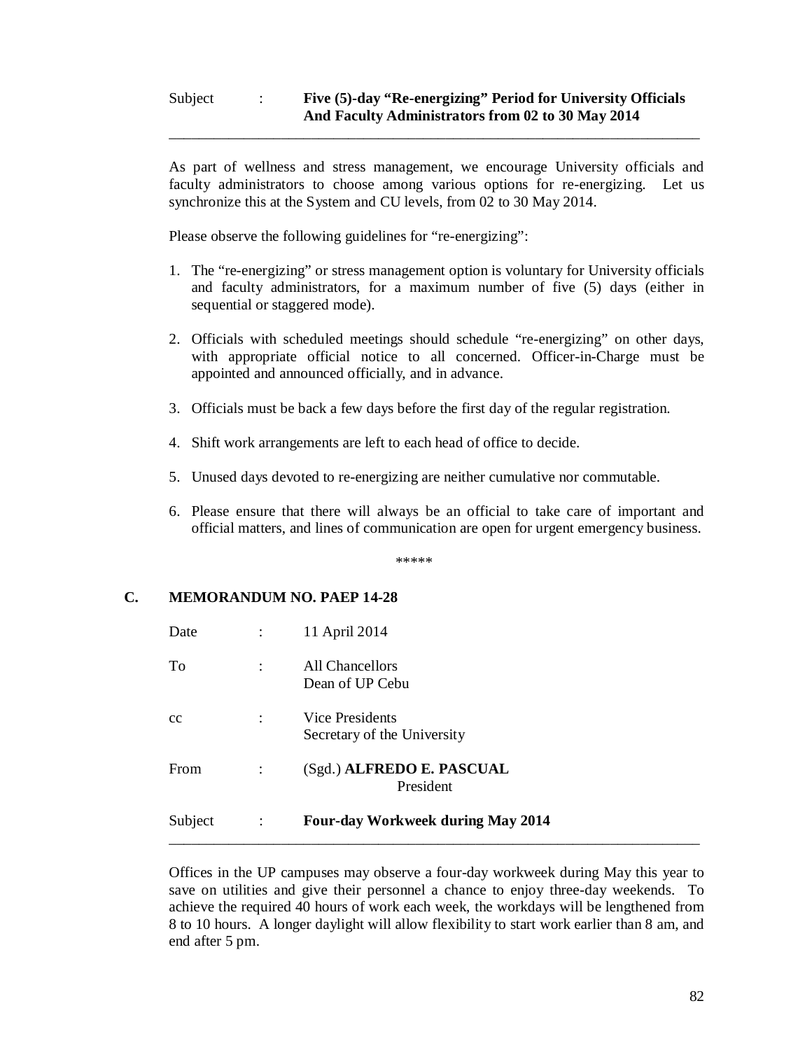## Subject : **Five (5)-day "Re-energizing" Period for University Officials And Faculty Administrators from 02 to 30 May 2014**

\_\_\_\_\_\_\_\_\_\_\_\_\_\_\_\_\_\_\_\_\_\_\_\_\_\_\_\_\_\_\_\_\_\_\_\_\_\_\_\_\_\_\_\_\_\_\_\_\_\_\_\_\_\_\_\_\_\_\_\_\_\_\_\_\_\_\_\_\_\_\_

As part of wellness and stress management, we encourage University officials and faculty administrators to choose among various options for re-energizing. Let us synchronize this at the System and CU levels, from 02 to 30 May 2014.

Please observe the following guidelines for "re-energizing":

- 1. The "re-energizing" or stress management option is voluntary for University officials and faculty administrators, for a maximum number of five (5) days (either in sequential or staggered mode).
- 2. Officials with scheduled meetings should schedule "re-energizing" on other days, with appropriate official notice to all concerned. Officer-in-Charge must be appointed and announced officially, and in advance.
- 3. Officials must be back a few days before the first day of the regular registration.
- 4. Shift work arrangements are left to each head of office to decide.
- 5. Unused days devoted to re-energizing are neither cumulative nor commutable.
- 6. Please ensure that there will always be an official to take care of important and official matters, and lines of communication are open for urgent emergency business.

\*\*\*\*\*

## **C. MEMORANDUM NO. PAEP 14-28**

| Date    |                      | 11 April 2014                                  |
|---------|----------------------|------------------------------------------------|
| To      | $\ddot{\cdot}$       | All Chancellors<br>Dean of UP Cebu             |
| cc      | $\ddot{\cdot}$       | Vice Presidents<br>Secretary of the University |
| From    | $\ddot{\cdot}$       | (Sgd.) ALFREDO E. PASCUAL<br>President         |
| Subject | $\ddot{\phantom{a}}$ | <b>Four-day Workweek during May 2014</b>       |

Offices in the UP campuses may observe a four-day workweek during May this year to save on utilities and give their personnel a chance to enjoy three-day weekends. To achieve the required 40 hours of work each week, the workdays will be lengthened from 8 to 10 hours. A longer daylight will allow flexibility to start work earlier than 8 am, and end after 5 pm.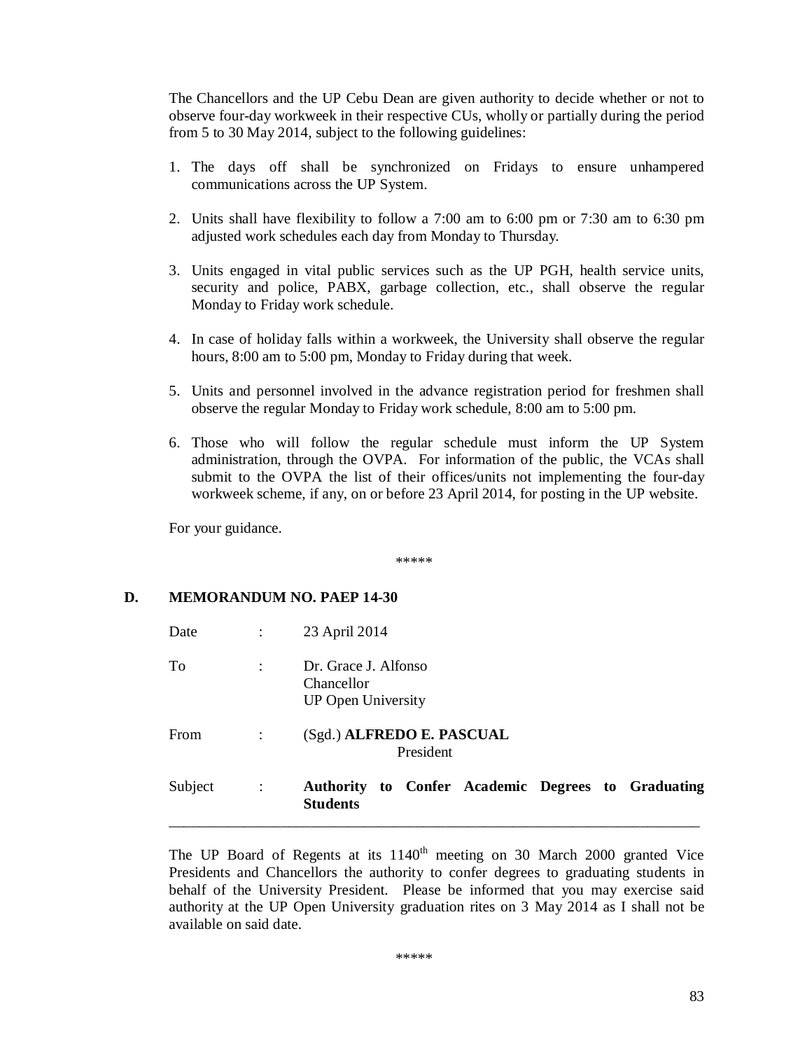The Chancellors and the UP Cebu Dean are given authority to decide whether or not to observe four-day workweek in their respective CUs, wholly or partially during the period from 5 to 30 May 2014, subject to the following guidelines:

- 1. The days off shall be synchronized on Fridays to ensure unhampered communications across the UP System.
- 2. Units shall have flexibility to follow a 7:00 am to 6:00 pm or 7:30 am to 6:30 pm adjusted work schedules each day from Monday to Thursday.
- 3. Units engaged in vital public services such as the UP PGH, health service units, security and police, PABX, garbage collection, etc., shall observe the regular Monday to Friday work schedule.
- 4. In case of holiday falls within a workweek, the University shall observe the regular hours, 8:00 am to 5:00 pm, Monday to Friday during that week.
- 5. Units and personnel involved in the advance registration period for freshmen shall observe the regular Monday to Friday work schedule, 8:00 am to 5:00 pm.
- 6. Those who will follow the regular schedule must inform the UP System administration, through the OVPA. For information of the public, the VCAs shall submit to the OVPA the list of their offices/units not implementing the four-day workweek scheme, if any, on or before 23 April 2014, for posting in the UP website.

For your guidance.

\*\*\*\*\*

## **D. MEMORANDUM NO. PAEP 14-30**

| Subject     | $\ddot{\phantom{a}}$ | Authority to Confer Academic Degrees to Graduating<br><b>Students</b> |
|-------------|----------------------|-----------------------------------------------------------------------|
| <b>From</b> | $\ddot{\cdot}$       | (Sgd.) ALFREDO E. PASCUAL<br>President                                |
| To          | $\ddot{\cdot}$       | Dr. Grace J. Alfonso<br>Chancellor<br><b>UP Open University</b>       |
| Date        | $\ddot{\cdot}$       | 23 April 2014                                                         |

The UP Board of Regents at its  $1140<sup>th</sup>$  meeting on 30 March 2000 granted Vice Presidents and Chancellors the authority to confer degrees to graduating students in behalf of the University President. Please be informed that you may exercise said authority at the UP Open University graduation rites on 3 May 2014 as I shall not be available on said date.

\*\*\*\*\*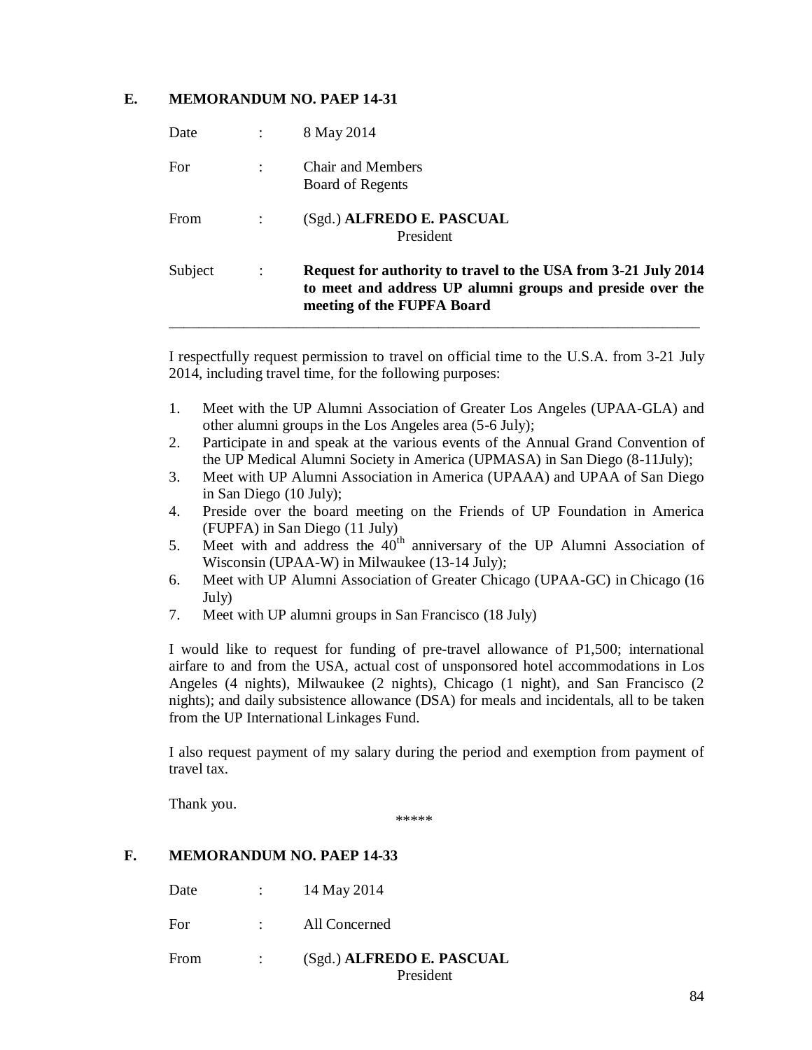## **E. MEMORANDUM NO. PAEP 14-31**

| Subject     | $\ddot{\cdot}$ | Request for authority to travel to the USA from 3-21 July 2014<br>to meet and address UP alumni groups and preside over the<br>meeting of the FUPFA Board |
|-------------|----------------|-----------------------------------------------------------------------------------------------------------------------------------------------------------|
| <b>From</b> |                | (Sgd.) ALFREDO E. PASCUAL<br>President                                                                                                                    |
| For         |                | Chair and Members<br>Board of Regents                                                                                                                     |
| Date        |                | 8 May 2014                                                                                                                                                |

I respectfully request permission to travel on official time to the U.S.A. from 3-21 July 2014, including travel time, for the following purposes:

- 1. Meet with the UP Alumni Association of Greater Los Angeles (UPAA-GLA) and other alumni groups in the Los Angeles area (5-6 July);
- 2. Participate in and speak at the various events of the Annual Grand Convention of the UP Medical Alumni Society in America (UPMASA) in San Diego (8-11July);
- 3. Meet with UP Alumni Association in America (UPAAA) and UPAA of San Diego in San Diego (10 July);
- 4. Preside over the board meeting on the Friends of UP Foundation in America (FUPFA) in San Diego (11 July)
- 5. Meet with and address the  $40<sup>th</sup>$  anniversary of the UP Alumni Association of Wisconsin (UPAA-W) in Milwaukee (13-14 July);
- 6. Meet with UP Alumni Association of Greater Chicago (UPAA-GC) in Chicago (16 July)
- 7. Meet with UP alumni groups in San Francisco (18 July)

I would like to request for funding of pre-travel allowance of P1,500; international airfare to and from the USA, actual cost of unsponsored hotel accommodations in Los Angeles (4 nights), Milwaukee (2 nights), Chicago (1 night), and San Francisco (2 nights); and daily subsistence allowance (DSA) for meals and incidentals, all to be taken from the UP International Linkages Fund.

I also request payment of my salary during the period and exemption from payment of travel tax.

Thank you.

\*\*\*\*\*

### **F. MEMORANDUM NO. PAEP 14-33**

| From | (Sgd.) ALFREDO E. PASCUAL<br>President |
|------|----------------------------------------|
| For  | All Concerned                          |
| Date | 14 May 2014                            |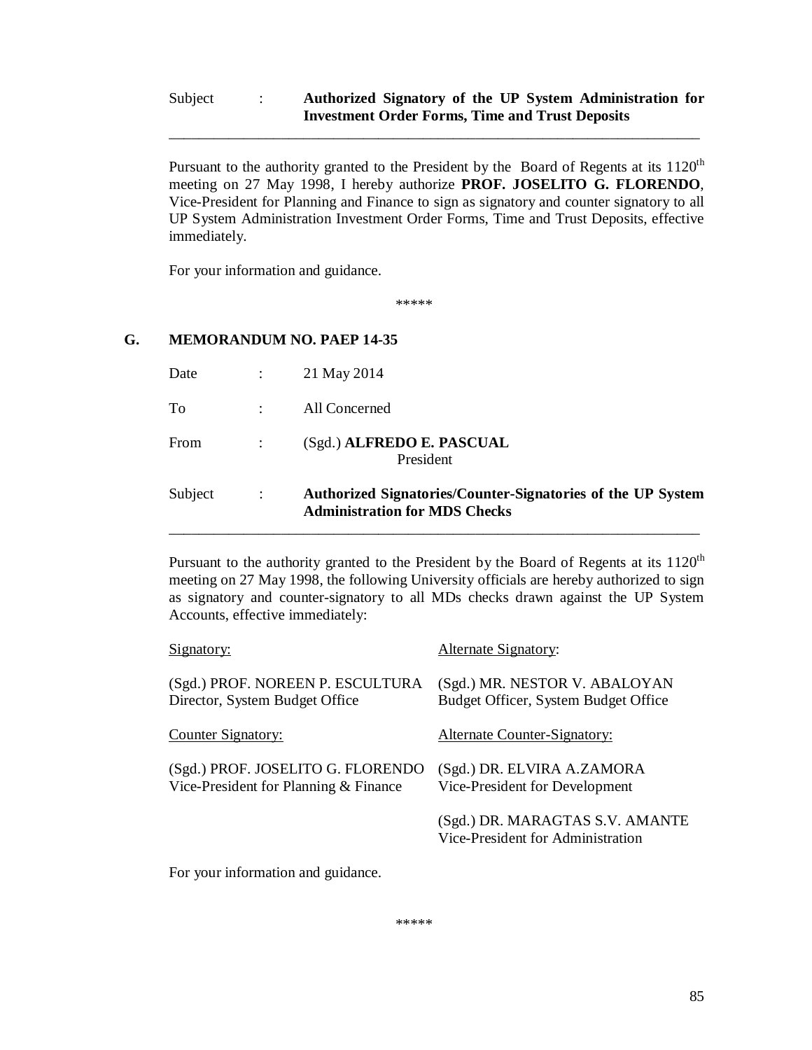## Subject : **Authorized Signatory of the UP System Administration for Investment Order Forms, Time and Trust Deposits**

\_\_\_\_\_\_\_\_\_\_\_\_\_\_\_\_\_\_\_\_\_\_\_\_\_\_\_\_\_\_\_\_\_\_\_\_\_\_\_\_\_\_\_\_\_\_\_\_\_\_\_\_\_\_\_\_\_\_\_\_\_\_\_\_\_\_\_\_\_\_\_

Pursuant to the authority granted to the President by the Board of Regents at its  $1120<sup>th</sup>$ meeting on 27 May 1998, I hereby authorize **PROF. JOSELITO G. FLORENDO**, Vice-President for Planning and Finance to sign as signatory and counter signatory to all UP System Administration Investment Order Forms, Time and Trust Deposits, effective immediately.

For your information and guidance.

\*\*\*\*\*

## **G. MEMORANDUM NO. PAEP 14-35**

| Subject | $\mathbb{R}^2$ | Authorized Signatories/Counter-Signatories of the UP System<br><b>Administration for MDS Checks</b> |
|---------|----------------|-----------------------------------------------------------------------------------------------------|
| From    |                | (Sgd.) ALFREDO E. PASCUAL<br>President                                                              |
| To      |                | All Concerned                                                                                       |
| Date    | $\sim 1000$    | 21 May 2014                                                                                         |

Pursuant to the authority granted to the President by the Board of Regents at its 1120<sup>th</sup> meeting on 27 May 1998, the following University officials are hereby authorized to sign as signatory and counter-signatory to all MDs checks drawn against the UP System Accounts, effective immediately:

\_\_\_\_\_\_\_\_\_\_\_\_\_\_\_\_\_\_\_\_\_\_\_\_\_\_\_\_\_\_\_\_\_\_\_\_\_\_\_\_\_\_\_\_\_\_\_\_\_\_\_\_\_\_\_\_\_\_\_\_\_\_\_\_\_\_\_\_\_\_\_

| Alternate Signatory:                                                  |
|-----------------------------------------------------------------------|
| (Sgd.) MR. NESTOR V. ABALOYAN<br>Budget Officer, System Budget Office |
| <b>Alternate Counter-Signatory:</b>                                   |
| (Sgd.) DR. ELVIRA A.ZAMORA<br>Vice-President for Development          |
| (Sgd.) DR. MARAGTAS S.V. AMANTE<br>Vice-President for Administration  |
|                                                                       |

For your information and guidance.

\*\*\*\*\*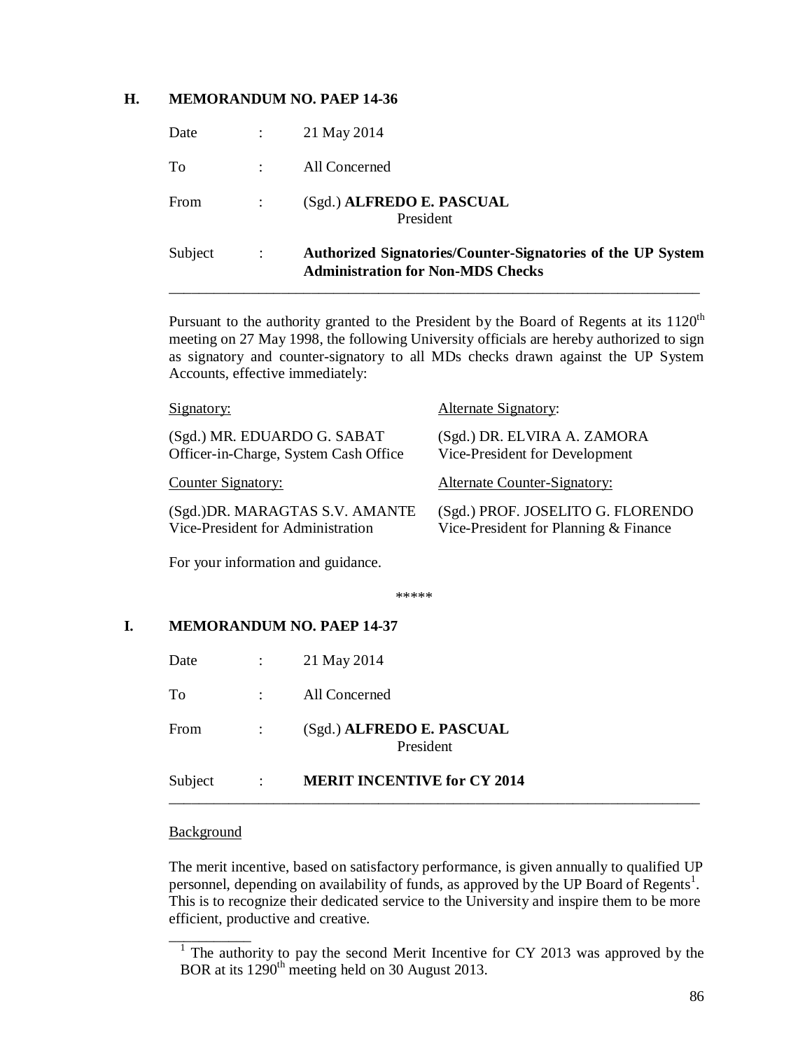### **H. MEMORANDUM NO. PAEP 14-36**

| Subject | $\ddot{\cdot}$ | Authorized Signatories/Counter-Signatories of the UP System<br><b>Administration for Non-MDS Checks</b> |
|---------|----------------|---------------------------------------------------------------------------------------------------------|
| From    |                | (Sgd.) ALFREDO E. PASCUAL<br>President                                                                  |
| To      |                | All Concerned                                                                                           |
| Date    |                | 21 May 2014                                                                                             |

Pursuant to the authority granted to the President by the Board of Regents at its 1120<sup>th</sup> meeting on 27 May 1998, the following University officials are hereby authorized to sign as signatory and counter-signatory to all MDs checks drawn against the UP System Accounts, effective immediately:

| Signatory:                                                           | Alternate Signatory:                                                       |
|----------------------------------------------------------------------|----------------------------------------------------------------------------|
| (Sgd.) MR. EDUARDO G. SABAT<br>Officer-in-Charge, System Cash Office | (Sgd.) DR. ELVIRA A. ZAMORA<br>Vice-President for Development              |
| Counter Signatory:                                                   | <b>Alternate Counter-Signatory:</b>                                        |
| (Sgd.) DR. MARAGTAS S.V. AMANTE<br>Vice-President for Administration | (Sgd.) PROF. JOSELITO G. FLORENDO<br>Vice-President for Planning & Finance |
| For your information and guidance.                                   |                                                                            |

\*\*\*\*\*

### **I. MEMORANDUM NO. PAEP 14-37**

| Subject | $\sim 10^{-10}$ km $^{-1}$ | <b>MERIT INCENTIVE for CY 2014</b>     |
|---------|----------------------------|----------------------------------------|
| From    | $\sim$ 10 $\sim$           | (Sgd.) ALFREDO E. PASCUAL<br>President |
| To      |                            | All Concerned                          |
| Date    | $\sim 100$                 | 21 May 2014                            |

#### **Background**

The merit incentive, based on satisfactory performance, is given annually to qualified UP personnel, depending on availability of funds, as approved by the UP Board of Regents<sup>1</sup>. This is to recognize their dedicated service to the University and inspire them to be more efficient, productive and creative.

 $\frac{1}{1}$  The authority to pay the second Merit Incentive for CY 2013 was approved by the BOR at its 1290<sup>th</sup> meeting held on 30 August 2013.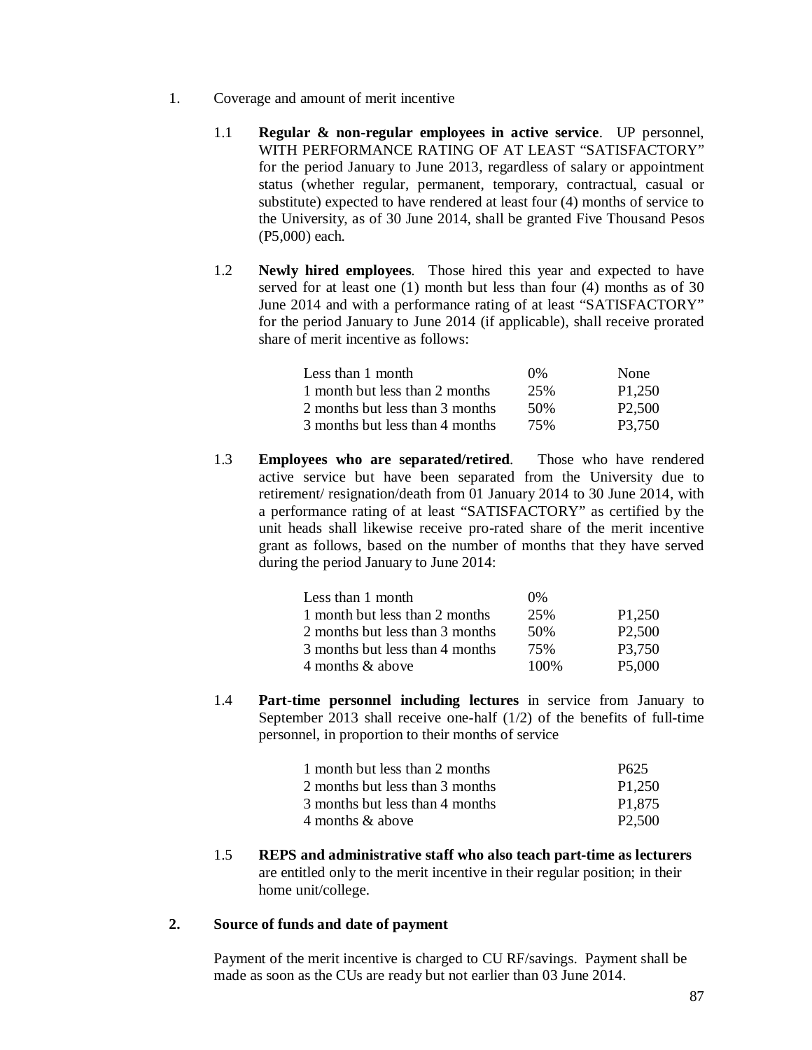- 1. Coverage and amount of merit incentive
	- 1.1 **Regular & non-regular employees in active service**. UP personnel, WITH PERFORMANCE RATING OF AT LEAST "SATISFACTORY" for the period January to June 2013, regardless of salary or appointment status (whether regular, permanent, temporary, contractual, casual or substitute) expected to have rendered at least four (4) months of service to the University, as of 30 June 2014, shall be granted Five Thousand Pesos (P5,000) each.
	- 1.2 **Newly hired employees**. Those hired this year and expected to have served for at least one (1) month but less than four (4) months as of 30 June 2014 and with a performance rating of at least "SATISFACTORY" for the period January to June 2014 (if applicable), shall receive prorated share of merit incentive as follows:

| Less than 1 month               | $0\%$ | None                |
|---------------------------------|-------|---------------------|
| 1 month but less than 2 months  | 25%   | P1,250              |
| 2 months but less than 3 months | 50%   | P <sub>2</sub> ,500 |
| 3 months but less than 4 months | 75%   | P3.750              |

1.3 **Employees who are separated/retired**. Those who have rendered active service but have been separated from the University due to retirement/ resignation/death from 01 January 2014 to 30 June 2014, with a performance rating of at least "SATISFACTORY" as certified by the unit heads shall likewise receive pro-rated share of the merit incentive grant as follows, based on the number of months that they have served during the period January to June 2014:

| Less than 1 month               | $0\%$ |                     |
|---------------------------------|-------|---------------------|
| 1 month but less than 2 months  | 25%   | P <sub>1</sub> ,250 |
| 2 months but less than 3 months | 50%   | P <sub>2</sub> ,500 |
| 3 months but less than 4 months | 75%   | P3,750              |
| 4 months & above                | 100\% | P5,000              |

1.4 **Part-time personnel including lectures** in service from January to September 2013 shall receive one-half (1/2) of the benefits of full-time personnel, in proportion to their months of service

| 1 month but less than 2 months  | P <sub>625</sub>    |
|---------------------------------|---------------------|
| 2 months but less than 3 months | P <sub>1</sub> ,250 |
| 3 months but less than 4 months | P <sub>1.875</sub>  |
| 4 months & above                | P <sub>2</sub> ,500 |

1.5 **REPS and administrative staff who also teach part-time as lecturers** are entitled only to the merit incentive in their regular position; in their home unit/college.

### **2. Source of funds and date of payment**

Payment of the merit incentive is charged to CU RF/savings. Payment shall be made as soon as the CUs are ready but not earlier than 03 June 2014.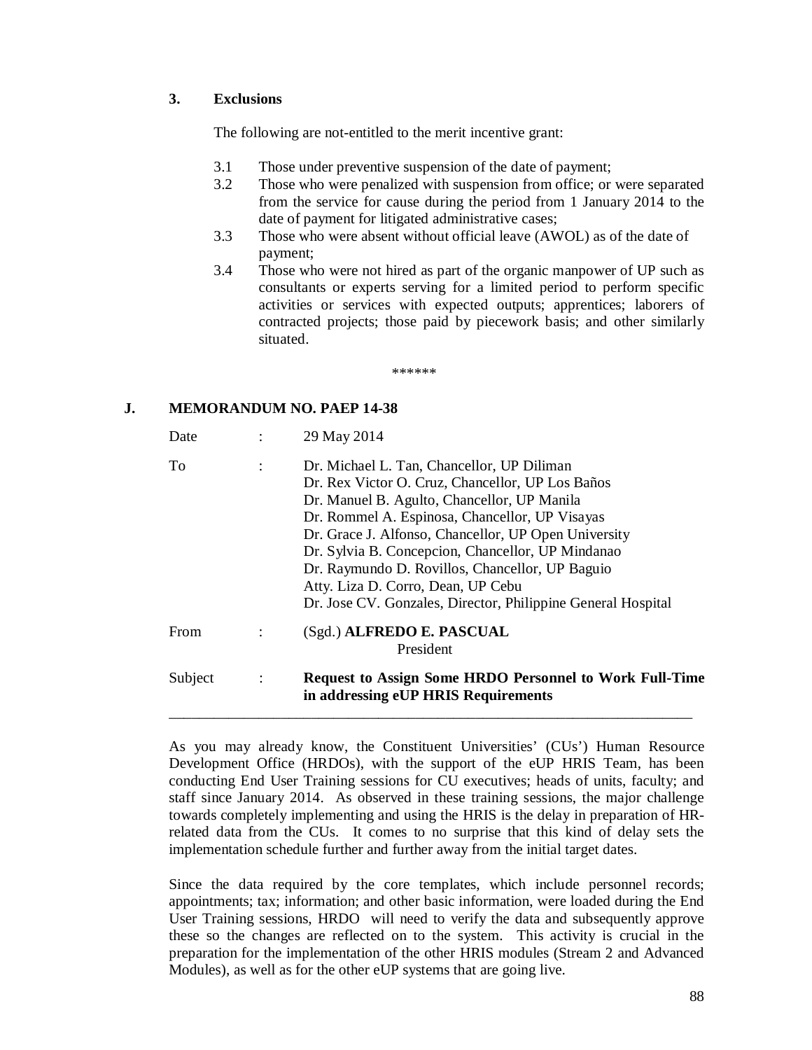## **3. Exclusions**

The following are not-entitled to the merit incentive grant:

- 3.1 Those under preventive suspension of the date of payment;
- 3.2 Those who were penalized with suspension from office; or were separated from the service for cause during the period from 1 January 2014 to the date of payment for litigated administrative cases;
- 3.3 Those who were absent without official leave (AWOL) as of the date of payment;
- 3.4 Those who were not hired as part of the organic manpower of UP such as consultants or experts serving for a limited period to perform specific activities or services with expected outputs; apprentices; laborers of contracted projects; those paid by piecework basis; and other similarly situated.

\*\*\*\*\*\*

## **J. MEMORANDUM NO. PAEP 14-38**

| Date    | $\ddot{\cdot}$ | 29 May 2014                                                                                                                                                                                                                                                                                                                                                                                                                                                           |
|---------|----------------|-----------------------------------------------------------------------------------------------------------------------------------------------------------------------------------------------------------------------------------------------------------------------------------------------------------------------------------------------------------------------------------------------------------------------------------------------------------------------|
| To      | $\ddot{\cdot}$ | Dr. Michael L. Tan, Chancellor, UP Diliman<br>Dr. Rex Victor O. Cruz, Chancellor, UP Los Baños<br>Dr. Manuel B. Agulto, Chancellor, UP Manila<br>Dr. Rommel A. Espinosa, Chancellor, UP Visayas<br>Dr. Grace J. Alfonso, Chancellor, UP Open University<br>Dr. Sylvia B. Concepcion, Chancellor, UP Mindanao<br>Dr. Raymundo D. Rovillos, Chancellor, UP Baguio<br>Atty. Liza D. Corro, Dean, UP Cebu<br>Dr. Jose CV. Gonzales, Director, Philippine General Hospital |
| From    |                | (Sgd.) ALFREDO E. PASCUAL<br>President                                                                                                                                                                                                                                                                                                                                                                                                                                |
| Subject | $\sim$ 1.      | <b>Request to Assign Some HRDO Personnel to Work Full-Time</b><br>in addressing eUP HRIS Requirements                                                                                                                                                                                                                                                                                                                                                                 |

As you may already know, the Constituent Universities' (CUs') Human Resource Development Office (HRDOs), with the support of the eUP HRIS Team, has been conducting End User Training sessions for CU executives; heads of units, faculty; and staff since January 2014. As observed in these training sessions, the major challenge towards completely implementing and using the HRIS is the delay in preparation of HRrelated data from the CUs. It comes to no surprise that this kind of delay sets the implementation schedule further and further away from the initial target dates.

Since the data required by the core templates, which include personnel records; appointments; tax; information; and other basic information, were loaded during the End User Training sessions, HRDO will need to verify the data and subsequently approve these so the changes are reflected on to the system. This activity is crucial in the preparation for the implementation of the other HRIS modules (Stream 2 and Advanced Modules), as well as for the other eUP systems that are going live.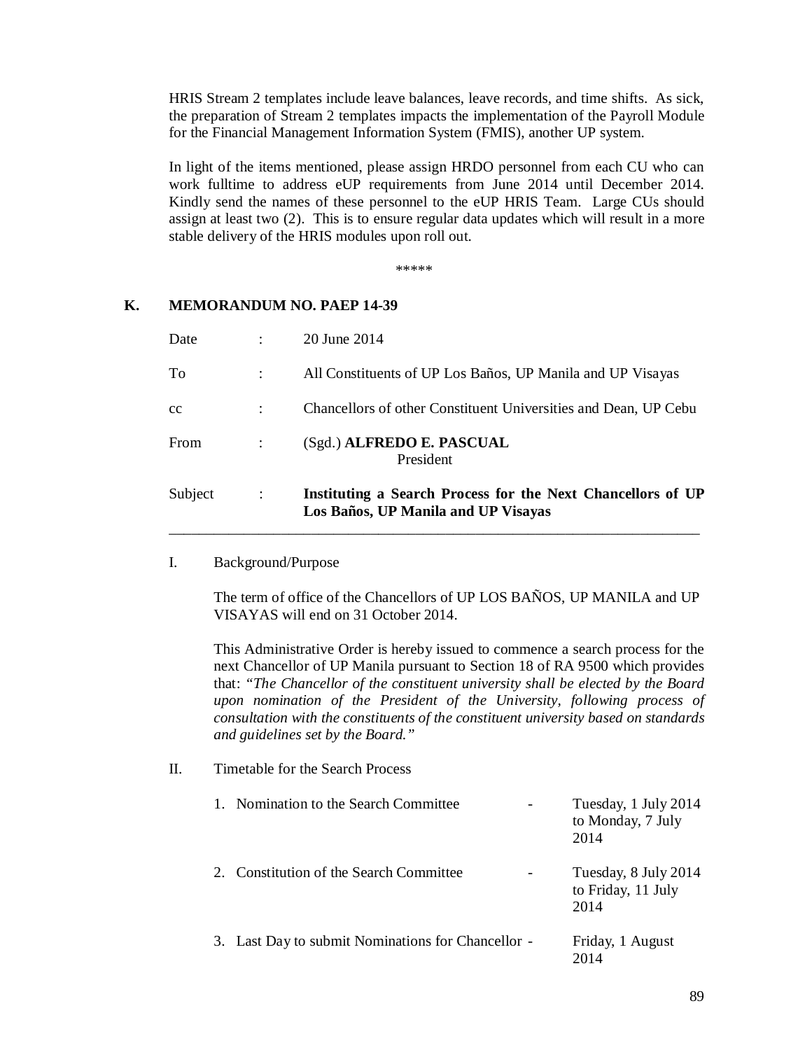HRIS Stream 2 templates include leave balances, leave records, and time shifts. As sick, the preparation of Stream 2 templates impacts the implementation of the Payroll Module for the Financial Management Information System (FMIS), another UP system.

In light of the items mentioned, please assign HRDO personnel from each CU who can work fulltime to address eUP requirements from June 2014 until December 2014. Kindly send the names of these personnel to the eUP HRIS Team. Large CUs should assign at least two (2). This is to ensure regular data updates which will result in a more stable delivery of the HRIS modules upon roll out.

\*\*\*\*\*

## **K. MEMORANDUM NO. PAEP 14-39**

| Date    |             | 20 June 2014                                                                                       |
|---------|-------------|----------------------------------------------------------------------------------------------------|
| To      |             | All Constituents of UP Los Baños, UP Manila and UP Visayas                                         |
| cc      |             | Chancellors of other Constituent Universities and Dean, UP Cebu                                    |
| From    |             | (Sgd.) ALFREDO E. PASCUAL<br>President                                                             |
| Subject | $\sim 10^6$ | Instituting a Search Process for the Next Chancellors of UP<br>Los Baños, UP Manila and UP Visayas |

\_\_\_\_\_\_\_\_\_\_\_\_\_\_\_\_\_\_\_\_\_\_\_\_\_\_\_\_\_\_\_\_\_\_\_\_\_\_\_\_\_\_\_\_\_\_\_\_\_\_\_\_\_\_\_\_\_\_\_\_\_\_\_\_\_\_\_\_\_\_\_

### I. Background/Purpose

The term of office of the Chancellors of UP LOS BAÑOS, UP MANILA and UP VISAYAS will end on 31 October 2014.

This Administrative Order is hereby issued to commence a search process for the next Chancellor of UP Manila pursuant to Section 18 of RA 9500 which provides that: *"The Chancellor of the constituent university shall be elected by the Board upon nomination of the President of the University, following process of consultation with the constituents of the constituent university based on standards and guidelines set by the Board."*

### II. Timetable for the Search Process

| 1. Nomination to the Search Committee              | Tuesday, 1 July 2014<br>to Monday, 7 July<br>2014  |
|----------------------------------------------------|----------------------------------------------------|
| 2. Constitution of the Search Committee            | Tuesday, 8 July 2014<br>to Friday, 11 July<br>2014 |
| 3. Last Day to submit Nominations for Chancellor - | Friday, 1 August<br>2014                           |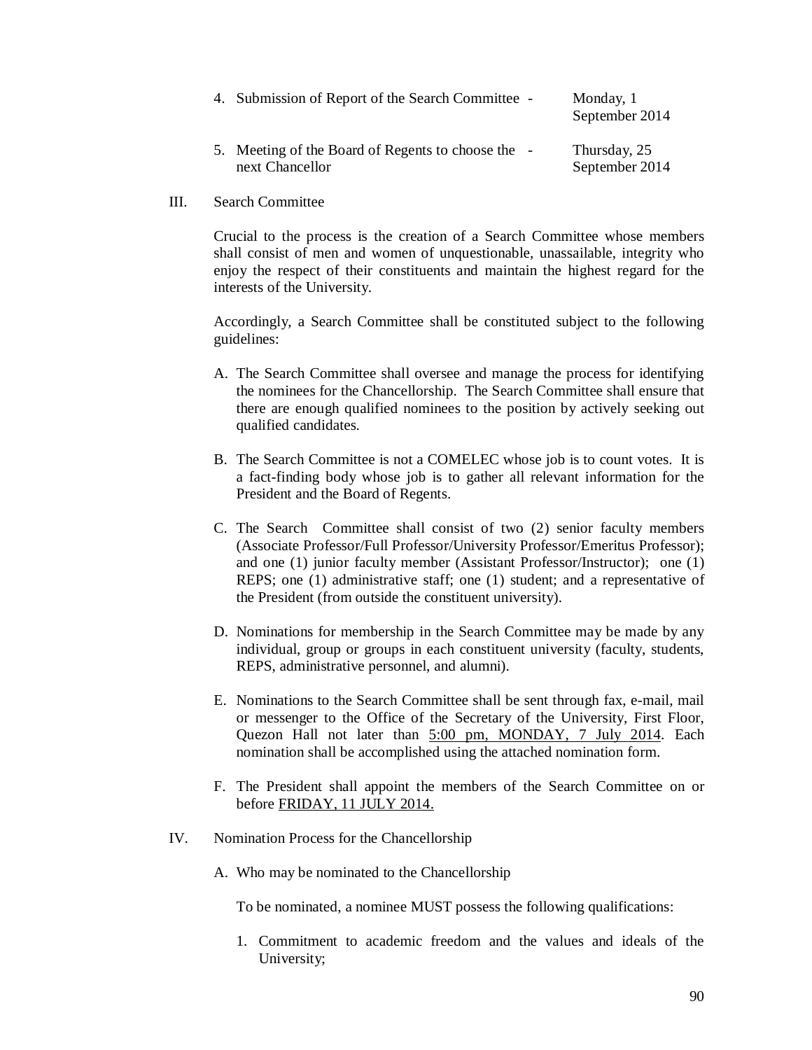| 4. Submission of Report of the Search Committee -                     | Monday, 1<br>September 2014    |
|-----------------------------------------------------------------------|--------------------------------|
| 5. Meeting of the Board of Regents to choose the -<br>next Chancellor | Thursday, 25<br>September 2014 |

III. Search Committee

Crucial to the process is the creation of a Search Committee whose members shall consist of men and women of unquestionable, unassailable, integrity who enjoy the respect of their constituents and maintain the highest regard for the interests of the University.

Accordingly, a Search Committee shall be constituted subject to the following guidelines:

- A. The Search Committee shall oversee and manage the process for identifying the nominees for the Chancellorship. The Search Committee shall ensure that there are enough qualified nominees to the position by actively seeking out qualified candidates.
- B. The Search Committee is not a COMELEC whose job is to count votes. It is a fact-finding body whose job is to gather all relevant information for the President and the Board of Regents.
- C. The Search Committee shall consist of two (2) senior faculty members (Associate Professor/Full Professor/University Professor/Emeritus Professor); and one (1) junior faculty member (Assistant Professor/Instructor); one (1) REPS; one (1) administrative staff; one (1) student; and a representative of the President (from outside the constituent university).
- D. Nominations for membership in the Search Committee may be made by any individual, group or groups in each constituent university (faculty, students, REPS, administrative personnel, and alumni).
- E. Nominations to the Search Committee shall be sent through fax, e-mail, mail or messenger to the Office of the Secretary of the University, First Floor, Quezon Hall not later than 5:00 pm, MONDAY, 7 July 2014. Each nomination shall be accomplished using the attached nomination form.
- F. The President shall appoint the members of the Search Committee on or before FRIDAY, 11 JULY 2014.
- IV. Nomination Process for the Chancellorship
	- A. Who may be nominated to the Chancellorship

To be nominated, a nominee MUST possess the following qualifications:

1. Commitment to academic freedom and the values and ideals of the University;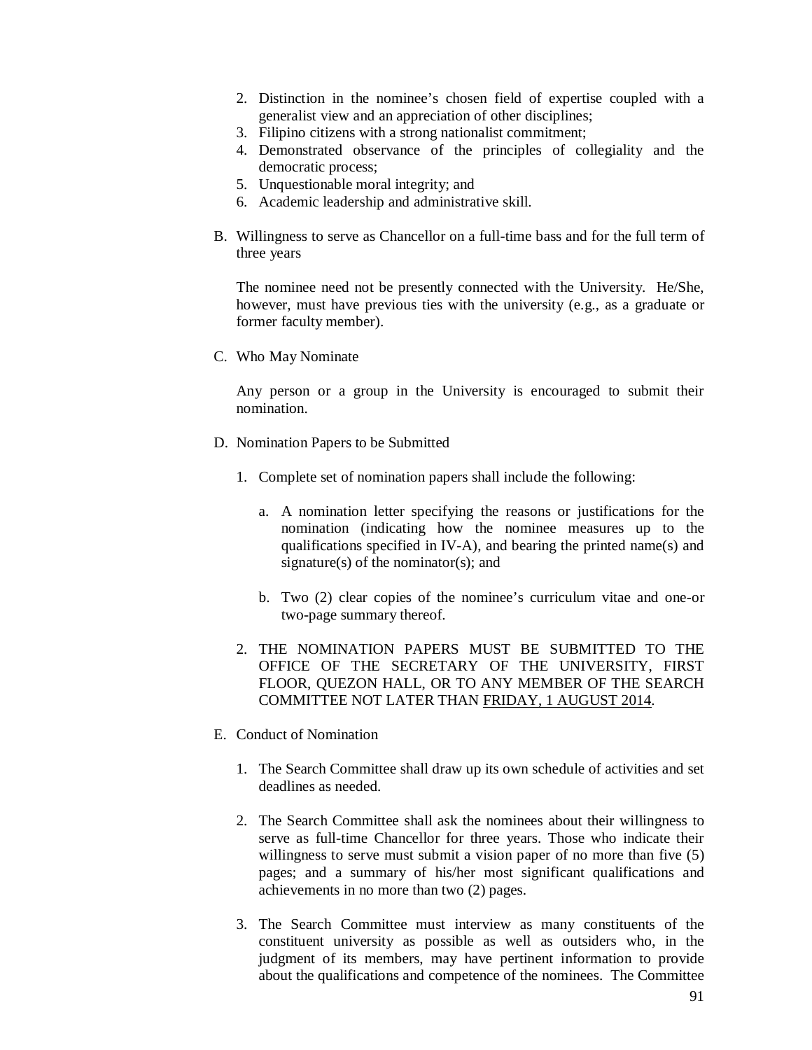- 2. Distinction in the nominee's chosen field of expertise coupled with a generalist view and an appreciation of other disciplines;
- 3. Filipino citizens with a strong nationalist commitment;
- 4. Demonstrated observance of the principles of collegiality and the democratic process;
- 5. Unquestionable moral integrity; and
- 6. Academic leadership and administrative skill.
- B. Willingness to serve as Chancellor on a full-time bass and for the full term of three years

The nominee need not be presently connected with the University. He/She, however, must have previous ties with the university (e.g., as a graduate or former faculty member).

C. Who May Nominate

Any person or a group in the University is encouraged to submit their nomination.

- D. Nomination Papers to be Submitted
	- 1. Complete set of nomination papers shall include the following:
		- a. A nomination letter specifying the reasons or justifications for the nomination (indicating how the nominee measures up to the qualifications specified in IV-A), and bearing the printed name(s) and signature(s) of the nominator(s); and
		- b. Two (2) clear copies of the nominee's curriculum vitae and one-or two-page summary thereof.
	- 2. THE NOMINATION PAPERS MUST BE SUBMITTED TO THE OFFICE OF THE SECRETARY OF THE UNIVERSITY, FIRST FLOOR, QUEZON HALL, OR TO ANY MEMBER OF THE SEARCH COMMITTEE NOT LATER THAN FRIDAY, 1 AUGUST 2014*.*
- E. Conduct of Nomination
	- 1. The Search Committee shall draw up its own schedule of activities and set deadlines as needed.
	- 2. The Search Committee shall ask the nominees about their willingness to serve as full-time Chancellor for three years. Those who indicate their willingness to serve must submit a vision paper of no more than five (5) pages; and a summary of his/her most significant qualifications and achievements in no more than two (2) pages.
	- 3. The Search Committee must interview as many constituents of the constituent university as possible as well as outsiders who, in the judgment of its members, may have pertinent information to provide about the qualifications and competence of the nominees. The Committee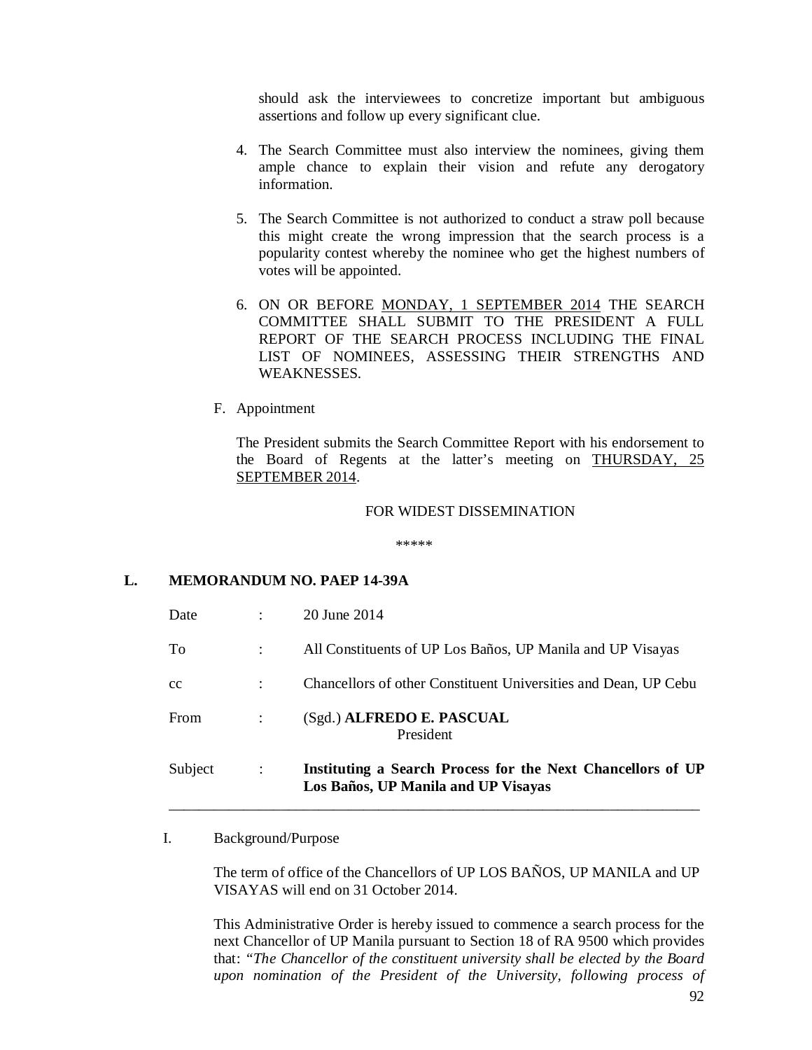should ask the interviewees to concretize important but ambiguous assertions and follow up every significant clue.

- 4. The Search Committee must also interview the nominees, giving them ample chance to explain their vision and refute any derogatory information.
- 5. The Search Committee is not authorized to conduct a straw poll because this might create the wrong impression that the search process is a popularity contest whereby the nominee who get the highest numbers of votes will be appointed.
- 6. ON OR BEFORE MONDAY, 1 SEPTEMBER 2014 THE SEARCH COMMITTEE SHALL SUBMIT TO THE PRESIDENT A FULL REPORT OF THE SEARCH PROCESS INCLUDING THE FINAL LIST OF NOMINEES, ASSESSING THEIR STRENGTHS AND WEAKNESSES.
- F. Appointment

The President submits the Search Committee Report with his endorsement to the Board of Regents at the latter's meeting on THURSDAY, 25 SEPTEMBER 2014.

#### FOR WIDEST DISSEMINATION

\*\*\*\*\*

#### **L. MEMORANDUM NO. PAEP 14-39A**

| Subject     | $\ddot{\cdot}$ | Instituting a Search Process for the Next Chancellors of UP<br>Los Baños, UP Manila and UP Visayas |
|-------------|----------------|----------------------------------------------------------------------------------------------------|
| From        | ÷              | (Sgd.) ALFREDO E. PASCUAL<br>President                                                             |
| $_{\rm cc}$ |                | Chancellors of other Constituent Universities and Dean, UP Cebu                                    |
| To          |                | All Constituents of UP Los Baños, UP Manila and UP Visayas                                         |
| Date        |                | 20 June 2014                                                                                       |

I. Background/Purpose

The term of office of the Chancellors of UP LOS BAÑOS, UP MANILA and UP VISAYAS will end on 31 October 2014.

This Administrative Order is hereby issued to commence a search process for the next Chancellor of UP Manila pursuant to Section 18 of RA 9500 which provides that: *"The Chancellor of the constituent university shall be elected by the Board upon nomination of the President of the University, following process of*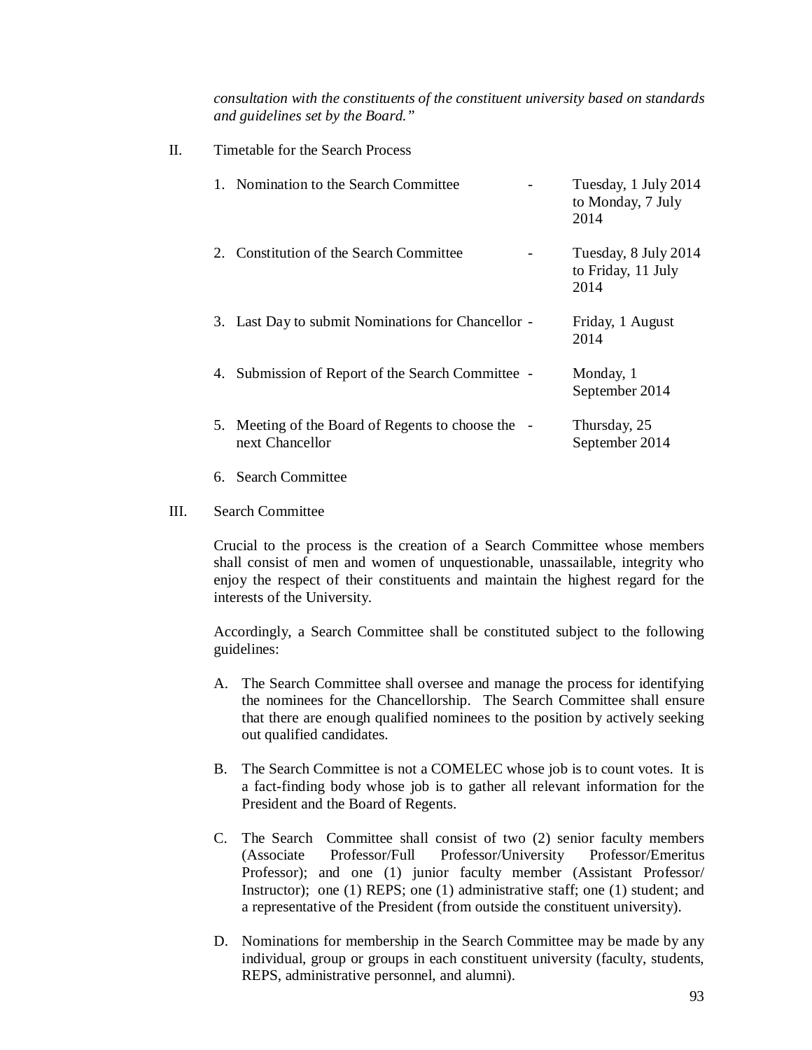*consultation with the constituents of the constituent university based on standards and guidelines set by the Board."*

| H. | Timetable for the Search Process                                      |                                                    |  |  |  |  |
|----|-----------------------------------------------------------------------|----------------------------------------------------|--|--|--|--|
|    | 1. Nomination to the Search Committee                                 | Tuesday, 1 July 2014<br>to Monday, 7 July<br>2014  |  |  |  |  |
|    | 2. Constitution of the Search Committee                               | Tuesday, 8 July 2014<br>to Friday, 11 July<br>2014 |  |  |  |  |
|    | 3. Last Day to submit Nominations for Chancellor -                    | Friday, 1 August<br>2014                           |  |  |  |  |
|    | 4. Submission of Report of the Search Committee -                     | Monday, 1<br>September 2014                        |  |  |  |  |
|    | 5. Meeting of the Board of Regents to choose the -<br>next Chancellor | Thursday, 25<br>September 2014                     |  |  |  |  |

- 6. Search Committee
- III. Search Committee

Crucial to the process is the creation of a Search Committee whose members shall consist of men and women of unquestionable, unassailable, integrity who enjoy the respect of their constituents and maintain the highest regard for the interests of the University.

Accordingly, a Search Committee shall be constituted subject to the following guidelines:

- A. The Search Committee shall oversee and manage the process for identifying the nominees for the Chancellorship. The Search Committee shall ensure that there are enough qualified nominees to the position by actively seeking out qualified candidates.
- B. The Search Committee is not a COMELEC whose job is to count votes. It is a fact-finding body whose job is to gather all relevant information for the President and the Board of Regents.
- C. The Search Committee shall consist of two (2) senior faculty members (Associate Professor/Full Professor/University Professor/Emeritus Professor); and one (1) junior faculty member (Assistant Professor/ Instructor); one (1) REPS; one (1) administrative staff; one (1) student; and a representative of the President (from outside the constituent university).
- D. Nominations for membership in the Search Committee may be made by any individual, group or groups in each constituent university (faculty, students, REPS, administrative personnel, and alumni).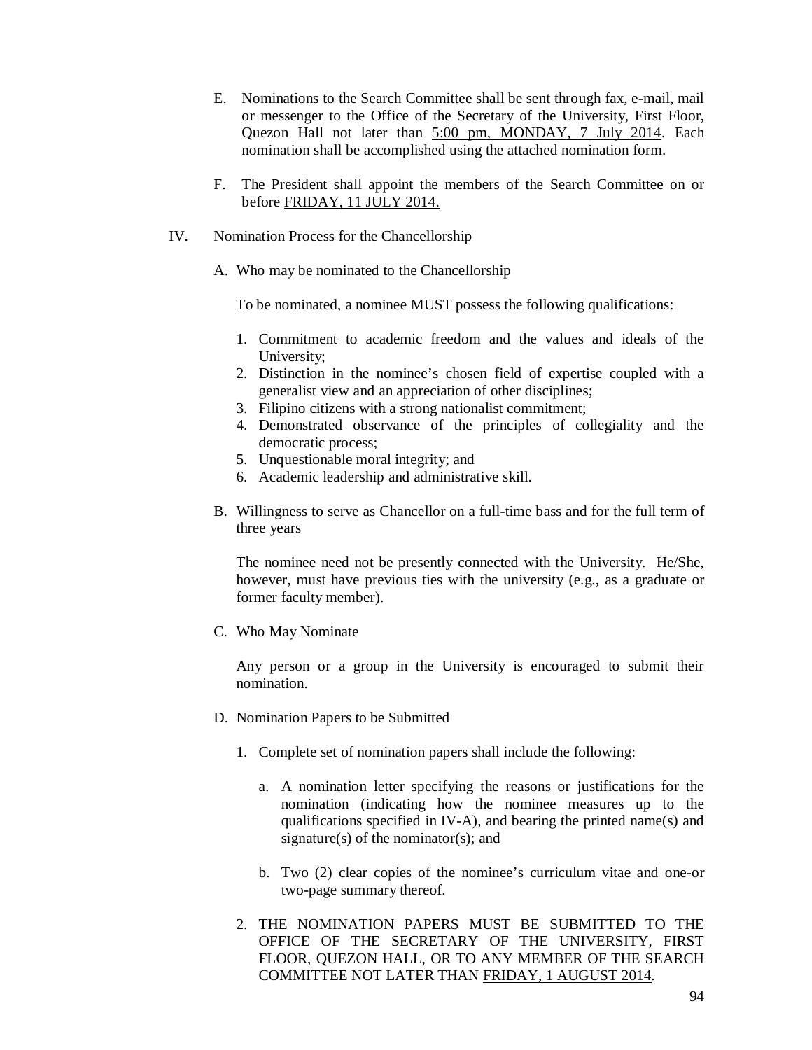- E. Nominations to the Search Committee shall be sent through fax, e-mail, mail or messenger to the Office of the Secretary of the University, First Floor, Quezon Hall not later than 5:00 pm, MONDAY, 7 July 2014. Each nomination shall be accomplished using the attached nomination form.
- F. The President shall appoint the members of the Search Committee on or before FRIDAY, 11 JULY 2014.
- IV. Nomination Process for the Chancellorship
	- A. Who may be nominated to the Chancellorship

To be nominated, a nominee MUST possess the following qualifications:

- 1. Commitment to academic freedom and the values and ideals of the University;
- 2. Distinction in the nominee's chosen field of expertise coupled with a generalist view and an appreciation of other disciplines;
- 3. Filipino citizens with a strong nationalist commitment;
- 4. Demonstrated observance of the principles of collegiality and the democratic process;
- 5. Unquestionable moral integrity; and
- 6. Academic leadership and administrative skill.
- B. Willingness to serve as Chancellor on a full-time bass and for the full term of three years

The nominee need not be presently connected with the University. He/She, however, must have previous ties with the university (e.g., as a graduate or former faculty member).

C. Who May Nominate

Any person or a group in the University is encouraged to submit their nomination.

- D. Nomination Papers to be Submitted
	- 1. Complete set of nomination papers shall include the following:
		- a. A nomination letter specifying the reasons or justifications for the nomination (indicating how the nominee measures up to the qualifications specified in IV-A), and bearing the printed name(s) and signature(s) of the nominator(s); and
		- b. Two (2) clear copies of the nominee's curriculum vitae and one-or two-page summary thereof.
	- 2. THE NOMINATION PAPERS MUST BE SUBMITTED TO THE OFFICE OF THE SECRETARY OF THE UNIVERSITY, FIRST FLOOR, QUEZON HALL, OR TO ANY MEMBER OF THE SEARCH COMMITTEE NOT LATER THAN FRIDAY, 1 AUGUST 2014*.*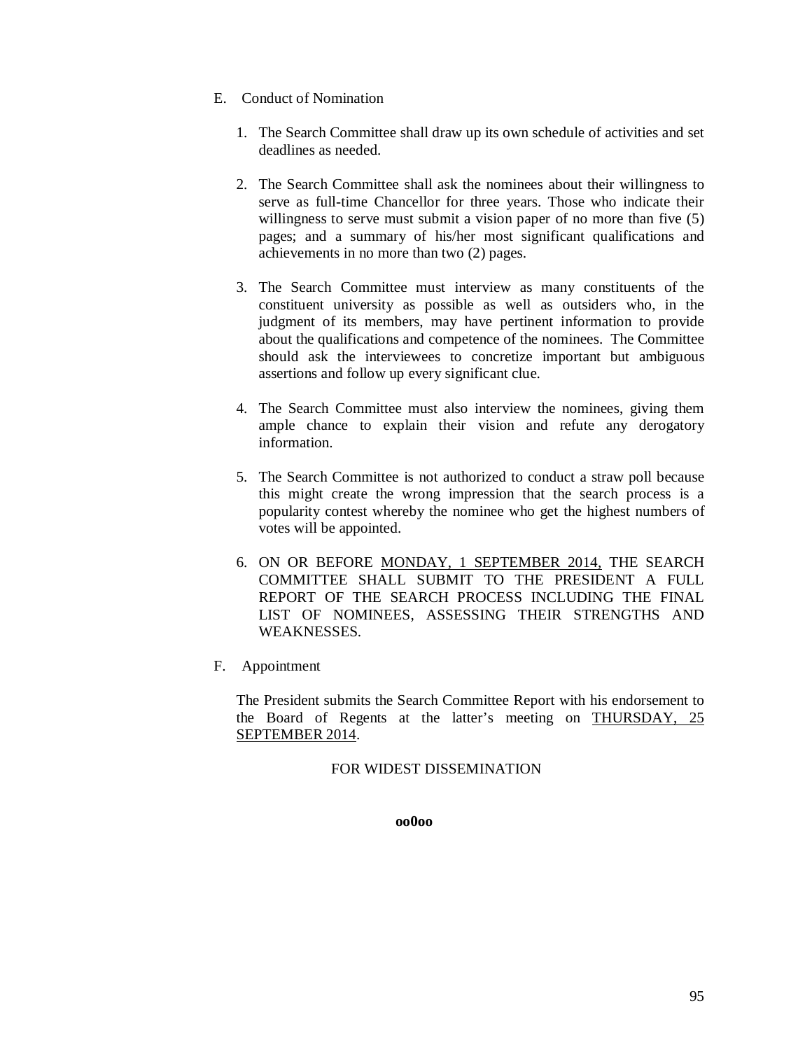- E. Conduct of Nomination
	- 1. The Search Committee shall draw up its own schedule of activities and set deadlines as needed.
	- 2. The Search Committee shall ask the nominees about their willingness to serve as full-time Chancellor for three years. Those who indicate their willingness to serve must submit a vision paper of no more than five (5) pages; and a summary of his/her most significant qualifications and achievements in no more than two (2) pages.
	- 3. The Search Committee must interview as many constituents of the constituent university as possible as well as outsiders who, in the judgment of its members, may have pertinent information to provide about the qualifications and competence of the nominees. The Committee should ask the interviewees to concretize important but ambiguous assertions and follow up every significant clue.
	- 4. The Search Committee must also interview the nominees, giving them ample chance to explain their vision and refute any derogatory information.
	- 5. The Search Committee is not authorized to conduct a straw poll because this might create the wrong impression that the search process is a popularity contest whereby the nominee who get the highest numbers of votes will be appointed.
	- 6. ON OR BEFORE MONDAY, 1 SEPTEMBER 2014, THE SEARCH COMMITTEE SHALL SUBMIT TO THE PRESIDENT A FULL REPORT OF THE SEARCH PROCESS INCLUDING THE FINAL LIST OF NOMINEES, ASSESSING THEIR STRENGTHS AND WEAKNESSES.
- F. Appointment

The President submits the Search Committee Report with his endorsement to the Board of Regents at the latter's meeting on THURSDAY, 25 SEPTEMBER 2014.

### FOR WIDEST DISSEMINATION

**oo0oo**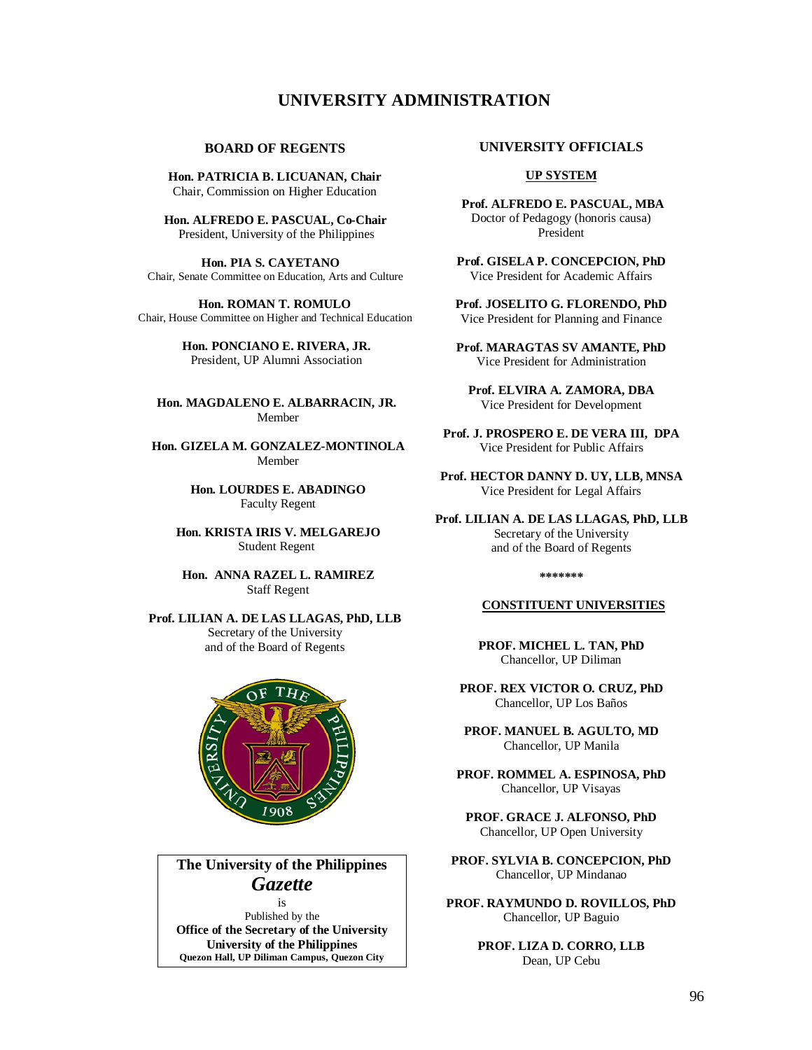## **UNIVERSITY ADMINISTRATION**

#### **BOARD OF REGENTS**

**Hon. PATRICIA B. LICUANAN, Chair** Chair, Commission on Higher Education

 **Hon. ALFREDO E. PASCUAL, Co-Chair** President, University of the Philippines

 **Hon. PIA S. CAYETANO** Chair, Senate Committee on Education, Arts and Culture

 **Hon. ROMAN T. ROMULO** Chair, House Committee on Higher and Technical Education

> **Hon. PONCIANO E. RIVERA, JR.** President, UP Alumni Association

**Hon. MAGDALENO E. ALBARRACIN, JR.** Member

 **Hon. GIZELA M. GONZALEZ-MONTINOLA** Member

> **Hon. LOURDES E. ABADINGO** Faculty Regent

 **Hon. KRISTA IRIS V. MELGAREJO** Student Regent

 **Hon. ANNA RAZEL L. RAMIREZ** Staff Regent

**Prof. LILIAN A. DE LAS LLAGAS, PhD, LLB** Secretary of the University and of the Board of Regents



## **The University of the Philippines**  *Gazette*

is Published by the **Office of the Secretary of the University University of the Philippines Quezon Hall, UP Diliman Campus, Quezon City**

#### **UNIVERSITY OFFICIALS**

#### **UP SYSTEM**

**Prof. ALFREDO E. PASCUAL, MBA**  Doctor of Pedagogy (honoris causa) President

**Prof. GISELA P. CONCEPCION, PhD** Vice President for Academic Affairs

**Prof. JOSELITO G. FLORENDO, PhD** Vice President for Planning and Finance

**Prof. MARAGTAS SV AMANTE, PhD** Vice President for Administration

**Prof. ELVIRA A. ZAMORA, DBA** Vice President for Development

**Prof. J. PROSPERO E. DE VERA III, DPA** Vice President for Public Affairs

**Prof. HECTOR DANNY D. UY, LLB, MNSA** Vice President for Legal Affairs

**Prof. LILIAN A. DE LAS LLAGAS, PhD, LLB** Secretary of the University and of the Board of Regents

**\*\*\*\*\*\*\***

#### **CONSTITUENT UNIVERSITIES**

**PROF. MICHEL L. TAN, PhD** Chancellor, UP Diliman

**PROF. REX VICTOR O. CRUZ, PhD** Chancellor, UP Los Baños

**PROF. MANUEL B. AGULTO, MD** Chancellor, UP Manila

**PROF. ROMMEL A. ESPINOSA, PhD** Chancellor, UP Visayas

**PROF. GRACE J. ALFONSO, PhD** Chancellor, UP Open University

**PROF. SYLVIA B. CONCEPCION, PhD** Chancellor, UP Mindanao

**PROF. RAYMUNDO D. ROVILLOS, PhD** Chancellor, UP Baguio

> **PROF. LIZA D. CORRO, LLB** Dean, UP Cebu